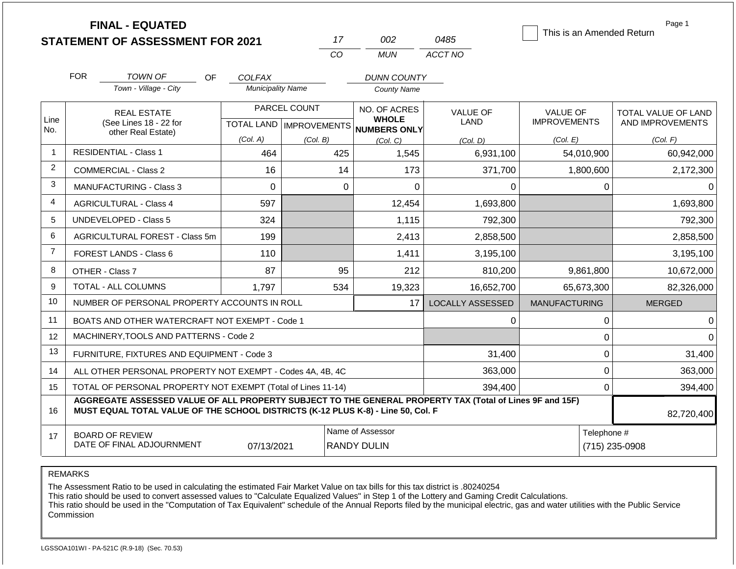|                |            | <b>FINAL - EQUATED</b>                                                                                                                                                                       |                          |              |                                                     |                         | This is an Amended Return | Page 1                        |  |
|----------------|------------|----------------------------------------------------------------------------------------------------------------------------------------------------------------------------------------------|--------------------------|--------------|-----------------------------------------------------|-------------------------|---------------------------|-------------------------------|--|
|                |            | <b>STATEMENT OF ASSESSMENT FOR 2021</b>                                                                                                                                                      |                          | 17           | 002                                                 | 0485                    |                           |                               |  |
|                |            |                                                                                                                                                                                              |                          | CO           | <b>MUN</b>                                          | ACCT NO                 |                           |                               |  |
|                | <b>FOR</b> | <b>TOWN OF</b><br>OF.                                                                                                                                                                        | <b>COLFAX</b>            |              | <b>DUNN COUNTY</b>                                  |                         |                           |                               |  |
|                |            | Town - Village - City                                                                                                                                                                        | <b>Municipality Name</b> |              | <b>County Name</b>                                  |                         |                           |                               |  |
|                |            | <b>REAL ESTATE</b>                                                                                                                                                                           |                          | PARCEL COUNT | NO. OF ACRES                                        | <b>VALUE OF</b>         | <b>VALUE OF</b>           | <b>TOTAL VALUE OF LAND</b>    |  |
| Line<br>No.    |            | (See Lines 18 - 22 for<br>other Real Estate)                                                                                                                                                 |                          |              | <b>WHOLE</b><br>TOTAL LAND MPROVEMENTS NUMBERS ONLY | LAND                    | <b>IMPROVEMENTS</b>       | AND IMPROVEMENTS              |  |
|                |            |                                                                                                                                                                                              | (Col. A)                 | (Col. B)     | (Col. C)                                            | (Col, D)                | (Col. E)                  | (Col. F)                      |  |
| $\mathbf{1}$   |            | <b>RESIDENTIAL - Class 1</b>                                                                                                                                                                 | 464                      | 425          | 1,545                                               | 6,931,100               | 54,010,900                | 60,942,000                    |  |
| 2              |            | COMMERCIAL - Class 2                                                                                                                                                                         | 16                       |              | 14<br>173                                           | 371,700                 | 1,800,600                 | 2,172,300                     |  |
| 3              |            | MANUFACTURING - Class 3                                                                                                                                                                      | $\Omega$                 |              | $\Omega$<br>$\Omega$                                | $\Omega$                | $\mathbf 0$               | $\Omega$                      |  |
| 4              |            | <b>AGRICULTURAL - Class 4</b>                                                                                                                                                                | 597                      |              | 12,454                                              | 1,693,800               |                           | 1,693,800                     |  |
| 5              |            | <b>UNDEVELOPED - Class 5</b>                                                                                                                                                                 | 324                      |              | 1,115                                               | 792,300                 |                           | 792,300                       |  |
| 6              |            | AGRICULTURAL FOREST - Class 5m                                                                                                                                                               | 199                      |              | 2,413                                               | 2,858,500               |                           | 2,858,500                     |  |
| $\overline{7}$ |            | <b>FOREST LANDS - Class 6</b>                                                                                                                                                                | 110                      |              | 1,411                                               | 3,195,100               |                           | 3,195,100                     |  |
| 8              |            | OTHER - Class 7                                                                                                                                                                              | 87                       |              | 95<br>212                                           | 810,200                 | 9,861,800                 | 10,672,000                    |  |
| 9              |            | <b>TOTAL - ALL COLUMNS</b>                                                                                                                                                                   | 1.797                    | 534          | 19,323                                              | 16,652,700              | 65,673,300                | 82,326,000                    |  |
| 10             |            | NUMBER OF PERSONAL PROPERTY ACCOUNTS IN ROLL                                                                                                                                                 |                          |              | 17                                                  | <b>LOCALLY ASSESSED</b> | <b>MANUFACTURING</b>      | <b>MERGED</b>                 |  |
| 11             |            | BOATS AND OTHER WATERCRAFT NOT EXEMPT - Code 1                                                                                                                                               |                          |              |                                                     | 0                       | $\pmb{0}$                 | $\Omega$                      |  |
| 12             |            | MACHINERY.TOOLS AND PATTERNS - Code 2                                                                                                                                                        |                          |              |                                                     |                         | $\mathbf 0$               | $\Omega$                      |  |
| 13             |            | FURNITURE, FIXTURES AND EQUIPMENT - Code 3                                                                                                                                                   |                          |              |                                                     | 31,400                  | $\pmb{0}$                 | 31,400                        |  |
| 14             |            | ALL OTHER PERSONAL PROPERTY NOT EXEMPT - Codes 4A, 4B, 4C                                                                                                                                    |                          |              |                                                     | 363,000                 | $\mathbf 0$               | 363,000                       |  |
| 15             |            | TOTAL OF PERSONAL PROPERTY NOT EXEMPT (Total of Lines 11-14)                                                                                                                                 |                          |              |                                                     | 394,400                 | $\mathbf 0$               | 394,400                       |  |
| 16             |            | AGGREGATE ASSESSED VALUE OF ALL PROPERTY SUBJECT TO THE GENERAL PROPERTY TAX (Total of Lines 9F and 15F)<br>MUST EQUAL TOTAL VALUE OF THE SCHOOL DISTRICTS (K-12 PLUS K-8) - Line 50, Col. F |                          |              |                                                     |                         |                           | 82,720,400                    |  |
| 17             |            | <b>BOARD OF REVIEW</b><br>DATE OF FINAL ADJOURNMENT                                                                                                                                          | 07/13/2021               |              | Name of Assessor<br><b>RANDY DULIN</b>              |                         |                           | Telephone #<br>(715) 235-0908 |  |

The Assessment Ratio to be used in calculating the estimated Fair Market Value on tax bills for this tax district is .80240254

This ratio should be used to convert assessed values to "Calculate Equalized Values" in Step 1 of the Lottery and Gaming Credit Calculations.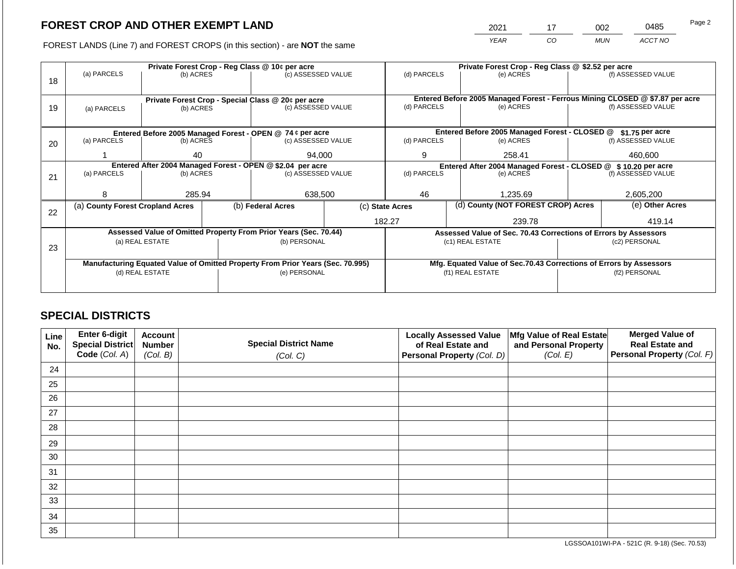2021 17 002 0485

FOREST LANDS (Line 7) and FOREST CROPS (in this section) - are **NOT** the same *YEAR CO MUN ACCT NO*

|    |                                                            |                 |  | Private Forest Crop - Reg Class @ 10¢ per acre                                 |                                                               |                  |  | Private Forest Crop - Reg Class @ \$2.52 per acre                  |                                                                 |                                                                              |
|----|------------------------------------------------------------|-----------------|--|--------------------------------------------------------------------------------|---------------------------------------------------------------|------------------|--|--------------------------------------------------------------------|-----------------------------------------------------------------|------------------------------------------------------------------------------|
|    | (a) PARCELS                                                | (b) ACRES       |  | (c) ASSESSED VALUE                                                             |                                                               | (d) PARCELS      |  | (e) ACRES                                                          |                                                                 | (f) ASSESSED VALUE                                                           |
| 18 |                                                            |                 |  |                                                                                |                                                               |                  |  |                                                                    |                                                                 |                                                                              |
|    |                                                            |                 |  |                                                                                |                                                               |                  |  |                                                                    |                                                                 |                                                                              |
|    |                                                            |                 |  | Private Forest Crop - Special Class @ 20¢ per acre                             |                                                               |                  |  |                                                                    |                                                                 | Entered Before 2005 Managed Forest - Ferrous Mining CLOSED @ \$7.87 per acre |
| 19 | (a) PARCELS                                                | (b) ACRES       |  | (c) ASSESSED VALUE                                                             |                                                               | (d) PARCELS      |  | (e) ACRES                                                          |                                                                 | (f) ASSESSED VALUE                                                           |
|    |                                                            |                 |  |                                                                                |                                                               |                  |  |                                                                    |                                                                 |                                                                              |
|    |                                                            |                 |  | Entered Before 2005 Managed Forest - OPEN @ 74 ¢ per acre                      |                                                               |                  |  | Entered Before 2005 Managed Forest - CLOSED @                      |                                                                 | \$1.75 per acre                                                              |
| 20 | (a) PARCELS                                                | (b) ACRES       |  | (c) ASSESSED VALUE                                                             |                                                               | (d) PARCELS      |  | (e) ACRES                                                          |                                                                 | (f) ASSESSED VALUE                                                           |
|    |                                                            |                 |  |                                                                                |                                                               |                  |  |                                                                    |                                                                 |                                                                              |
|    |                                                            | 40              |  | 94,000                                                                         |                                                               | 9                |  | 258.41                                                             |                                                                 | 460,600                                                                      |
|    | Entered After 2004 Managed Forest - OPEN @ \$2.04 per acre |                 |  |                                                                                | Entered After 2004 Managed Forest - CLOSED @ \$10.20 per acre |                  |  |                                                                    |                                                                 |                                                                              |
| 21 | (a) PARCELS                                                | (b) ACRES       |  | (c) ASSESSED VALUE                                                             |                                                               | (d) PARCELS      |  | (e) ACRES                                                          |                                                                 | (f) ASSESSED VALUE                                                           |
|    |                                                            |                 |  |                                                                                |                                                               |                  |  |                                                                    |                                                                 |                                                                              |
|    | 8                                                          | 285.94          |  | 638,500                                                                        |                                                               | 46               |  | 1,235.69                                                           |                                                                 | 2,605,200                                                                    |
|    | (a) County Forest Cropland Acres                           |                 |  | (b) Federal Acres                                                              | (d) County (NOT FOREST CROP) Acres<br>(c) State Acres         |                  |  |                                                                    | (e) Other Acres                                                 |                                                                              |
| 22 |                                                            |                 |  |                                                                                |                                                               |                  |  |                                                                    |                                                                 |                                                                              |
|    |                                                            |                 |  |                                                                                |                                                               | 182.27<br>239.78 |  |                                                                    | 419.14                                                          |                                                                              |
|    |                                                            |                 |  | Assessed Value of Omitted Property From Prior Years (Sec. 70.44)               |                                                               |                  |  |                                                                    | Assessed Value of Sec. 70.43 Corrections of Errors by Assessors |                                                                              |
|    |                                                            | (a) REAL ESTATE |  | (b) PERSONAL                                                                   |                                                               |                  |  | (c1) REAL ESTATE                                                   | (c2) PERSONAL                                                   |                                                                              |
| 23 |                                                            |                 |  |                                                                                |                                                               |                  |  |                                                                    |                                                                 |                                                                              |
|    |                                                            |                 |  | Manufacturing Equated Value of Omitted Property From Prior Years (Sec. 70.995) |                                                               |                  |  | Mfg. Equated Value of Sec.70.43 Corrections of Errors by Assessors |                                                                 |                                                                              |
|    | (d) REAL ESTATE                                            |                 |  | (e) PERSONAL                                                                   | (f1) REAL ESTATE                                              |                  |  | (f2) PERSONAL                                                      |                                                                 |                                                                              |
|    |                                                            |                 |  |                                                                                |                                                               |                  |  |                                                                    |                                                                 |                                                                              |
|    |                                                            |                 |  |                                                                                |                                                               |                  |  |                                                                    |                                                                 |                                                                              |

# **SPECIAL DISTRICTS**

| Line<br>No. | Enter 6-digit<br>Special District<br>Code (Col. A) | <b>Account</b><br><b>Number</b><br>(Col. B) | <b>Special District Name</b><br>(Col. C) | <b>Locally Assessed Value</b><br>of Real Estate and<br><b>Personal Property (Col. D)</b> | Mfg Value of Real Estate<br>and Personal Property<br>(Col. E) | <b>Merged Value of</b><br><b>Real Estate and</b><br>Personal Property (Col. F) |
|-------------|----------------------------------------------------|---------------------------------------------|------------------------------------------|------------------------------------------------------------------------------------------|---------------------------------------------------------------|--------------------------------------------------------------------------------|
| 24          |                                                    |                                             |                                          |                                                                                          |                                                               |                                                                                |
| 25          |                                                    |                                             |                                          |                                                                                          |                                                               |                                                                                |
| 26          |                                                    |                                             |                                          |                                                                                          |                                                               |                                                                                |
| 27          |                                                    |                                             |                                          |                                                                                          |                                                               |                                                                                |
| 28          |                                                    |                                             |                                          |                                                                                          |                                                               |                                                                                |
| 29          |                                                    |                                             |                                          |                                                                                          |                                                               |                                                                                |
| 30          |                                                    |                                             |                                          |                                                                                          |                                                               |                                                                                |
| 31          |                                                    |                                             |                                          |                                                                                          |                                                               |                                                                                |
| 32          |                                                    |                                             |                                          |                                                                                          |                                                               |                                                                                |
| 33          |                                                    |                                             |                                          |                                                                                          |                                                               |                                                                                |
| 34          |                                                    |                                             |                                          |                                                                                          |                                                               |                                                                                |
| 35          |                                                    |                                             |                                          |                                                                                          |                                                               |                                                                                |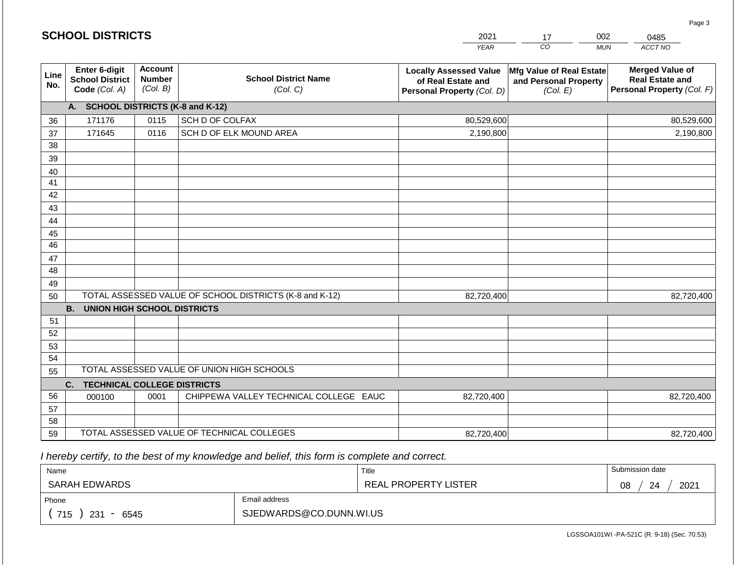|                       | <b>SCHOOL DISTRICTS</b>                                  |                                             |                                                         | 2021                                                                              | 17                                                            | 002<br>0485                                                                    |
|-----------------------|----------------------------------------------------------|---------------------------------------------|---------------------------------------------------------|-----------------------------------------------------------------------------------|---------------------------------------------------------------|--------------------------------------------------------------------------------|
|                       |                                                          |                                             |                                                         | <b>YEAR</b>                                                                       | CO                                                            | ACCT NO<br><b>MUN</b>                                                          |
| Line<br>No.           | Enter 6-digit<br><b>School District</b><br>Code (Col. A) | <b>Account</b><br><b>Number</b><br>(Col. B) | <b>School District Name</b><br>(Col. C)                 | <b>Locally Assessed Value</b><br>of Real Estate and<br>Personal Property (Col. D) | Mfg Value of Real Estate<br>and Personal Property<br>(Col. E) | <b>Merged Value of</b><br><b>Real Estate and</b><br>Personal Property (Col. F) |
|                       | A. SCHOOL DISTRICTS (K-8 and K-12)                       |                                             |                                                         |                                                                                   |                                                               |                                                                                |
| 36                    | 171176                                                   | 0115                                        | SCH D OF COLFAX                                         | 80,529,600                                                                        |                                                               | 80,529,600                                                                     |
| 37                    | 171645                                                   | 0116                                        | SCH D OF ELK MOUND AREA                                 | 2,190,800                                                                         |                                                               | 2,190,800                                                                      |
| 38                    |                                                          |                                             |                                                         |                                                                                   |                                                               |                                                                                |
| 39                    |                                                          |                                             |                                                         |                                                                                   |                                                               |                                                                                |
| 40                    |                                                          |                                             |                                                         |                                                                                   |                                                               |                                                                                |
| 41                    |                                                          |                                             |                                                         |                                                                                   |                                                               |                                                                                |
| 42                    |                                                          |                                             |                                                         |                                                                                   |                                                               |                                                                                |
| 43                    |                                                          |                                             |                                                         |                                                                                   |                                                               |                                                                                |
| 44                    |                                                          |                                             |                                                         |                                                                                   |                                                               |                                                                                |
| 45<br>$\overline{46}$ |                                                          |                                             |                                                         |                                                                                   |                                                               |                                                                                |
| 47                    |                                                          |                                             |                                                         |                                                                                   |                                                               |                                                                                |
| 48                    |                                                          |                                             |                                                         |                                                                                   |                                                               |                                                                                |
| 49                    |                                                          |                                             |                                                         |                                                                                   |                                                               |                                                                                |
| 50                    |                                                          |                                             | TOTAL ASSESSED VALUE OF SCHOOL DISTRICTS (K-8 and K-12) | 82,720,400                                                                        |                                                               | 82,720,400                                                                     |
|                       | <b>B.</b><br><b>UNION HIGH SCHOOL DISTRICTS</b>          |                                             |                                                         |                                                                                   |                                                               |                                                                                |
| 51                    |                                                          |                                             |                                                         |                                                                                   |                                                               |                                                                                |
| 52                    |                                                          |                                             |                                                         |                                                                                   |                                                               |                                                                                |
| 53                    |                                                          |                                             |                                                         |                                                                                   |                                                               |                                                                                |
| 54                    |                                                          |                                             |                                                         |                                                                                   |                                                               |                                                                                |
| 55                    |                                                          |                                             | TOTAL ASSESSED VALUE OF UNION HIGH SCHOOLS              |                                                                                   |                                                               |                                                                                |
|                       | <b>TECHNICAL COLLEGE DISTRICTS</b><br>C.                 |                                             |                                                         |                                                                                   |                                                               |                                                                                |
| 56                    | 000100                                                   | 0001                                        | CHIPPEWA VALLEY TECHNICAL COLLEGE EAUC                  | 82,720,400                                                                        |                                                               | 82,720,400                                                                     |
| 57                    |                                                          |                                             |                                                         |                                                                                   |                                                               |                                                                                |
| 58                    |                                                          |                                             |                                                         |                                                                                   |                                                               |                                                                                |
| 59                    |                                                          |                                             | TOTAL ASSESSED VALUE OF TECHNICAL COLLEGES              | 82,720,400                                                                        |                                                               | 82,720,400                                                                     |

 *I hereby certify, to the best of my knowledge and belief, this form is complete and correct.*

**SCHOOL DISTRICTS**

| Name               |                         | Title                | Submission date  |
|--------------------|-------------------------|----------------------|------------------|
| SARAH EDWARDS      |                         | REAL PROPERTY LISTER | 2021<br>08<br>24 |
| Phone              | Email address           |                      |                  |
| 715<br>231<br>6545 | SJEDWARDS@CO.DUNN.WI.US |                      |                  |

Page 3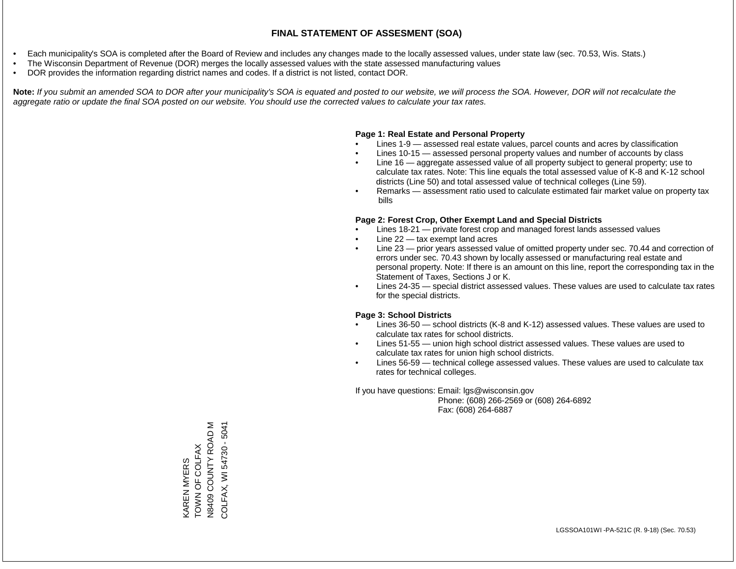- Each municipality's SOA is completed after the Board of Review and includes any changes made to the locally assessed values, under state law (sec. 70.53, Wis. Stats.)
- The Wisconsin Department of Revenue (DOR) merges the locally assessed values with the state assessed manufacturing values
- DOR provides the information regarding district names and codes. If a district is not listed, contact DOR.

Note: If you submit an amended SOA to DOR after your municipality's SOA is equated and posted to our website, we will process the SOA. However, DOR will not recalculate the *aggregate ratio or update the final SOA posted on our website. You should use the corrected values to calculate your tax rates.*

# **Page 1: Real Estate and Personal Property**

- Lines 1-9 assessed real estate values, parcel counts and acres by classification
- Lines 10-15 assessed personal property values and number of accounts by class
- Line 16 aggregate assessed value of all property subject to general property; use to calculate tax rates. Note: This line equals the total assessed value of K-8 and K-12 school districts (Line 50) and total assessed value of technical colleges (Line 59).
- Remarks assessment ratio used to calculate estimated fair market value on property tax bills

# **Page 2: Forest Crop, Other Exempt Land and Special Districts**

- Lines 18-21 private forest crop and managed forest lands assessed values
- Line  $22 -$  tax exempt land acres
- Line 23 prior years assessed value of omitted property under sec. 70.44 and correction of errors under sec. 70.43 shown by locally assessed or manufacturing real estate and personal property. Note: If there is an amount on this line, report the corresponding tax in the Statement of Taxes, Sections J or K.
- Lines 24-35 special district assessed values. These values are used to calculate tax rates for the special districts.

# **Page 3: School Districts**

- Lines 36-50 school districts (K-8 and K-12) assessed values. These values are used to calculate tax rates for school districts.
- Lines 51-55 union high school district assessed values. These values are used to calculate tax rates for union high school districts.
- Lines 56-59 technical college assessed values. These values are used to calculate tax rates for technical colleges.

If you have questions: Email: lgs@wisconsin.gov

 Phone: (608) 266-2569 or (608) 264-6892 Fax: (608) 264-6887

N8409 COUNTY ROAD M COLFAX, WI 54730 - 5041 N8409 COUNTY ROAD M COLFAX, WI 54730 - 5041KAREN MYERS<br>TOWN OF COLFAX TOWN OF COLFAX KAREN MYERS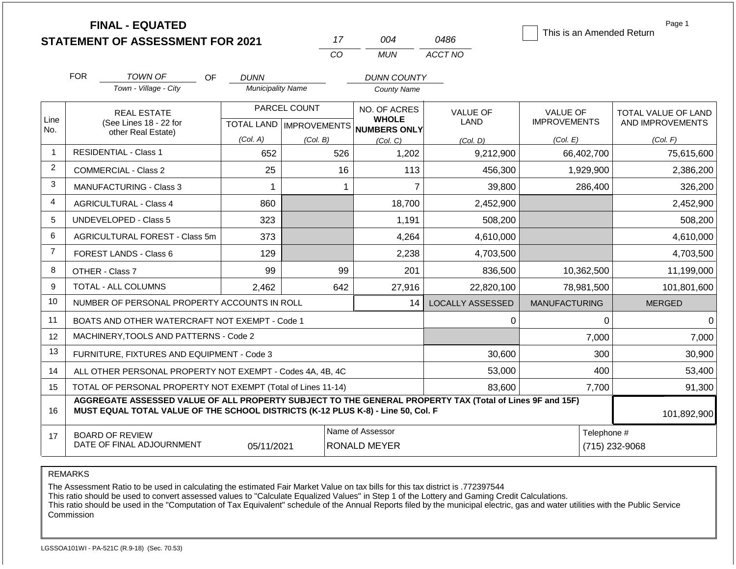|                |            | <b>FINAL - EQUATED</b><br><b>STATEMENT OF ASSESSMENT FOR 2021</b>                                                                                                                            |                          |                           | 17                                                     | 004                | 0486                    | This is an Amended Return | Page 1              |
|----------------|------------|----------------------------------------------------------------------------------------------------------------------------------------------------------------------------------------------|--------------------------|---------------------------|--------------------------------------------------------|--------------------|-------------------------|---------------------------|---------------------|
|                |            |                                                                                                                                                                                              |                          |                           | CO                                                     | <b>MUN</b>         | ACCT NO                 |                           |                     |
|                | <b>FOR</b> | <b>TOWN OF</b><br>OF.                                                                                                                                                                        | <b>DUNN</b>              |                           |                                                        | <b>DUNN COUNTY</b> |                         |                           |                     |
|                |            | Town - Village - City                                                                                                                                                                        | <b>Municipality Name</b> |                           |                                                        | <b>County Name</b> |                         |                           |                     |
|                |            | <b>REAL ESTATE</b>                                                                                                                                                                           |                          | PARCEL COUNT              |                                                        | NO. OF ACRES       | <b>VALUE OF</b>         | <b>VALUE OF</b>           | TOTAL VALUE OF LAND |
| Line<br>No.    |            | (See Lines 18 - 22 for<br>other Real Estate)                                                                                                                                                 |                          | TOTAL LAND   IMPROVEMENTS | <b>WHOLE</b><br>NUMBERS ONLY                           |                    | LAND                    | <b>IMPROVEMENTS</b>       | AND IMPROVEMENTS    |
|                |            |                                                                                                                                                                                              | (Col. A)                 | (Col. B)                  |                                                        | (Col, C)           | (Col, D)                | (Col. E)                  | (Col. F)            |
| $\mathbf{1}$   |            | <b>RESIDENTIAL - Class 1</b>                                                                                                                                                                 | 652                      |                           | 526                                                    | 1,202              | 9,212,900               | 66,402,700                | 75,615,600          |
| $\overline{2}$ |            | <b>COMMERCIAL - Class 2</b>                                                                                                                                                                  | 25                       |                           | 16                                                     | 113                | 456,300                 | 1,929,900                 | 2,386,200           |
| 3              |            | MANUFACTURING - Class 3                                                                                                                                                                      | 1                        |                           | $\mathbf{1}$                                           | $\overline{7}$     | 39,800                  | 286,400                   | 326,200             |
| $\overline{4}$ |            | <b>AGRICULTURAL - Class 4</b>                                                                                                                                                                | 860                      |                           |                                                        | 18,700             | 2,452,900               |                           | 2,452,900           |
| 5              |            | <b>UNDEVELOPED - Class 5</b>                                                                                                                                                                 | 323                      |                           |                                                        | 1,191              | 508,200                 |                           | 508,200             |
| 6              |            | <b>AGRICULTURAL FOREST - Class 5m</b>                                                                                                                                                        | 373                      |                           |                                                        | 4,264              | 4,610,000               |                           | 4,610,000           |
| $\overline{7}$ |            | <b>FOREST LANDS - Class 6</b>                                                                                                                                                                | 129                      |                           |                                                        | 2,238              | 4,703,500               |                           | 4,703,500           |
| 8              |            | OTHER - Class 7                                                                                                                                                                              | 99                       |                           | 99                                                     | 201                | 836,500                 | 10,362,500                | 11,199,000          |
| 9              |            | <b>TOTAL - ALL COLUMNS</b>                                                                                                                                                                   | 2,462                    |                           | 642                                                    | 27,916             | 22,820,100              | 78,981,500                | 101,801,600         |
| 10             |            | NUMBER OF PERSONAL PROPERTY ACCOUNTS IN ROLL                                                                                                                                                 |                          |                           |                                                        | 14                 | <b>LOCALLY ASSESSED</b> | <b>MANUFACTURING</b>      | <b>MERGED</b>       |
| 11             |            | BOATS AND OTHER WATERCRAFT NOT EXEMPT - Code 1                                                                                                                                               |                          |                           |                                                        |                    | 0                       | 0                         | $\Omega$            |
| 12             |            | MACHINERY, TOOLS AND PATTERNS - Code 2                                                                                                                                                       |                          |                           |                                                        |                    |                         | 7,000                     | 7,000               |
| 13             |            | FURNITURE, FIXTURES AND EQUIPMENT - Code 3                                                                                                                                                   |                          |                           |                                                        |                    | 30,600                  | 300                       | 30,900              |
| 14             |            | ALL OTHER PERSONAL PROPERTY NOT EXEMPT - Codes 4A, 4B, 4C                                                                                                                                    |                          |                           |                                                        |                    | 53,000                  | 400                       | 53,400              |
| 15             |            | TOTAL OF PERSONAL PROPERTY NOT EXEMPT (Total of Lines 11-14)                                                                                                                                 |                          |                           |                                                        |                    | 83,600                  | 7,700                     | 91,300              |
| 16             |            | AGGREGATE ASSESSED VALUE OF ALL PROPERTY SUBJECT TO THE GENERAL PROPERTY TAX (Total of Lines 9F and 15F)<br>MUST EQUAL TOTAL VALUE OF THE SCHOOL DISTRICTS (K-12 PLUS K-8) - Line 50, Col. F |                          |                           |                                                        |                    |                         |                           | 101,892,900         |
| 17             |            | <b>BOARD OF REVIEW</b><br>DATE OF FINAL ADJOURNMENT                                                                                                                                          | 05/11/2021               |                           | Name of Assessor<br>Telephone #<br><b>RONALD MEYER</b> |                    |                         |                           | (715) 232-9068      |

The Assessment Ratio to be used in calculating the estimated Fair Market Value on tax bills for this tax district is .772397544

This ratio should be used to convert assessed values to "Calculate Equalized Values" in Step 1 of the Lottery and Gaming Credit Calculations.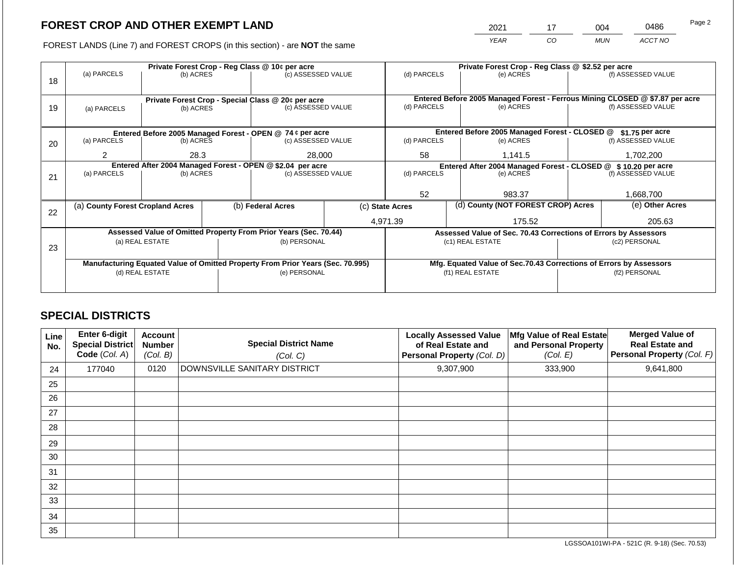2021 17 004 0486 Page 2

FOREST LANDS (Line 7) and FOREST CROPS (in this section) - are **NOT** the same *YEAR CO MUN ACCT NO*

|    |                                                                                |           |        | Private Forest Crop - Reg Class @ 10¢ per acre                   |                                              |                 |         | Private Forest Crop - Reg Class @ \$2.52 per acre                  |                                                                 |                                                                              |
|----|--------------------------------------------------------------------------------|-----------|--------|------------------------------------------------------------------|----------------------------------------------|-----------------|---------|--------------------------------------------------------------------|-----------------------------------------------------------------|------------------------------------------------------------------------------|
|    | (a) PARCELS                                                                    | (b) ACRES |        | (c) ASSESSED VALUE                                               |                                              | (d) PARCELS     |         | (e) ACRES                                                          |                                                                 | (f) ASSESSED VALUE                                                           |
| 18 |                                                                                |           |        |                                                                  |                                              |                 |         |                                                                    |                                                                 |                                                                              |
|    |                                                                                |           |        |                                                                  |                                              |                 |         |                                                                    |                                                                 |                                                                              |
|    |                                                                                |           |        | Private Forest Crop - Special Class @ 20¢ per acre               |                                              |                 |         |                                                                    |                                                                 | Entered Before 2005 Managed Forest - Ferrous Mining CLOSED @ \$7.87 per acre |
| 19 | (a) PARCELS                                                                    | (b) ACRES |        | (c) ASSESSED VALUE                                               |                                              | (d) PARCELS     |         | (e) ACRES                                                          |                                                                 | (f) ASSESSED VALUE                                                           |
|    |                                                                                |           |        |                                                                  |                                              |                 |         |                                                                    |                                                                 |                                                                              |
|    |                                                                                |           |        | Entered Before 2005 Managed Forest - OPEN @ 74 ¢ per acre        |                                              |                 |         | Entered Before 2005 Managed Forest - CLOSED @                      |                                                                 | $$1.75$ per acre                                                             |
| 20 | (a) PARCELS<br>(b) ACRES                                                       |           |        | (c) ASSESSED VALUE                                               |                                              | (d) PARCELS     |         | (e) ACRES                                                          |                                                                 | (f) ASSESSED VALUE                                                           |
|    |                                                                                |           |        |                                                                  |                                              |                 |         |                                                                    |                                                                 |                                                                              |
|    | 2<br>28.3                                                                      |           | 28,000 |                                                                  | 58                                           |                 | 1,141.5 |                                                                    | 1,702,200                                                       |                                                                              |
|    | Entered After 2004 Managed Forest - OPEN @ \$2.04 per acre                     |           |        |                                                                  | Entered After 2004 Managed Forest - CLOSED @ |                 |         | \$10.20 per acre                                                   |                                                                 |                                                                              |
| 21 | (a) PARCELS                                                                    | (b) ACRES |        | (c) ASSESSED VALUE                                               |                                              | (d) PARCELS     |         | (e) ACRES                                                          |                                                                 | (f) ASSESSED VALUE                                                           |
|    |                                                                                |           |        |                                                                  |                                              |                 |         |                                                                    |                                                                 |                                                                              |
|    |                                                                                |           |        |                                                                  | 52                                           |                 | 983.37  |                                                                    | 1,668,700                                                       |                                                                              |
|    | (a) County Forest Cropland Acres                                               |           |        | (b) Federal Acres                                                |                                              | (c) State Acres |         | (d) County (NOT FOREST CROP) Acres                                 |                                                                 | (e) Other Acres                                                              |
| 22 |                                                                                |           |        |                                                                  |                                              |                 |         |                                                                    |                                                                 |                                                                              |
|    |                                                                                |           |        |                                                                  |                                              | 4,971.39        | 175.52  |                                                                    |                                                                 | 205.63                                                                       |
|    |                                                                                |           |        | Assessed Value of Omitted Property From Prior Years (Sec. 70.44) |                                              |                 |         |                                                                    | Assessed Value of Sec. 70.43 Corrections of Errors by Assessors |                                                                              |
|    | (a) REAL ESTATE                                                                |           |        | (b) PERSONAL                                                     |                                              |                 |         | (c1) REAL ESTATE                                                   |                                                                 | (c2) PERSONAL                                                                |
| 23 |                                                                                |           |        |                                                                  |                                              |                 |         |                                                                    |                                                                 |                                                                              |
|    | Manufacturing Equated Value of Omitted Property From Prior Years (Sec. 70.995) |           |        |                                                                  |                                              |                 |         | Mfg. Equated Value of Sec.70.43 Corrections of Errors by Assessors |                                                                 |                                                                              |
|    | (d) REAL ESTATE                                                                |           |        | (e) PERSONAL                                                     | (f1) REAL ESTATE                             |                 |         | (f2) PERSONAL                                                      |                                                                 |                                                                              |
|    |                                                                                |           |        |                                                                  |                                              |                 |         |                                                                    |                                                                 |                                                                              |
|    |                                                                                |           |        |                                                                  |                                              |                 |         |                                                                    |                                                                 |                                                                              |

# **SPECIAL DISTRICTS**

| Line<br>No. | <b>Enter 6-digit</b><br>Special District<br>Code (Col. A) | <b>Account</b><br><b>Number</b><br>(Col. B) | <b>Special District Name</b><br>(Col. C) | <b>Locally Assessed Value</b><br>of Real Estate and<br><b>Personal Property (Col. D)</b> | Mfg Value of Real Estate<br>and Personal Property<br>(Col. E) | <b>Merged Value of</b><br><b>Real Estate and</b><br>Personal Property (Col. F) |
|-------------|-----------------------------------------------------------|---------------------------------------------|------------------------------------------|------------------------------------------------------------------------------------------|---------------------------------------------------------------|--------------------------------------------------------------------------------|
| 24          | 177040                                                    | 0120                                        | DOWNSVILLE SANITARY DISTRICT             | 9,307,900                                                                                | 333,900                                                       | 9,641,800                                                                      |
| 25          |                                                           |                                             |                                          |                                                                                          |                                                               |                                                                                |
| 26          |                                                           |                                             |                                          |                                                                                          |                                                               |                                                                                |
| 27          |                                                           |                                             |                                          |                                                                                          |                                                               |                                                                                |
| 28          |                                                           |                                             |                                          |                                                                                          |                                                               |                                                                                |
| 29          |                                                           |                                             |                                          |                                                                                          |                                                               |                                                                                |
| 30          |                                                           |                                             |                                          |                                                                                          |                                                               |                                                                                |
| 31          |                                                           |                                             |                                          |                                                                                          |                                                               |                                                                                |
| 32          |                                                           |                                             |                                          |                                                                                          |                                                               |                                                                                |
| 33          |                                                           |                                             |                                          |                                                                                          |                                                               |                                                                                |
| 34          |                                                           |                                             |                                          |                                                                                          |                                                               |                                                                                |
| 35          |                                                           |                                             |                                          |                                                                                          |                                                               |                                                                                |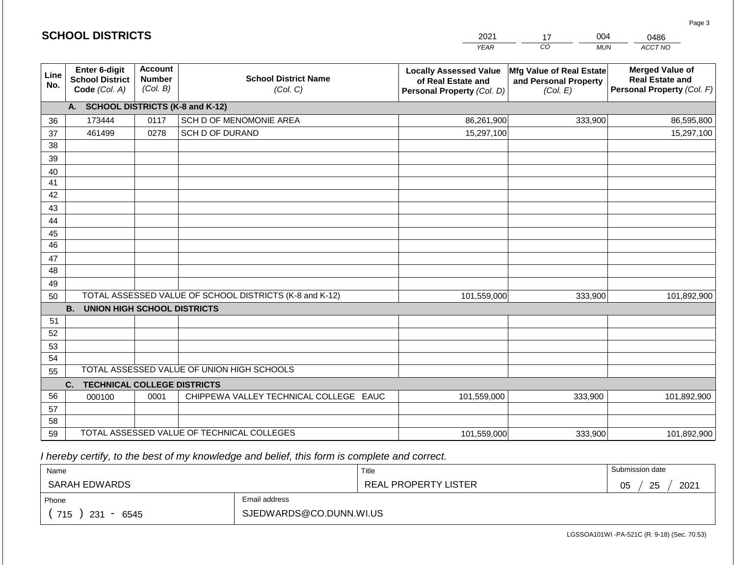|             | <b>SCHOOL DISTRICTS</b>                                  |                                             |                                                         | 2021                                                                              | 004<br>17<br>0486                                             |                                                                                |  |
|-------------|----------------------------------------------------------|---------------------------------------------|---------------------------------------------------------|-----------------------------------------------------------------------------------|---------------------------------------------------------------|--------------------------------------------------------------------------------|--|
|             |                                                          |                                             |                                                         | <b>YEAR</b>                                                                       | CO<br><b>MUN</b>                                              | ACCT NO                                                                        |  |
| Line<br>No. | Enter 6-digit<br><b>School District</b><br>Code (Col. A) | <b>Account</b><br><b>Number</b><br>(Col. B) | <b>School District Name</b><br>(Col. C)                 | <b>Locally Assessed Value</b><br>of Real Estate and<br>Personal Property (Col. D) | Mfg Value of Real Estate<br>and Personal Property<br>(Col. E) | <b>Merged Value of</b><br><b>Real Estate and</b><br>Personal Property (Col. F) |  |
|             | A. SCHOOL DISTRICTS (K-8 and K-12)                       |                                             |                                                         |                                                                                   |                                                               |                                                                                |  |
| 36          | 173444                                                   | 0117                                        | SCH D OF MENOMONIE AREA                                 | 86,261,900                                                                        | 333,900                                                       | 86,595,800                                                                     |  |
| 37          | 461499                                                   | 0278                                        | SCH D OF DURAND                                         | 15,297,100                                                                        |                                                               | 15,297,100                                                                     |  |
| 38          |                                                          |                                             |                                                         |                                                                                   |                                                               |                                                                                |  |
| 39          |                                                          |                                             |                                                         |                                                                                   |                                                               |                                                                                |  |
| 40          |                                                          |                                             |                                                         |                                                                                   |                                                               |                                                                                |  |
| 41          |                                                          |                                             |                                                         |                                                                                   |                                                               |                                                                                |  |
| 42          |                                                          |                                             |                                                         |                                                                                   |                                                               |                                                                                |  |
| 43          |                                                          |                                             |                                                         |                                                                                   |                                                               |                                                                                |  |
| 44          |                                                          |                                             |                                                         |                                                                                   |                                                               |                                                                                |  |
| 45<br>46    |                                                          |                                             |                                                         |                                                                                   |                                                               |                                                                                |  |
|             |                                                          |                                             |                                                         |                                                                                   |                                                               |                                                                                |  |
| 47<br>48    |                                                          |                                             |                                                         |                                                                                   |                                                               |                                                                                |  |
| 49          |                                                          |                                             |                                                         |                                                                                   |                                                               |                                                                                |  |
| 50          |                                                          |                                             | TOTAL ASSESSED VALUE OF SCHOOL DISTRICTS (K-8 and K-12) | 101,559,000                                                                       | 333,900                                                       | 101,892,900                                                                    |  |
|             | <b>B.</b><br><b>UNION HIGH SCHOOL DISTRICTS</b>          |                                             |                                                         |                                                                                   |                                                               |                                                                                |  |
| 51          |                                                          |                                             |                                                         |                                                                                   |                                                               |                                                                                |  |
| 52          |                                                          |                                             |                                                         |                                                                                   |                                                               |                                                                                |  |
| 53          |                                                          |                                             |                                                         |                                                                                   |                                                               |                                                                                |  |
| 54          |                                                          |                                             |                                                         |                                                                                   |                                                               |                                                                                |  |
| 55          |                                                          |                                             | TOTAL ASSESSED VALUE OF UNION HIGH SCHOOLS              |                                                                                   |                                                               |                                                                                |  |
|             | <b>TECHNICAL COLLEGE DISTRICTS</b><br>C.                 |                                             |                                                         |                                                                                   |                                                               |                                                                                |  |
| 56          | 000100                                                   | 0001                                        | CHIPPEWA VALLEY TECHNICAL COLLEGE EAUC                  | 101,559,000                                                                       | 333,900                                                       | 101,892,900                                                                    |  |
| 57          |                                                          |                                             |                                                         |                                                                                   |                                                               |                                                                                |  |
| 58          |                                                          |                                             |                                                         |                                                                                   |                                                               |                                                                                |  |
| 59          |                                                          |                                             | TOTAL ASSESSED VALUE OF TECHNICAL COLLEGES              | 101,559,000                                                                       | 333,900                                                       | 101,892,900                                                                    |  |

 *I hereby certify, to the best of my knowledge and belief, this form is complete and correct.*

**SCHOOL DISTRICTS**

| Name                                           |                         | Title                       | Submission date  |
|------------------------------------------------|-------------------------|-----------------------------|------------------|
| SARAH EDWARDS                                  |                         | <b>REAL PROPERTY LISTER</b> | 2021<br>25<br>05 |
| Phone                                          | Email address           |                             |                  |
| 715<br>231<br>6545<br>$\overline{\phantom{0}}$ | SJEDWARDS@CO.DUNN.WI.US |                             |                  |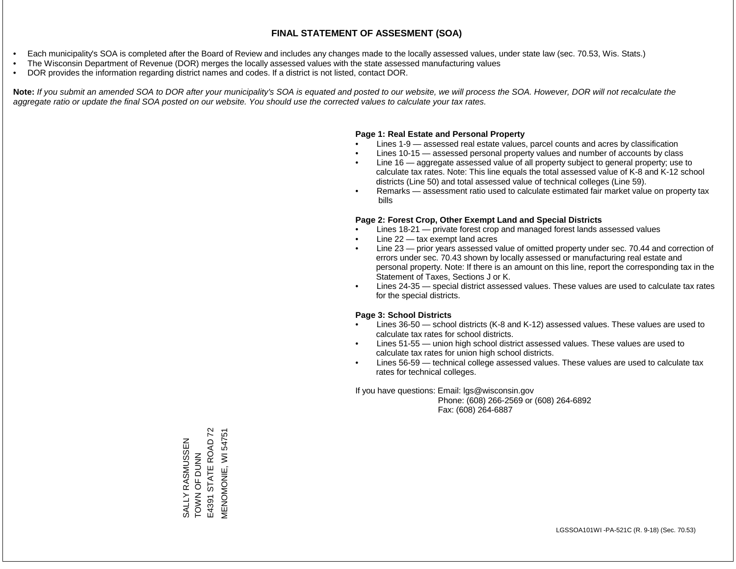- Each municipality's SOA is completed after the Board of Review and includes any changes made to the locally assessed values, under state law (sec. 70.53, Wis. Stats.)
- The Wisconsin Department of Revenue (DOR) merges the locally assessed values with the state assessed manufacturing values
- DOR provides the information regarding district names and codes. If a district is not listed, contact DOR.

Note: If you submit an amended SOA to DOR after your municipality's SOA is equated and posted to our website, we will process the SOA. However, DOR will not recalculate the *aggregate ratio or update the final SOA posted on our website. You should use the corrected values to calculate your tax rates.*

#### **Page 1: Real Estate and Personal Property**

- Lines 1-9 assessed real estate values, parcel counts and acres by classification
- Lines 10-15 assessed personal property values and number of accounts by class
- Line 16 aggregate assessed value of all property subject to general property; use to calculate tax rates. Note: This line equals the total assessed value of K-8 and K-12 school districts (Line 50) and total assessed value of technical colleges (Line 59).
- Remarks assessment ratio used to calculate estimated fair market value on property tax bills

#### **Page 2: Forest Crop, Other Exempt Land and Special Districts**

- Lines 18-21 private forest crop and managed forest lands assessed values
- Line  $22 -$  tax exempt land acres
- Line 23 prior years assessed value of omitted property under sec. 70.44 and correction of errors under sec. 70.43 shown by locally assessed or manufacturing real estate and personal property. Note: If there is an amount on this line, report the corresponding tax in the Statement of Taxes, Sections J or K.
- Lines 24-35 special district assessed values. These values are used to calculate tax rates for the special districts.

#### **Page 3: School Districts**

- Lines 36-50 school districts (K-8 and K-12) assessed values. These values are used to calculate tax rates for school districts.
- Lines 51-55 union high school district assessed values. These values are used to calculate tax rates for union high school districts.
- Lines 56-59 technical college assessed values. These values are used to calculate tax rates for technical colleges.

If you have questions: Email: lgs@wisconsin.gov

 Phone: (608) 266-2569 or (608) 264-6892 Fax: (608) 264-6887

SALLY RASMUSSEN<br>TOWN OF DUNN<br>E4391 STATE ROAD 72 E4391 STATE ROAD 72 VIENOMONIE, WI 54751 MENOMONIE, WI 54751SALLY RASMUSSEN TOWN OF DUNN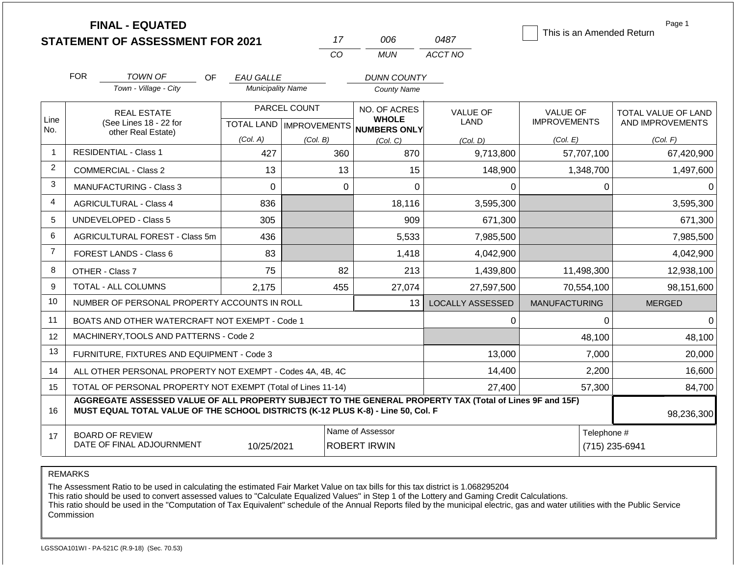|                |            | <b>FINAL - EQUATED</b>                                                                                                                                                                       |                          |              |          |                                                      |                         | This is an Amended Return | Page 1                     |  |  |
|----------------|------------|----------------------------------------------------------------------------------------------------------------------------------------------------------------------------------------------|--------------------------|--------------|----------|------------------------------------------------------|-------------------------|---------------------------|----------------------------|--|--|
|                |            | <b>STATEMENT OF ASSESSMENT FOR 2021</b>                                                                                                                                                      |                          |              | 17       | 006                                                  | 0487                    |                           |                            |  |  |
|                |            |                                                                                                                                                                                              |                          | CO           |          | <b>MUN</b>                                           | ACCT NO                 |                           |                            |  |  |
|                | <b>FOR</b> | <b>TOWN OF</b><br>OF.                                                                                                                                                                        | <b>EAU GALLE</b>         |              |          | <b>DUNN COUNTY</b>                                   |                         |                           |                            |  |  |
|                |            | Town - Village - City                                                                                                                                                                        | <b>Municipality Name</b> |              |          | <b>County Name</b>                                   |                         |                           |                            |  |  |
|                |            | <b>REAL ESTATE</b>                                                                                                                                                                           |                          | PARCEL COUNT |          | NO. OF ACRES                                         | <b>VALUE OF</b>         | <b>VALUE OF</b>           | <b>TOTAL VALUE OF LAND</b> |  |  |
| Line<br>No.    |            | (See Lines 18 - 22 for                                                                                                                                                                       |                          |              |          | <b>WHOLE</b><br>TOTAL LAND IMPROVEMENTS NUMBERS ONLY | LAND                    | <b>IMPROVEMENTS</b>       | AND IMPROVEMENTS           |  |  |
|                |            | other Real Estate)                                                                                                                                                                           | (Col. A)                 | (Col. B)     |          | (Col, C)                                             | (Col. D)                | (Col. E)                  | (Col. F)                   |  |  |
| $\mathbf 1$    |            | <b>RESIDENTIAL - Class 1</b>                                                                                                                                                                 | 427                      |              | 360      | 870                                                  | 9,713,800               | 57,707,100                | 67,420,900                 |  |  |
| $\overline{2}$ |            | <b>COMMERCIAL - Class 2</b>                                                                                                                                                                  | 13                       |              | 13       | 15                                                   | 148,900                 | 1,348,700                 | 1,497,600                  |  |  |
| 3              |            | <b>MANUFACTURING - Class 3</b>                                                                                                                                                               | $\Omega$                 |              | $\Omega$ | $\Omega$                                             | $\Omega$                | $\Omega$                  | $\Omega$                   |  |  |
| 4              |            | <b>AGRICULTURAL - Class 4</b>                                                                                                                                                                | 836                      |              |          | 18,116                                               | 3,595,300               |                           | 3,595,300                  |  |  |
| 5              |            | <b>UNDEVELOPED - Class 5</b>                                                                                                                                                                 | 305                      |              |          | 909                                                  | 671,300                 |                           | 671,300                    |  |  |
| 6              |            | AGRICULTURAL FOREST - Class 5m                                                                                                                                                               | 436                      |              |          | 5,533                                                | 7,985,500               |                           | 7,985,500                  |  |  |
| $\overline{7}$ |            | FOREST LANDS - Class 6                                                                                                                                                                       | 83                       |              |          | 1,418                                                | 4,042,900               |                           | 4,042,900                  |  |  |
| 8              |            | OTHER - Class 7                                                                                                                                                                              | 75                       |              | 82       | 213                                                  | 1,439,800               | 11,498,300                | 12,938,100                 |  |  |
| 9              |            | <b>TOTAL - ALL COLUMNS</b>                                                                                                                                                                   | 2,175                    |              | 455      | 27,074                                               | 27,597,500              | 70,554,100                | 98,151,600                 |  |  |
| 10             |            | NUMBER OF PERSONAL PROPERTY ACCOUNTS IN ROLL                                                                                                                                                 |                          |              |          | 13 <sup>1</sup>                                      | <b>LOCALLY ASSESSED</b> | <b>MANUFACTURING</b>      | <b>MERGED</b>              |  |  |
| 11             |            | BOATS AND OTHER WATERCRAFT NOT EXEMPT - Code 1                                                                                                                                               |                          |              |          |                                                      | 0                       | $\Omega$                  | $\Omega$                   |  |  |
| 12             |            | MACHINERY, TOOLS AND PATTERNS - Code 2                                                                                                                                                       |                          |              |          |                                                      |                         | 48,100                    | 48,100                     |  |  |
| 13             |            | FURNITURE, FIXTURES AND EQUIPMENT - Code 3                                                                                                                                                   |                          |              |          |                                                      | 13,000                  | 7,000                     | 20,000                     |  |  |
| 14             |            | ALL OTHER PERSONAL PROPERTY NOT EXEMPT - Codes 4A, 4B, 4C                                                                                                                                    |                          |              |          |                                                      | 14,400                  | 2,200                     | 16,600                     |  |  |
| 15             |            | TOTAL OF PERSONAL PROPERTY NOT EXEMPT (Total of Lines 11-14)                                                                                                                                 |                          |              |          |                                                      | 27,400                  | 57,300                    | 84,700                     |  |  |
| 16             |            | AGGREGATE ASSESSED VALUE OF ALL PROPERTY SUBJECT TO THE GENERAL PROPERTY TAX (Total of Lines 9F and 15F)<br>MUST EQUAL TOTAL VALUE OF THE SCHOOL DISTRICTS (K-12 PLUS K-8) - Line 50, Col. F |                          |              |          |                                                      |                         |                           | 98,236,300                 |  |  |
| 17             |            | <b>BOARD OF REVIEW</b>                                                                                                                                                                       |                          |              |          | Name of Assessor                                     |                         |                           | Telephone #                |  |  |
|                |            | DATE OF FINAL ADJOURNMENT                                                                                                                                                                    | 10/25/2021               |              |          | <b>ROBERT IRWIN</b>                                  |                         |                           | (715) 235-6941             |  |  |

The Assessment Ratio to be used in calculating the estimated Fair Market Value on tax bills for this tax district is 1.068295204

This ratio should be used to convert assessed values to "Calculate Equalized Values" in Step 1 of the Lottery and Gaming Credit Calculations.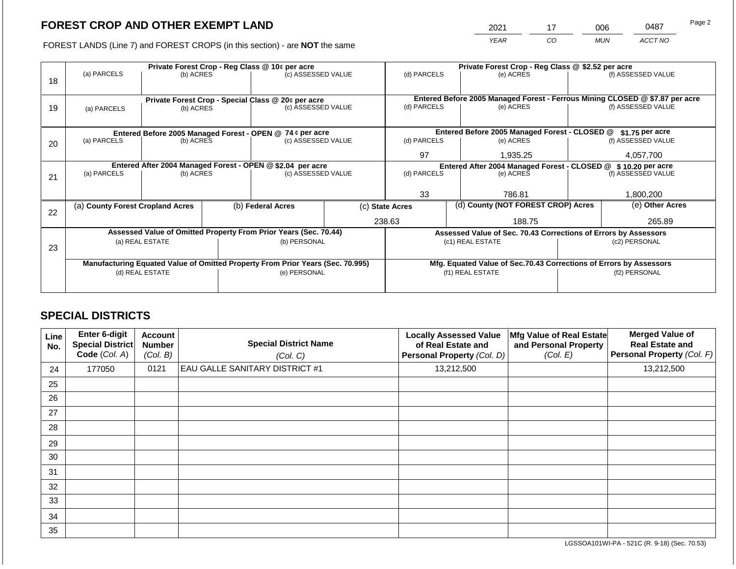2021 17 006 0487

FOREST LANDS (Line 7) and FOREST CROPS (in this section) - are **NOT** the same *YEAR CO MUN ACCT NO*

|    |                                                                                |           |  | Private Forest Crop - Reg Class @ 10¢ per acre                   |                                                                    | Private Forest Crop - Reg Class @ \$2.52 per acre                            |  |                                                                 |                                                               |                    |
|----|--------------------------------------------------------------------------------|-----------|--|------------------------------------------------------------------|--------------------------------------------------------------------|------------------------------------------------------------------------------|--|-----------------------------------------------------------------|---------------------------------------------------------------|--------------------|
| 18 | (a) PARCELS                                                                    | (b) ACRES |  | (c) ASSESSED VALUE                                               |                                                                    | (d) PARCELS                                                                  |  | (e) ACRES                                                       |                                                               | (f) ASSESSED VALUE |
|    |                                                                                |           |  | Private Forest Crop - Special Class @ 20¢ per acre               |                                                                    | Entered Before 2005 Managed Forest - Ferrous Mining CLOSED @ \$7.87 per acre |  |                                                                 |                                                               |                    |
| 19 | (a) PARCELS                                                                    | (b) ACRES |  | (c) ASSESSED VALUE                                               |                                                                    | (d) PARCELS                                                                  |  | (e) ACRES                                                       |                                                               | (f) ASSESSED VALUE |
|    |                                                                                |           |  |                                                                  |                                                                    |                                                                              |  |                                                                 |                                                               |                    |
|    |                                                                                |           |  | Entered Before 2005 Managed Forest - OPEN @ 74 ¢ per acre        |                                                                    |                                                                              |  | Entered Before 2005 Managed Forest - CLOSED @                   |                                                               | $$1.75$ per acre   |
| 20 | (a) PARCELS<br>(b) ACRES                                                       |           |  | (c) ASSESSED VALUE                                               |                                                                    | (d) PARCELS                                                                  |  | (e) ACRES                                                       |                                                               | (f) ASSESSED VALUE |
|    |                                                                                |           |  |                                                                  |                                                                    | 97                                                                           |  | 1,935.25                                                        |                                                               | 4,057,700          |
|    | Entered After 2004 Managed Forest - OPEN @ \$2.04 per acre                     |           |  |                                                                  |                                                                    |                                                                              |  |                                                                 | Entered After 2004 Managed Forest - CLOSED @ \$10.20 per acre |                    |
| 21 | (a) PARCELS                                                                    | (b) ACRES |  | (c) ASSESSED VALUE                                               |                                                                    | (d) PARCELS                                                                  |  | (e) ACRES                                                       |                                                               | (f) ASSESSED VALUE |
|    |                                                                                |           |  |                                                                  |                                                                    |                                                                              |  |                                                                 |                                                               |                    |
|    |                                                                                |           |  |                                                                  |                                                                    | 33                                                                           |  | 786.81                                                          |                                                               | 1,800,200          |
| 22 | (a) County Forest Cropland Acres                                               |           |  | (b) Federal Acres                                                |                                                                    | (c) State Acres                                                              |  | (d) County (NOT FOREST CROP) Acres                              |                                                               | (e) Other Acres    |
|    |                                                                                |           |  |                                                                  |                                                                    | 238.63<br>188.75                                                             |  |                                                                 | 265.89                                                        |                    |
|    |                                                                                |           |  | Assessed Value of Omitted Property From Prior Years (Sec. 70.44) |                                                                    |                                                                              |  | Assessed Value of Sec. 70.43 Corrections of Errors by Assessors |                                                               |                    |
|    | (a) REAL ESTATE                                                                |           |  | (b) PERSONAL                                                     |                                                                    |                                                                              |  | (c1) REAL ESTATE                                                | (c2) PERSONAL                                                 |                    |
| 23 |                                                                                |           |  |                                                                  |                                                                    |                                                                              |  |                                                                 |                                                               |                    |
|    | Manufacturing Equated Value of Omitted Property From Prior Years (Sec. 70.995) |           |  |                                                                  | Mfg. Equated Value of Sec.70.43 Corrections of Errors by Assessors |                                                                              |  |                                                                 |                                                               |                    |
|    | (d) REAL ESTATE                                                                |           |  | (e) PERSONAL                                                     | (f1) REAL ESTATE                                                   |                                                                              |  | (f2) PERSONAL                                                   |                                                               |                    |
|    |                                                                                |           |  |                                                                  |                                                                    |                                                                              |  |                                                                 |                                                               |                    |
|    |                                                                                |           |  |                                                                  |                                                                    |                                                                              |  |                                                                 |                                                               |                    |

# **SPECIAL DISTRICTS**

| Line<br>No. | Enter 6-digit<br><b>Special District</b><br>Code (Col. A) | Account<br><b>Number</b><br>(Col. B) | <b>Special District Name</b><br>(Col. C) | <b>Locally Assessed Value</b><br>of Real Estate and<br>Personal Property (Col. D) | Mfg Value of Real Estate<br>and Personal Property<br>(Col. E) | <b>Merged Value of</b><br><b>Real Estate and</b><br>Personal Property (Col. F) |
|-------------|-----------------------------------------------------------|--------------------------------------|------------------------------------------|-----------------------------------------------------------------------------------|---------------------------------------------------------------|--------------------------------------------------------------------------------|
| 24          | 177050                                                    | 0121                                 | <b>EAU GALLE SANITARY DISTRICT #1</b>    | 13,212,500                                                                        |                                                               | 13,212,500                                                                     |
| 25          |                                                           |                                      |                                          |                                                                                   |                                                               |                                                                                |
| 26          |                                                           |                                      |                                          |                                                                                   |                                                               |                                                                                |
| 27          |                                                           |                                      |                                          |                                                                                   |                                                               |                                                                                |
| 28          |                                                           |                                      |                                          |                                                                                   |                                                               |                                                                                |
| 29          |                                                           |                                      |                                          |                                                                                   |                                                               |                                                                                |
| 30          |                                                           |                                      |                                          |                                                                                   |                                                               |                                                                                |
| 31          |                                                           |                                      |                                          |                                                                                   |                                                               |                                                                                |
| 32          |                                                           |                                      |                                          |                                                                                   |                                                               |                                                                                |
| 33          |                                                           |                                      |                                          |                                                                                   |                                                               |                                                                                |
| 34          |                                                           |                                      |                                          |                                                                                   |                                                               |                                                                                |
| 35          |                                                           |                                      |                                          |                                                                                   |                                                               |                                                                                |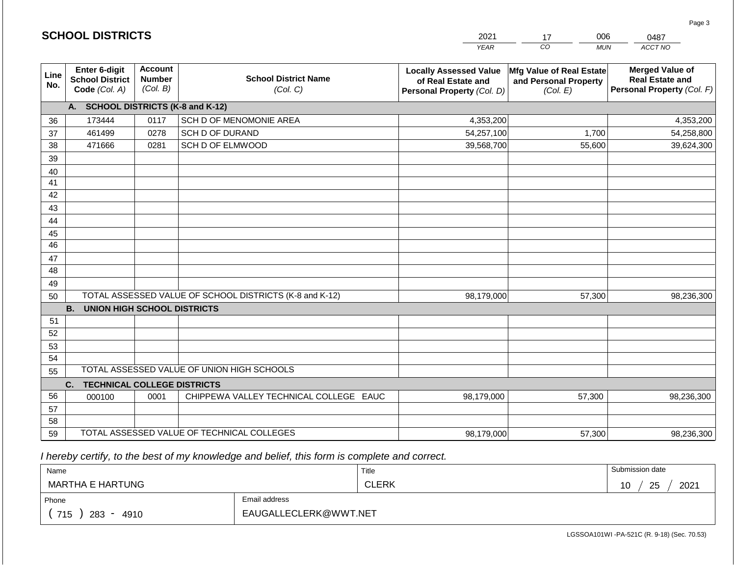|             | <b>SCHOOL DISTRICTS</b>                                                                                 |      |                                                         | 2021                                                                              | 006<br>17                                                            | 0487                                                                           |  |
|-------------|---------------------------------------------------------------------------------------------------------|------|---------------------------------------------------------|-----------------------------------------------------------------------------------|----------------------------------------------------------------------|--------------------------------------------------------------------------------|--|
|             |                                                                                                         |      |                                                         | <b>YEAR</b>                                                                       | CO<br><b>MUN</b>                                                     | ACCT NO                                                                        |  |
| Line<br>No. | Enter 6-digit<br><b>Account</b><br><b>Number</b><br><b>School District</b><br>(Col. B)<br>Code (Col. A) |      | <b>School District Name</b><br>(Col. C)                 | <b>Locally Assessed Value</b><br>of Real Estate and<br>Personal Property (Col. D) | <b>Mfg Value of Real Estate</b><br>and Personal Property<br>(Col. E) | <b>Merged Value of</b><br><b>Real Estate and</b><br>Personal Property (Col. F) |  |
|             | A. SCHOOL DISTRICTS (K-8 and K-12)                                                                      |      |                                                         |                                                                                   |                                                                      |                                                                                |  |
| 36          | 173444                                                                                                  | 0117 | SCH D OF MENOMONIE AREA                                 | 4,353,200                                                                         |                                                                      | 4,353,200                                                                      |  |
| 37          | 461499                                                                                                  | 0278 | SCH D OF DURAND                                         | 54,257,100                                                                        | 1,700                                                                | 54,258,800                                                                     |  |
| 38          | 471666                                                                                                  | 0281 | SCH D OF ELMWOOD                                        | 39,568,700                                                                        | 55,600                                                               | 39,624,300                                                                     |  |
| 39          |                                                                                                         |      |                                                         |                                                                                   |                                                                      |                                                                                |  |
| 40          |                                                                                                         |      |                                                         |                                                                                   |                                                                      |                                                                                |  |
| 41          |                                                                                                         |      |                                                         |                                                                                   |                                                                      |                                                                                |  |
| 42          |                                                                                                         |      |                                                         |                                                                                   |                                                                      |                                                                                |  |
| 43          |                                                                                                         |      |                                                         |                                                                                   |                                                                      |                                                                                |  |
| 44          |                                                                                                         |      |                                                         |                                                                                   |                                                                      |                                                                                |  |
| 45          |                                                                                                         |      |                                                         |                                                                                   |                                                                      |                                                                                |  |
| 46          |                                                                                                         |      |                                                         |                                                                                   |                                                                      |                                                                                |  |
| 47          |                                                                                                         |      |                                                         |                                                                                   |                                                                      |                                                                                |  |
| 48          |                                                                                                         |      |                                                         |                                                                                   |                                                                      |                                                                                |  |
| 49          |                                                                                                         |      | TOTAL ASSESSED VALUE OF SCHOOL DISTRICTS (K-8 and K-12) |                                                                                   |                                                                      |                                                                                |  |
| 50          | <b>B.</b><br><b>UNION HIGH SCHOOL DISTRICTS</b>                                                         |      |                                                         | 98,179,000                                                                        | 57,300                                                               | 98,236,300                                                                     |  |
| 51          |                                                                                                         |      |                                                         |                                                                                   |                                                                      |                                                                                |  |
| 52          |                                                                                                         |      |                                                         |                                                                                   |                                                                      |                                                                                |  |
| 53          |                                                                                                         |      |                                                         |                                                                                   |                                                                      |                                                                                |  |
| 54          |                                                                                                         |      |                                                         |                                                                                   |                                                                      |                                                                                |  |
| 55          |                                                                                                         |      | TOTAL ASSESSED VALUE OF UNION HIGH SCHOOLS              |                                                                                   |                                                                      |                                                                                |  |
|             | <b>TECHNICAL COLLEGE DISTRICTS</b><br>C.                                                                |      |                                                         |                                                                                   |                                                                      |                                                                                |  |
| 56          | 000100                                                                                                  | 0001 | CHIPPEWA VALLEY TECHNICAL COLLEGE EAUC                  | 98,179,000                                                                        | 57,300                                                               | 98,236,300                                                                     |  |
| 57          |                                                                                                         |      |                                                         |                                                                                   |                                                                      |                                                                                |  |
| 58          |                                                                                                         |      |                                                         |                                                                                   |                                                                      |                                                                                |  |
| 59          |                                                                                                         |      | TOTAL ASSESSED VALUE OF TECHNICAL COLLEGES              | 98,179,000                                                                        | 57,300                                                               | 98,236,300                                                                     |  |

 *I hereby certify, to the best of my knowledge and belief, this form is complete and correct.*

**SCHOOL DISTRICTS**

| Name                                           |                       | Title        | Submission date  |
|------------------------------------------------|-----------------------|--------------|------------------|
| MARTHA E HARTUNG                               |                       | <b>CLERK</b> | 2021<br>25<br>10 |
| Phone                                          | Email address         |              |                  |
| 715<br>283<br>4910<br>$\overline{\phantom{a}}$ | EAUGALLECLERK@WWT.NET |              |                  |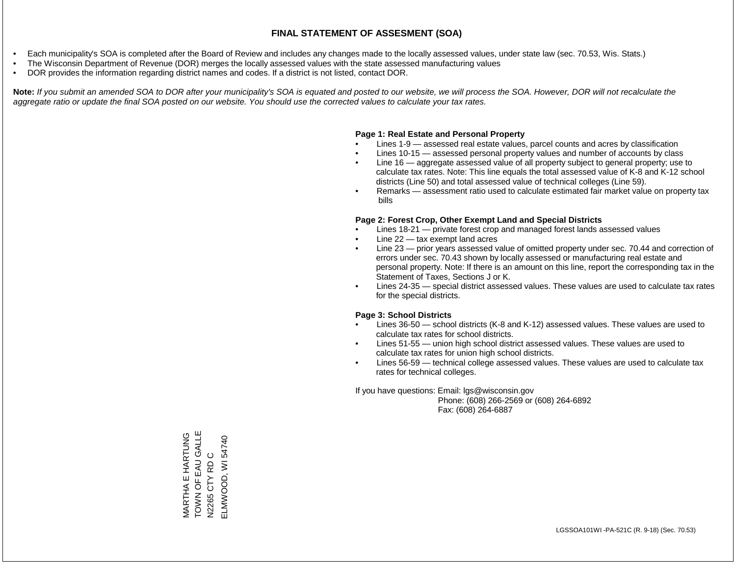- Each municipality's SOA is completed after the Board of Review and includes any changes made to the locally assessed values, under state law (sec. 70.53, Wis. Stats.)
- The Wisconsin Department of Revenue (DOR) merges the locally assessed values with the state assessed manufacturing values
- DOR provides the information regarding district names and codes. If a district is not listed, contact DOR.

Note: If you submit an amended SOA to DOR after your municipality's SOA is equated and posted to our website, we will process the SOA. However, DOR will not recalculate the *aggregate ratio or update the final SOA posted on our website. You should use the corrected values to calculate your tax rates.*

# **Page 1: Real Estate and Personal Property**

- Lines 1-9 assessed real estate values, parcel counts and acres by classification
- Lines 10-15 assessed personal property values and number of accounts by class
- Line 16 aggregate assessed value of all property subject to general property; use to calculate tax rates. Note: This line equals the total assessed value of K-8 and K-12 school districts (Line 50) and total assessed value of technical colleges (Line 59).
- Remarks assessment ratio used to calculate estimated fair market value on property tax bills

# **Page 2: Forest Crop, Other Exempt Land and Special Districts**

- Lines 18-21 private forest crop and managed forest lands assessed values
- Line  $22 -$  tax exempt land acres
- Line 23 prior years assessed value of omitted property under sec. 70.44 and correction of errors under sec. 70.43 shown by locally assessed or manufacturing real estate and personal property. Note: If there is an amount on this line, report the corresponding tax in the Statement of Taxes, Sections J or K.
- Lines 24-35 special district assessed values. These values are used to calculate tax rates for the special districts.

# **Page 3: School Districts**

- Lines 36-50 school districts (K-8 and K-12) assessed values. These values are used to calculate tax rates for school districts.
- Lines 51-55 union high school district assessed values. These values are used to calculate tax rates for union high school districts.
- Lines 56-59 technical college assessed values. These values are used to calculate tax rates for technical colleges.

If you have questions: Email: lgs@wisconsin.gov

 Phone: (608) 266-2569 or (608) 264-6892 Fax: (608) 264-6887

MARTHA E HARTUNG<br>TOWN OF EAU GALLE<br>N2265 CTY RD C TOWN OF EAU GALLE MARTHA E HARTUNG ELMWOOD, WI 54740 ELMWOOD, WI 54740N2265 CTY RD C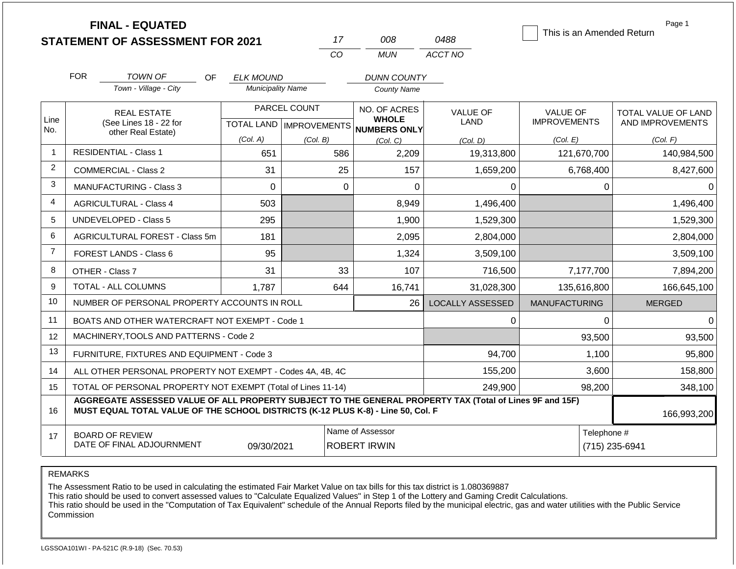|                |                                                                                                                                                                                              | <b>FINAL - EQUATED</b><br><b>STATEMENT OF ASSESSMENT FOR 2021</b> |                          |              | 17                                      | 008                                                 | 0488                    | This is an Amended Return | Page 1                        |  |
|----------------|----------------------------------------------------------------------------------------------------------------------------------------------------------------------------------------------|-------------------------------------------------------------------|--------------------------|--------------|-----------------------------------------|-----------------------------------------------------|-------------------------|---------------------------|-------------------------------|--|
|                |                                                                                                                                                                                              |                                                                   |                          |              | CO                                      | <b>MUN</b>                                          | ACCT NO                 |                           |                               |  |
|                | <b>FOR</b>                                                                                                                                                                                   | TOWN OF<br>OF.                                                    | <b>ELK MOUND</b>         |              |                                         | <b>DUNN COUNTY</b>                                  |                         |                           |                               |  |
|                |                                                                                                                                                                                              | Town - Village - City                                             | <b>Municipality Name</b> |              |                                         | <b>County Name</b>                                  |                         |                           |                               |  |
|                |                                                                                                                                                                                              | <b>REAL ESTATE</b>                                                |                          | PARCEL COUNT |                                         | NO. OF ACRES                                        | <b>VALUE OF</b>         | <b>VALUE OF</b>           | TOTAL VALUE OF LAND           |  |
| Line<br>No.    |                                                                                                                                                                                              | (See Lines 18 - 22 for<br>other Real Estate)                      |                          |              |                                         | <b>WHOLE</b><br>TOTAL LAND MPROVEMENTS NUMBERS ONLY | <b>LAND</b>             | <b>IMPROVEMENTS</b>       | AND IMPROVEMENTS              |  |
|                |                                                                                                                                                                                              |                                                                   | (Col. A)                 | (Col. B)     |                                         | (Col, C)                                            | (Col. D)                | (Col. E)                  | (Col. F)                      |  |
| $\overline{1}$ | <b>RESIDENTIAL - Class 1</b>                                                                                                                                                                 |                                                                   | 651                      |              | 586                                     | 2,209                                               | 19,313,800              | 121,670,700               | 140,984,500                   |  |
| $\overline{2}$ |                                                                                                                                                                                              | COMMERCIAL - Class 2                                              | 31                       |              | 25                                      | 157                                                 | 1,659,200               | 6,768,400                 | 8,427,600                     |  |
| 3              |                                                                                                                                                                                              | <b>MANUFACTURING - Class 3</b>                                    | $\Omega$                 |              | $\Omega$                                | $\Omega$                                            | 0                       | $\Omega$                  | $\Omega$                      |  |
| $\overline{4}$ |                                                                                                                                                                                              | <b>AGRICULTURAL - Class 4</b>                                     | 503                      |              |                                         | 8,949                                               | 1,496,400               |                           | 1,496,400                     |  |
| 5              |                                                                                                                                                                                              | <b>UNDEVELOPED - Class 5</b>                                      | 295                      |              |                                         | 1,900                                               | 1,529,300               |                           | 1,529,300                     |  |
| 6              |                                                                                                                                                                                              | AGRICULTURAL FOREST - Class 5m                                    | 181                      |              |                                         | 2,095                                               | 2,804,000               |                           | 2,804,000                     |  |
| $\overline{7}$ |                                                                                                                                                                                              | FOREST LANDS - Class 6                                            | 95                       |              |                                         | 1,324                                               | 3,509,100               |                           | 3,509,100                     |  |
| 8              |                                                                                                                                                                                              | OTHER - Class 7                                                   | 31                       |              | 33                                      | 107                                                 | 716,500                 | 7,177,700                 | 7,894,200                     |  |
| 9              |                                                                                                                                                                                              | <b>TOTAL - ALL COLUMNS</b>                                        | 1.787                    |              | 644                                     | 16,741                                              | 31,028,300              | 135,616,800               | 166,645,100                   |  |
| 10             |                                                                                                                                                                                              | NUMBER OF PERSONAL PROPERTY ACCOUNTS IN ROLL                      |                          |              |                                         | 26                                                  | <b>LOCALLY ASSESSED</b> | <b>MANUFACTURING</b>      | <b>MERGED</b>                 |  |
| 11             |                                                                                                                                                                                              | BOATS AND OTHER WATERCRAFT NOT EXEMPT - Code 1                    |                          |              |                                         |                                                     | 0                       | $\mathbf{0}$              | $\Omega$                      |  |
| 12             |                                                                                                                                                                                              | MACHINERY, TOOLS AND PATTERNS - Code 2                            |                          |              |                                         |                                                     |                         | 93,500                    | 93,500                        |  |
| 13             |                                                                                                                                                                                              | FURNITURE, FIXTURES AND EQUIPMENT - Code 3                        |                          |              |                                         |                                                     | 94,700                  | 1,100                     | 95,800                        |  |
| 14             | ALL OTHER PERSONAL PROPERTY NOT EXEMPT - Codes 4A, 4B, 4C                                                                                                                                    |                                                                   |                          |              |                                         |                                                     | 155,200                 | 3.600                     | 158,800                       |  |
| 15             |                                                                                                                                                                                              | TOTAL OF PERSONAL PROPERTY NOT EXEMPT (Total of Lines 11-14)      |                          |              |                                         |                                                     | 249,900                 | 98,200                    | 348,100                       |  |
| 16             | AGGREGATE ASSESSED VALUE OF ALL PROPERTY SUBJECT TO THE GENERAL PROPERTY TAX (Total of Lines 9F and 15F)<br>MUST EQUAL TOTAL VALUE OF THE SCHOOL DISTRICTS (K-12 PLUS K-8) - Line 50, Col. F |                                                                   |                          |              |                                         |                                                     |                         |                           | 166,993,200                   |  |
| 17             |                                                                                                                                                                                              | <b>BOARD OF REVIEW</b><br>DATE OF FINAL ADJOURNMENT               | 09/30/2021               |              | Name of Assessor<br><b>ROBERT IRWIN</b> |                                                     |                         |                           | Telephone #<br>(715) 235-6941 |  |

The Assessment Ratio to be used in calculating the estimated Fair Market Value on tax bills for this tax district is 1.080369887

This ratio should be used to convert assessed values to "Calculate Equalized Values" in Step 1 of the Lottery and Gaming Credit Calculations.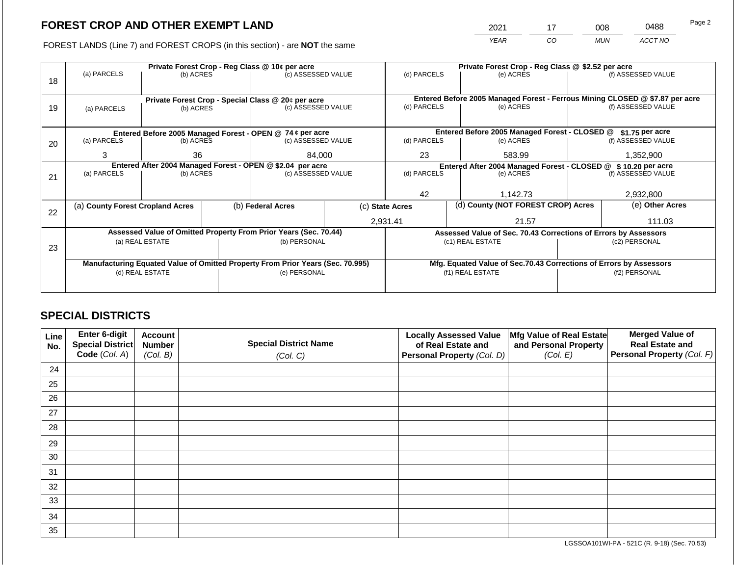2021 17 008 0488 Page 2

FOREST LANDS (Line 7) and FOREST CROPS (in this section) - are **NOT** the same *YEAR CO MUN ACCT NO*

|    | Private Forest Crop - Reg Class @ 10¢ per acre                                 |                 |                    |                                                                  |                                                               | Private Forest Crop - Reg Class @ \$2.52 per acre     |                  |                                                                    |                    |                                                                              |
|----|--------------------------------------------------------------------------------|-----------------|--------------------|------------------------------------------------------------------|---------------------------------------------------------------|-------------------------------------------------------|------------------|--------------------------------------------------------------------|--------------------|------------------------------------------------------------------------------|
|    | (a) PARCELS                                                                    | (b) ACRES       |                    | (c) ASSESSED VALUE                                               |                                                               | (d) PARCELS                                           |                  | (e) ACRES                                                          |                    | (f) ASSESSED VALUE                                                           |
| 18 |                                                                                |                 |                    |                                                                  |                                                               |                                                       |                  |                                                                    |                    |                                                                              |
|    |                                                                                |                 |                    |                                                                  |                                                               |                                                       |                  |                                                                    |                    | Entered Before 2005 Managed Forest - Ferrous Mining CLOSED @ \$7.87 per acre |
| 19 | Private Forest Crop - Special Class @ 20¢ per acre<br>(b) ACRES<br>(a) PARCELS |                 | (c) ASSESSED VALUE |                                                                  | (d) PARCELS                                                   |                                                       | (e) ACRES        |                                                                    | (f) ASSESSED VALUE |                                                                              |
|    |                                                                                |                 |                    |                                                                  |                                                               |                                                       |                  |                                                                    |                    |                                                                              |
|    |                                                                                |                 |                    |                                                                  |                                                               |                                                       |                  |                                                                    |                    |                                                                              |
|    | Entered Before 2005 Managed Forest - OPEN @ 74 ¢ per acre                      |                 |                    |                                                                  |                                                               |                                                       |                  | Entered Before 2005 Managed Forest - CLOSED @                      |                    | \$1.75 per acre                                                              |
| 20 | (a) PARCELS                                                                    | (b) ACRES       |                    | (c) ASSESSED VALUE                                               |                                                               | (d) PARCELS                                           |                  | (e) ACRES                                                          |                    | (f) ASSESSED VALUE                                                           |
|    | 3                                                                              |                 |                    | 23                                                               |                                                               | 583.99                                                |                  |                                                                    |                    |                                                                              |
|    |                                                                                | 36              |                    |                                                                  | 84,000                                                        |                                                       |                  |                                                                    | 1,352,900          |                                                                              |
|    | Entered After 2004 Managed Forest - OPEN @ \$2.04 per acre                     |                 |                    |                                                                  | Entered After 2004 Managed Forest - CLOSED @ \$10.20 per acre |                                                       |                  |                                                                    |                    |                                                                              |
| 21 | (a) PARCELS                                                                    | (b) ACRES       |                    | (c) ASSESSED VALUE                                               |                                                               | (d) PARCELS                                           |                  | (e) ACRES                                                          |                    | (f) ASSESSED VALUE                                                           |
|    |                                                                                |                 |                    |                                                                  |                                                               |                                                       |                  |                                                                    |                    |                                                                              |
|    |                                                                                |                 |                    |                                                                  |                                                               | 42                                                    |                  | 1,142.73                                                           |                    | 2,932,800                                                                    |
|    | (a) County Forest Cropland Acres                                               |                 |                    | (b) Federal Acres                                                |                                                               | (d) County (NOT FOREST CROP) Acres<br>(c) State Acres |                  |                                                                    |                    | (e) Other Acres                                                              |
| 22 |                                                                                |                 |                    |                                                                  |                                                               |                                                       |                  |                                                                    |                    |                                                                              |
|    |                                                                                |                 |                    |                                                                  |                                                               | 2,931.41                                              |                  | 21.57                                                              |                    | 111.03                                                                       |
|    |                                                                                |                 |                    | Assessed Value of Omitted Property From Prior Years (Sec. 70.44) |                                                               |                                                       |                  | Assessed Value of Sec. 70.43 Corrections of Errors by Assessors    |                    |                                                                              |
|    |                                                                                | (a) REAL ESTATE |                    | (b) PERSONAL                                                     |                                                               |                                                       |                  | (c1) REAL ESTATE                                                   |                    | (c2) PERSONAL                                                                |
| 23 |                                                                                |                 |                    |                                                                  |                                                               |                                                       |                  |                                                                    |                    |                                                                              |
|    | Manufacturing Equated Value of Omitted Property From Prior Years (Sec. 70.995) |                 |                    |                                                                  |                                                               |                                                       |                  | Mfg. Equated Value of Sec.70.43 Corrections of Errors by Assessors |                    |                                                                              |
|    | (d) REAL ESTATE                                                                |                 | (e) PERSONAL       |                                                                  |                                                               |                                                       | (f1) REAL ESTATE | (f2) PERSONAL                                                      |                    |                                                                              |
|    |                                                                                |                 |                    |                                                                  |                                                               |                                                       |                  |                                                                    |                    |                                                                              |
|    |                                                                                |                 |                    |                                                                  |                                                               |                                                       |                  |                                                                    |                    |                                                                              |

# **SPECIAL DISTRICTS**

| Line<br>No. | <b>Enter 6-digit</b><br>Special District | <b>Account</b><br><b>Number</b> | <b>Special District Name</b> | <b>Locally Assessed Value</b><br>of Real Estate and | Mfg Value of Real Estate<br>and Personal Property | <b>Merged Value of</b><br><b>Real Estate and</b> |
|-------------|------------------------------------------|---------------------------------|------------------------------|-----------------------------------------------------|---------------------------------------------------|--------------------------------------------------|
|             | Code (Col. A)                            | (Col. B)                        | (Col. C)                     | Personal Property (Col. D)                          | (Col. E)                                          | Personal Property (Col. F)                       |
| 24          |                                          |                                 |                              |                                                     |                                                   |                                                  |
| 25          |                                          |                                 |                              |                                                     |                                                   |                                                  |
| 26          |                                          |                                 |                              |                                                     |                                                   |                                                  |
| 27          |                                          |                                 |                              |                                                     |                                                   |                                                  |
| 28          |                                          |                                 |                              |                                                     |                                                   |                                                  |
| 29          |                                          |                                 |                              |                                                     |                                                   |                                                  |
| 30          |                                          |                                 |                              |                                                     |                                                   |                                                  |
| 31          |                                          |                                 |                              |                                                     |                                                   |                                                  |
| 32          |                                          |                                 |                              |                                                     |                                                   |                                                  |
| 33          |                                          |                                 |                              |                                                     |                                                   |                                                  |
| 34          |                                          |                                 |                              |                                                     |                                                   |                                                  |
| 35          |                                          |                                 |                              |                                                     |                                                   |                                                  |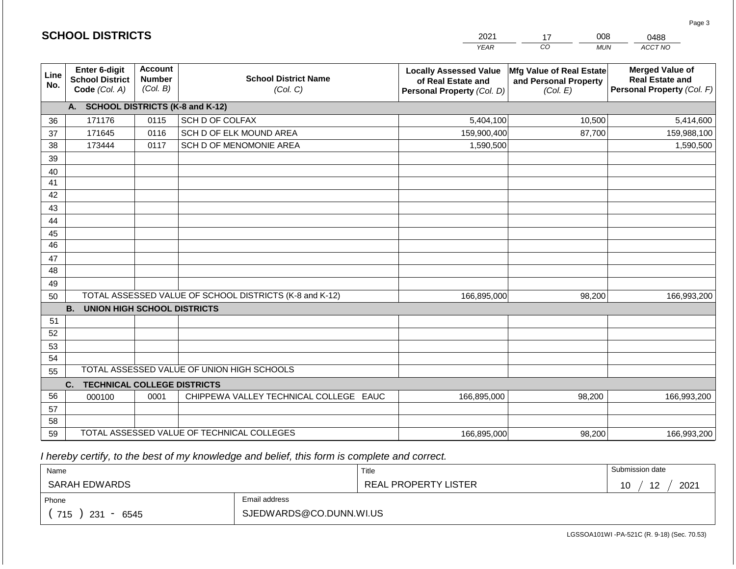|                 |                                                          |                                             |                                                         | <b>YEAR</b>                                                                       | $\overline{co}$<br><b>MUN</b>                                 | ACCT NO                                                                        |
|-----------------|----------------------------------------------------------|---------------------------------------------|---------------------------------------------------------|-----------------------------------------------------------------------------------|---------------------------------------------------------------|--------------------------------------------------------------------------------|
| Line<br>No.     | Enter 6-digit<br><b>School District</b><br>Code (Col. A) | <b>Account</b><br><b>Number</b><br>(Col. B) | <b>School District Name</b><br>(Col. C)                 | <b>Locally Assessed Value</b><br>of Real Estate and<br>Personal Property (Col. D) | Mfg Value of Real Estate<br>and Personal Property<br>(Col. E) | <b>Merged Value of</b><br><b>Real Estate and</b><br>Personal Property (Col. F) |
|                 | A.                                                       |                                             | <b>SCHOOL DISTRICTS (K-8 and K-12)</b>                  |                                                                                   |                                                               |                                                                                |
| 36              | 171176                                                   | 0115                                        | SCH D OF COLFAX                                         | 5,404,100                                                                         | 10,500                                                        | 5,414,600                                                                      |
| 37              | 171645                                                   | 0116                                        | SCH D OF ELK MOUND AREA                                 | 159,900,400                                                                       | 87,700                                                        | 159,988,100                                                                    |
| 38              | 173444                                                   | 0117                                        | SCH D OF MENOMONIE AREA                                 | 1,590,500                                                                         |                                                               | 1,590,500                                                                      |
| 39              |                                                          |                                             |                                                         |                                                                                   |                                                               |                                                                                |
| 40              |                                                          |                                             |                                                         |                                                                                   |                                                               |                                                                                |
| 41              |                                                          |                                             |                                                         |                                                                                   |                                                               |                                                                                |
| 42              |                                                          |                                             |                                                         |                                                                                   |                                                               |                                                                                |
| 43              |                                                          |                                             |                                                         |                                                                                   |                                                               |                                                                                |
| 44              |                                                          |                                             |                                                         |                                                                                   |                                                               |                                                                                |
| 45              |                                                          |                                             |                                                         |                                                                                   |                                                               |                                                                                |
| $\overline{46}$ |                                                          |                                             |                                                         |                                                                                   |                                                               |                                                                                |
| 47              |                                                          |                                             |                                                         |                                                                                   |                                                               |                                                                                |
| 48              |                                                          |                                             |                                                         |                                                                                   |                                                               |                                                                                |
| 49              |                                                          |                                             |                                                         |                                                                                   |                                                               |                                                                                |
| 50              |                                                          |                                             | TOTAL ASSESSED VALUE OF SCHOOL DISTRICTS (K-8 and K-12) | 166,895,000                                                                       | 98,200                                                        | 166,993,200                                                                    |
|                 | <b>B.</b><br><b>UNION HIGH SCHOOL DISTRICTS</b>          |                                             |                                                         |                                                                                   |                                                               |                                                                                |
| 51              |                                                          |                                             |                                                         |                                                                                   |                                                               |                                                                                |
| 52              |                                                          |                                             |                                                         |                                                                                   |                                                               |                                                                                |
| 53              |                                                          |                                             |                                                         |                                                                                   |                                                               |                                                                                |
| 54              |                                                          |                                             | TOTAL ASSESSED VALUE OF UNION HIGH SCHOOLS              |                                                                                   |                                                               |                                                                                |
| 55              |                                                          |                                             |                                                         |                                                                                   |                                                               |                                                                                |
|                 | C.<br><b>TECHNICAL COLLEGE DISTRICTS</b>                 |                                             |                                                         |                                                                                   |                                                               |                                                                                |
| 56              | 000100                                                   | 0001                                        | CHIPPEWA VALLEY TECHNICAL COLLEGE EAUC                  | 166,895,000                                                                       | 98,200                                                        | 166,993,200                                                                    |
| 57              |                                                          |                                             |                                                         |                                                                                   |                                                               |                                                                                |
| 58              |                                                          |                                             |                                                         |                                                                                   |                                                               |                                                                                |
| 59              |                                                          |                                             | TOTAL ASSESSED VALUE OF TECHNICAL COLLEGES              | 166,895,000                                                                       | 98,200                                                        | 166,993,200                                                                    |

2021

17

008

 *I hereby certify, to the best of my knowledge and belief, this form is complete and correct.*

**SCHOOL DISTRICTS**

| Name               |                         | Title                       | Submission date  |
|--------------------|-------------------------|-----------------------------|------------------|
| SARAH EDWARDS      |                         | <b>REAL PROPERTY LISTER</b> | 2021<br>12<br>10 |
| Phone              | Email address           |                             |                  |
| 715<br>231<br>6545 | SJEDWARDS@CO.DUNN.WI.US |                             |                  |

Page 3

0488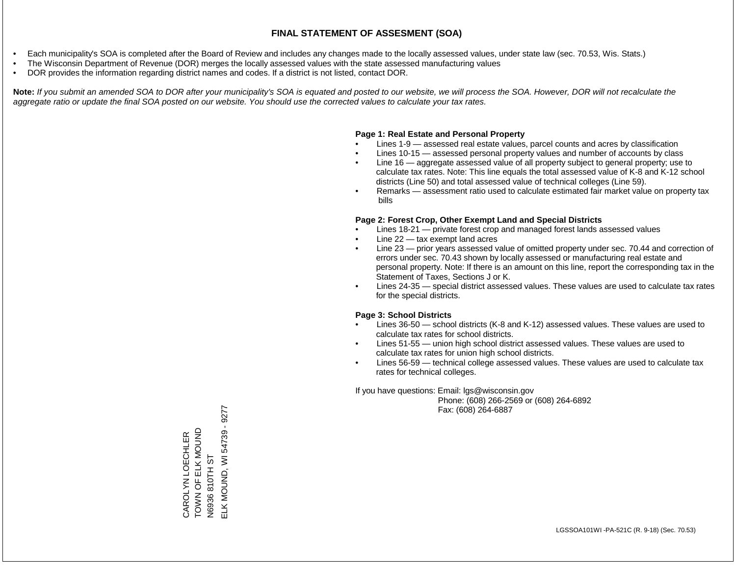- Each municipality's SOA is completed after the Board of Review and includes any changes made to the locally assessed values, under state law (sec. 70.53, Wis. Stats.)
- The Wisconsin Department of Revenue (DOR) merges the locally assessed values with the state assessed manufacturing values
- DOR provides the information regarding district names and codes. If a district is not listed, contact DOR.

Note: If you submit an amended SOA to DOR after your municipality's SOA is equated and posted to our website, we will process the SOA. However, DOR will not recalculate the *aggregate ratio or update the final SOA posted on our website. You should use the corrected values to calculate your tax rates.*

# **Page 1: Real Estate and Personal Property**

- Lines 1-9 assessed real estate values, parcel counts and acres by classification
- Lines 10-15 assessed personal property values and number of accounts by class
- Line 16 aggregate assessed value of all property subject to general property; use to calculate tax rates. Note: This line equals the total assessed value of K-8 and K-12 school districts (Line 50) and total assessed value of technical colleges (Line 59).
- Remarks assessment ratio used to calculate estimated fair market value on property tax bills

# **Page 2: Forest Crop, Other Exempt Land and Special Districts**

- Lines 18-21 private forest crop and managed forest lands assessed values
- Line  $22 -$  tax exempt land acres
- Line 23 prior years assessed value of omitted property under sec. 70.44 and correction of errors under sec. 70.43 shown by locally assessed or manufacturing real estate and personal property. Note: If there is an amount on this line, report the corresponding tax in the Statement of Taxes, Sections J or K.
- Lines 24-35 special district assessed values. These values are used to calculate tax rates for the special districts.

# **Page 3: School Districts**

- Lines 36-50 school districts (K-8 and K-12) assessed values. These values are used to calculate tax rates for school districts.
- Lines 51-55 union high school district assessed values. These values are used to calculate tax rates for union high school districts.
- Lines 56-59 technical college assessed values. These values are used to calculate tax rates for technical colleges.

If you have questions: Email: lgs@wisconsin.gov

 Phone: (608) 266-2569 or (608) 264-6892 Fax: (608) 264-6887

ELK MOUND, WI 54739 - 9277 ELK MOUND, WI 54739 - 9277TOWN OF ELK MOUND CAROLYN LOECHLER<br>TOWN OF ELK MOUND CAROLYN LOECHLER **S10TH ST** N6936 810TH ST N6936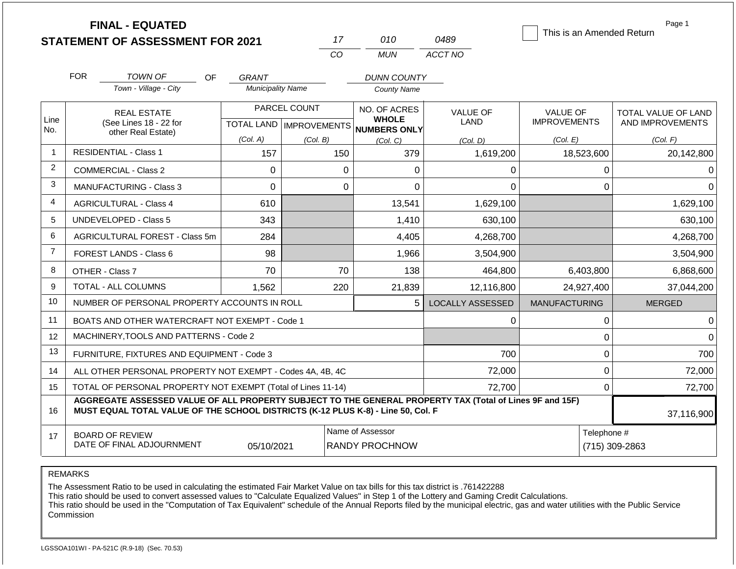|                | <b>FINAL - EQUATED</b>                                                                                                                                                                       |                          |              |                                                      |                         | This is an Amended Return | Page 1                     |  |
|----------------|----------------------------------------------------------------------------------------------------------------------------------------------------------------------------------------------|--------------------------|--------------|------------------------------------------------------|-------------------------|---------------------------|----------------------------|--|
|                | <b>STATEMENT OF ASSESSMENT FOR 2021</b>                                                                                                                                                      |                          | 17           | 010                                                  | 0489                    |                           |                            |  |
|                |                                                                                                                                                                                              |                          | CO           | <b>MUN</b>                                           | ACCT NO                 |                           |                            |  |
|                | <b>FOR</b><br><b>TOWN OF</b><br>OF.                                                                                                                                                          | GRANT                    |              | <b>DUNN COUNTY</b>                                   |                         |                           |                            |  |
|                | Town - Village - City                                                                                                                                                                        | <b>Municipality Name</b> |              | <b>County Name</b>                                   |                         |                           |                            |  |
|                | <b>REAL ESTATE</b>                                                                                                                                                                           |                          | PARCEL COUNT | NO. OF ACRES                                         | <b>VALUE OF</b>         | <b>VALUE OF</b>           | <b>TOTAL VALUE OF LAND</b> |  |
| Line<br>No.    | (See Lines 18 - 22 for                                                                                                                                                                       |                          |              | <b>WHOLE</b><br>TOTAL LAND IMPROVEMENTS NUMBERS ONLY | LAND                    | <b>IMPROVEMENTS</b>       | AND IMPROVEMENTS           |  |
|                | other Real Estate)                                                                                                                                                                           | (Col. A)                 | (Col. B)     | (Col. C)                                             | (Col, D)                | (Col. E)                  | (Col. F)                   |  |
| $\overline{1}$ | <b>RESIDENTIAL - Class 1</b>                                                                                                                                                                 | 157                      | 150          | 379                                                  | 1,619,200               | 18,523,600                | 20,142,800                 |  |
| $\overline{2}$ | COMMERCIAL - Class 2                                                                                                                                                                         | $\Omega$                 |              | $\overline{0}$<br>0                                  | 0                       | 0                         | $\Omega$                   |  |
| 3              | <b>MANUFACTURING - Class 3</b>                                                                                                                                                               | $\Omega$                 |              | $\mathbf 0$<br>$\Omega$                              | $\Omega$                | $\mathbf 0$               | $\Omega$                   |  |
| 4              | 610<br><b>AGRICULTURAL - Class 4</b>                                                                                                                                                         |                          |              | 13,541                                               | 1,629,100               |                           | 1,629,100                  |  |
| 5              | <b>UNDEVELOPED - Class 5</b>                                                                                                                                                                 | 343                      |              | 1,410                                                | 630,100                 |                           | 630,100                    |  |
| 6              | AGRICULTURAL FOREST - Class 5m                                                                                                                                                               | 284                      |              | 4,405                                                | 4,268,700               |                           | 4,268,700                  |  |
| $\overline{7}$ | FOREST LANDS - Class 6                                                                                                                                                                       | 98                       |              | 1,966                                                | 3,504,900               |                           | 3,504,900                  |  |
| 8              | OTHER - Class 7                                                                                                                                                                              | 70                       | 70           | 138                                                  | 464,800                 | 6,403,800                 | 6,868,600                  |  |
| 9              | <b>TOTAL - ALL COLUMNS</b>                                                                                                                                                                   | 1,562                    | 220          | 21,839                                               | 12,116,800              | 24,927,400                | 37,044,200                 |  |
| 10             | NUMBER OF PERSONAL PROPERTY ACCOUNTS IN ROLL                                                                                                                                                 |                          |              | 5                                                    | <b>LOCALLY ASSESSED</b> | <b>MANUFACTURING</b>      | <b>MERGED</b>              |  |
| 11             | BOATS AND OTHER WATERCRAFT NOT EXEMPT - Code 1                                                                                                                                               |                          |              |                                                      | 0                       | $\mathbf 0$               | $\Omega$                   |  |
| 12             | MACHINERY, TOOLS AND PATTERNS - Code 2                                                                                                                                                       |                          |              |                                                      |                         | $\mathbf 0$               | $\Omega$                   |  |
| 13             | FURNITURE, FIXTURES AND EQUIPMENT - Code 3                                                                                                                                                   |                          |              |                                                      | 700                     | $\mathbf 0$               | 700                        |  |
| 14             | ALL OTHER PERSONAL PROPERTY NOT EXEMPT - Codes 4A, 4B, 4C                                                                                                                                    |                          |              |                                                      | 72,000                  | $\mathbf 0$               | 72,000                     |  |
| 15             | TOTAL OF PERSONAL PROPERTY NOT EXEMPT (Total of Lines 11-14)                                                                                                                                 |                          |              | 72,700                                               | $\mathbf 0$             | 72,700                    |                            |  |
| 16             | AGGREGATE ASSESSED VALUE OF ALL PROPERTY SUBJECT TO THE GENERAL PROPERTY TAX (Total of Lines 9F and 15F)<br>MUST EQUAL TOTAL VALUE OF THE SCHOOL DISTRICTS (K-12 PLUS K-8) - Line 50, Col. F |                          |              |                                                      |                         |                           | 37,116,900                 |  |
| 17             | <b>BOARD OF REVIEW</b>                                                                                                                                                                       |                          |              | Name of Assessor                                     |                         | Telephone #               |                            |  |
|                | DATE OF FINAL ADJOURNMENT                                                                                                                                                                    | 05/10/2021               |              | <b>RANDY PROCHNOW</b>                                |                         |                           | (715) 309-2863             |  |

The Assessment Ratio to be used in calculating the estimated Fair Market Value on tax bills for this tax district is .761422288

This ratio should be used to convert assessed values to "Calculate Equalized Values" in Step 1 of the Lottery and Gaming Credit Calculations.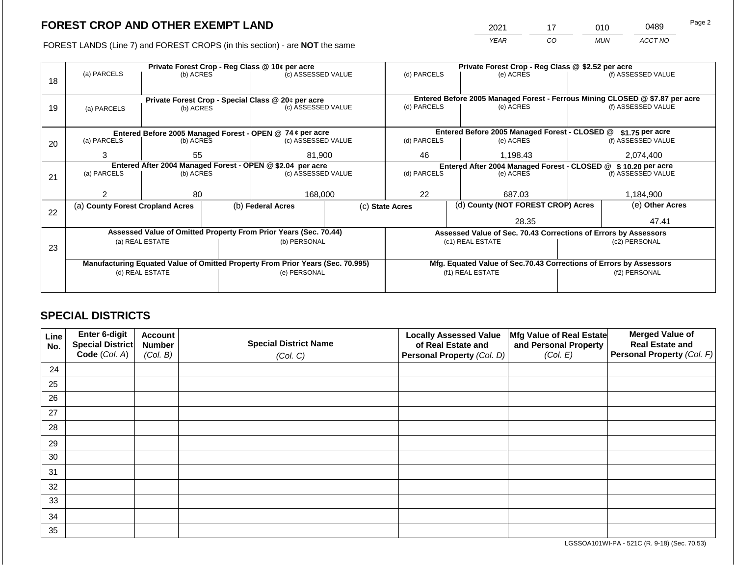2021 17 010 0489

FOREST LANDS (Line 7) and FOREST CROPS (in this section) - are **NOT** the same *YEAR CO MUN ACCT NO*

|    | Private Forest Crop - Reg Class @ 10¢ per acre             |                 |  |                                                                                |                                                                | Private Forest Crop - Reg Class @ \$2.52 per acre |  |                                                                    |                                                                                                    |                    |
|----|------------------------------------------------------------|-----------------|--|--------------------------------------------------------------------------------|----------------------------------------------------------------|---------------------------------------------------|--|--------------------------------------------------------------------|----------------------------------------------------------------------------------------------------|--------------------|
|    | (a) PARCELS                                                | (b) ACRES       |  | (c) ASSESSED VALUE                                                             |                                                                | (d) PARCELS                                       |  | (e) ACRES                                                          |                                                                                                    | (f) ASSESSED VALUE |
| 18 |                                                            |                 |  |                                                                                |                                                                |                                                   |  |                                                                    |                                                                                                    |                    |
|    |                                                            |                 |  |                                                                                |                                                                |                                                   |  |                                                                    |                                                                                                    |                    |
| 19 |                                                            |                 |  | Private Forest Crop - Special Class @ 20¢ per acre<br>(c) ASSESSED VALUE       |                                                                | (d) PARCELS                                       |  | (e) ACRES                                                          | Entered Before 2005 Managed Forest - Ferrous Mining CLOSED @ \$7.87 per acre<br>(f) ASSESSED VALUE |                    |
|    | (a) PARCELS                                                | (b) ACRES       |  |                                                                                |                                                                |                                                   |  |                                                                    |                                                                                                    |                    |
|    |                                                            |                 |  |                                                                                |                                                                |                                                   |  |                                                                    |                                                                                                    |                    |
|    |                                                            |                 |  | Entered Before 2005 Managed Forest - OPEN @ 74 ¢ per acre                      |                                                                |                                                   |  | Entered Before 2005 Managed Forest - CLOSED @                      |                                                                                                    | \$1.75 per acre    |
| 20 | (a) PARCELS                                                | (b) ACRES       |  | (c) ASSESSED VALUE                                                             |                                                                | (d) PARCELS                                       |  | (e) ACRES                                                          |                                                                                                    | (f) ASSESSED VALUE |
|    |                                                            |                 |  |                                                                                |                                                                |                                                   |  |                                                                    |                                                                                                    |                    |
|    | 3                                                          | 55              |  | 81,900                                                                         |                                                                | 46                                                |  | 1,198.43                                                           |                                                                                                    | 2,074,400          |
|    | Entered After 2004 Managed Forest - OPEN @ \$2.04 per acre |                 |  |                                                                                | Entered After 2004 Managed Forest - CLOSED @ \$ 10.20 per acre |                                                   |  |                                                                    |                                                                                                    |                    |
| 21 | (a) PARCELS                                                | (b) ACRES       |  | (c) ASSESSED VALUE                                                             |                                                                | (d) PARCELS                                       |  | (e) ACRES                                                          |                                                                                                    | (f) ASSESSED VALUE |
|    |                                                            |                 |  |                                                                                |                                                                |                                                   |  |                                                                    |                                                                                                    |                    |
|    |                                                            | 80              |  | 168,000                                                                        |                                                                | 22                                                |  | 687.03                                                             |                                                                                                    | 1,184,900          |
|    | (a) County Forest Cropland Acres                           |                 |  | (b) Federal Acres                                                              |                                                                | (c) State Acres                                   |  | (d) County (NOT FOREST CROP) Acres                                 |                                                                                                    | (e) Other Acres    |
| 22 |                                                            |                 |  |                                                                                |                                                                |                                                   |  |                                                                    |                                                                                                    |                    |
|    |                                                            |                 |  |                                                                                |                                                                |                                                   |  | 28.35                                                              |                                                                                                    | 47.41              |
|    |                                                            |                 |  | Assessed Value of Omitted Property From Prior Years (Sec. 70.44)               |                                                                |                                                   |  | Assessed Value of Sec. 70.43 Corrections of Errors by Assessors    |                                                                                                    |                    |
|    |                                                            | (a) REAL ESTATE |  | (b) PERSONAL                                                                   |                                                                |                                                   |  | (c1) REAL ESTATE                                                   |                                                                                                    | (c2) PERSONAL      |
| 23 |                                                            |                 |  |                                                                                |                                                                |                                                   |  |                                                                    |                                                                                                    |                    |
|    |                                                            |                 |  | Manufacturing Equated Value of Omitted Property From Prior Years (Sec. 70.995) |                                                                |                                                   |  | Mfg. Equated Value of Sec.70.43 Corrections of Errors by Assessors |                                                                                                    |                    |
|    |                                                            | (d) REAL ESTATE |  | (e) PERSONAL                                                                   |                                                                |                                                   |  | (f1) REAL ESTATE                                                   | (f2) PERSONAL                                                                                      |                    |
|    |                                                            |                 |  |                                                                                |                                                                |                                                   |  |                                                                    |                                                                                                    |                    |
|    |                                                            |                 |  |                                                                                |                                                                |                                                   |  |                                                                    |                                                                                                    |                    |

# **SPECIAL DISTRICTS**

| Line<br>No. | <b>Enter 6-digit</b><br>Special District | <b>Account</b><br><b>Number</b> | <b>Special District Name</b> | <b>Locally Assessed Value</b><br>of Real Estate and | Mfg Value of Real Estate<br>and Personal Property | <b>Merged Value of</b><br><b>Real Estate and</b> |
|-------------|------------------------------------------|---------------------------------|------------------------------|-----------------------------------------------------|---------------------------------------------------|--------------------------------------------------|
|             | Code (Col. A)                            | (Col. B)                        | (Col. C)                     | Personal Property (Col. D)                          | (Col. E)                                          | Personal Property (Col. F)                       |
| 24          |                                          |                                 |                              |                                                     |                                                   |                                                  |
| 25          |                                          |                                 |                              |                                                     |                                                   |                                                  |
| 26          |                                          |                                 |                              |                                                     |                                                   |                                                  |
| 27          |                                          |                                 |                              |                                                     |                                                   |                                                  |
| 28          |                                          |                                 |                              |                                                     |                                                   |                                                  |
| 29          |                                          |                                 |                              |                                                     |                                                   |                                                  |
| 30          |                                          |                                 |                              |                                                     |                                                   |                                                  |
| 31          |                                          |                                 |                              |                                                     |                                                   |                                                  |
| 32          |                                          |                                 |                              |                                                     |                                                   |                                                  |
| 33          |                                          |                                 |                              |                                                     |                                                   |                                                  |
| 34          |                                          |                                 |                              |                                                     |                                                   |                                                  |
| 35          |                                          |                                 |                              |                                                     |                                                   |                                                  |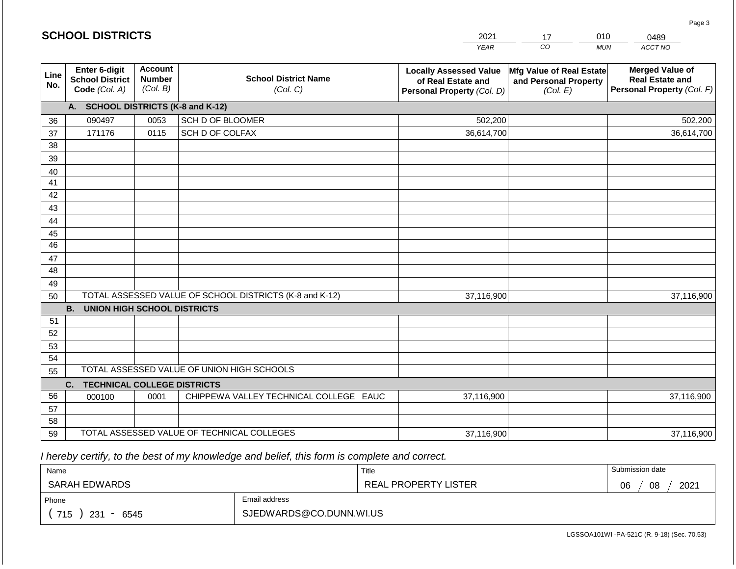|                       |                                                          |                                             |                                                         | <b>YEAR</b>                                                                       | $\overline{co}$<br><b>MUN</b>                                 | ACCT NO                                                                        |
|-----------------------|----------------------------------------------------------|---------------------------------------------|---------------------------------------------------------|-----------------------------------------------------------------------------------|---------------------------------------------------------------|--------------------------------------------------------------------------------|
| Line<br>No.           | Enter 6-digit<br><b>School District</b><br>Code (Col. A) | <b>Account</b><br><b>Number</b><br>(Col. B) | <b>School District Name</b><br>(Col. C)                 | <b>Locally Assessed Value</b><br>of Real Estate and<br>Personal Property (Col. D) | Mfg Value of Real Estate<br>and Personal Property<br>(Col. E) | <b>Merged Value of</b><br><b>Real Estate and</b><br>Personal Property (Col. F) |
|                       | A. SCHOOL DISTRICTS (K-8 and K-12)                       |                                             |                                                         |                                                                                   |                                                               |                                                                                |
| 36                    | 090497                                                   | 0053                                        | SCH D OF BLOOMER                                        | 502,200                                                                           |                                                               | 502,200                                                                        |
| 37                    | 171176                                                   | 0115                                        | SCH D OF COLFAX                                         | 36,614,700                                                                        |                                                               | 36,614,700                                                                     |
| 38                    |                                                          |                                             |                                                         |                                                                                   |                                                               |                                                                                |
| 39                    |                                                          |                                             |                                                         |                                                                                   |                                                               |                                                                                |
| 40                    |                                                          |                                             |                                                         |                                                                                   |                                                               |                                                                                |
| 41                    |                                                          |                                             |                                                         |                                                                                   |                                                               |                                                                                |
| 42                    |                                                          |                                             |                                                         |                                                                                   |                                                               |                                                                                |
| 43                    |                                                          |                                             |                                                         |                                                                                   |                                                               |                                                                                |
| 44                    |                                                          |                                             |                                                         |                                                                                   |                                                               |                                                                                |
| 45<br>$\overline{46}$ |                                                          |                                             |                                                         |                                                                                   |                                                               |                                                                                |
| 47                    |                                                          |                                             |                                                         |                                                                                   |                                                               |                                                                                |
| 48                    |                                                          |                                             |                                                         |                                                                                   |                                                               |                                                                                |
| 49                    |                                                          |                                             |                                                         |                                                                                   |                                                               |                                                                                |
| 50                    |                                                          |                                             | TOTAL ASSESSED VALUE OF SCHOOL DISTRICTS (K-8 and K-12) | 37,116,900                                                                        |                                                               | 37,116,900                                                                     |
|                       | <b>B.</b><br><b>UNION HIGH SCHOOL DISTRICTS</b>          |                                             |                                                         |                                                                                   |                                                               |                                                                                |
| 51                    |                                                          |                                             |                                                         |                                                                                   |                                                               |                                                                                |
| 52                    |                                                          |                                             |                                                         |                                                                                   |                                                               |                                                                                |
| 53                    |                                                          |                                             |                                                         |                                                                                   |                                                               |                                                                                |
| 54                    |                                                          |                                             |                                                         |                                                                                   |                                                               |                                                                                |
| 55                    |                                                          |                                             | TOTAL ASSESSED VALUE OF UNION HIGH SCHOOLS              |                                                                                   |                                                               |                                                                                |
|                       | C.<br><b>TECHNICAL COLLEGE DISTRICTS</b>                 |                                             |                                                         |                                                                                   |                                                               |                                                                                |
| 56                    | 000100                                                   | 0001                                        | CHIPPEWA VALLEY TECHNICAL COLLEGE EAUC                  | 37,116,900                                                                        |                                                               | 37,116,900                                                                     |
| 57                    |                                                          |                                             |                                                         |                                                                                   |                                                               |                                                                                |
| 58<br>59              |                                                          |                                             | TOTAL ASSESSED VALUE OF TECHNICAL COLLEGES              |                                                                                   |                                                               |                                                                                |
|                       |                                                          |                                             |                                                         | 37,116,900                                                                        |                                                               | 37,116,900                                                                     |

2021

17

010

 *I hereby certify, to the best of my knowledge and belief, this form is complete and correct.*

**SCHOOL DISTRICTS**

| Name               |                         | Title                | Submission date  |
|--------------------|-------------------------|----------------------|------------------|
| SARAH EDWARDS      |                         | REAL PROPERTY LISTER | 2021<br>06<br>08 |
| Phone              | Email address           |                      |                  |
| 715<br>231<br>6545 | SJEDWARDS@CO.DUNN.WI.US |                      |                  |

0489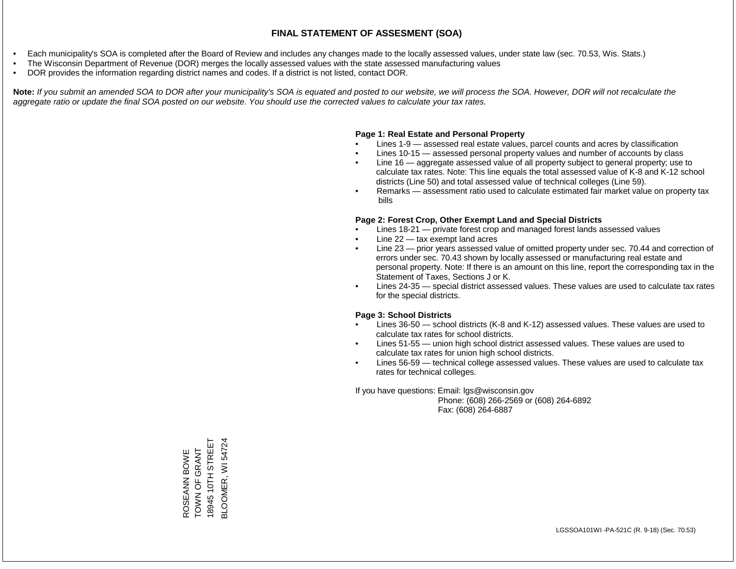- Each municipality's SOA is completed after the Board of Review and includes any changes made to the locally assessed values, under state law (sec. 70.53, Wis. Stats.)
- The Wisconsin Department of Revenue (DOR) merges the locally assessed values with the state assessed manufacturing values
- DOR provides the information regarding district names and codes. If a district is not listed, contact DOR.

Note: If you submit an amended SOA to DOR after your municipality's SOA is equated and posted to our website, we will process the SOA. However, DOR will not recalculate the *aggregate ratio or update the final SOA posted on our website. You should use the corrected values to calculate your tax rates.*

#### **Page 1: Real Estate and Personal Property**

- Lines 1-9 assessed real estate values, parcel counts and acres by classification
- Lines 10-15 assessed personal property values and number of accounts by class
- Line 16 aggregate assessed value of all property subject to general property; use to calculate tax rates. Note: This line equals the total assessed value of K-8 and K-12 school districts (Line 50) and total assessed value of technical colleges (Line 59).
- Remarks assessment ratio used to calculate estimated fair market value on property tax bills

#### **Page 2: Forest Crop, Other Exempt Land and Special Districts**

- Lines 18-21 private forest crop and managed forest lands assessed values
- Line  $22 -$  tax exempt land acres
- Line 23 prior years assessed value of omitted property under sec. 70.44 and correction of errors under sec. 70.43 shown by locally assessed or manufacturing real estate and personal property. Note: If there is an amount on this line, report the corresponding tax in the Statement of Taxes, Sections J or K.
- Lines 24-35 special district assessed values. These values are used to calculate tax rates for the special districts.

#### **Page 3: School Districts**

- Lines 36-50 school districts (K-8 and K-12) assessed values. These values are used to calculate tax rates for school districts.
- Lines 51-55 union high school district assessed values. These values are used to calculate tax rates for union high school districts.
- Lines 56-59 technical college assessed values. These values are used to calculate tax rates for technical colleges.

If you have questions: Email: lgs@wisconsin.gov

 Phone: (608) 266-2569 or (608) 264-6892 Fax: (608) 264-6887

ROSEANN BOWE<br>TOWN OF GRANT<br>18945 10TH STREET 18945 10TH STREET BLOOMER, WI 547243LOOMER, WI 54724 TOWN OF GRANT ROSEANN BOWE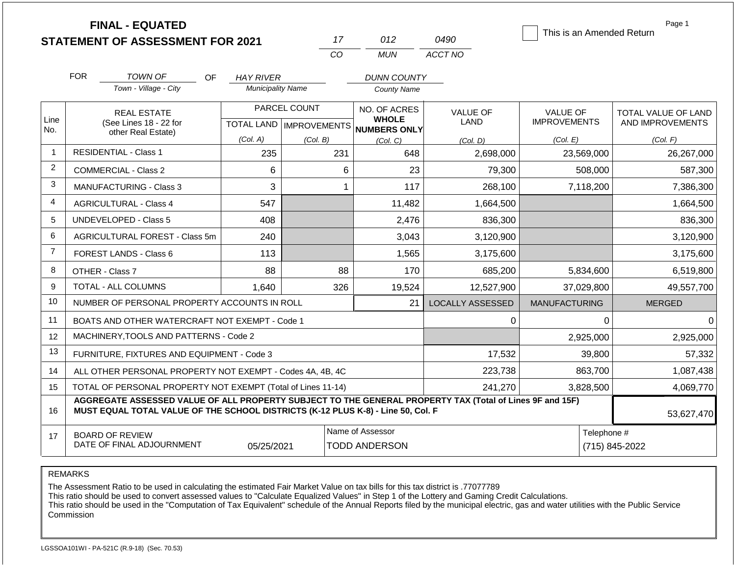|                |            | <b>FINAL - EQUATED</b><br><b>STATEMENT OF ASSESSMENT FOR 2021</b>                                                                                                                            |                                              |              | 17  | 012                                      | 0490                    | This is an Amended Return              | Page 1                                  |
|----------------|------------|----------------------------------------------------------------------------------------------------------------------------------------------------------------------------------------------|----------------------------------------------|--------------|-----|------------------------------------------|-------------------------|----------------------------------------|-----------------------------------------|
|                |            |                                                                                                                                                                                              |                                              |              | CO  | <b>MUN</b>                               | ACCT NO                 |                                        |                                         |
|                | <b>FOR</b> |                                                                                                                                                                                              |                                              |              |     |                                          |                         |                                        |                                         |
|                |            | TOWN OF<br>OF.<br>Town - Village - City                                                                                                                                                      | <b>HAY RIVER</b><br><b>Municipality Name</b> |              |     | <b>DUNN COUNTY</b><br><b>County Name</b> |                         |                                        |                                         |
|                |            |                                                                                                                                                                                              |                                              |              |     |                                          |                         |                                        |                                         |
| Line           |            | <b>REAL ESTATE</b><br>(See Lines 18 - 22 for                                                                                                                                                 |                                              | PARCEL COUNT |     | NO. OF ACRES<br><b>WHOLE</b>             | <b>VALUE OF</b><br>LAND | <b>VALUE OF</b><br><b>IMPROVEMENTS</b> | TOTAL VALUE OF LAND<br>AND IMPROVEMENTS |
| No.            |            | other Real Estate)                                                                                                                                                                           |                                              |              |     | TOTAL LAND MPROVEMENTS NUMBERS ONLY      |                         |                                        |                                         |
| $\mathbf{1}$   |            | <b>RESIDENTIAL - Class 1</b>                                                                                                                                                                 | (Col. A)<br>235                              | (Col. B)     | 231 | (Col, C)<br>648                          | (Col. D)<br>2,698,000   | (Col. E)<br>23,569,000                 | (Col. F)<br>26,267,000                  |
| $\overline{2}$ |            | <b>COMMERCIAL - Class 2</b>                                                                                                                                                                  |                                              |              |     | 23                                       |                         |                                        |                                         |
| 3              |            |                                                                                                                                                                                              | 6                                            |              | 6   |                                          | 79,300                  | 508,000                                | 587,300                                 |
|                |            | MANUFACTURING - Class 3                                                                                                                                                                      | 3                                            |              | 1   | 117                                      | 268,100                 | 7,118,200                              | 7,386,300                               |
| 4              |            | <b>AGRICULTURAL - Class 4</b>                                                                                                                                                                | 547                                          |              |     | 11,482                                   | 1,664,500               |                                        | 1,664,500                               |
| 5              |            | UNDEVELOPED - Class 5                                                                                                                                                                        | 408                                          |              |     | 2,476                                    | 836,300                 |                                        | 836,300                                 |
| 6              |            | AGRICULTURAL FOREST - Class 5m                                                                                                                                                               | 240                                          |              |     | 3,043                                    | 3,120,900               |                                        | 3,120,900                               |
| $\overline{7}$ |            | FOREST LANDS - Class 6                                                                                                                                                                       | 113                                          |              |     | 1,565                                    | 3,175,600               |                                        | 3,175,600                               |
| 8              |            | OTHER - Class 7                                                                                                                                                                              | 88                                           |              | 88  | 170                                      | 685,200                 | 5,834,600                              | 6,519,800                               |
| 9              |            | <b>TOTAL - ALL COLUMNS</b>                                                                                                                                                                   | 1,640                                        |              | 326 | 19,524                                   | 12,527,900              | 37,029,800                             | 49,557,700                              |
| 10             |            | NUMBER OF PERSONAL PROPERTY ACCOUNTS IN ROLL                                                                                                                                                 |                                              |              |     | 21                                       | <b>LOCALLY ASSESSED</b> | <b>MANUFACTURING</b>                   | <b>MERGED</b>                           |
| 11             |            | BOATS AND OTHER WATERCRAFT NOT EXEMPT - Code 1                                                                                                                                               |                                              |              |     |                                          | 0                       | 0                                      | $\Omega$                                |
| 12             |            | MACHINERY, TOOLS AND PATTERNS - Code 2                                                                                                                                                       |                                              |              |     |                                          |                         | 2,925,000                              | 2,925,000                               |
| 13             |            | FURNITURE, FIXTURES AND EQUIPMENT - Code 3                                                                                                                                                   |                                              |              |     |                                          | 17,532                  | 39,800                                 | 57,332                                  |
| 14             |            | ALL OTHER PERSONAL PROPERTY NOT EXEMPT - Codes 4A, 4B, 4C                                                                                                                                    |                                              |              |     |                                          | 223,738                 | 863,700                                | 1,087,438                               |
| 15             |            | TOTAL OF PERSONAL PROPERTY NOT EXEMPT (Total of Lines 11-14)                                                                                                                                 |                                              |              |     |                                          | 241,270                 | 3,828,500                              | 4,069,770                               |
| 16             |            | AGGREGATE ASSESSED VALUE OF ALL PROPERTY SUBJECT TO THE GENERAL PROPERTY TAX (Total of Lines 9F and 15F)<br>MUST EQUAL TOTAL VALUE OF THE SCHOOL DISTRICTS (K-12 PLUS K-8) - Line 50, Col. F |                                              |              |     |                                          |                         |                                        | 53,627,470                              |
| 17             |            | Name of Assessor<br>Telephone #<br><b>BOARD OF REVIEW</b><br>DATE OF FINAL ADJOURNMENT<br>05/25/2021<br><b>TODD ANDERSON</b><br>(715) 845-2022                                               |                                              |              |     |                                          |                         |                                        |                                         |

The Assessment Ratio to be used in calculating the estimated Fair Market Value on tax bills for this tax district is .77077789

This ratio should be used to convert assessed values to "Calculate Equalized Values" in Step 1 of the Lottery and Gaming Credit Calculations.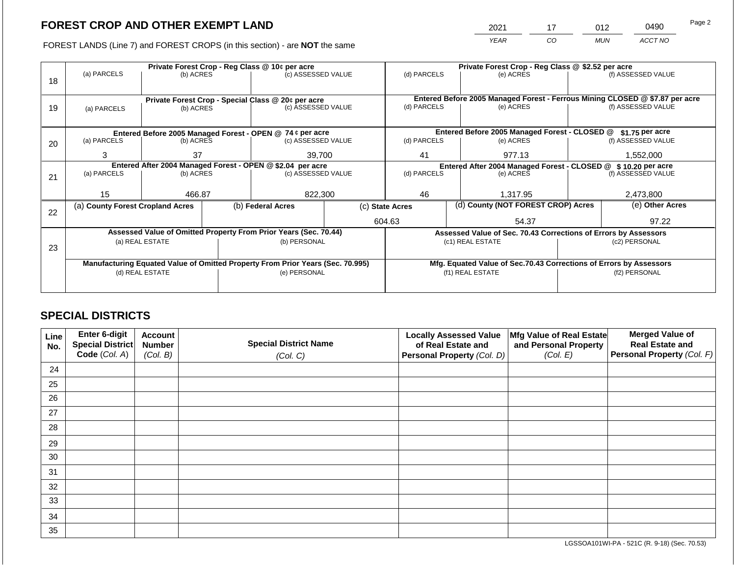2021 17 012 0490

FOREST LANDS (Line 7) and FOREST CROPS (in this section) - are **NOT** the same *YEAR CO MUN ACCT NO*

|    |                                                                                |                                                            |  | Private Forest Crop - Reg Class @ 10¢ per acre                   |         |                                                       | Private Forest Crop - Reg Class @ \$2.52 per acre |                                                                              |                                                                                     |                                                               |  |
|----|--------------------------------------------------------------------------------|------------------------------------------------------------|--|------------------------------------------------------------------|---------|-------------------------------------------------------|---------------------------------------------------|------------------------------------------------------------------------------|-------------------------------------------------------------------------------------|---------------------------------------------------------------|--|
| 18 | (a) PARCELS                                                                    | (b) ACRES                                                  |  | (c) ASSESSED VALUE                                               |         | (d) PARCELS                                           |                                                   | (e) ACRES                                                                    |                                                                                     | (f) ASSESSED VALUE                                            |  |
|    |                                                                                |                                                            |  | Private Forest Crop - Special Class @ 20¢ per acre               |         |                                                       |                                                   | Entered Before 2005 Managed Forest - Ferrous Mining CLOSED @ \$7.87 per acre |                                                                                     |                                                               |  |
| 19 | (a) PARCELS                                                                    | (b) ACRES                                                  |  | (c) ASSESSED VALUE                                               |         | (d) PARCELS                                           |                                                   | (e) ACRES                                                                    |                                                                                     | (f) ASSESSED VALUE                                            |  |
|    |                                                                                |                                                            |  | Entered Before 2005 Managed Forest - OPEN @ 74 ¢ per acre        |         |                                                       |                                                   | Entered Before 2005 Managed Forest - CLOSED @                                |                                                                                     | \$1.75 per acre                                               |  |
| 20 | (a) PARCELS                                                                    | (b) ACRES                                                  |  | (c) ASSESSED VALUE                                               |         | (d) PARCELS                                           |                                                   | (e) ACRES                                                                    |                                                                                     | (f) ASSESSED VALUE                                            |  |
|    | 3                                                                              | 37                                                         |  | 39,700                                                           |         | 41                                                    |                                                   | 977.13                                                                       |                                                                                     | 1,552,000                                                     |  |
|    |                                                                                | Entered After 2004 Managed Forest - OPEN @ \$2.04 per acre |  |                                                                  |         |                                                       |                                                   |                                                                              |                                                                                     | Entered After 2004 Managed Forest - CLOSED @ \$10.20 per acre |  |
| 21 | (a) PARCELS                                                                    | (b) ACRES                                                  |  | (c) ASSESSED VALUE                                               |         | (d) PARCELS                                           |                                                   | (e) ACRES                                                                    |                                                                                     | (f) ASSESSED VALUE                                            |  |
|    |                                                                                |                                                            |  |                                                                  |         | 46                                                    |                                                   |                                                                              |                                                                                     |                                                               |  |
|    | 15                                                                             | 466.87                                                     |  |                                                                  | 822,300 |                                                       |                                                   | 1,317.95                                                                     |                                                                                     | 2,473,800                                                     |  |
| 22 | (a) County Forest Cropland Acres                                               |                                                            |  | (b) Federal Acres                                                |         | (d) County (NOT FOREST CROP) Acres<br>(c) State Acres |                                                   |                                                                              |                                                                                     | (e) Other Acres                                               |  |
|    |                                                                                |                                                            |  |                                                                  |         | 604.63                                                |                                                   | 54.37                                                                        |                                                                                     | 97.22                                                         |  |
|    |                                                                                |                                                            |  | Assessed Value of Omitted Property From Prior Years (Sec. 70.44) |         |                                                       |                                                   | Assessed Value of Sec. 70.43 Corrections of Errors by Assessors              |                                                                                     |                                                               |  |
| 23 | (a) REAL ESTATE                                                                |                                                            |  | (b) PERSONAL                                                     |         |                                                       |                                                   | (c1) REAL ESTATE                                                             |                                                                                     | (c2) PERSONAL                                                 |  |
|    | Manufacturing Equated Value of Omitted Property From Prior Years (Sec. 70.995) |                                                            |  |                                                                  |         |                                                       |                                                   |                                                                              |                                                                                     |                                                               |  |
|    | (d) REAL ESTATE                                                                |                                                            |  | (e) PERSONAL                                                     |         |                                                       |                                                   | (f1) REAL ESTATE                                                             | Mfg. Equated Value of Sec.70.43 Corrections of Errors by Assessors<br>(f2) PERSONAL |                                                               |  |
|    |                                                                                |                                                            |  |                                                                  |         |                                                       |                                                   |                                                                              |                                                                                     |                                                               |  |
|    |                                                                                |                                                            |  |                                                                  |         |                                                       |                                                   |                                                                              |                                                                                     |                                                               |  |

# **SPECIAL DISTRICTS**

| Line<br>No. | Enter 6-digit<br>Special District<br>Code (Col. A) | <b>Account</b><br><b>Number</b><br>(Col. B) | <b>Special District Name</b><br>(Col. C) | <b>Locally Assessed Value</b><br>of Real Estate and<br><b>Personal Property (Col. D)</b> | Mfg Value of Real Estate<br>and Personal Property<br>(Col. E) | <b>Merged Value of</b><br><b>Real Estate and</b><br>Personal Property (Col. F) |
|-------------|----------------------------------------------------|---------------------------------------------|------------------------------------------|------------------------------------------------------------------------------------------|---------------------------------------------------------------|--------------------------------------------------------------------------------|
| 24          |                                                    |                                             |                                          |                                                                                          |                                                               |                                                                                |
| 25          |                                                    |                                             |                                          |                                                                                          |                                                               |                                                                                |
| 26          |                                                    |                                             |                                          |                                                                                          |                                                               |                                                                                |
| 27          |                                                    |                                             |                                          |                                                                                          |                                                               |                                                                                |
| 28          |                                                    |                                             |                                          |                                                                                          |                                                               |                                                                                |
| 29          |                                                    |                                             |                                          |                                                                                          |                                                               |                                                                                |
| 30          |                                                    |                                             |                                          |                                                                                          |                                                               |                                                                                |
| 31          |                                                    |                                             |                                          |                                                                                          |                                                               |                                                                                |
| 32          |                                                    |                                             |                                          |                                                                                          |                                                               |                                                                                |
| 33          |                                                    |                                             |                                          |                                                                                          |                                                               |                                                                                |
| 34          |                                                    |                                             |                                          |                                                                                          |                                                               |                                                                                |
| 35          |                                                    |                                             |                                          |                                                                                          |                                                               |                                                                                |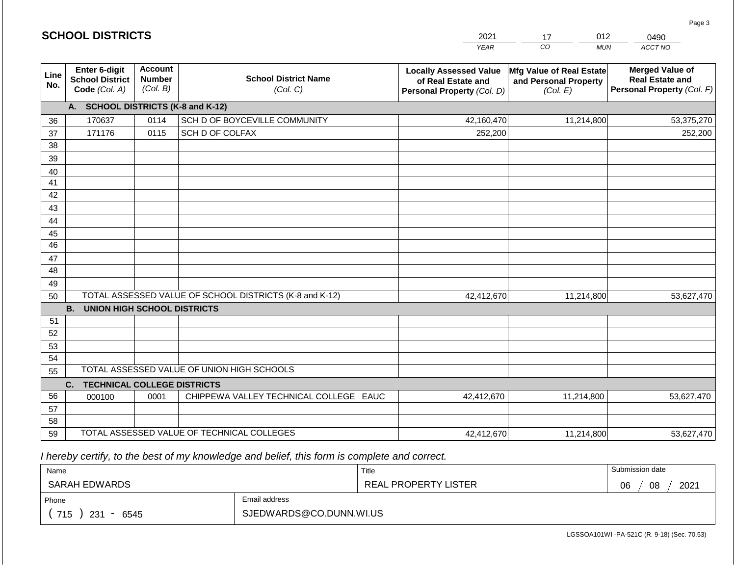| <b>SCHOOL DISTRICTS</b> |                                                                 |                                             |                                                         | 2021                                                                              | 012<br>17                                                            | 0490                                                                           |
|-------------------------|-----------------------------------------------------------------|---------------------------------------------|---------------------------------------------------------|-----------------------------------------------------------------------------------|----------------------------------------------------------------------|--------------------------------------------------------------------------------|
|                         |                                                                 |                                             |                                                         | <b>YEAR</b>                                                                       | CO<br><b>MUN</b>                                                     | ACCT NO                                                                        |
| Line<br>No.             | <b>Enter 6-digit</b><br><b>School District</b><br>Code (Col. A) | <b>Account</b><br><b>Number</b><br>(Col. B) | <b>School District Name</b><br>(Col. C)                 | <b>Locally Assessed Value</b><br>of Real Estate and<br>Personal Property (Col. D) | <b>Mfg Value of Real Estate</b><br>and Personal Property<br>(Col. E) | <b>Merged Value of</b><br><b>Real Estate and</b><br>Personal Property (Col. F) |
|                         | A. SCHOOL DISTRICTS (K-8 and K-12)                              |                                             |                                                         |                                                                                   |                                                                      |                                                                                |
| 36                      | 170637                                                          | 0114                                        | SCH D OF BOYCEVILLE COMMUNITY                           | 42,160,470                                                                        | 11,214,800                                                           | 53,375,270                                                                     |
| 37                      | 171176                                                          | 0115                                        | SCH D OF COLFAX                                         | 252,200                                                                           |                                                                      | 252,200                                                                        |
| 38                      |                                                                 |                                             |                                                         |                                                                                   |                                                                      |                                                                                |
| 39                      |                                                                 |                                             |                                                         |                                                                                   |                                                                      |                                                                                |
| 40                      |                                                                 |                                             |                                                         |                                                                                   |                                                                      |                                                                                |
| 41                      |                                                                 |                                             |                                                         |                                                                                   |                                                                      |                                                                                |
| 42                      |                                                                 |                                             |                                                         |                                                                                   |                                                                      |                                                                                |
| 43                      |                                                                 |                                             |                                                         |                                                                                   |                                                                      |                                                                                |
| 44                      |                                                                 |                                             |                                                         |                                                                                   |                                                                      |                                                                                |
| 45                      |                                                                 |                                             |                                                         |                                                                                   |                                                                      |                                                                                |
| $\overline{46}$         |                                                                 |                                             |                                                         |                                                                                   |                                                                      |                                                                                |
| 47                      |                                                                 |                                             |                                                         |                                                                                   |                                                                      |                                                                                |
| 48                      |                                                                 |                                             |                                                         |                                                                                   |                                                                      |                                                                                |
| 49<br>50                |                                                                 |                                             | TOTAL ASSESSED VALUE OF SCHOOL DISTRICTS (K-8 and K-12) | 42,412,670                                                                        | 11,214,800                                                           | 53,627,470                                                                     |
|                         | <b>B.</b><br><b>UNION HIGH SCHOOL DISTRICTS</b>                 |                                             |                                                         |                                                                                   |                                                                      |                                                                                |
| 51                      |                                                                 |                                             |                                                         |                                                                                   |                                                                      |                                                                                |
| 52                      |                                                                 |                                             |                                                         |                                                                                   |                                                                      |                                                                                |
| 53                      |                                                                 |                                             |                                                         |                                                                                   |                                                                      |                                                                                |
| 54                      |                                                                 |                                             |                                                         |                                                                                   |                                                                      |                                                                                |
| 55                      |                                                                 |                                             | TOTAL ASSESSED VALUE OF UNION HIGH SCHOOLS              |                                                                                   |                                                                      |                                                                                |
|                         | <b>TECHNICAL COLLEGE DISTRICTS</b><br>C.                        |                                             |                                                         |                                                                                   |                                                                      |                                                                                |
| 56                      | 000100                                                          | 0001                                        | CHIPPEWA VALLEY TECHNICAL COLLEGE EAUC                  | 42,412,670                                                                        | 11,214,800                                                           | 53,627,470                                                                     |
| 57                      |                                                                 |                                             |                                                         |                                                                                   |                                                                      |                                                                                |
| 58                      |                                                                 |                                             |                                                         |                                                                                   |                                                                      |                                                                                |
| 59                      |                                                                 |                                             | TOTAL ASSESSED VALUE OF TECHNICAL COLLEGES              | 42,412,670                                                                        | 11,214,800                                                           | 53,627,470                                                                     |

2021

 *I hereby certify, to the best of my knowledge and belief, this form is complete and correct.*

**SCHOOL DISTRICTS**

| Name                   |                         | Title                | Submission date  |
|------------------------|-------------------------|----------------------|------------------|
| SARAH EDWARDS          |                         | REAL PROPERTY LISTER | 08<br>2021<br>06 |
| Email address<br>Phone |                         |                      |                  |
| 715<br>231<br>6545     | SJEDWARDS@CO.DUNN.WI.US |                      |                  |

012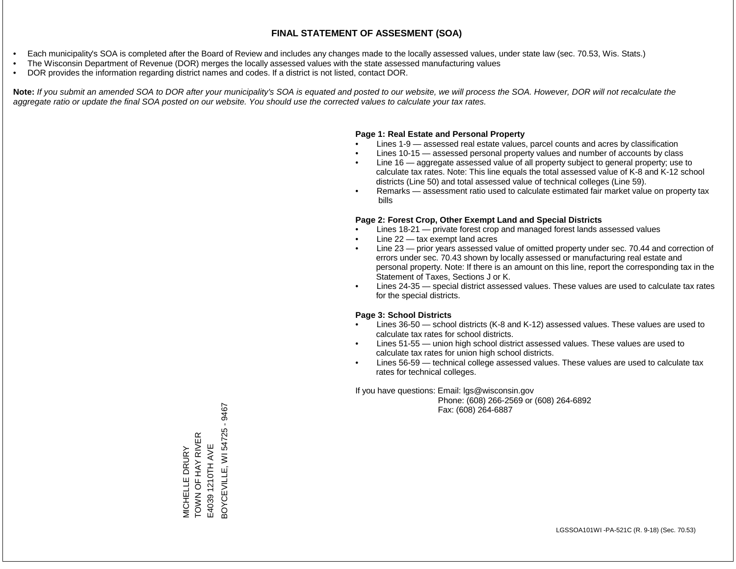- Each municipality's SOA is completed after the Board of Review and includes any changes made to the locally assessed values, under state law (sec. 70.53, Wis. Stats.)
- The Wisconsin Department of Revenue (DOR) merges the locally assessed values with the state assessed manufacturing values
- DOR provides the information regarding district names and codes. If a district is not listed, contact DOR.

Note: If you submit an amended SOA to DOR after your municipality's SOA is equated and posted to our website, we will process the SOA. However, DOR will not recalculate the *aggregate ratio or update the final SOA posted on our website. You should use the corrected values to calculate your tax rates.*

#### **Page 1: Real Estate and Personal Property**

- Lines 1-9 assessed real estate values, parcel counts and acres by classification
- Lines 10-15 assessed personal property values and number of accounts by class
- Line 16 aggregate assessed value of all property subject to general property; use to calculate tax rates. Note: This line equals the total assessed value of K-8 and K-12 school districts (Line 50) and total assessed value of technical colleges (Line 59).
- Remarks assessment ratio used to calculate estimated fair market value on property tax bills

#### **Page 2: Forest Crop, Other Exempt Land and Special Districts**

- Lines 18-21 private forest crop and managed forest lands assessed values
- Line  $22 -$  tax exempt land acres
- Line 23 prior years assessed value of omitted property under sec. 70.44 and correction of errors under sec. 70.43 shown by locally assessed or manufacturing real estate and personal property. Note: If there is an amount on this line, report the corresponding tax in the Statement of Taxes, Sections J or K.
- Lines 24-35 special district assessed values. These values are used to calculate tax rates for the special districts.

#### **Page 3: School Districts**

- Lines 36-50 school districts (K-8 and K-12) assessed values. These values are used to calculate tax rates for school districts.
- Lines 51-55 union high school district assessed values. These values are used to calculate tax rates for union high school districts.
- Lines 56-59 technical college assessed values. These values are used to calculate tax rates for technical colleges.

If you have questions: Email: lgs@wisconsin.gov

 Phone: (608) 266-2569 or (608) 264-6892 Fax: (608) 264-6887

BOYCEVILLE, WI 54725 - 94673OYCEVILLE, WI 54725 - 9467 MICHELLE DRURY<br>TOWN OF HAY RIVER TOWN OF HAY RIVER E4039 1210TH AVE E4039 1210TH AVE MICHELLE DRURY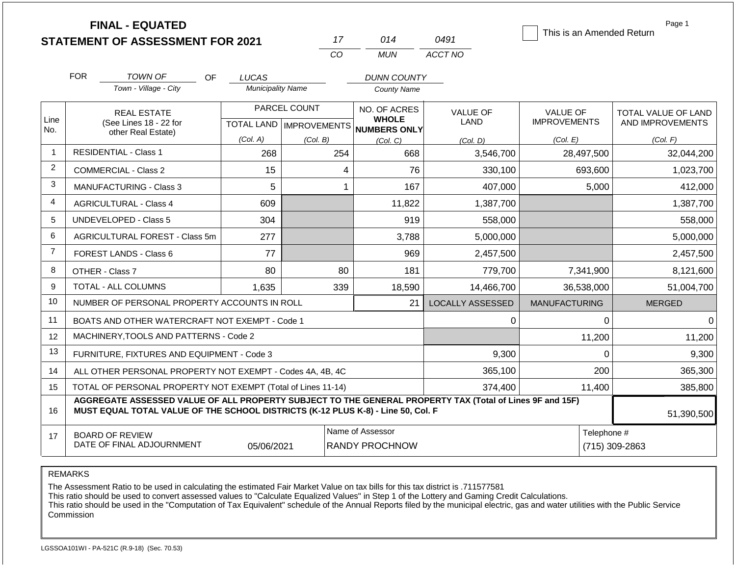|                |            | <b>FINAL - EQUATED</b><br><b>STATEMENT OF ASSESSMENT FOR 2021</b>                                                                                                                            |                                   |          | 17                           | 014                                      | 0491                    | This is an Amended Return | Page 1              |
|----------------|------------|----------------------------------------------------------------------------------------------------------------------------------------------------------------------------------------------|-----------------------------------|----------|------------------------------|------------------------------------------|-------------------------|---------------------------|---------------------|
|                |            |                                                                                                                                                                                              |                                   |          | CO                           | <b>MUN</b>                               | ACCT NO                 |                           |                     |
|                | <b>FOR</b> | TOWN OF<br>OF.                                                                                                                                                                               |                                   |          |                              |                                          |                         |                           |                     |
|                |            | Town - Village - City                                                                                                                                                                        | LUCAS<br><b>Municipality Name</b> |          |                              | <b>DUNN COUNTY</b><br><b>County Name</b> |                         |                           |                     |
| Line           |            | <b>REAL ESTATE</b>                                                                                                                                                                           | PARCEL COUNT                      |          | NO. OF ACRES<br><b>WHOLE</b> |                                          | <b>VALUE OF</b>         | <b>VALUE OF</b>           | TOTAL VALUE OF LAND |
| No.            |            | (See Lines 18 - 22 for<br>other Real Estate)                                                                                                                                                 |                                   |          |                              | TOTAL LAND MPROVEMENTS NUMBERS ONLY      | LAND                    | <b>IMPROVEMENTS</b>       | AND IMPROVEMENTS    |
| 1              |            | <b>RESIDENTIAL - Class 1</b>                                                                                                                                                                 | (Col. A)                          | (Col. B) |                              | (Col, C)                                 | (Col. D)                | (Col. E)                  | (Col. F)            |
|                |            |                                                                                                                                                                                              | 268                               |          | 254                          | 668                                      | 3,546,700               | 28,497,500                | 32,044,200          |
| $\overline{2}$ |            | COMMERCIAL - Class 2                                                                                                                                                                         | 15                                |          | 4                            | 76                                       | 330,100                 | 693,600                   | 1,023,700           |
| 3              |            | <b>MANUFACTURING - Class 3</b>                                                                                                                                                               | 5                                 |          | 1                            | 167                                      | 407,000                 | 5,000                     | 412,000             |
| 4              |            | <b>AGRICULTURAL - Class 4</b>                                                                                                                                                                | 609                               |          |                              | 11,822                                   | 1,387,700               |                           | 1,387,700           |
| 5              |            | UNDEVELOPED - Class 5                                                                                                                                                                        | 304                               |          |                              | 919                                      | 558,000                 |                           | 558,000             |
| 6              |            | AGRICULTURAL FOREST - Class 5m                                                                                                                                                               | 277                               |          |                              | 3,788                                    | 5,000,000               |                           | 5,000,000           |
| $\overline{7}$ |            | <b>FOREST LANDS - Class 6</b>                                                                                                                                                                | 77                                |          |                              | 969                                      | 2,457,500               |                           | 2,457,500           |
| 8              |            | OTHER - Class 7                                                                                                                                                                              | 80                                |          | 80                           | 181                                      | 779,700                 | 7,341,900                 | 8,121,600           |
| 9              |            | <b>TOTAL - ALL COLUMNS</b>                                                                                                                                                                   | 1,635                             |          | 339                          | 18,590                                   | 14,466,700              | 36,538,000                | 51,004,700          |
| 10             |            | NUMBER OF PERSONAL PROPERTY ACCOUNTS IN ROLL                                                                                                                                                 |                                   |          |                              | 21                                       | <b>LOCALLY ASSESSED</b> | <b>MANUFACTURING</b>      | <b>MERGED</b>       |
| 11             |            | BOATS AND OTHER WATERCRAFT NOT EXEMPT - Code 1                                                                                                                                               |                                   |          |                              |                                          | 0                       | 0                         | $\Omega$            |
| 12             |            | MACHINERY, TOOLS AND PATTERNS - Code 2                                                                                                                                                       |                                   |          |                              |                                          |                         | 11,200                    | 11,200              |
| 13             |            | FURNITURE, FIXTURES AND EQUIPMENT - Code 3                                                                                                                                                   |                                   |          |                              |                                          | 9,300                   | 0                         | 9,300               |
| 14             |            | ALL OTHER PERSONAL PROPERTY NOT EXEMPT - Codes 4A, 4B, 4C                                                                                                                                    |                                   |          |                              |                                          | 365,100                 | 200                       | 365,300             |
| 15             |            | TOTAL OF PERSONAL PROPERTY NOT EXEMPT (Total of Lines 11-14)                                                                                                                                 |                                   |          |                              |                                          | 374,400                 | 11,400                    | 385,800             |
| 16             |            | AGGREGATE ASSESSED VALUE OF ALL PROPERTY SUBJECT TO THE GENERAL PROPERTY TAX (Total of Lines 9F and 15F)<br>MUST EQUAL TOTAL VALUE OF THE SCHOOL DISTRICTS (K-12 PLUS K-8) - Line 50, Col. F |                                   |          |                              |                                          |                         |                           | 51,390,500          |
| 17             |            | Name of Assessor<br>Telephone #<br><b>BOARD OF REVIEW</b><br>DATE OF FINAL ADJOURNMENT<br>05/06/2021<br><b>RANDY PROCHNOW</b>                                                                |                                   |          |                              |                                          |                         |                           | (715) 309-2863      |

The Assessment Ratio to be used in calculating the estimated Fair Market Value on tax bills for this tax district is .711577581

This ratio should be used to convert assessed values to "Calculate Equalized Values" in Step 1 of the Lottery and Gaming Credit Calculations.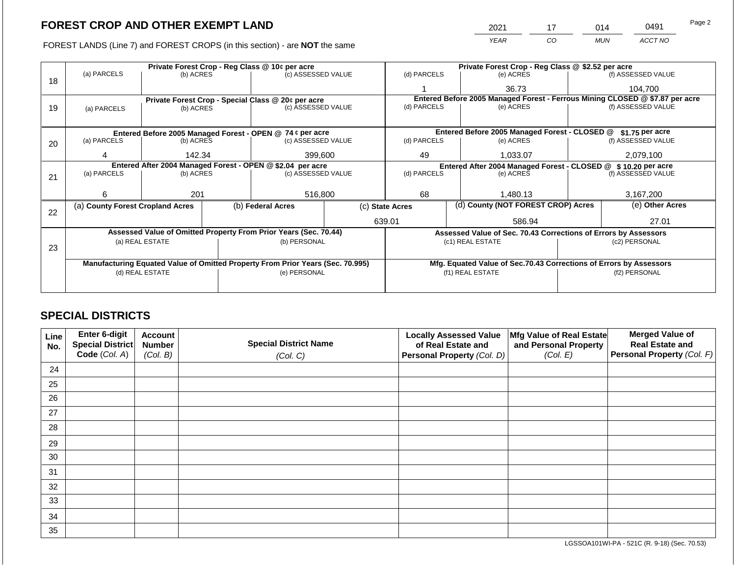2021 17 014 0491

FOREST LANDS (Line 7) and FOREST CROPS (in this section) - are **NOT** the same *YEAR CO MUN ACCT NO*

|    |                                                                                |                 |                   | Private Forest Crop - Reg Class @ 10¢ per acre                   | Private Forest Crop - Reg Class @ \$2.52 per acre |                                                                |                                                                              |                                               |                                                                    |                    |  |
|----|--------------------------------------------------------------------------------|-----------------|-------------------|------------------------------------------------------------------|---------------------------------------------------|----------------------------------------------------------------|------------------------------------------------------------------------------|-----------------------------------------------|--------------------------------------------------------------------|--------------------|--|
| 18 | (a) PARCELS                                                                    | (b) ACRES       |                   | (c) ASSESSED VALUE                                               |                                                   | (d) PARCELS                                                    |                                                                              | (e) ACRES                                     |                                                                    | (f) ASSESSED VALUE |  |
|    |                                                                                |                 |                   |                                                                  |                                                   |                                                                |                                                                              | 36.73                                         |                                                                    | 104.700            |  |
|    |                                                                                |                 |                   | Private Forest Crop - Special Class @ 20¢ per acre               |                                                   |                                                                | Entered Before 2005 Managed Forest - Ferrous Mining CLOSED @ \$7.87 per acre |                                               |                                                                    |                    |  |
| 19 | (a) PARCELS                                                                    | (b) ACRES       |                   | (c) ASSESSED VALUE                                               |                                                   | (d) PARCELS                                                    |                                                                              | (e) ACRES                                     |                                                                    | (f) ASSESSED VALUE |  |
|    |                                                                                |                 |                   |                                                                  |                                                   |                                                                |                                                                              |                                               |                                                                    |                    |  |
|    |                                                                                |                 |                   | Entered Before 2005 Managed Forest - OPEN @ 74 ¢ per acre        |                                                   |                                                                |                                                                              | Entered Before 2005 Managed Forest - CLOSED @ |                                                                    | \$1.75 per acre    |  |
| 20 | (a) PARCELS                                                                    | (b) ACRES       |                   | (c) ASSESSED VALUE                                               |                                                   | (d) PARCELS                                                    |                                                                              | (e) ACRES                                     |                                                                    | (f) ASSESSED VALUE |  |
|    |                                                                                |                 |                   |                                                                  |                                                   |                                                                |                                                                              |                                               |                                                                    |                    |  |
|    | 4                                                                              |                 | 399,600<br>142.34 |                                                                  |                                                   | 49                                                             |                                                                              | 1.033.07                                      |                                                                    | 2,079,100          |  |
|    | Entered After 2004 Managed Forest - OPEN @ \$2.04 per acre                     |                 |                   |                                                                  |                                                   | Entered After 2004 Managed Forest - CLOSED @ \$ 10.20 per acre |                                                                              |                                               |                                                                    |                    |  |
| 21 | (a) PARCELS                                                                    | (b) ACRES       |                   | (c) ASSESSED VALUE                                               |                                                   | (d) PARCELS                                                    |                                                                              | (e) ACRES                                     |                                                                    | (f) ASSESSED VALUE |  |
|    |                                                                                |                 |                   |                                                                  |                                                   |                                                                |                                                                              |                                               |                                                                    |                    |  |
|    | 6                                                                              | 201             |                   | 516,800                                                          |                                                   | 68<br>1,480.13                                                 |                                                                              |                                               |                                                                    | 3,167,200          |  |
| 22 | (a) County Forest Cropland Acres                                               |                 |                   | (b) Federal Acres                                                |                                                   | (d) County (NOT FOREST CROP) Acres<br>(c) State Acres          |                                                                              |                                               |                                                                    | (e) Other Acres    |  |
|    |                                                                                |                 |                   |                                                                  |                                                   | 639.01<br>586.94                                               |                                                                              |                                               | 27.01                                                              |                    |  |
|    |                                                                                |                 |                   | Assessed Value of Omitted Property From Prior Years (Sec. 70.44) |                                                   |                                                                |                                                                              |                                               | Assessed Value of Sec. 70.43 Corrections of Errors by Assessors    |                    |  |
|    |                                                                                | (a) REAL ESTATE |                   | (b) PERSONAL                                                     |                                                   |                                                                | (c1) REAL ESTATE                                                             |                                               |                                                                    | (c2) PERSONAL      |  |
| 23 |                                                                                |                 |                   |                                                                  |                                                   |                                                                |                                                                              |                                               |                                                                    |                    |  |
|    | Manufacturing Equated Value of Omitted Property From Prior Years (Sec. 70.995) |                 |                   |                                                                  |                                                   |                                                                |                                                                              |                                               | Mfg. Equated Value of Sec.70.43 Corrections of Errors by Assessors |                    |  |
|    | (d) REAL ESTATE                                                                |                 |                   | (e) PERSONAL                                                     |                                                   |                                                                | (f1) REAL ESTATE                                                             |                                               |                                                                    | (f2) PERSONAL      |  |
|    |                                                                                |                 |                   |                                                                  |                                                   |                                                                |                                                                              |                                               |                                                                    |                    |  |
|    |                                                                                |                 |                   |                                                                  |                                                   |                                                                |                                                                              |                                               |                                                                    |                    |  |

# **SPECIAL DISTRICTS**

| Line<br>No. | <b>Enter 6-digit</b><br>Special District | <b>Account</b><br><b>Number</b> | <b>Special District Name</b> | <b>Locally Assessed Value</b><br>of Real Estate and | Mfg Value of Real Estate<br>and Personal Property | <b>Merged Value of</b><br><b>Real Estate and</b> |
|-------------|------------------------------------------|---------------------------------|------------------------------|-----------------------------------------------------|---------------------------------------------------|--------------------------------------------------|
|             | Code (Col. A)                            | (Col. B)                        | (Col. C)                     | Personal Property (Col. D)                          | (Col. E)                                          | Personal Property (Col. F)                       |
| 24          |                                          |                                 |                              |                                                     |                                                   |                                                  |
| 25          |                                          |                                 |                              |                                                     |                                                   |                                                  |
| 26          |                                          |                                 |                              |                                                     |                                                   |                                                  |
| 27          |                                          |                                 |                              |                                                     |                                                   |                                                  |
| 28          |                                          |                                 |                              |                                                     |                                                   |                                                  |
| 29          |                                          |                                 |                              |                                                     |                                                   |                                                  |
| 30          |                                          |                                 |                              |                                                     |                                                   |                                                  |
| 31          |                                          |                                 |                              |                                                     |                                                   |                                                  |
| 32          |                                          |                                 |                              |                                                     |                                                   |                                                  |
| 33          |                                          |                                 |                              |                                                     |                                                   |                                                  |
| 34          |                                          |                                 |                              |                                                     |                                                   |                                                  |
| 35          |                                          |                                 |                              |                                                     |                                                   |                                                  |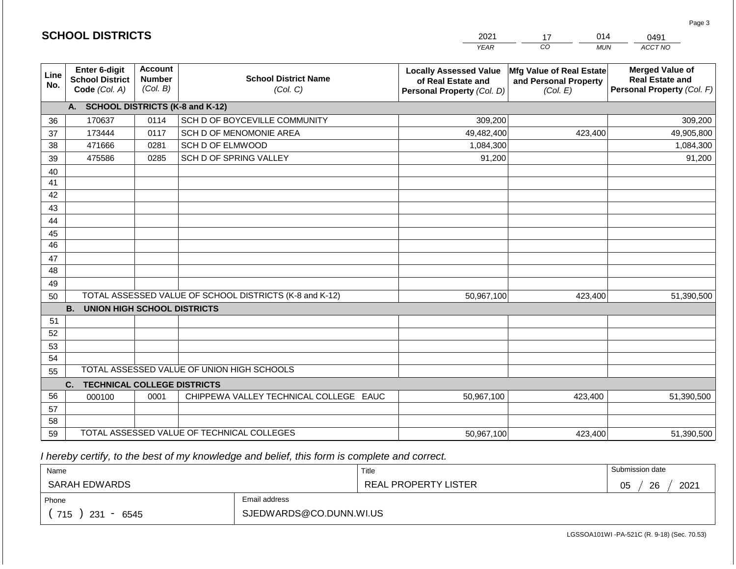|             |                                                          |                                             |                                                         | <b>YEAR</b>                                                                       | $\overline{co}$<br><b>MUN</b>                                 | ACCT NO                                                                        |
|-------------|----------------------------------------------------------|---------------------------------------------|---------------------------------------------------------|-----------------------------------------------------------------------------------|---------------------------------------------------------------|--------------------------------------------------------------------------------|
| Line<br>No. | Enter 6-digit<br><b>School District</b><br>Code (Col. A) | <b>Account</b><br><b>Number</b><br>(Col. B) | <b>School District Name</b><br>(Col. C)                 | <b>Locally Assessed Value</b><br>of Real Estate and<br>Personal Property (Col. D) | Mfg Value of Real Estate<br>and Personal Property<br>(Col. E) | <b>Merged Value of</b><br><b>Real Estate and</b><br>Personal Property (Col. F) |
|             | A. SCHOOL DISTRICTS (K-8 and K-12)                       |                                             |                                                         |                                                                                   |                                                               |                                                                                |
| 36          | 170637                                                   | 0114                                        | SCH D OF BOYCEVILLE COMMUNITY                           | 309,200                                                                           |                                                               | 309,200                                                                        |
| 37          | 173444                                                   | 0117                                        | SCH D OF MENOMONIE AREA                                 | 49,482,400                                                                        | 423,400                                                       | 49,905,800                                                                     |
| 38          | 471666                                                   | 0281                                        | SCH D OF ELMWOOD                                        | 1,084,300                                                                         |                                                               | 1,084,300                                                                      |
| 39          | 475586                                                   | 0285                                        | SCH D OF SPRING VALLEY                                  | 91,200                                                                            |                                                               | 91,200                                                                         |
| 40          |                                                          |                                             |                                                         |                                                                                   |                                                               |                                                                                |
| 41          |                                                          |                                             |                                                         |                                                                                   |                                                               |                                                                                |
| 42          |                                                          |                                             |                                                         |                                                                                   |                                                               |                                                                                |
| 43          |                                                          |                                             |                                                         |                                                                                   |                                                               |                                                                                |
| 44          |                                                          |                                             |                                                         |                                                                                   |                                                               |                                                                                |
| 45          |                                                          |                                             |                                                         |                                                                                   |                                                               |                                                                                |
| 46          |                                                          |                                             |                                                         |                                                                                   |                                                               |                                                                                |
| 47          |                                                          |                                             |                                                         |                                                                                   |                                                               |                                                                                |
| 48          |                                                          |                                             |                                                         |                                                                                   |                                                               |                                                                                |
| 49          |                                                          |                                             |                                                         |                                                                                   |                                                               |                                                                                |
| 50          |                                                          |                                             | TOTAL ASSESSED VALUE OF SCHOOL DISTRICTS (K-8 and K-12) | 50,967,100                                                                        | 423,400                                                       | 51,390,500                                                                     |
|             | <b>B.</b><br><b>UNION HIGH SCHOOL DISTRICTS</b>          |                                             |                                                         |                                                                                   |                                                               |                                                                                |
| 51          |                                                          |                                             |                                                         |                                                                                   |                                                               |                                                                                |
| 52          |                                                          |                                             |                                                         |                                                                                   |                                                               |                                                                                |
| 53          |                                                          |                                             |                                                         |                                                                                   |                                                               |                                                                                |
| 54          |                                                          |                                             |                                                         |                                                                                   |                                                               |                                                                                |
| 55          |                                                          |                                             | TOTAL ASSESSED VALUE OF UNION HIGH SCHOOLS              |                                                                                   |                                                               |                                                                                |
|             | C.<br><b>TECHNICAL COLLEGE DISTRICTS</b>                 |                                             |                                                         |                                                                                   |                                                               |                                                                                |
| 56          | 000100                                                   | 0001                                        | CHIPPEWA VALLEY TECHNICAL COLLEGE EAUC                  | 50,967,100                                                                        | 423,400                                                       | 51,390,500                                                                     |
| 57          |                                                          |                                             |                                                         |                                                                                   |                                                               |                                                                                |
| 58          |                                                          |                                             |                                                         |                                                                                   |                                                               |                                                                                |
| 59          |                                                          |                                             | TOTAL ASSESSED VALUE OF TECHNICAL COLLEGES              | 50,967,100                                                                        | 423,400                                                       | 51,390,500                                                                     |

2021

17

014

 *I hereby certify, to the best of my knowledge and belief, this form is complete and correct.*

**SCHOOL DISTRICTS**

| Name               |                         | Title                | Submission date  |
|--------------------|-------------------------|----------------------|------------------|
| SARAH EDWARDS      |                         | REAL PROPERTY LISTER | 2021<br>26<br>05 |
| Phone              | Email address           |                      |                  |
| 715<br>231<br>6545 | SJEDWARDS@CO.DUNN.WI.US |                      |                  |

Page 3

0491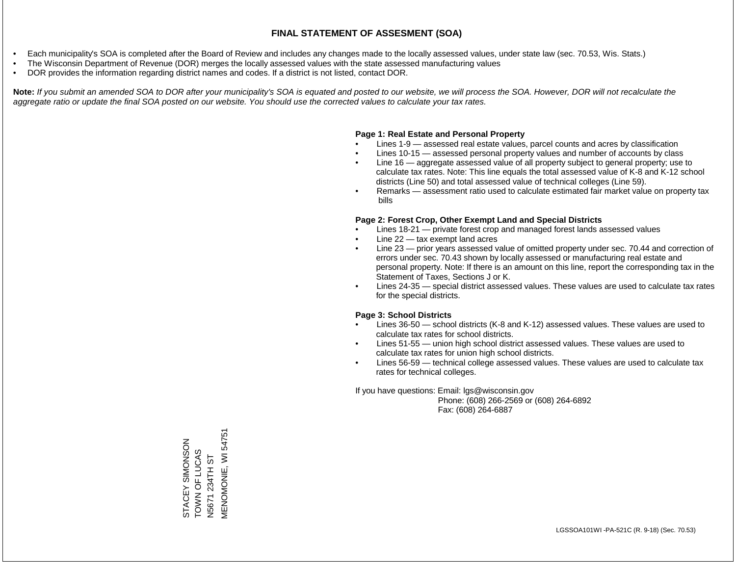- Each municipality's SOA is completed after the Board of Review and includes any changes made to the locally assessed values, under state law (sec. 70.53, Wis. Stats.)
- The Wisconsin Department of Revenue (DOR) merges the locally assessed values with the state assessed manufacturing values
- DOR provides the information regarding district names and codes. If a district is not listed, contact DOR.

Note: If you submit an amended SOA to DOR after your municipality's SOA is equated and posted to our website, we will process the SOA. However, DOR will not recalculate the *aggregate ratio or update the final SOA posted on our website. You should use the corrected values to calculate your tax rates.*

#### **Page 1: Real Estate and Personal Property**

- Lines 1-9 assessed real estate values, parcel counts and acres by classification
- Lines 10-15 assessed personal property values and number of accounts by class
- Line 16 aggregate assessed value of all property subject to general property; use to calculate tax rates. Note: This line equals the total assessed value of K-8 and K-12 school districts (Line 50) and total assessed value of technical colleges (Line 59).
- Remarks assessment ratio used to calculate estimated fair market value on property tax bills

#### **Page 2: Forest Crop, Other Exempt Land and Special Districts**

- Lines 18-21 private forest crop and managed forest lands assessed values
- Line  $22 -$  tax exempt land acres
- Line 23 prior years assessed value of omitted property under sec. 70.44 and correction of errors under sec. 70.43 shown by locally assessed or manufacturing real estate and personal property. Note: If there is an amount on this line, report the corresponding tax in the Statement of Taxes, Sections J or K.
- Lines 24-35 special district assessed values. These values are used to calculate tax rates for the special districts.

#### **Page 3: School Districts**

- Lines 36-50 school districts (K-8 and K-12) assessed values. These values are used to calculate tax rates for school districts.
- Lines 51-55 union high school district assessed values. These values are used to calculate tax rates for union high school districts.
- Lines 56-59 technical college assessed values. These values are used to calculate tax rates for technical colleges.

If you have questions: Email: lgs@wisconsin.gov

 Phone: (608) 266-2569 or (608) 264-6892 Fax: (608) 264-6887

VIENOMONIE, WI 54751 MENOMONIE, WI 54751STACEY SIMONSON<br>TOWN OF LUCAS STACEY SIMONSON TOWN OF LUCAS N5671 234TH ST N5671 234TH ST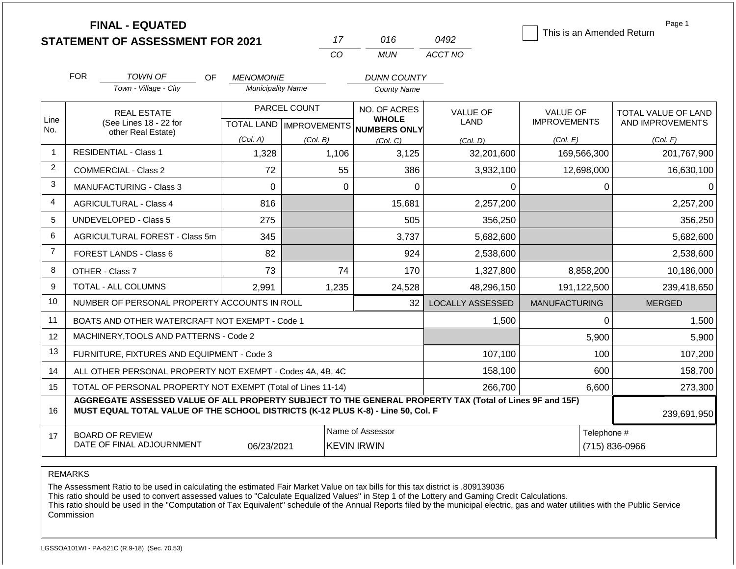|                |            | <b>FINAL - EQUATED</b>                                                                                                                                                                       |                                              |              | 17          | 016                                    | 0492                    | This is an Amended Return | Page 1              |
|----------------|------------|----------------------------------------------------------------------------------------------------------------------------------------------------------------------------------------------|----------------------------------------------|--------------|-------------|----------------------------------------|-------------------------|---------------------------|---------------------|
|                |            | <b>STATEMENT OF ASSESSMENT FOR 2021</b>                                                                                                                                                      |                                              |              | CO          | <b>MUN</b>                             | ACCT NO                 |                           |                     |
|                |            |                                                                                                                                                                                              |                                              |              |             |                                        |                         |                           |                     |
|                | <b>FOR</b> | <b>TOWN OF</b><br><b>OF</b><br>Town - Village - City                                                                                                                                         | <b>MENOMONIE</b><br><b>Municipality Name</b> |              |             | <b>DUNN COUNTY</b>                     |                         |                           |                     |
|                |            |                                                                                                                                                                                              |                                              |              |             | County Name                            |                         |                           |                     |
|                |            | <b>REAL ESTATE</b>                                                                                                                                                                           |                                              | PARCEL COUNT |             | NO. OF ACRES                           | <b>VALUE OF</b>         | <b>VALUE OF</b>           | TOTAL VALUE OF LAND |
| Line<br>No.    |            | (See Lines 18 - 22 for<br>other Real Estate)                                                                                                                                                 | TOTAL LAND   IMPROVEMENTS                    |              |             | <b>WHOLE</b><br><b>NUMBERS ONLY</b>    | <b>LAND</b>             | <b>IMPROVEMENTS</b>       | AND IMPROVEMENTS    |
|                |            |                                                                                                                                                                                              | (Col. A)                                     | (Col. B)     |             | (Col, C)                               | (Col. D)                | (Col. E)                  | (Col. F)            |
| $\mathbf{1}$   |            | <b>RESIDENTIAL - Class 1</b>                                                                                                                                                                 | 1,328                                        |              | 1,106       | 3,125                                  | 32,201,600              | 169,566,300               | 201,767,900         |
| $\overline{2}$ |            | <b>COMMERCIAL - Class 2</b>                                                                                                                                                                  | 72                                           |              | 55          | 386                                    | 3,932,100               | 12,698,000                | 16,630,100          |
| 3              |            | <b>MANUFACTURING - Class 3</b>                                                                                                                                                               | $\Omega$                                     |              | $\mathbf 0$ | $\overline{0}$                         | $\Omega$                | 0                         | $\Omega$            |
| 4              |            | <b>AGRICULTURAL - Class 4</b>                                                                                                                                                                | 816                                          |              |             | 15,681                                 | 2,257,200               |                           | 2,257,200           |
| 5              |            | UNDEVELOPED - Class 5                                                                                                                                                                        | 275                                          |              |             | 505                                    | 356,250                 |                           | 356,250             |
| 6              |            | AGRICULTURAL FOREST - Class 5m                                                                                                                                                               | 345                                          |              |             | 3,737                                  | 5,682,600               |                           | 5,682,600           |
| $\overline{7}$ |            | FOREST LANDS - Class 6                                                                                                                                                                       | 82                                           |              |             | 924                                    | 2,538,600               |                           | 2,538,600           |
| 8              |            | OTHER - Class 7                                                                                                                                                                              | 73                                           |              | 74          | 170                                    | 1,327,800               | 8,858,200                 | 10,186,000          |
| 9              |            | <b>TOTAL - ALL COLUMNS</b>                                                                                                                                                                   | 2,991                                        |              | 1,235       | 24,528                                 | 48,296,150              | 191,122,500               | 239,418,650         |
| 10             |            | NUMBER OF PERSONAL PROPERTY ACCOUNTS IN ROLL                                                                                                                                                 |                                              |              |             | 32                                     | <b>LOCALLY ASSESSED</b> | <b>MANUFACTURING</b>      | <b>MERGED</b>       |
| 11             |            | BOATS AND OTHER WATERCRAFT NOT EXEMPT - Code 1                                                                                                                                               |                                              |              |             |                                        | 1,500                   | $\Omega$                  | 1,500               |
| 12             |            | MACHINERY, TOOLS AND PATTERNS - Code 2                                                                                                                                                       |                                              |              |             |                                        |                         | 5,900                     | 5,900               |
| 13             |            | FURNITURE, FIXTURES AND EQUIPMENT - Code 3                                                                                                                                                   |                                              |              |             |                                        | 107,100                 | 100                       | 107,200             |
| 14             |            | ALL OTHER PERSONAL PROPERTY NOT EXEMPT - Codes 4A, 4B, 4C                                                                                                                                    |                                              |              |             |                                        | 158,100                 | 600                       | 158,700             |
| 15             |            | TOTAL OF PERSONAL PROPERTY NOT EXEMPT (Total of Lines 11-14)                                                                                                                                 |                                              |              | 266,700     |                                        |                         | 6,600                     | 273,300             |
| 16             |            | AGGREGATE ASSESSED VALUE OF ALL PROPERTY SUBJECT TO THE GENERAL PROPERTY TAX (Total of Lines 9F and 15F)<br>MUST EQUAL TOTAL VALUE OF THE SCHOOL DISTRICTS (K-12 PLUS K-8) - Line 50, Col. F |                                              |              |             |                                        |                         |                           | 239,691,950         |
| 17             |            | <b>BOARD OF REVIEW</b><br>DATE OF FINAL ADJOURNMENT                                                                                                                                          | 06/23/2021                                   |              |             | Name of Assessor<br><b>KEVIN IRWIN</b> |                         | Telephone #               | (715) 836-0966      |

The Assessment Ratio to be used in calculating the estimated Fair Market Value on tax bills for this tax district is .809139036

This ratio should be used to convert assessed values to "Calculate Equalized Values" in Step 1 of the Lottery and Gaming Credit Calculations.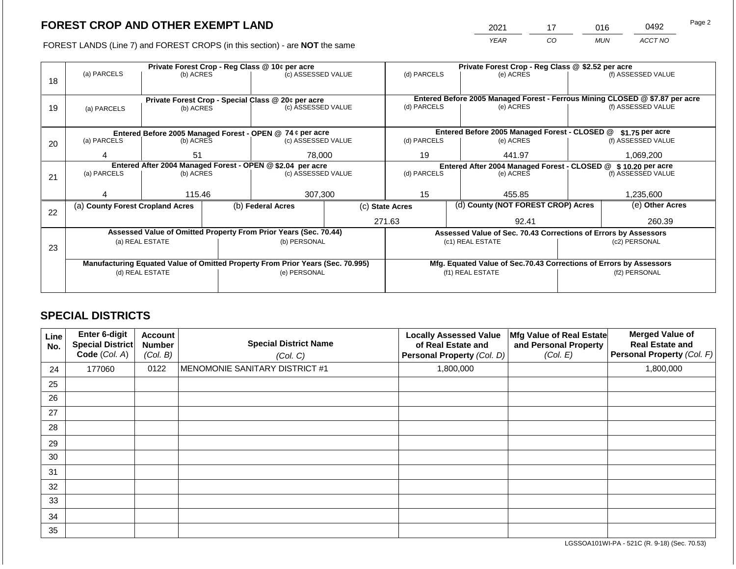2021 17 016 0492 Page 2

FOREST LANDS (Line 7) and FOREST CROPS (in this section) - are **NOT** the same *YEAR CO MUN ACCT NO*

|    | Private Forest Crop - Reg Class @ 10¢ per acre                                                    |                 |  |                                                                          |  | Private Forest Crop - Reg Class @ \$2.52 per acre                  |  |                                                                              |  |                    |  |  |
|----|---------------------------------------------------------------------------------------------------|-----------------|--|--------------------------------------------------------------------------|--|--------------------------------------------------------------------|--|------------------------------------------------------------------------------|--|--------------------|--|--|
|    | (a) PARCELS                                                                                       | (b) ACRES       |  | (c) ASSESSED VALUE                                                       |  | (d) PARCELS                                                        |  | (e) ACRES                                                                    |  | (f) ASSESSED VALUE |  |  |
| 18 |                                                                                                   |                 |  |                                                                          |  |                                                                    |  |                                                                              |  |                    |  |  |
|    |                                                                                                   |                 |  |                                                                          |  |                                                                    |  | Entered Before 2005 Managed Forest - Ferrous Mining CLOSED @ \$7.87 per acre |  |                    |  |  |
|    |                                                                                                   |                 |  | Private Forest Crop - Special Class @ 20¢ per acre<br>(c) ASSESSED VALUE |  | (d) PARCELS                                                        |  | (e) ACRES                                                                    |  | (f) ASSESSED VALUE |  |  |
| 19 | (a) PARCELS                                                                                       | (b) ACRES       |  |                                                                          |  |                                                                    |  |                                                                              |  |                    |  |  |
|    |                                                                                                   |                 |  |                                                                          |  |                                                                    |  |                                                                              |  |                    |  |  |
|    |                                                                                                   |                 |  | Entered Before 2005 Managed Forest - OPEN @ 74 ¢ per acre                |  |                                                                    |  | Entered Before 2005 Managed Forest - CLOSED @                                |  | \$1.75 per acre    |  |  |
| 20 | (a) PARCELS                                                                                       | (b) ACRES       |  | (c) ASSESSED VALUE                                                       |  | (d) PARCELS                                                        |  | (e) ACRES                                                                    |  | (f) ASSESSED VALUE |  |  |
|    |                                                                                                   |                 |  |                                                                          |  |                                                                    |  |                                                                              |  |                    |  |  |
|    | 4                                                                                                 | 51              |  | 78,000                                                                   |  | 19                                                                 |  | 1,069,200<br>441.97                                                          |  |                    |  |  |
|    | Entered After 2004 Managed Forest - OPEN @ \$2.04 per acre                                        |                 |  |                                                                          |  | Entered After 2004 Managed Forest - CLOSED @ \$10.20 per acre      |  |                                                                              |  |                    |  |  |
| 21 | (a) PARCELS                                                                                       | (b) ACRES       |  | (c) ASSESSED VALUE                                                       |  | (d) PARCELS                                                        |  | (e) ACRES                                                                    |  | (f) ASSESSED VALUE |  |  |
|    |                                                                                                   |                 |  |                                                                          |  |                                                                    |  |                                                                              |  |                    |  |  |
|    |                                                                                                   | 115.46          |  | 307,300                                                                  |  | 15                                                                 |  | 455.85                                                                       |  | 1,235,600          |  |  |
|    | (a) County Forest Cropland Acres                                                                  |                 |  | (b) Federal Acres                                                        |  | (c) State Acres                                                    |  | (d) County (NOT FOREST CROP) Acres                                           |  | (e) Other Acres    |  |  |
| 22 |                                                                                                   |                 |  |                                                                          |  |                                                                    |  |                                                                              |  |                    |  |  |
|    |                                                                                                   |                 |  |                                                                          |  | 271.63                                                             |  | 92.41                                                                        |  | 260.39             |  |  |
|    |                                                                                                   |                 |  | Assessed Value of Omitted Property From Prior Years (Sec. 70.44)         |  | Assessed Value of Sec. 70.43 Corrections of Errors by Assessors    |  |                                                                              |  |                    |  |  |
|    |                                                                                                   | (a) REAL ESTATE |  | (b) PERSONAL                                                             |  |                                                                    |  | (c1) REAL ESTATE                                                             |  | (c2) PERSONAL      |  |  |
| 23 |                                                                                                   |                 |  |                                                                          |  |                                                                    |  |                                                                              |  |                    |  |  |
|    |                                                                                                   |                 |  |                                                                          |  | Mfg. Equated Value of Sec.70.43 Corrections of Errors by Assessors |  |                                                                              |  |                    |  |  |
|    | Manufacturing Equated Value of Omitted Property From Prior Years (Sec. 70.995)<br>(d) REAL ESTATE |                 |  | (e) PERSONAL                                                             |  |                                                                    |  | (f1) REAL ESTATE                                                             |  | (f2) PERSONAL      |  |  |
|    |                                                                                                   |                 |  |                                                                          |  |                                                                    |  |                                                                              |  |                    |  |  |
|    |                                                                                                   |                 |  |                                                                          |  |                                                                    |  |                                                                              |  |                    |  |  |

# **SPECIAL DISTRICTS**

| Line<br>No. | Enter 6-digit<br>Special District<br>Code (Col. A) | <b>Account</b><br><b>Number</b><br>(Col. B) | <b>Special District Name</b><br>(Col. C) | <b>Locally Assessed Value</b><br>of Real Estate and<br>Personal Property (Col. D) | Mfg Value of Real Estate<br>and Personal Property<br>(Col. E) | <b>Merged Value of</b><br><b>Real Estate and</b><br><b>Personal Property (Col. F)</b> |
|-------------|----------------------------------------------------|---------------------------------------------|------------------------------------------|-----------------------------------------------------------------------------------|---------------------------------------------------------------|---------------------------------------------------------------------------------------|
| 24          | 177060                                             | 0122                                        | MENOMONIE SANITARY DISTRICT #1           | 1,800,000                                                                         |                                                               | 1,800,000                                                                             |
| 25          |                                                    |                                             |                                          |                                                                                   |                                                               |                                                                                       |
| 26          |                                                    |                                             |                                          |                                                                                   |                                                               |                                                                                       |
| 27          |                                                    |                                             |                                          |                                                                                   |                                                               |                                                                                       |
| 28          |                                                    |                                             |                                          |                                                                                   |                                                               |                                                                                       |
| 29          |                                                    |                                             |                                          |                                                                                   |                                                               |                                                                                       |
| 30          |                                                    |                                             |                                          |                                                                                   |                                                               |                                                                                       |
| 31          |                                                    |                                             |                                          |                                                                                   |                                                               |                                                                                       |
| 32          |                                                    |                                             |                                          |                                                                                   |                                                               |                                                                                       |
| 33          |                                                    |                                             |                                          |                                                                                   |                                                               |                                                                                       |
| 34          |                                                    |                                             |                                          |                                                                                   |                                                               |                                                                                       |
| 35          |                                                    |                                             |                                          |                                                                                   |                                                               |                                                                                       |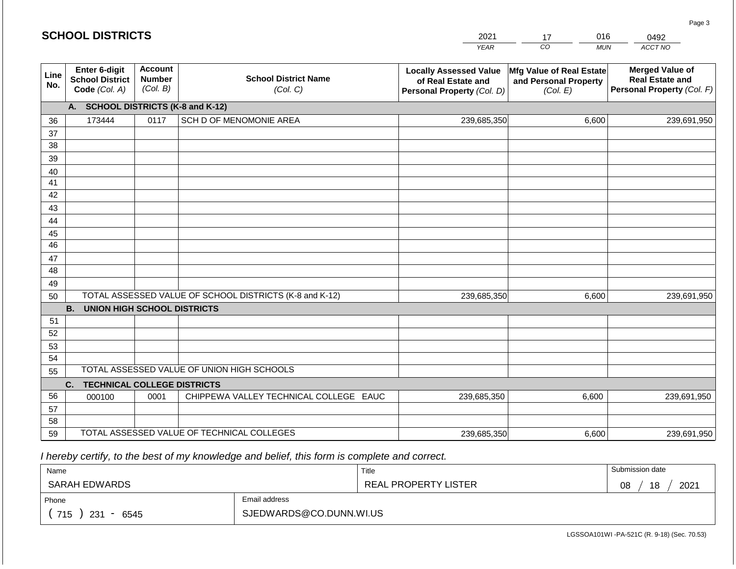#### *YEAR*  2021  $\overline{co}$ 17 *MUN*  016 *ACCT NO*  0492 **Line No. Enter 6-digit School District Code** *(Col. A)* **Account Number** *(Col. B)* **School District Name** *(Col. C)* **Locally Assessed Value of Real Estate and Personal Property** *(Col. D)* **Mfg Value of Real Estate and Personal Property** *(Col. E)* **Merged Value of Real Estate and Personal Property** *(Col. F)* **A. SCHOOL DISTRICTS (K-8 and K-12)** 36 37 38 39 40 41 42 43 44 45 46 47 48 49 50 TOTAL ASSESSED VALUE OF SCHOOL DISTRICTS (K-8 and K-12) **B. UNION HIGH SCHOOL DISTRICTS** 51 52 53 54 55 **C. TECHNICAL COLLEGE DISTRICTS** 56 57 58 59 TOTAL ASSESSED VALUE OF TECHNICAL COLLEGES TOTAL ASSESSED VALUE OF UNION HIGH SCHOOLS 173444 0117 SCH D OF MENOMONIE AREA 239,685,350 239,685,350 000100 | 0001 | CHIPPEWA VALLEY TECHNICAL COLLEGE EAUC 239,685,350 6,600 239,691,950 6,600 239,691,950 6,600 239,691,950 239,685,350 6,600 239,691,950

 *I hereby certify, to the best of my knowledge and belief, this form is complete and correct.*

**SCHOOL DISTRICTS**

| Name               |                         | Title                | Submission date  |
|--------------------|-------------------------|----------------------|------------------|
| SARAH EDWARDS      |                         | REAL PROPERTY LISTER | 2021<br>18<br>08 |
| Phone              | Email address           |                      |                  |
| 715<br>231<br>6545 | SJEDWARDS@CO.DUNN.WI.US |                      |                  |

Page 3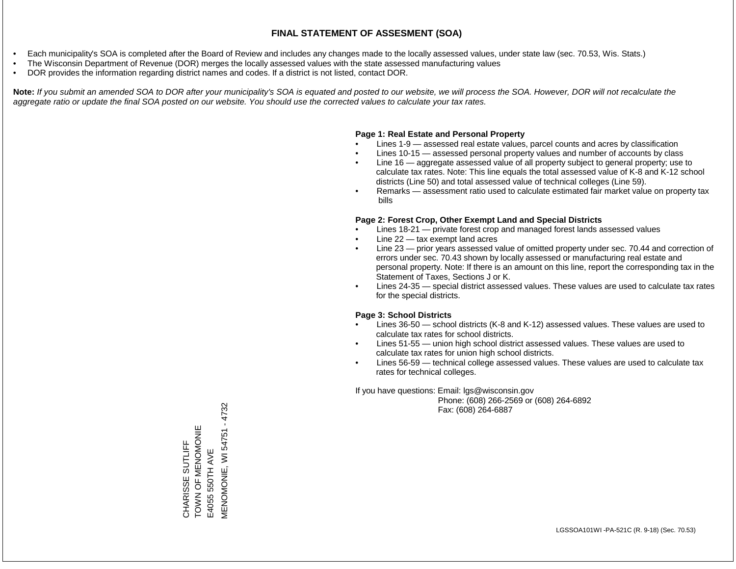- Each municipality's SOA is completed after the Board of Review and includes any changes made to the locally assessed values, under state law (sec. 70.53, Wis. Stats.)
- The Wisconsin Department of Revenue (DOR) merges the locally assessed values with the state assessed manufacturing values
- DOR provides the information regarding district names and codes. If a district is not listed, contact DOR.

Note: If you submit an amended SOA to DOR after your municipality's SOA is equated and posted to our website, we will process the SOA. However, DOR will not recalculate the *aggregate ratio or update the final SOA posted on our website. You should use the corrected values to calculate your tax rates.*

# **Page 1: Real Estate and Personal Property**

- Lines 1-9 assessed real estate values, parcel counts and acres by classification
- Lines 10-15 assessed personal property values and number of accounts by class
- Line 16 aggregate assessed value of all property subject to general property; use to calculate tax rates. Note: This line equals the total assessed value of K-8 and K-12 school districts (Line 50) and total assessed value of technical colleges (Line 59).
- Remarks assessment ratio used to calculate estimated fair market value on property tax bills

# **Page 2: Forest Crop, Other Exempt Land and Special Districts**

- Lines 18-21 private forest crop and managed forest lands assessed values
- Line  $22 -$  tax exempt land acres
- Line 23 prior years assessed value of omitted property under sec. 70.44 and correction of errors under sec. 70.43 shown by locally assessed or manufacturing real estate and personal property. Note: If there is an amount on this line, report the corresponding tax in the Statement of Taxes, Sections J or K.
- Lines 24-35 special district assessed values. These values are used to calculate tax rates for the special districts.

# **Page 3: School Districts**

- Lines 36-50 school districts (K-8 and K-12) assessed values. These values are used to calculate tax rates for school districts.
- Lines 51-55 union high school district assessed values. These values are used to calculate tax rates for union high school districts.
- Lines 56-59 technical college assessed values. These values are used to calculate tax rates for technical colleges.

If you have questions: Email: lgs@wisconsin.gov

 Phone: (608) 266-2569 or (608) 264-6892 Fax: (608) 264-6887

**MENOMONIE, WI 54751 - 4732** MENOMONIE, WI 54751 - 4732CHARISSE SUTLIFF<br>TOWN OF MENOMONIE **TOWONIN AND MENOMONIE** CHARISSE SUTLIFF E4055 550TH AVE E4055 550TH AVE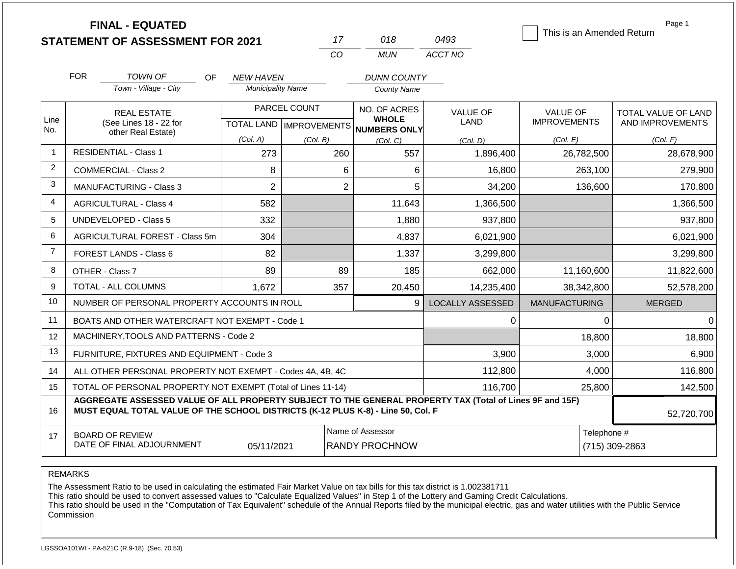|                |                                                                                                                                                                                                            | <b>FINAL - EQUATED</b>                                       |                          |              |                                                      |                         | This is an Amended Return | Page 1              |  |
|----------------|------------------------------------------------------------------------------------------------------------------------------------------------------------------------------------------------------------|--------------------------------------------------------------|--------------------------|--------------|------------------------------------------------------|-------------------------|---------------------------|---------------------|--|
|                |                                                                                                                                                                                                            | <b>STATEMENT OF ASSESSMENT FOR 2021</b>                      |                          | 17           | 018                                                  | 0493                    |                           |                     |  |
|                |                                                                                                                                                                                                            |                                                              |                          | CO           | <b>MUN</b>                                           | ACCT NO                 |                           |                     |  |
|                | <b>FOR</b>                                                                                                                                                                                                 | <b>TOWN OF</b><br>OF.                                        | <b>NEW HAVEN</b>         |              | <b>DUNN COUNTY</b>                                   |                         |                           |                     |  |
|                |                                                                                                                                                                                                            | Town - Village - City                                        | <b>Municipality Name</b> |              | <b>County Name</b>                                   |                         |                           |                     |  |
|                |                                                                                                                                                                                                            | <b>REAL ESTATE</b>                                           |                          | PARCEL COUNT | NO. OF ACRES                                         | <b>VALUE OF</b>         | <b>VALUE OF</b>           | TOTAL VALUE OF LAND |  |
| Line<br>No.    |                                                                                                                                                                                                            | (See Lines 18 - 22 for<br>other Real Estate)                 |                          |              | <b>WHOLE</b><br>TOTAL LAND IMPROVEMENTS NUMBERS ONLY | <b>LAND</b>             | <b>IMPROVEMENTS</b>       | AND IMPROVEMENTS    |  |
|                |                                                                                                                                                                                                            |                                                              | (Col. A)                 | (Col. B)     | (Col, C)                                             | (Col. D)                | (Col. E)                  | (Col. F)            |  |
| $\mathbf{1}$   |                                                                                                                                                                                                            | <b>RESIDENTIAL - Class 1</b>                                 | 273                      | 260          | 557                                                  | 1,896,400               | 26,782,500                | 28,678,900          |  |
| $\overline{2}$ |                                                                                                                                                                                                            | <b>COMMERCIAL - Class 2</b>                                  | 8                        |              | 6<br>6                                               | 16,800                  | 263,100                   | 279,900             |  |
| 3              | <b>MANUFACTURING - Class 3</b>                                                                                                                                                                             |                                                              | $\overline{2}$           |              | $\overline{2}$<br>5                                  | 34,200                  | 136,600                   | 170,800             |  |
| $\overline{4}$ |                                                                                                                                                                                                            | <b>AGRICULTURAL - Class 4</b>                                | 582                      |              | 11,643                                               | 1,366,500               |                           | 1,366,500           |  |
| 5              |                                                                                                                                                                                                            | <b>UNDEVELOPED - Class 5</b>                                 | 332                      |              | 1,880                                                | 937,800                 |                           | 937,800             |  |
| 6              |                                                                                                                                                                                                            | <b>AGRICULTURAL FOREST - Class 5m</b>                        | 304                      |              | 4,837                                                | 6,021,900               |                           | 6,021,900           |  |
| $\overline{7}$ |                                                                                                                                                                                                            | FOREST LANDS - Class 6                                       | 82                       |              | 1,337                                                | 3,299,800               |                           | 3,299,800           |  |
| 8              |                                                                                                                                                                                                            | OTHER - Class 7                                              | 89                       | 89           | 185                                                  | 662,000                 | 11,160,600                | 11,822,600          |  |
| 9              |                                                                                                                                                                                                            | TOTAL - ALL COLUMNS                                          | 1,672                    | 357          | 20,450                                               | 14,235,400              | 38,342,800                | 52,578,200          |  |
| 10             |                                                                                                                                                                                                            | NUMBER OF PERSONAL PROPERTY ACCOUNTS IN ROLL                 |                          |              | 9                                                    | <b>LOCALLY ASSESSED</b> | <b>MANUFACTURING</b>      | <b>MERGED</b>       |  |
| 11             |                                                                                                                                                                                                            | BOATS AND OTHER WATERCRAFT NOT EXEMPT - Code 1               |                          |              |                                                      | 0                       | 0                         | $\Omega$            |  |
| 12             |                                                                                                                                                                                                            | MACHINERY, TOOLS AND PATTERNS - Code 2                       |                          |              |                                                      |                         | 18,800                    | 18,800              |  |
| 13             |                                                                                                                                                                                                            | FURNITURE, FIXTURES AND EQUIPMENT - Code 3                   |                          |              |                                                      | 3,900                   | 3,000                     | 6,900               |  |
| 14             |                                                                                                                                                                                                            | ALL OTHER PERSONAL PROPERTY NOT EXEMPT - Codes 4A, 4B, 4C    |                          |              |                                                      | 112,800                 | 4,000                     | 116,800             |  |
| 15             |                                                                                                                                                                                                            | TOTAL OF PERSONAL PROPERTY NOT EXEMPT (Total of Lines 11-14) |                          |              | 116,700<br>25,800                                    |                         |                           | 142,500             |  |
| 16             | AGGREGATE ASSESSED VALUE OF ALL PROPERTY SUBJECT TO THE GENERAL PROPERTY TAX (Total of Lines 9F and 15F)<br>MUST EQUAL TOTAL VALUE OF THE SCHOOL DISTRICTS (K-12 PLUS K-8) - Line 50, Col. F<br>52,720,700 |                                                              |                          |              |                                                      |                         |                           |                     |  |
| 17             |                                                                                                                                                                                                            | <b>BOARD OF REVIEW</b>                                       |                          |              | Name of Assessor                                     |                         | Telephone #               |                     |  |
|                |                                                                                                                                                                                                            | DATE OF FINAL ADJOURNMENT                                    | 05/11/2021               |              | <b>RANDY PROCHNOW</b>                                |                         | (715) 309-2863            |                     |  |

The Assessment Ratio to be used in calculating the estimated Fair Market Value on tax bills for this tax district is 1.002381711

This ratio should be used to convert assessed values to "Calculate Equalized Values" in Step 1 of the Lottery and Gaming Credit Calculations.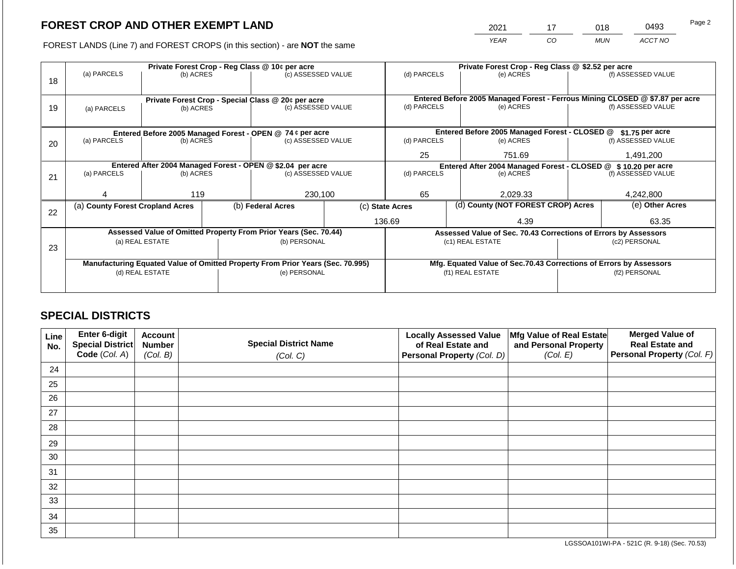2021 17 018 0493

FOREST LANDS (Line 7) and FOREST CROPS (in this section) - are **NOT** the same *YEAR CO MUN ACCT NO*

|    | Private Forest Crop - Reg Class @ 10¢ per acre                                 |           |              |                                                                  |                                                                    | Private Forest Crop - Reg Class @ \$2.52 per acre             |                  |                                                                 |                 |                                                                              |
|----|--------------------------------------------------------------------------------|-----------|--------------|------------------------------------------------------------------|--------------------------------------------------------------------|---------------------------------------------------------------|------------------|-----------------------------------------------------------------|-----------------|------------------------------------------------------------------------------|
|    | (a) PARCELS                                                                    | (b) ACRES |              | (c) ASSESSED VALUE                                               |                                                                    | (d) PARCELS                                                   |                  | (e) ACRES                                                       |                 | (f) ASSESSED VALUE                                                           |
| 18 |                                                                                |           |              |                                                                  |                                                                    |                                                               |                  |                                                                 |                 |                                                                              |
|    |                                                                                |           |              |                                                                  |                                                                    |                                                               |                  |                                                                 |                 |                                                                              |
|    |                                                                                |           |              | Private Forest Crop - Special Class @ 20¢ per acre               |                                                                    |                                                               |                  |                                                                 |                 | Entered Before 2005 Managed Forest - Ferrous Mining CLOSED @ \$7.87 per acre |
| 19 | (a) PARCELS                                                                    | (b) ACRES |              | (c) ASSESSED VALUE                                               |                                                                    | (d) PARCELS                                                   |                  | (e) ACRES                                                       |                 | (f) ASSESSED VALUE                                                           |
|    |                                                                                |           |              |                                                                  |                                                                    |                                                               |                  |                                                                 |                 |                                                                              |
|    |                                                                                |           |              | Entered Before 2005 Managed Forest - OPEN @ 74 ¢ per acre        |                                                                    |                                                               |                  | Entered Before 2005 Managed Forest - CLOSED @                   |                 | \$1.75 per acre                                                              |
| 20 | (a) PARCELS                                                                    | (b) ACRES |              | (c) ASSESSED VALUE                                               |                                                                    | (d) PARCELS                                                   |                  | (e) ACRES                                                       |                 | (f) ASSESSED VALUE                                                           |
|    |                                                                                |           |              |                                                                  |                                                                    |                                                               |                  |                                                                 |                 |                                                                              |
|    |                                                                                |           |              |                                                                  |                                                                    | 25                                                            |                  | 751.69                                                          | 1,491,200       |                                                                              |
|    | Entered After 2004 Managed Forest - OPEN @ \$2.04 per acre                     |           |              |                                                                  |                                                                    | Entered After 2004 Managed Forest - CLOSED @ \$10.20 per acre |                  |                                                                 |                 |                                                                              |
| 21 | (a) PARCELS                                                                    | (b) ACRES |              | (c) ASSESSED VALUE                                               |                                                                    | (d) PARCELS                                                   |                  | (e) ACRES                                                       |                 | (f) ASSESSED VALUE                                                           |
|    |                                                                                |           |              |                                                                  |                                                                    |                                                               |                  |                                                                 |                 |                                                                              |
|    |                                                                                | 119       |              | 230,100                                                          |                                                                    | 65                                                            |                  | 2,029.33                                                        |                 | 4,242,800                                                                    |
|    | (a) County Forest Cropland Acres                                               |           |              | (b) Federal Acres                                                |                                                                    | (d) County (NOT FOREST CROP) Acres<br>(c) State Acres         |                  |                                                                 | (e) Other Acres |                                                                              |
| 22 |                                                                                |           |              |                                                                  |                                                                    |                                                               |                  |                                                                 |                 |                                                                              |
|    |                                                                                |           |              |                                                                  |                                                                    | 136.69<br>4.39                                                |                  |                                                                 | 63.35           |                                                                              |
|    |                                                                                |           |              | Assessed Value of Omitted Property From Prior Years (Sec. 70.44) |                                                                    |                                                               |                  | Assessed Value of Sec. 70.43 Corrections of Errors by Assessors |                 |                                                                              |
|    | (a) REAL ESTATE                                                                |           |              | (b) PERSONAL                                                     |                                                                    | (c1) REAL ESTATE                                              |                  |                                                                 |                 | (c2) PERSONAL                                                                |
| 23 |                                                                                |           |              |                                                                  |                                                                    |                                                               |                  |                                                                 |                 |                                                                              |
|    | Manufacturing Equated Value of Omitted Property From Prior Years (Sec. 70.995) |           |              |                                                                  | Mfg. Equated Value of Sec.70.43 Corrections of Errors by Assessors |                                                               |                  |                                                                 |                 |                                                                              |
|    | (d) REAL ESTATE                                                                |           | (e) PERSONAL |                                                                  |                                                                    |                                                               | (f1) REAL ESTATE |                                                                 | (f2) PERSONAL   |                                                                              |
|    |                                                                                |           |              |                                                                  |                                                                    |                                                               |                  |                                                                 |                 |                                                                              |
|    |                                                                                |           |              |                                                                  |                                                                    |                                                               |                  |                                                                 |                 |                                                                              |

# **SPECIAL DISTRICTS**

| Line<br>No. | Enter 6-digit<br>Special District<br>Code (Col. A) | <b>Account</b><br><b>Number</b><br>(Col. B) | <b>Special District Name</b><br>(Col. C) | <b>Locally Assessed Value</b><br>of Real Estate and<br><b>Personal Property (Col. D)</b> | Mfg Value of Real Estate<br>and Personal Property<br>(Col. E) | <b>Merged Value of</b><br><b>Real Estate and</b><br>Personal Property (Col. F) |
|-------------|----------------------------------------------------|---------------------------------------------|------------------------------------------|------------------------------------------------------------------------------------------|---------------------------------------------------------------|--------------------------------------------------------------------------------|
| 24          |                                                    |                                             |                                          |                                                                                          |                                                               |                                                                                |
| 25          |                                                    |                                             |                                          |                                                                                          |                                                               |                                                                                |
| 26          |                                                    |                                             |                                          |                                                                                          |                                                               |                                                                                |
| 27          |                                                    |                                             |                                          |                                                                                          |                                                               |                                                                                |
| 28          |                                                    |                                             |                                          |                                                                                          |                                                               |                                                                                |
| 29          |                                                    |                                             |                                          |                                                                                          |                                                               |                                                                                |
| 30          |                                                    |                                             |                                          |                                                                                          |                                                               |                                                                                |
| 31          |                                                    |                                             |                                          |                                                                                          |                                                               |                                                                                |
| 32          |                                                    |                                             |                                          |                                                                                          |                                                               |                                                                                |
| 33          |                                                    |                                             |                                          |                                                                                          |                                                               |                                                                                |
| 34          |                                                    |                                             |                                          |                                                                                          |                                                               |                                                                                |
| 35          |                                                    |                                             |                                          |                                                                                          |                                                               |                                                                                |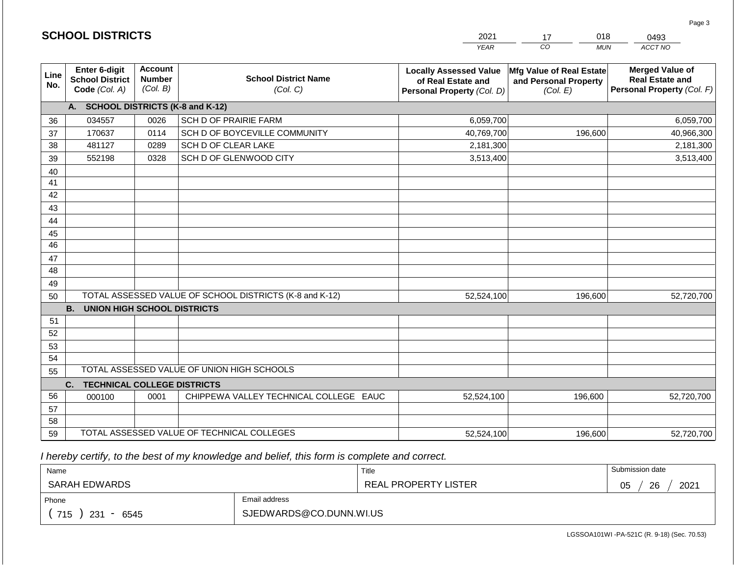|                 |                                                          |                                             |                                                         | <b>YEAR</b>                                                                       | CO<br><b>MUN</b>                                                     | ACCT NO                                                                        |  |  |  |
|-----------------|----------------------------------------------------------|---------------------------------------------|---------------------------------------------------------|-----------------------------------------------------------------------------------|----------------------------------------------------------------------|--------------------------------------------------------------------------------|--|--|--|
| Line<br>No.     | Enter 6-digit<br><b>School District</b><br>Code (Col. A) | <b>Account</b><br><b>Number</b><br>(Col. B) | <b>School District Name</b><br>(Col. C)                 | <b>Locally Assessed Value</b><br>of Real Estate and<br>Personal Property (Col. D) | <b>Mfg Value of Real Estate</b><br>and Personal Property<br>(Col. E) | <b>Merged Value of</b><br><b>Real Estate and</b><br>Personal Property (Col. F) |  |  |  |
|                 | <b>SCHOOL DISTRICTS (K-8 and K-12)</b><br>A.             |                                             |                                                         |                                                                                   |                                                                      |                                                                                |  |  |  |
| 36              | 034557                                                   | 0026                                        | SCH D OF PRAIRIE FARM                                   | 6,059,700                                                                         |                                                                      | 6,059,700                                                                      |  |  |  |
| 37              | 170637                                                   | 0114                                        | SCH D OF BOYCEVILLE COMMUNITY                           | 40,769,700                                                                        | 196,600                                                              | 40,966,300                                                                     |  |  |  |
| 38              | 481127                                                   | 0289                                        | SCH D OF CLEAR LAKE                                     | 2,181,300                                                                         |                                                                      | 2,181,300                                                                      |  |  |  |
| 39              | 552198                                                   | 0328                                        | SCH D OF GLENWOOD CITY                                  | 3,513,400                                                                         |                                                                      | 3,513,400                                                                      |  |  |  |
| 40              |                                                          |                                             |                                                         |                                                                                   |                                                                      |                                                                                |  |  |  |
| 41              |                                                          |                                             |                                                         |                                                                                   |                                                                      |                                                                                |  |  |  |
| 42              |                                                          |                                             |                                                         |                                                                                   |                                                                      |                                                                                |  |  |  |
| 43              |                                                          |                                             |                                                         |                                                                                   |                                                                      |                                                                                |  |  |  |
| 44              |                                                          |                                             |                                                         |                                                                                   |                                                                      |                                                                                |  |  |  |
| 45              |                                                          |                                             |                                                         |                                                                                   |                                                                      |                                                                                |  |  |  |
| $\overline{46}$ |                                                          |                                             |                                                         |                                                                                   |                                                                      |                                                                                |  |  |  |
| 47              |                                                          |                                             |                                                         |                                                                                   |                                                                      |                                                                                |  |  |  |
| 48              |                                                          |                                             |                                                         |                                                                                   |                                                                      |                                                                                |  |  |  |
| 49              |                                                          |                                             |                                                         |                                                                                   |                                                                      |                                                                                |  |  |  |
| 50              |                                                          |                                             | TOTAL ASSESSED VALUE OF SCHOOL DISTRICTS (K-8 and K-12) | 52,524,100                                                                        | 196,600                                                              | 52,720,700                                                                     |  |  |  |
|                 | <b>B.</b><br><b>UNION HIGH SCHOOL DISTRICTS</b>          |                                             |                                                         |                                                                                   |                                                                      |                                                                                |  |  |  |
| 51              |                                                          |                                             |                                                         |                                                                                   |                                                                      |                                                                                |  |  |  |
| 52              |                                                          |                                             |                                                         |                                                                                   |                                                                      |                                                                                |  |  |  |
| 53              |                                                          |                                             |                                                         |                                                                                   |                                                                      |                                                                                |  |  |  |
| 54              |                                                          |                                             |                                                         |                                                                                   |                                                                      |                                                                                |  |  |  |
|                 | TOTAL ASSESSED VALUE OF UNION HIGH SCHOOLS<br>55         |                                             |                                                         |                                                                                   |                                                                      |                                                                                |  |  |  |
|                 | <b>TECHNICAL COLLEGE DISTRICTS</b><br>C.                 |                                             |                                                         |                                                                                   |                                                                      |                                                                                |  |  |  |
| 56              | 000100                                                   | 0001                                        | CHIPPEWA VALLEY TECHNICAL COLLEGE EAUC                  | 52,524,100                                                                        | 196,600                                                              | 52,720,700                                                                     |  |  |  |
| 57              |                                                          |                                             |                                                         |                                                                                   |                                                                      |                                                                                |  |  |  |
| 58              |                                                          |                                             |                                                         |                                                                                   |                                                                      |                                                                                |  |  |  |
| 59              |                                                          |                                             | TOTAL ASSESSED VALUE OF TECHNICAL COLLEGES              | 52,524,100                                                                        | 196,600                                                              | 52,720,700                                                                     |  |  |  |

2021

17

018

 *I hereby certify, to the best of my knowledge and belief, this form is complete and correct.*

**SCHOOL DISTRICTS**

| Name                   |                         | Title                | Submission date       |
|------------------------|-------------------------|----------------------|-----------------------|
| SARAH EDWARDS          |                         | REAL PROPERTY LISTER | 2021<br>26<br>∩ҕ<br>◡ |
| Email address<br>Phone |                         |                      |                       |
| 715<br>231<br>6545     | SJEDWARDS@CO.DUNN.WI.US |                      |                       |

0493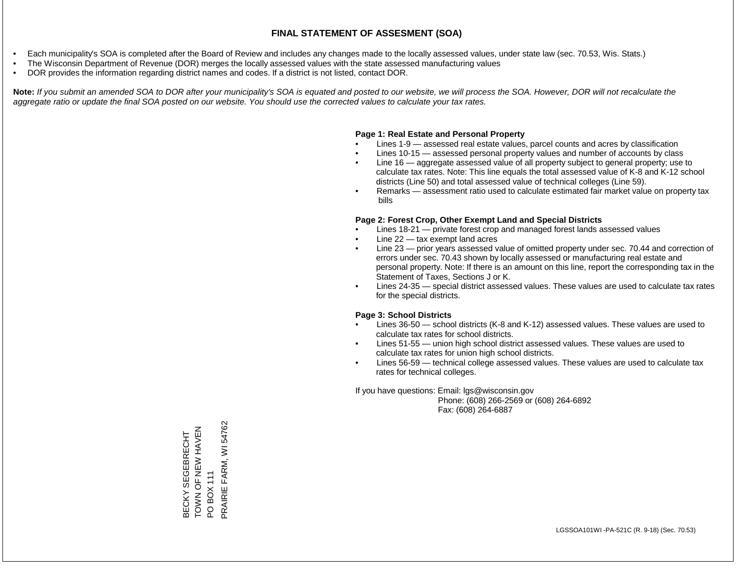- Each municipality's SOA is completed after the Board of Review and includes any changes made to the locally assessed values, under state law (sec. 70.53, Wis. Stats.)
- The Wisconsin Department of Revenue (DOR) merges the locally assessed values with the state assessed manufacturing values
- DOR provides the information regarding district names and codes. If a district is not listed, contact DOR.

Note: If you submit an amended SOA to DOR after your municipality's SOA is equated and posted to our website, we will process the SOA. However, DOR will not recalculate the *aggregate ratio or update the final SOA posted on our website. You should use the corrected values to calculate your tax rates.*

#### **Page 1: Real Estate and Personal Property**

- Lines 1-9 assessed real estate values, parcel counts and acres by classification
- Lines 10-15 assessed personal property values and number of accounts by class
- Line 16 aggregate assessed value of all property subject to general property; use to calculate tax rates. Note: This line equals the total assessed value of K-8 and K-12 school districts (Line 50) and total assessed value of technical colleges (Line 59).
- Remarks assessment ratio used to calculate estimated fair market value on property tax bills

#### **Page 2: Forest Crop, Other Exempt Land and Special Districts**

- Lines 18-21 private forest crop and managed forest lands assessed values
- Line  $22 -$  tax exempt land acres
- Line 23 prior years assessed value of omitted property under sec. 70.44 and correction of errors under sec. 70.43 shown by locally assessed or manufacturing real estate and personal property. Note: If there is an amount on this line, report the corresponding tax in the Statement of Taxes, Sections J or K.
- Lines 24-35 special district assessed values. These values are used to calculate tax rates for the special districts.

#### **Page 3: School Districts**

- Lines 36-50 school districts (K-8 and K-12) assessed values. These values are used to calculate tax rates for school districts.
- Lines 51-55 union high school district assessed values. These values are used to calculate tax rates for union high school districts.
- Lines 56-59 technical college assessed values. These values are used to calculate tax rates for technical colleges.

If you have questions: Email: lgs@wisconsin.gov

 Phone: (608) 266-2569 or (608) 264-6892 Fax: (608) 264-6887

BECKY SEGEBRECHT NAVAH NAMA AO NANOH BECKY SEGEBRECHT<br>TOWN OF NEW HAVEN<br>PO BOX 111<br>PRAIRIE FARM, WI 54762 PRAIRIE FARM, WI 54762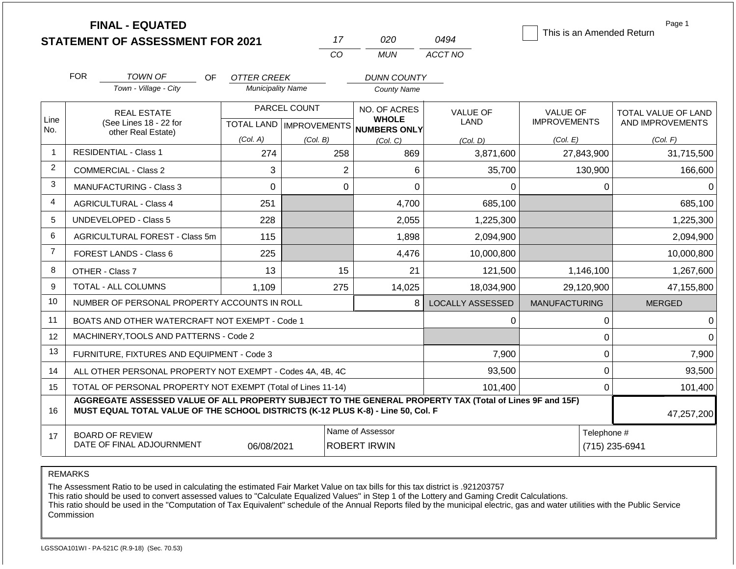|                |            | <b>FINAL - EQUATED</b><br><b>STATEMENT OF ASSESSMENT FOR 2021</b>                                                                                                                            |                                                |                                           | 17             | 020                                                 | 0494                           | This is an Amended Return              |              | Page 1                                  |
|----------------|------------|----------------------------------------------------------------------------------------------------------------------------------------------------------------------------------------------|------------------------------------------------|-------------------------------------------|----------------|-----------------------------------------------------|--------------------------------|----------------------------------------|--------------|-----------------------------------------|
|                |            |                                                                                                                                                                                              |                                                | CO                                        |                | <b>MUN</b>                                          | ACCT NO                        |                                        |              |                                         |
|                | <b>FOR</b> | TOWN OF                                                                                                                                                                                      |                                                |                                           |                |                                                     |                                |                                        |              |                                         |
|                |            | OF.<br>Town - Village - City                                                                                                                                                                 | <b>OTTER CREEK</b><br><b>Municipality Name</b> |                                           |                | <b>DUNN COUNTY</b><br>County Name                   |                                |                                        |              |                                         |
| Line<br>No.    |            | <b>REAL ESTATE</b><br>(See Lines 18 - 22 for                                                                                                                                                 |                                                | PARCEL COUNT<br>TOTAL LAND   IMPROVEMENTS |                | NO. OF ACRES<br><b>WHOLE</b><br><b>NUMBERS ONLY</b> | <b>VALUE OF</b><br><b>LAND</b> | <b>VALUE OF</b><br><b>IMPROVEMENTS</b> |              | TOTAL VALUE OF LAND<br>AND IMPROVEMENTS |
|                |            | other Real Estate)                                                                                                                                                                           | (Col. A)                                       | (Col. B)                                  |                | (Col, C)                                            | (Col. D)                       | (Col. E)                               |              | (Col. F)                                |
| $\overline{1}$ |            | <b>RESIDENTIAL - Class 1</b>                                                                                                                                                                 | 274                                            |                                           | 258            | 869                                                 | 3,871,600                      | 27,843,900                             |              | 31,715,500                              |
| 2              |            | <b>COMMERCIAL - Class 2</b>                                                                                                                                                                  | 3                                              |                                           | $\overline{2}$ | 6                                                   | 35,700                         | 130,900                                |              | 166,600                                 |
| 3              |            | <b>MANUFACTURING - Class 3</b>                                                                                                                                                               | 0                                              |                                           | $\mathbf 0$    | $\Omega$                                            | 0                              |                                        | 0            | $\Omega$                                |
| 4              |            | <b>AGRICULTURAL - Class 4</b>                                                                                                                                                                | 251                                            |                                           |                | 4,700                                               | 685,100                        |                                        |              | 685,100                                 |
| 5              |            | <b>UNDEVELOPED - Class 5</b>                                                                                                                                                                 | 228                                            |                                           |                | 2,055                                               | 1,225,300                      |                                        |              | 1,225,300                               |
| 6              |            | AGRICULTURAL FOREST - Class 5m                                                                                                                                                               | 115                                            |                                           |                | 1,898                                               | 2,094,900                      |                                        |              | 2,094,900                               |
| $\overline{7}$ |            | <b>FOREST LANDS - Class 6</b>                                                                                                                                                                | 225                                            |                                           |                | 4,476                                               | 10,000,800                     |                                        |              | 10,000,800                              |
| 8              |            | OTHER - Class 7                                                                                                                                                                              | 13                                             |                                           | 15             | 21                                                  | 121,500                        | 1,146,100                              |              | 1,267,600                               |
| 9              |            | <b>TOTAL - ALL COLUMNS</b>                                                                                                                                                                   | 1,109                                          |                                           | 275            | 14,025                                              | 18,034,900                     | 29,120,900                             |              | 47,155,800                              |
| 10             |            | NUMBER OF PERSONAL PROPERTY ACCOUNTS IN ROLL                                                                                                                                                 |                                                |                                           |                | 8                                                   | <b>LOCALLY ASSESSED</b>        | <b>MANUFACTURING</b>                   |              | <b>MERGED</b>                           |
| 11             |            | BOATS AND OTHER WATERCRAFT NOT EXEMPT - Code 1                                                                                                                                               |                                                |                                           |                |                                                     | $\Omega$                       |                                        | 0            | $\Omega$                                |
| 12             |            | MACHINERY, TOOLS AND PATTERNS - Code 2                                                                                                                                                       |                                                |                                           |                |                                                     |                                |                                        | $\mathbf{0}$ | $\Omega$                                |
| 13             |            | FURNITURE, FIXTURES AND EQUIPMENT - Code 3                                                                                                                                                   |                                                |                                           |                |                                                     | 7,900                          |                                        | $\mathbf 0$  | 7,900                                   |
| 14             |            | ALL OTHER PERSONAL PROPERTY NOT EXEMPT - Codes 4A, 4B, 4C                                                                                                                                    |                                                |                                           |                |                                                     | 93,500                         |                                        | $\mathbf 0$  | 93,500                                  |
| 15             |            | TOTAL OF PERSONAL PROPERTY NOT EXEMPT (Total of Lines 11-14)                                                                                                                                 |                                                |                                           |                |                                                     | 101,400                        |                                        | $\mathbf 0$  | 101,400                                 |
| 16             |            | AGGREGATE ASSESSED VALUE OF ALL PROPERTY SUBJECT TO THE GENERAL PROPERTY TAX (Total of Lines 9F and 15F)<br>MUST EQUAL TOTAL VALUE OF THE SCHOOL DISTRICTS (K-12 PLUS K-8) - Line 50, Col. F |                                                |                                           |                |                                                     |                                |                                        |              | 47,257,200                              |
| 17             |            | Name of Assessor<br>Telephone #<br><b>BOARD OF REVIEW</b><br>DATE OF FINAL ADJOURNMENT<br><b>ROBERT IRWIN</b><br>06/08/2021<br>(715) 235-6941                                                |                                                |                                           |                |                                                     |                                |                                        |              |                                         |

The Assessment Ratio to be used in calculating the estimated Fair Market Value on tax bills for this tax district is .921203757

This ratio should be used to convert assessed values to "Calculate Equalized Values" in Step 1 of the Lottery and Gaming Credit Calculations.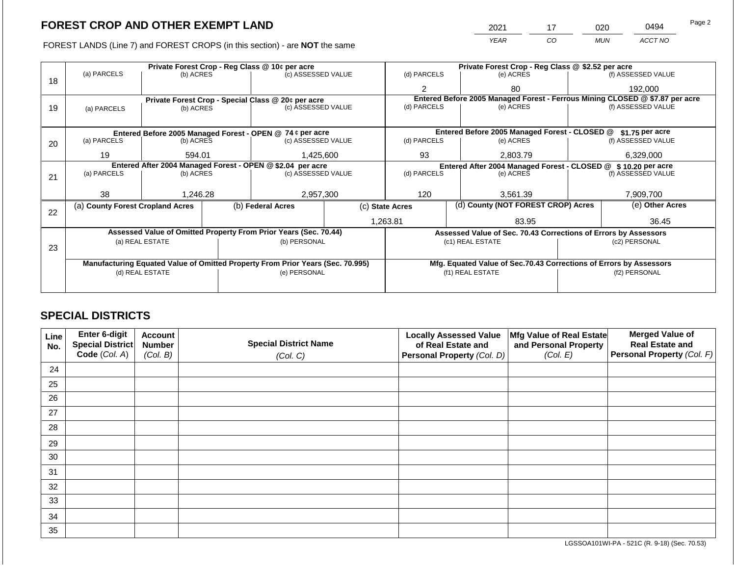FOREST LANDS (Line 7) and FOREST CROPS (in this section) - are **NOT** the same

| 2021 | 17 | 020        | 0494    | Page 2 |
|------|----|------------|---------|--------|
| YFAR | CO | <b>MUN</b> | ACCT NO |        |

|    |                                  |                 |  | Private Forest Crop - Reg Class @ 10¢ per acre                                 |           | Private Forest Crop - Reg Class @ \$2.52 per acre |                                                                    |                                                                              |                                                                |  |
|----|----------------------------------|-----------------|--|--------------------------------------------------------------------------------|-----------|---------------------------------------------------|--------------------------------------------------------------------|------------------------------------------------------------------------------|----------------------------------------------------------------|--|
| 18 | (a) PARCELS                      | (b) ACRES       |  | (c) ASSESSED VALUE                                                             |           | (d) PARCELS                                       | (e) ACRES                                                          |                                                                              | (f) ASSESSED VALUE                                             |  |
|    |                                  |                 |  |                                                                                |           | $\overline{2}$                                    | 80                                                                 |                                                                              | 192,000                                                        |  |
|    |                                  |                 |  | Private Forest Crop - Special Class @ 20¢ per acre                             |           |                                                   |                                                                    | Entered Before 2005 Managed Forest - Ferrous Mining CLOSED @ \$7.87 per acre |                                                                |  |
| 19 | (a) PARCELS                      | (b) ACRES       |  | (c) ASSESSED VALUE                                                             |           | (d) PARCELS                                       | (e) ACRES                                                          |                                                                              | (f) ASSESSED VALUE                                             |  |
|    |                                  |                 |  |                                                                                |           |                                                   |                                                                    |                                                                              |                                                                |  |
|    |                                  |                 |  | Entered Before 2005 Managed Forest - OPEN @ 74 ¢ per acre                      |           |                                                   | Entered Before 2005 Managed Forest - CLOSED @                      |                                                                              | $$1.75$ per acre                                               |  |
| 20 | (a) PARCELS                      | (b) ACRES       |  | (c) ASSESSED VALUE                                                             |           | (d) PARCELS                                       | (e) ACRES                                                          |                                                                              | (f) ASSESSED VALUE                                             |  |
|    |                                  |                 |  |                                                                                |           |                                                   |                                                                    |                                                                              |                                                                |  |
|    | 19<br>594.01                     |                 |  | 1,425,600                                                                      |           | 93                                                | 2,803.79                                                           |                                                                              | 6,329,000                                                      |  |
|    |                                  |                 |  | Entered After 2004 Managed Forest - OPEN @ \$2.04 per acre                     |           |                                                   |                                                                    |                                                                              | Entered After 2004 Managed Forest - CLOSED @ \$ 10.20 per acre |  |
| 21 | (a) PARCELS                      | (b) ACRES       |  | (c) ASSESSED VALUE                                                             |           | (d) PARCELS                                       | (e) ACRES                                                          |                                                                              | (f) ASSESSED VALUE                                             |  |
|    |                                  |                 |  |                                                                                |           |                                                   |                                                                    |                                                                              |                                                                |  |
|    | 38                               | 1,246.28        |  |                                                                                | 2,957,300 |                                                   | 3,561.39                                                           |                                                                              | 7,909,700                                                      |  |
|    | (a) County Forest Cropland Acres |                 |  | (b) Federal Acres                                                              |           | (c) State Acres                                   | (d) County (NOT FOREST CROP) Acres                                 |                                                                              | (e) Other Acres                                                |  |
| 22 |                                  |                 |  |                                                                                |           |                                                   |                                                                    |                                                                              |                                                                |  |
|    |                                  |                 |  |                                                                                |           | 1,263.81                                          | 83.95                                                              |                                                                              | 36.45                                                          |  |
|    |                                  |                 |  | Assessed Value of Omitted Property From Prior Years (Sec. 70.44)               |           |                                                   | Assessed Value of Sec. 70.43 Corrections of Errors by Assessors    |                                                                              |                                                                |  |
|    |                                  | (a) REAL ESTATE |  | (b) PERSONAL                                                                   |           |                                                   | (c1) REAL ESTATE                                                   | (c2) PERSONAL                                                                |                                                                |  |
| 23 |                                  |                 |  |                                                                                |           |                                                   |                                                                    |                                                                              |                                                                |  |
|    |                                  |                 |  |                                                                                |           |                                                   |                                                                    |                                                                              |                                                                |  |
|    |                                  |                 |  | Manufacturing Equated Value of Omitted Property From Prior Years (Sec. 70.995) |           |                                                   | Mfg. Equated Value of Sec.70.43 Corrections of Errors by Assessors |                                                                              |                                                                |  |
|    |                                  | (d) REAL ESTATE |  | (e) PERSONAL                                                                   |           |                                                   | (f1) REAL ESTATE                                                   |                                                                              | (f2) PERSONAL                                                  |  |
|    |                                  |                 |  |                                                                                |           |                                                   |                                                                    |                                                                              |                                                                |  |
|    |                                  |                 |  |                                                                                |           |                                                   |                                                                    |                                                                              |                                                                |  |

# **SPECIAL DISTRICTS**

| Line<br>No. | Enter 6-digit<br>Special District<br>Code (Col. A) | <b>Account</b><br><b>Number</b><br>(Col. B) | <b>Special District Name</b><br>(Col. C) | <b>Locally Assessed Value</b><br>of Real Estate and<br>Personal Property (Col. D) | Mfg Value of Real Estate<br>and Personal Property<br>(Col. E) | <b>Merged Value of</b><br><b>Real Estate and</b><br>Personal Property (Col. F) |
|-------------|----------------------------------------------------|---------------------------------------------|------------------------------------------|-----------------------------------------------------------------------------------|---------------------------------------------------------------|--------------------------------------------------------------------------------|
| 24          |                                                    |                                             |                                          |                                                                                   |                                                               |                                                                                |
| 25          |                                                    |                                             |                                          |                                                                                   |                                                               |                                                                                |
| 26          |                                                    |                                             |                                          |                                                                                   |                                                               |                                                                                |
| 27          |                                                    |                                             |                                          |                                                                                   |                                                               |                                                                                |
| 28          |                                                    |                                             |                                          |                                                                                   |                                                               |                                                                                |
| 29          |                                                    |                                             |                                          |                                                                                   |                                                               |                                                                                |
| 30          |                                                    |                                             |                                          |                                                                                   |                                                               |                                                                                |
| 31          |                                                    |                                             |                                          |                                                                                   |                                                               |                                                                                |
| 32          |                                                    |                                             |                                          |                                                                                   |                                                               |                                                                                |
| 33          |                                                    |                                             |                                          |                                                                                   |                                                               |                                                                                |
| 34          |                                                    |                                             |                                          |                                                                                   |                                                               |                                                                                |
| 35          |                                                    |                                             |                                          |                                                                                   |                                                               |                                                                                |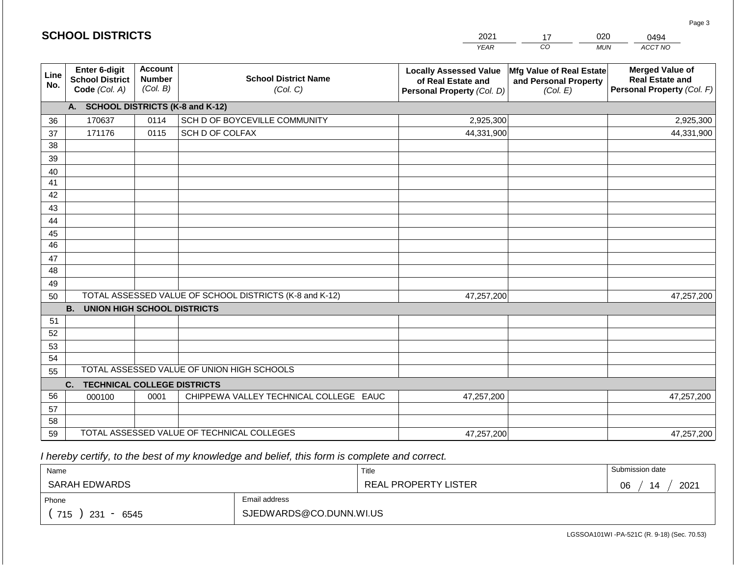|             |                                                          |                                             |                                                         | <b>YEAR</b>                                                                       | CO<br><b>MUN</b>                                              | ACCT NO                                                                        |
|-------------|----------------------------------------------------------|---------------------------------------------|---------------------------------------------------------|-----------------------------------------------------------------------------------|---------------------------------------------------------------|--------------------------------------------------------------------------------|
| Line<br>No. | Enter 6-digit<br><b>School District</b><br>Code (Col. A) | <b>Account</b><br><b>Number</b><br>(Col. B) | <b>School District Name</b><br>(Col. C)                 | <b>Locally Assessed Value</b><br>of Real Estate and<br>Personal Property (Col. D) | Mfg Value of Real Estate<br>and Personal Property<br>(Col. E) | <b>Merged Value of</b><br><b>Real Estate and</b><br>Personal Property (Col. F) |
|             | A. SCHOOL DISTRICTS (K-8 and K-12)                       |                                             |                                                         |                                                                                   |                                                               |                                                                                |
| 36          | 170637                                                   | 0114                                        | SCH D OF BOYCEVILLE COMMUNITY                           | 2,925,300                                                                         |                                                               | 2,925,300                                                                      |
| 37          | 171176                                                   | 0115                                        | SCH D OF COLFAX                                         | 44,331,900                                                                        |                                                               | 44,331,900                                                                     |
| 38          |                                                          |                                             |                                                         |                                                                                   |                                                               |                                                                                |
| 39          |                                                          |                                             |                                                         |                                                                                   |                                                               |                                                                                |
| 40          |                                                          |                                             |                                                         |                                                                                   |                                                               |                                                                                |
| 41          |                                                          |                                             |                                                         |                                                                                   |                                                               |                                                                                |
| 42          |                                                          |                                             |                                                         |                                                                                   |                                                               |                                                                                |
| 43          |                                                          |                                             |                                                         |                                                                                   |                                                               |                                                                                |
| 44          |                                                          |                                             |                                                         |                                                                                   |                                                               |                                                                                |
| 45          |                                                          |                                             |                                                         |                                                                                   |                                                               |                                                                                |
| 46          |                                                          |                                             |                                                         |                                                                                   |                                                               |                                                                                |
| 47<br>48    |                                                          |                                             |                                                         |                                                                                   |                                                               |                                                                                |
|             |                                                          |                                             |                                                         |                                                                                   |                                                               |                                                                                |
| 49<br>50    |                                                          |                                             | TOTAL ASSESSED VALUE OF SCHOOL DISTRICTS (K-8 and K-12) | 47,257,200                                                                        |                                                               | 47,257,200                                                                     |
|             | <b>UNION HIGH SCHOOL DISTRICTS</b><br><b>B.</b>          |                                             |                                                         |                                                                                   |                                                               |                                                                                |
| 51          |                                                          |                                             |                                                         |                                                                                   |                                                               |                                                                                |
| 52          |                                                          |                                             |                                                         |                                                                                   |                                                               |                                                                                |
| 53          |                                                          |                                             |                                                         |                                                                                   |                                                               |                                                                                |
| 54          |                                                          |                                             |                                                         |                                                                                   |                                                               |                                                                                |
| 55          |                                                          |                                             | TOTAL ASSESSED VALUE OF UNION HIGH SCHOOLS              |                                                                                   |                                                               |                                                                                |
|             | C.<br><b>TECHNICAL COLLEGE DISTRICTS</b>                 |                                             |                                                         |                                                                                   |                                                               |                                                                                |
| 56          | 000100                                                   | 0001                                        | CHIPPEWA VALLEY TECHNICAL COLLEGE EAUC                  | 47,257,200                                                                        |                                                               | 47,257,200                                                                     |
| 57          |                                                          |                                             |                                                         |                                                                                   |                                                               |                                                                                |
| 58          |                                                          |                                             |                                                         |                                                                                   |                                                               |                                                                                |
| 59          |                                                          |                                             | TOTAL ASSESSED VALUE OF TECHNICAL COLLEGES              | 47,257,200                                                                        |                                                               | 47,257,200                                                                     |

2021

17

020

 *I hereby certify, to the best of my knowledge and belief, this form is complete and correct.*

**SCHOOL DISTRICTS**

| Name               |                         | Title                | Submission date  |
|--------------------|-------------------------|----------------------|------------------|
| SARAH EDWARDS      |                         | REAL PROPERTY LISTER | 2021<br>06<br>14 |
| Phone              | Email address           |                      |                  |
| 715<br>231<br>6545 | SJEDWARDS@CO.DUNN.WI.US |                      |                  |

0494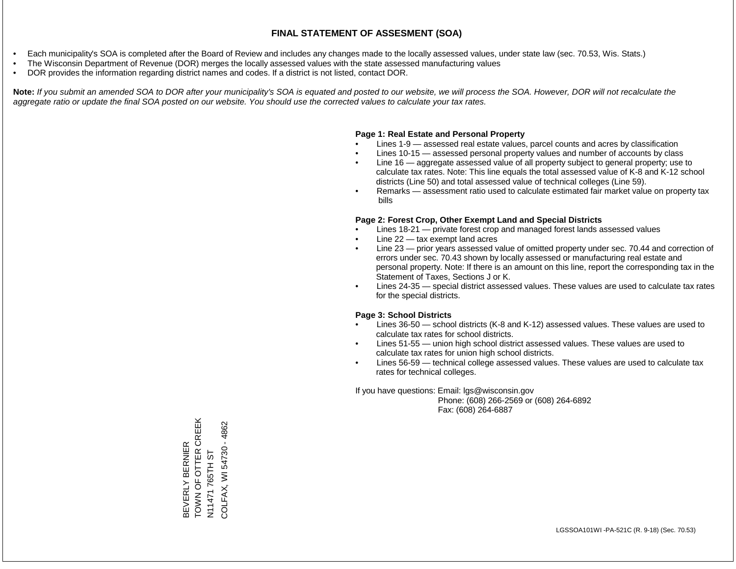- Each municipality's SOA is completed after the Board of Review and includes any changes made to the locally assessed values, under state law (sec. 70.53, Wis. Stats.)
- The Wisconsin Department of Revenue (DOR) merges the locally assessed values with the state assessed manufacturing values
- DOR provides the information regarding district names and codes. If a district is not listed, contact DOR.

Note: If you submit an amended SOA to DOR after your municipality's SOA is equated and posted to our website, we will process the SOA. However, DOR will not recalculate the *aggregate ratio or update the final SOA posted on our website. You should use the corrected values to calculate your tax rates.*

## **Page 1: Real Estate and Personal Property**

- Lines 1-9 assessed real estate values, parcel counts and acres by classification
- Lines 10-15 assessed personal property values and number of accounts by class
- Line 16 aggregate assessed value of all property subject to general property; use to calculate tax rates. Note: This line equals the total assessed value of K-8 and K-12 school districts (Line 50) and total assessed value of technical colleges (Line 59).
- Remarks assessment ratio used to calculate estimated fair market value on property tax bills

### **Page 2: Forest Crop, Other Exempt Land and Special Districts**

- Lines 18-21 private forest crop and managed forest lands assessed values
- Line  $22 -$  tax exempt land acres
- Line 23 prior years assessed value of omitted property under sec. 70.44 and correction of errors under sec. 70.43 shown by locally assessed or manufacturing real estate and personal property. Note: If there is an amount on this line, report the corresponding tax in the Statement of Taxes, Sections J or K.
- Lines 24-35 special district assessed values. These values are used to calculate tax rates for the special districts.

### **Page 3: School Districts**

- Lines 36-50 school districts (K-8 and K-12) assessed values. These values are used to calculate tax rates for school districts.
- Lines 51-55 union high school district assessed values. These values are used to calculate tax rates for union high school districts.
- Lines 56-59 technical college assessed values. These values are used to calculate tax rates for technical colleges.

If you have questions: Email: lgs@wisconsin.gov

 Phone: (608) 266-2569 or (608) 264-6892 Fax: (608) 264-6887

TOWN OF OTTER CREEK BEVERLY BERNIER<br>TOWN OF OTTER CREEK  $-4862$ COLFAX, WI 54730 - 4862BEVERLY BERNIER **COLFAX, WI54730** 57 N11471 765TH ST N11471 765TH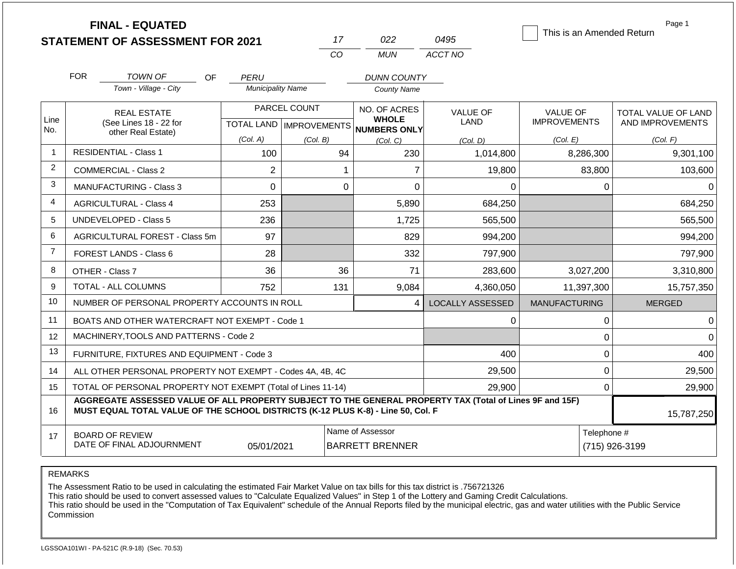|                | <b>FINAL - EQUATED</b>                                                                                                                                                                       |     |                          |              |             |                                                 |                         | This is an Amended Return              |             | Page 1                                         |
|----------------|----------------------------------------------------------------------------------------------------------------------------------------------------------------------------------------------|-----|--------------------------|--------------|-------------|-------------------------------------------------|-------------------------|----------------------------------------|-------------|------------------------------------------------|
|                | <b>STATEMENT OF ASSESSMENT FOR 2021</b>                                                                                                                                                      |     |                          |              | 17          | 022                                             | 0495                    |                                        |             |                                                |
|                |                                                                                                                                                                                              |     |                          |              | CO          | <b>MUN</b>                                      | ACCT NO                 |                                        |             |                                                |
|                | <b>FOR</b><br><b>TOWN OF</b>                                                                                                                                                                 | OF. | <b>PERU</b>              |              |             | <b>DUNN COUNTY</b>                              |                         |                                        |             |                                                |
|                | Town - Village - City                                                                                                                                                                        |     | <b>Municipality Name</b> |              |             | <b>County Name</b>                              |                         |                                        |             |                                                |
| Line           | <b>REAL ESTATE</b><br>(See Lines 18 - 22 for                                                                                                                                                 |     |                          | PARCEL COUNT |             | NO. OF ACRES<br><b>WHOLE</b>                    | <b>VALUE OF</b><br>LAND | <b>VALUE OF</b><br><b>IMPROVEMENTS</b> |             | <b>TOTAL VALUE OF LAND</b><br>AND IMPROVEMENTS |
| No.            | other Real Estate)                                                                                                                                                                           |     | (Col. A)                 | (Col. B)     |             | TOTAL LAND MPROVEMENTS NUMBERS ONLY<br>(Col. C) | (Col, D)                | (Col. E)                               |             | (Col. F)                                       |
| $\overline{1}$ | <b>RESIDENTIAL - Class 1</b>                                                                                                                                                                 |     | 100                      |              | 94          | 230                                             | 1,014,800               | 8,286,300                              |             | 9,301,100                                      |
| $\overline{2}$ | COMMERCIAL - Class 2                                                                                                                                                                         |     | $\overline{2}$           |              | 1           | $\overline{7}$                                  | 19,800                  |                                        | 83,800      | 103,600                                        |
| 3              | <b>MANUFACTURING - Class 3</b>                                                                                                                                                               |     | $\mathbf 0$              |              | $\mathbf 0$ | $\overline{0}$                                  | $\Omega$                |                                        | $\mathbf 0$ | $\Omega$                                       |
| 4              | <b>AGRICULTURAL - Class 4</b>                                                                                                                                                                |     | 253                      |              |             | 5,890                                           | 684,250                 |                                        |             | 684,250                                        |
| 5              | <b>UNDEVELOPED - Class 5</b>                                                                                                                                                                 |     | 236                      |              |             | 1,725                                           | 565,500                 |                                        |             | 565,500                                        |
| 6              | AGRICULTURAL FOREST - Class 5m                                                                                                                                                               |     | 97                       |              |             | 829                                             | 994,200                 |                                        |             | 994,200                                        |
| $\overline{7}$ | FOREST LANDS - Class 6                                                                                                                                                                       |     | 28                       |              |             | 332                                             | 797,900                 |                                        |             | 797,900                                        |
| 8              | OTHER - Class 7                                                                                                                                                                              |     | 36                       |              | 36          | 71                                              | 283,600                 |                                        | 3,027,200   | 3,310,800                                      |
| 9              | TOTAL - ALL COLUMNS                                                                                                                                                                          |     | 752                      |              | 131         | 9,084                                           | 4,360,050               | 11,397,300                             |             | 15,757,350                                     |
| 10             | NUMBER OF PERSONAL PROPERTY ACCOUNTS IN ROLL                                                                                                                                                 |     |                          |              |             | $\overline{\mathbf{4}}$                         | <b>LOCALLY ASSESSED</b> | <b>MANUFACTURING</b>                   |             | <b>MERGED</b>                                  |
| 11             | BOATS AND OTHER WATERCRAFT NOT EXEMPT - Code 1                                                                                                                                               |     |                          |              |             |                                                 | 0                       |                                        | $\mathbf 0$ | $\Omega$                                       |
| 12             | MACHINERY, TOOLS AND PATTERNS - Code 2                                                                                                                                                       |     |                          |              |             |                                                 |                         |                                        | $\mathbf 0$ | $\Omega$                                       |
| 13             | FURNITURE, FIXTURES AND EQUIPMENT - Code 3                                                                                                                                                   |     |                          |              |             |                                                 | 400                     |                                        | $\mathbf 0$ | 400                                            |
| 14             | ALL OTHER PERSONAL PROPERTY NOT EXEMPT - Codes 4A, 4B, 4C                                                                                                                                    |     |                          |              |             |                                                 | 29,500                  |                                        | $\mathbf 0$ | 29,500                                         |
| 15             | TOTAL OF PERSONAL PROPERTY NOT EXEMPT (Total of Lines 11-14)                                                                                                                                 |     |                          |              |             |                                                 | 29,900                  |                                        | $\mathbf 0$ | 29,900                                         |
| 16             | AGGREGATE ASSESSED VALUE OF ALL PROPERTY SUBJECT TO THE GENERAL PROPERTY TAX (Total of Lines 9F and 15F)<br>MUST EQUAL TOTAL VALUE OF THE SCHOOL DISTRICTS (K-12 PLUS K-8) - Line 50, Col. F |     |                          |              |             |                                                 |                         |                                        |             | 15,787,250                                     |
| 17             | Name of Assessor<br>Telephone #<br><b>BOARD OF REVIEW</b><br>DATE OF FINAL ADJOURNMENT<br><b>BARRETT BRENNER</b><br>05/01/2021                                                               |     |                          |              |             |                                                 |                         |                                        |             | (715) 926-3199                                 |

The Assessment Ratio to be used in calculating the estimated Fair Market Value on tax bills for this tax district is .756721326

This ratio should be used to convert assessed values to "Calculate Equalized Values" in Step 1 of the Lottery and Gaming Credit Calculations.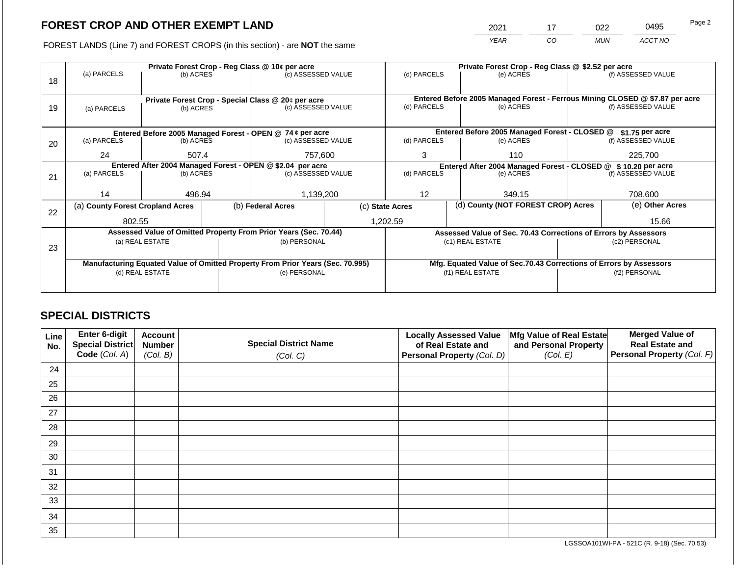2021 17 022 0495

FOREST LANDS (Line 7) and FOREST CROPS (in this section) - are **NOT** the same *YEAR CO MUN ACCT NO*

|    |                                  |                        |  | Private Forest Crop - Reg Class @ 10¢ per acre                                 |                                                                              | Private Forest Crop - Reg Class @ \$2.52 per acre |           |                                                                    |                    |                    |  |
|----|----------------------------------|------------------------|--|--------------------------------------------------------------------------------|------------------------------------------------------------------------------|---------------------------------------------------|-----------|--------------------------------------------------------------------|--------------------|--------------------|--|
| 18 | (a) PARCELS                      | (b) ACRES              |  | (c) ASSESSED VALUE                                                             |                                                                              | (d) PARCELS                                       |           | (e) ACRES                                                          |                    | (f) ASSESSED VALUE |  |
|    |                                  |                        |  | Private Forest Crop - Special Class @ 20¢ per acre                             | Entered Before 2005 Managed Forest - Ferrous Mining CLOSED @ \$7.87 per acre |                                                   |           |                                                                    |                    |                    |  |
| 19 | (a) PARCELS                      | (b) ACRES              |  | (c) ASSESSED VALUE                                                             | (d) PARCELS                                                                  |                                                   | (e) ACRES |                                                                    | (f) ASSESSED VALUE |                    |  |
|    |                                  |                        |  | Entered Before 2005 Managed Forest - OPEN @ 74 ¢ per acre                      |                                                                              |                                                   |           | Entered Before 2005 Managed Forest - CLOSED @                      |                    | \$1.75 per acre    |  |
| 20 | (a) PARCELS                      | (b) ACRES              |  | (c) ASSESSED VALUE                                                             |                                                                              | (d) PARCELS                                       |           | (e) ACRES                                                          |                    | (f) ASSESSED VALUE |  |
|    |                                  |                        |  |                                                                                |                                                                              |                                                   |           |                                                                    |                    |                    |  |
|    |                                  | 757,600<br>24<br>507.4 |  |                                                                                |                                                                              | 3                                                 |           | 110                                                                | 225,700            |                    |  |
|    |                                  |                        |  | Entered After 2004 Managed Forest - OPEN @ \$2.04 per acre                     | Entered After 2004 Managed Forest - CLOSED @ \$10.20 per acre                |                                                   |           |                                                                    |                    |                    |  |
| 21 | (a) PARCELS                      | (b) ACRES              |  | (c) ASSESSED VALUE                                                             |                                                                              | (d) PARCELS                                       |           | (e) ACRES                                                          |                    | (f) ASSESSED VALUE |  |
|    |                                  |                        |  |                                                                                |                                                                              |                                                   |           |                                                                    |                    |                    |  |
|    | 14                               | 496.94                 |  | 1,139,200                                                                      |                                                                              | $12 \overline{ }$                                 |           | 349.15                                                             |                    | 708,600            |  |
| 22 | (a) County Forest Cropland Acres |                        |  | (b) Federal Acres                                                              |                                                                              | (c) State Acres                                   |           | (d) County (NOT FOREST CROP) Acres                                 |                    | (e) Other Acres    |  |
|    | 802.55                           |                        |  |                                                                                |                                                                              | 1,202.59                                          |           |                                                                    |                    | 15.66              |  |
|    |                                  |                        |  |                                                                                |                                                                              |                                                   |           |                                                                    |                    |                    |  |
|    |                                  |                        |  | Assessed Value of Omitted Property From Prior Years (Sec. 70.44)               |                                                                              |                                                   |           | Assessed Value of Sec. 70.43 Corrections of Errors by Assessors    |                    |                    |  |
| 23 |                                  | (a) REAL ESTATE        |  | (b) PERSONAL                                                                   |                                                                              |                                                   |           | (c1) REAL ESTATE                                                   | (c2) PERSONAL      |                    |  |
|    |                                  |                        |  |                                                                                |                                                                              |                                                   |           |                                                                    |                    |                    |  |
|    |                                  |                        |  | Manufacturing Equated Value of Omitted Property From Prior Years (Sec. 70.995) |                                                                              |                                                   |           | Mfg. Equated Value of Sec.70.43 Corrections of Errors by Assessors |                    |                    |  |
|    |                                  | (d) REAL ESTATE        |  | (e) PERSONAL                                                                   |                                                                              |                                                   |           | (f1) REAL ESTATE                                                   |                    | (f2) PERSONAL      |  |
|    |                                  |                        |  |                                                                                |                                                                              |                                                   |           |                                                                    |                    |                    |  |
|    |                                  |                        |  |                                                                                |                                                                              |                                                   |           |                                                                    |                    |                    |  |

# **SPECIAL DISTRICTS**

| Line<br>No. | <b>Enter 6-digit</b><br>Special District | <b>Account</b><br><b>Number</b> | <b>Special District Name</b> | <b>Locally Assessed Value</b><br>of Real Estate and | Mfg Value of Real Estate<br>and Personal Property | <b>Merged Value of</b><br><b>Real Estate and</b> |
|-------------|------------------------------------------|---------------------------------|------------------------------|-----------------------------------------------------|---------------------------------------------------|--------------------------------------------------|
|             | Code (Col. A)                            | (Col. B)                        | (Col. C)                     | Personal Property (Col. D)                          | (Col. E)                                          | Personal Property (Col. F)                       |
| 24          |                                          |                                 |                              |                                                     |                                                   |                                                  |
| 25          |                                          |                                 |                              |                                                     |                                                   |                                                  |
| 26          |                                          |                                 |                              |                                                     |                                                   |                                                  |
| 27          |                                          |                                 |                              |                                                     |                                                   |                                                  |
| 28          |                                          |                                 |                              |                                                     |                                                   |                                                  |
| 29          |                                          |                                 |                              |                                                     |                                                   |                                                  |
| 30          |                                          |                                 |                              |                                                     |                                                   |                                                  |
| 31          |                                          |                                 |                              |                                                     |                                                   |                                                  |
| 32          |                                          |                                 |                              |                                                     |                                                   |                                                  |
| 33          |                                          |                                 |                              |                                                     |                                                   |                                                  |
| 34          |                                          |                                 |                              |                                                     |                                                   |                                                  |
| 35          |                                          |                                 |                              |                                                     |                                                   |                                                  |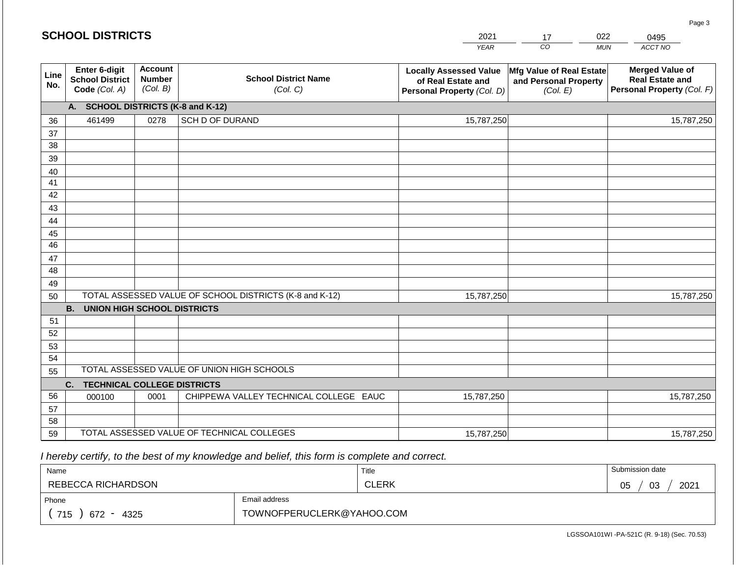|             | <b>SCHOOL DISTRICTS</b>                                         |                                             |                                                         | 2021                                                                              | 17                                                            | 022<br>0495                                                                    |
|-------------|-----------------------------------------------------------------|---------------------------------------------|---------------------------------------------------------|-----------------------------------------------------------------------------------|---------------------------------------------------------------|--------------------------------------------------------------------------------|
|             |                                                                 |                                             |                                                         | <b>YEAR</b>                                                                       | CO                                                            | ACCT NO<br><b>MUN</b>                                                          |
| Line<br>No. | <b>Enter 6-digit</b><br><b>School District</b><br>Code (Col. A) | <b>Account</b><br><b>Number</b><br>(Col. B) | <b>School District Name</b><br>(Col. C)                 | <b>Locally Assessed Value</b><br>of Real Estate and<br>Personal Property (Col. D) | Mfg Value of Real Estate<br>and Personal Property<br>(Col. E) | <b>Merged Value of</b><br><b>Real Estate and</b><br>Personal Property (Col. F) |
|             | A.                                                              |                                             | <b>SCHOOL DISTRICTS (K-8 and K-12)</b>                  |                                                                                   |                                                               |                                                                                |
| 36          | 461499                                                          | 0278                                        | SCH D OF DURAND                                         | 15,787,250                                                                        |                                                               | 15,787,250                                                                     |
| 37          |                                                                 |                                             |                                                         |                                                                                   |                                                               |                                                                                |
| 38          |                                                                 |                                             |                                                         |                                                                                   |                                                               |                                                                                |
| 39          |                                                                 |                                             |                                                         |                                                                                   |                                                               |                                                                                |
| 40          |                                                                 |                                             |                                                         |                                                                                   |                                                               |                                                                                |
| 41          |                                                                 |                                             |                                                         |                                                                                   |                                                               |                                                                                |
| 42          |                                                                 |                                             |                                                         |                                                                                   |                                                               |                                                                                |
| 43          |                                                                 |                                             |                                                         |                                                                                   |                                                               |                                                                                |
| 44<br>45    |                                                                 |                                             |                                                         |                                                                                   |                                                               |                                                                                |
| 46          |                                                                 |                                             |                                                         |                                                                                   |                                                               |                                                                                |
| 47          |                                                                 |                                             |                                                         |                                                                                   |                                                               |                                                                                |
| 48          |                                                                 |                                             |                                                         |                                                                                   |                                                               |                                                                                |
| 49          |                                                                 |                                             |                                                         |                                                                                   |                                                               |                                                                                |
| 50          |                                                                 |                                             | TOTAL ASSESSED VALUE OF SCHOOL DISTRICTS (K-8 and K-12) | 15,787,250                                                                        |                                                               | 15,787,250                                                                     |
|             | <b>B. UNION HIGH SCHOOL DISTRICTS</b>                           |                                             |                                                         |                                                                                   |                                                               |                                                                                |
| 51          |                                                                 |                                             |                                                         |                                                                                   |                                                               |                                                                                |
| 52          |                                                                 |                                             |                                                         |                                                                                   |                                                               |                                                                                |
| 53          |                                                                 |                                             |                                                         |                                                                                   |                                                               |                                                                                |
| 54          |                                                                 |                                             |                                                         |                                                                                   |                                                               |                                                                                |
| 55          |                                                                 |                                             | TOTAL ASSESSED VALUE OF UNION HIGH SCHOOLS              |                                                                                   |                                                               |                                                                                |
|             | <b>TECHNICAL COLLEGE DISTRICTS</b><br>C.                        |                                             |                                                         |                                                                                   |                                                               |                                                                                |
| 56          | 000100                                                          | 0001                                        | CHIPPEWA VALLEY TECHNICAL COLLEGE EAUC                  | 15,787,250                                                                        |                                                               | 15,787,250                                                                     |
| 57<br>58    |                                                                 |                                             |                                                         |                                                                                   |                                                               |                                                                                |
| 59          |                                                                 |                                             | TOTAL ASSESSED VALUE OF TECHNICAL COLLEGES              | 15,787,250                                                                        |                                                               | 15,787,250                                                                     |
|             |                                                                 |                                             |                                                         |                                                                                   |                                                               |                                                                                |

 *I hereby certify, to the best of my knowledge and belief, this form is complete and correct.*

| Name               |                           | Title        | Submission date  |
|--------------------|---------------------------|--------------|------------------|
| REBECCA RICHARDSON |                           | <b>CLERK</b> | 2021<br>03<br>05 |
| Phone              | Email address             |              |                  |
| 715<br>4325<br>672 | TOWNOFPERUCLERK@YAHOO.COM |              |                  |

Page 3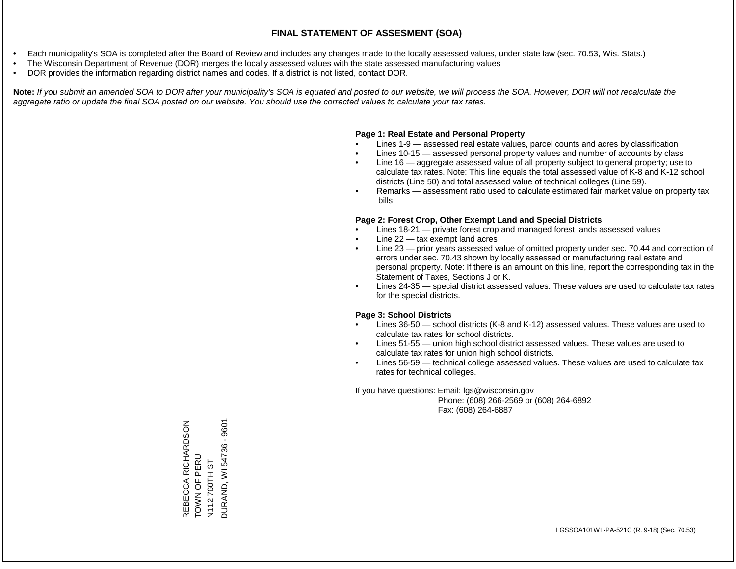- Each municipality's SOA is completed after the Board of Review and includes any changes made to the locally assessed values, under state law (sec. 70.53, Wis. Stats.)
- The Wisconsin Department of Revenue (DOR) merges the locally assessed values with the state assessed manufacturing values
- DOR provides the information regarding district names and codes. If a district is not listed, contact DOR.

Note: If you submit an amended SOA to DOR after your municipality's SOA is equated and posted to our website, we will process the SOA. However, DOR will not recalculate the *aggregate ratio or update the final SOA posted on our website. You should use the corrected values to calculate your tax rates.*

## **Page 1: Real Estate and Personal Property**

- Lines 1-9 assessed real estate values, parcel counts and acres by classification
- Lines 10-15 assessed personal property values and number of accounts by class
- Line 16 aggregate assessed value of all property subject to general property; use to calculate tax rates. Note: This line equals the total assessed value of K-8 and K-12 school districts (Line 50) and total assessed value of technical colleges (Line 59).
- Remarks assessment ratio used to calculate estimated fair market value on property tax bills

### **Page 2: Forest Crop, Other Exempt Land and Special Districts**

- Lines 18-21 private forest crop and managed forest lands assessed values
- Line  $22 -$  tax exempt land acres
- Line 23 prior years assessed value of omitted property under sec. 70.44 and correction of errors under sec. 70.43 shown by locally assessed or manufacturing real estate and personal property. Note: If there is an amount on this line, report the corresponding tax in the Statement of Taxes, Sections J or K.
- Lines 24-35 special district assessed values. These values are used to calculate tax rates for the special districts.

### **Page 3: School Districts**

- Lines 36-50 school districts (K-8 and K-12) assessed values. These values are used to calculate tax rates for school districts.
- Lines 51-55 union high school district assessed values. These values are used to calculate tax rates for union high school districts.
- Lines 56-59 technical college assessed values. These values are used to calculate tax rates for technical colleges.

If you have questions: Email: lgs@wisconsin.gov

 Phone: (608) 266-2569 or (608) 264-6892 Fax: (608) 264-6887

DURAND, WI 54736 - 9601 REBECCA RICHARDSON<br>TOWN OF PERU DURAND, WI 54736 - 9601REBECCA RICHARDSON TOWN OF PERU N112 760TH ST N112 760TH ST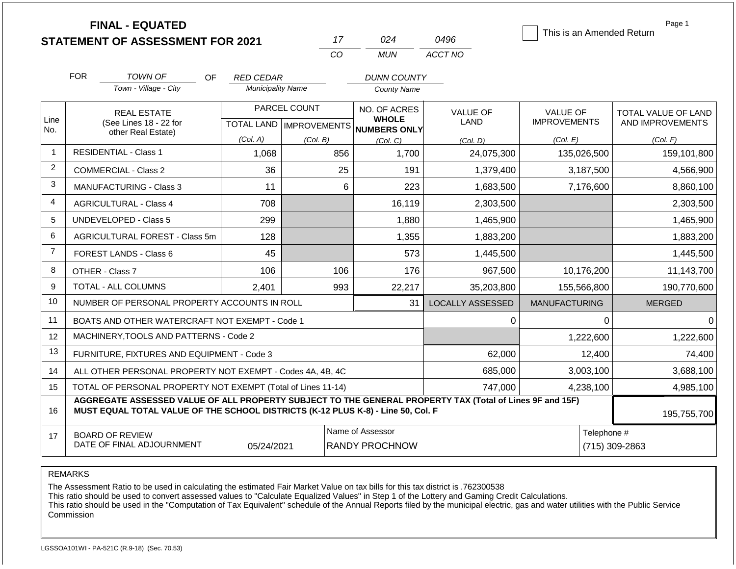|                |            | <b>FINAL - EQUATED</b><br><b>STATEMENT OF ASSESSMENT FOR 2021</b>                                                                                                                            |                           |                     | 17  | 024                                       | 0496                    | This is an Amended Return |                               | Page 1              |
|----------------|------------|----------------------------------------------------------------------------------------------------------------------------------------------------------------------------------------------|---------------------------|---------------------|-----|-------------------------------------------|-------------------------|---------------------------|-------------------------------|---------------------|
|                |            |                                                                                                                                                                                              |                           |                     | CO  | <b>MUN</b>                                | ACCT NO                 |                           |                               |                     |
|                | <b>FOR</b> | <b>TOWN OF</b><br>OF.                                                                                                                                                                        | <b>RED CEDAR</b>          |                     |     | <b>DUNN COUNTY</b>                        |                         |                           |                               |                     |
|                |            | Town - Village - City                                                                                                                                                                        | <b>Municipality Name</b>  |                     |     | County Name                               |                         |                           |                               |                     |
|                |            | <b>REAL ESTATE</b>                                                                                                                                                                           |                           | <b>PARCEL COUNT</b> |     | NO. OF ACRES                              | <b>VALUE OF</b>         | <b>VALUE OF</b>           |                               | TOTAL VALUE OF LAND |
| Line<br>No.    |            | (See Lines 18 - 22 for<br>other Real Estate)                                                                                                                                                 | TOTAL LAND   IMPROVEMENTS |                     |     | <b>WHOLE</b><br>NUMBERS ONLY              | <b>LAND</b>             | <b>IMPROVEMENTS</b>       |                               | AND IMPROVEMENTS    |
|                |            |                                                                                                                                                                                              | (Col. A)                  | (Col. B)            |     | (Col. C)                                  | (Col. D)                | (Col. E)                  |                               | (Col. F)            |
| $\mathbf 1$    |            | <b>RESIDENTIAL - Class 1</b>                                                                                                                                                                 | 1,068                     |                     | 856 | 1,700                                     | 24,075,300              | 135,026,500               |                               | 159,101,800         |
| $\overline{2}$ |            | <b>COMMERCIAL - Class 2</b>                                                                                                                                                                  | 36                        |                     | 25  | 191                                       | 1,379,400               | 3,187,500                 |                               | 4,566,900           |
| 3              |            | <b>MANUFACTURING - Class 3</b>                                                                                                                                                               | 11                        |                     | 6   | 223                                       | 1,683,500               | 7,176,600                 |                               | 8,860,100           |
| 4              |            | AGRICULTURAL - Class 4                                                                                                                                                                       | 708                       |                     |     | 16,119                                    | 2,303,500               |                           |                               | 2,303,500           |
| 5              |            | <b>UNDEVELOPED - Class 5</b>                                                                                                                                                                 | 299                       |                     |     | 1,880                                     | 1,465,900               |                           |                               | 1,465,900           |
| 6              |            | AGRICULTURAL FOREST - Class 5m                                                                                                                                                               | 128                       |                     |     | 1,355                                     | 1,883,200               |                           |                               | 1,883,200           |
| $\overline{7}$ |            | FOREST LANDS - Class 6                                                                                                                                                                       | 45                        |                     |     | 573                                       | 1,445,500               |                           |                               | 1,445,500           |
| 8              |            | OTHER - Class 7                                                                                                                                                                              | 106                       |                     | 106 | 176                                       | 967,500                 | 10,176,200                |                               | 11,143,700          |
| 9              |            | <b>TOTAL - ALL COLUMNS</b>                                                                                                                                                                   | 2,401                     |                     | 993 | 22,217                                    | 35,203,800              | 155,566,800               |                               | 190,770,600         |
| 10             |            | NUMBER OF PERSONAL PROPERTY ACCOUNTS IN ROLL                                                                                                                                                 |                           |                     |     | 31                                        | <b>LOCALLY ASSESSED</b> | <b>MANUFACTURING</b>      |                               | <b>MERGED</b>       |
| 11             |            | BOATS AND OTHER WATERCRAFT NOT EXEMPT - Code 1                                                                                                                                               |                           |                     |     |                                           | 0                       |                           | $\Omega$                      | $\Omega$            |
| 12             |            | MACHINERY, TOOLS AND PATTERNS - Code 2                                                                                                                                                       |                           |                     |     |                                           |                         | 1,222,600                 |                               | 1,222,600           |
| 13             |            | FURNITURE, FIXTURES AND EQUIPMENT - Code 3                                                                                                                                                   |                           |                     |     |                                           | 62,000                  |                           | 12,400                        | 74,400              |
| 14             |            | ALL OTHER PERSONAL PROPERTY NOT EXEMPT - Codes 4A, 4B, 4C                                                                                                                                    |                           |                     |     |                                           | 685,000                 | 3,003,100                 |                               | 3,688,100           |
| 15             |            | TOTAL OF PERSONAL PROPERTY NOT EXEMPT (Total of Lines 11-14)                                                                                                                                 |                           |                     |     |                                           | 747,000                 | 4,238,100                 |                               | 4,985,100           |
| 16             |            | AGGREGATE ASSESSED VALUE OF ALL PROPERTY SUBJECT TO THE GENERAL PROPERTY TAX (Total of Lines 9F and 15F)<br>MUST EQUAL TOTAL VALUE OF THE SCHOOL DISTRICTS (K-12 PLUS K-8) - Line 50, Col. F |                           |                     |     |                                           |                         |                           |                               | 195,755,700         |
| 17             |            | <b>BOARD OF REVIEW</b><br>DATE OF FINAL ADJOURNMENT                                                                                                                                          | 05/24/2021                |                     |     | Name of Assessor<br><b>RANDY PROCHNOW</b> |                         |                           | Telephone #<br>(715) 309-2863 |                     |

The Assessment Ratio to be used in calculating the estimated Fair Market Value on tax bills for this tax district is .762300538

This ratio should be used to convert assessed values to "Calculate Equalized Values" in Step 1 of the Lottery and Gaming Credit Calculations.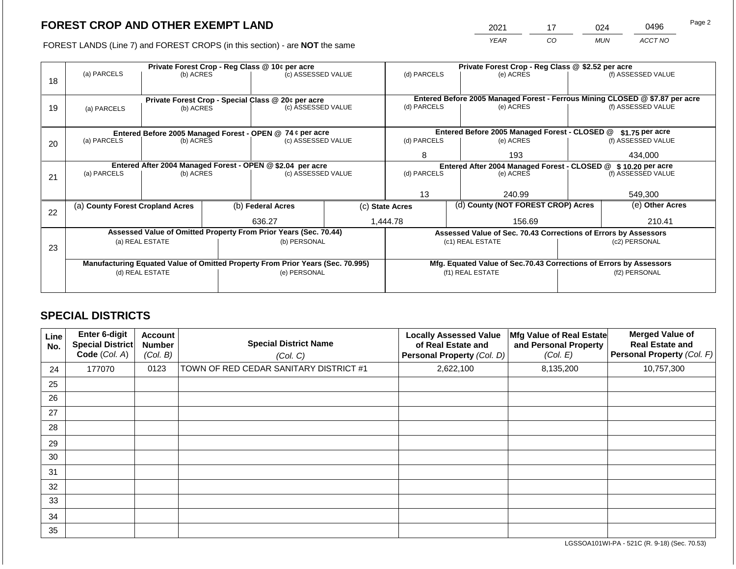2021 17 024 0496 Page 2

FOREST LANDS (Line 7) and FOREST CROPS (in this section) - are **NOT** the same *YEAR CO MUN ACCT NO*

|    |                                                                                |                 |                                                           | Private Forest Crop - Reg Class @ 10¢ per acre                           |                                                       | Private Forest Crop - Reg Class @ \$2.52 per acre                            |                                               |                                                                    |                  |                    |  |
|----|--------------------------------------------------------------------------------|-----------------|-----------------------------------------------------------|--------------------------------------------------------------------------|-------------------------------------------------------|------------------------------------------------------------------------------|-----------------------------------------------|--------------------------------------------------------------------|------------------|--------------------|--|
| 18 | (a) PARCELS                                                                    | (b) ACRES       |                                                           | (c) ASSESSED VALUE                                                       |                                                       | (d) PARCELS                                                                  |                                               | (e) ACRES                                                          |                  | (f) ASSESSED VALUE |  |
|    |                                                                                |                 |                                                           |                                                                          |                                                       | Entered Before 2005 Managed Forest - Ferrous Mining CLOSED @ \$7.87 per acre |                                               |                                                                    |                  |                    |  |
| 19 | (a) PARCELS                                                                    | (b) ACRES       |                                                           | Private Forest Crop - Special Class @ 20¢ per acre<br>(c) ASSESSED VALUE |                                                       | (d) PARCELS                                                                  |                                               | (e) ACRES                                                          |                  | (f) ASSESSED VALUE |  |
|    |                                                                                |                 |                                                           |                                                                          |                                                       |                                                                              |                                               |                                                                    |                  |                    |  |
|    |                                                                                |                 | Entered Before 2005 Managed Forest - OPEN @ 74 ¢ per acre |                                                                          |                                                       |                                                                              | Entered Before 2005 Managed Forest - CLOSED @ |                                                                    | $$1.75$ per acre |                    |  |
| 20 | (a) PARCELS<br>(b) ACRES                                                       |                 |                                                           | (c) ASSESSED VALUE                                                       |                                                       | (d) PARCELS                                                                  |                                               | (e) ACRES                                                          |                  | (f) ASSESSED VALUE |  |
|    |                                                                                |                 |                                                           |                                                                          | 8                                                     |                                                                              | 193                                           |                                                                    | 434,000          |                    |  |
|    | Entered After 2004 Managed Forest - OPEN @ \$2.04 per acre                     |                 |                                                           |                                                                          |                                                       | Entered After 2004 Managed Forest - CLOSED @ \$10.20 per acre                |                                               |                                                                    |                  |                    |  |
| 21 | (a) PARCELS                                                                    | (b) ACRES       |                                                           | (c) ASSESSED VALUE                                                       |                                                       | (d) PARCELS                                                                  |                                               | (e) ACRES                                                          |                  | (f) ASSESSED VALUE |  |
|    |                                                                                |                 |                                                           |                                                                          |                                                       |                                                                              |                                               |                                                                    |                  |                    |  |
|    |                                                                                |                 |                                                           |                                                                          | 13                                                    |                                                                              | 240.99                                        |                                                                    | 549,300          |                    |  |
|    | (a) County Forest Cropland Acres                                               |                 |                                                           | (b) Federal Acres                                                        | (d) County (NOT FOREST CROP) Acres<br>(c) State Acres |                                                                              |                                               |                                                                    | (e) Other Acres  |                    |  |
| 22 |                                                                                |                 |                                                           |                                                                          |                                                       |                                                                              |                                               |                                                                    |                  |                    |  |
|    |                                                                                |                 |                                                           | 636.27                                                                   |                                                       | 1,444.78                                                                     |                                               | 156.69                                                             |                  | 210.41             |  |
|    |                                                                                |                 |                                                           | Assessed Value of Omitted Property From Prior Years (Sec. 70.44)         |                                                       |                                                                              |                                               | Assessed Value of Sec. 70.43 Corrections of Errors by Assessors    |                  |                    |  |
| 23 | (a) REAL ESTATE                                                                |                 |                                                           | (b) PERSONAL                                                             |                                                       | (c1) REAL ESTATE                                                             |                                               |                                                                    |                  | (c2) PERSONAL      |  |
|    |                                                                                |                 |                                                           |                                                                          |                                                       |                                                                              |                                               |                                                                    |                  |                    |  |
|    | Manufacturing Equated Value of Omitted Property From Prior Years (Sec. 70.995) |                 |                                                           |                                                                          |                                                       |                                                                              |                                               | Mfg. Equated Value of Sec.70.43 Corrections of Errors by Assessors |                  |                    |  |
|    |                                                                                | (d) REAL ESTATE |                                                           | (e) PERSONAL                                                             |                                                       |                                                                              |                                               | (f1) REAL ESTATE                                                   |                  | (f2) PERSONAL      |  |
|    |                                                                                |                 |                                                           |                                                                          |                                                       |                                                                              |                                               |                                                                    |                  |                    |  |
|    |                                                                                |                 |                                                           |                                                                          |                                                       |                                                                              |                                               |                                                                    |                  |                    |  |

# **SPECIAL DISTRICTS**

| Line<br>No. | Enter 6-digit<br><b>Special District</b><br>Code (Col. A) | Account<br><b>Number</b><br>(Col. B) | <b>Special District Name</b><br>(Col. C) | <b>Locally Assessed Value</b><br>of Real Estate and<br>Personal Property (Col. D) | Mfg Value of Real Estate<br>and Personal Property<br>(Col. E) | <b>Merged Value of</b><br><b>Real Estate and</b><br>Personal Property (Col. F) |
|-------------|-----------------------------------------------------------|--------------------------------------|------------------------------------------|-----------------------------------------------------------------------------------|---------------------------------------------------------------|--------------------------------------------------------------------------------|
| 24          | 177070                                                    | 0123                                 | TOWN OF RED CEDAR SANITARY DISTRICT #1   | 2,622,100                                                                         | 8,135,200                                                     | 10,757,300                                                                     |
| 25          |                                                           |                                      |                                          |                                                                                   |                                                               |                                                                                |
| 26          |                                                           |                                      |                                          |                                                                                   |                                                               |                                                                                |
| 27          |                                                           |                                      |                                          |                                                                                   |                                                               |                                                                                |
| 28          |                                                           |                                      |                                          |                                                                                   |                                                               |                                                                                |
| 29          |                                                           |                                      |                                          |                                                                                   |                                                               |                                                                                |
| 30          |                                                           |                                      |                                          |                                                                                   |                                                               |                                                                                |
| 31          |                                                           |                                      |                                          |                                                                                   |                                                               |                                                                                |
| 32          |                                                           |                                      |                                          |                                                                                   |                                                               |                                                                                |
| 33          |                                                           |                                      |                                          |                                                                                   |                                                               |                                                                                |
| 34          |                                                           |                                      |                                          |                                                                                   |                                                               |                                                                                |
| 35          |                                                           |                                      |                                          |                                                                                   |                                                               |                                                                                |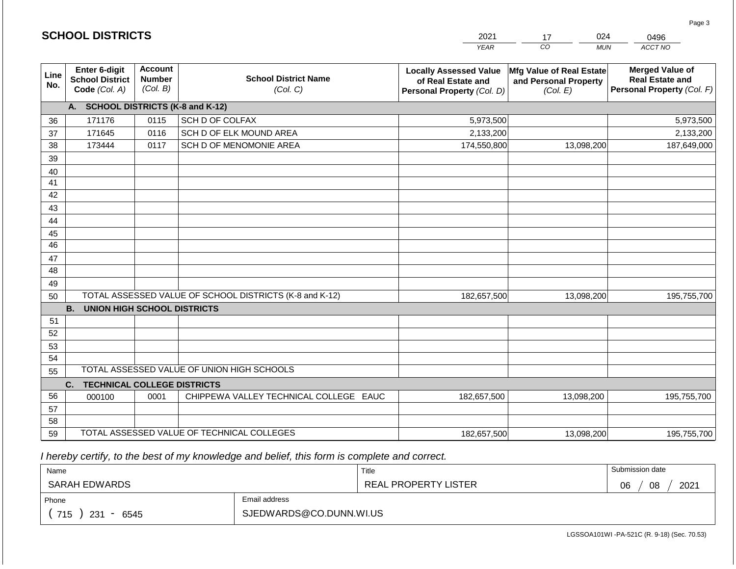|                 |                                                          |                                             |                                                         | <b>YEAR</b>                                                                       | CO<br><b>MUN</b>                                                     | ACCT NO                                                                        |
|-----------------|----------------------------------------------------------|---------------------------------------------|---------------------------------------------------------|-----------------------------------------------------------------------------------|----------------------------------------------------------------------|--------------------------------------------------------------------------------|
| Line<br>No.     | Enter 6-digit<br><b>School District</b><br>Code (Col. A) | <b>Account</b><br><b>Number</b><br>(Col. B) | <b>School District Name</b><br>(Col. C)                 | <b>Locally Assessed Value</b><br>of Real Estate and<br>Personal Property (Col. D) | <b>Mfg Value of Real Estate</b><br>and Personal Property<br>(Col. E) | <b>Merged Value of</b><br><b>Real Estate and</b><br>Personal Property (Col. F) |
|                 | A.                                                       |                                             | <b>SCHOOL DISTRICTS (K-8 and K-12)</b>                  |                                                                                   |                                                                      |                                                                                |
| 36              | 171176                                                   | 0115                                        | SCH D OF COLFAX                                         | 5,973,500                                                                         |                                                                      | 5,973,500                                                                      |
| 37              | 171645                                                   | 0116                                        | SCH D OF ELK MOUND AREA                                 | 2,133,200                                                                         |                                                                      | 2,133,200                                                                      |
| 38              | 173444                                                   | 0117                                        | SCH D OF MENOMONIE AREA                                 | 174,550,800                                                                       | 13,098,200                                                           | 187,649,000                                                                    |
| 39              |                                                          |                                             |                                                         |                                                                                   |                                                                      |                                                                                |
| 40              |                                                          |                                             |                                                         |                                                                                   |                                                                      |                                                                                |
| 41              |                                                          |                                             |                                                         |                                                                                   |                                                                      |                                                                                |
| 42              |                                                          |                                             |                                                         |                                                                                   |                                                                      |                                                                                |
| 43              |                                                          |                                             |                                                         |                                                                                   |                                                                      |                                                                                |
| 44              |                                                          |                                             |                                                         |                                                                                   |                                                                      |                                                                                |
| 45              |                                                          |                                             |                                                         |                                                                                   |                                                                      |                                                                                |
| $\overline{46}$ |                                                          |                                             |                                                         |                                                                                   |                                                                      |                                                                                |
| 47              |                                                          |                                             |                                                         |                                                                                   |                                                                      |                                                                                |
| 48              |                                                          |                                             |                                                         |                                                                                   |                                                                      |                                                                                |
| 49              |                                                          |                                             |                                                         |                                                                                   |                                                                      |                                                                                |
| 50              | <b>B.</b><br><b>UNION HIGH SCHOOL DISTRICTS</b>          |                                             | TOTAL ASSESSED VALUE OF SCHOOL DISTRICTS (K-8 and K-12) | 182,657,500                                                                       | 13,098,200                                                           | 195,755,700                                                                    |
| 51              |                                                          |                                             |                                                         |                                                                                   |                                                                      |                                                                                |
| 52              |                                                          |                                             |                                                         |                                                                                   |                                                                      |                                                                                |
| 53              |                                                          |                                             |                                                         |                                                                                   |                                                                      |                                                                                |
| 54              |                                                          |                                             |                                                         |                                                                                   |                                                                      |                                                                                |
| 55              |                                                          |                                             | TOTAL ASSESSED VALUE OF UNION HIGH SCHOOLS              |                                                                                   |                                                                      |                                                                                |
|                 | C.<br><b>TECHNICAL COLLEGE DISTRICTS</b>                 |                                             |                                                         |                                                                                   |                                                                      |                                                                                |
| 56              | 000100                                                   | 0001                                        | CHIPPEWA VALLEY TECHNICAL COLLEGE EAUC                  | 182,657,500                                                                       | 13,098,200                                                           | 195,755,700                                                                    |
| 57              |                                                          |                                             |                                                         |                                                                                   |                                                                      |                                                                                |
| 58              |                                                          |                                             |                                                         |                                                                                   |                                                                      |                                                                                |
| 59              |                                                          |                                             | TOTAL ASSESSED VALUE OF TECHNICAL COLLEGES              | 182,657,500                                                                       | 13,098,200                                                           | 195,755,700                                                                    |

2021

17

024

 *I hereby certify, to the best of my knowledge and belief, this form is complete and correct.*

**SCHOOL DISTRICTS**

| Name               |                         | Title                | Submission date  |
|--------------------|-------------------------|----------------------|------------------|
| SARAH EDWARDS      |                         | REAL PROPERTY LISTER | 2021<br>06<br>08 |
| Phone              | Email address           |                      |                  |
| 715<br>231<br>6545 | SJEDWARDS@CO.DUNN.WI.US |                      |                  |

LGSSOA101WI -PA-521C (R. 9-18) (Sec. 70.53)

Page 3

0496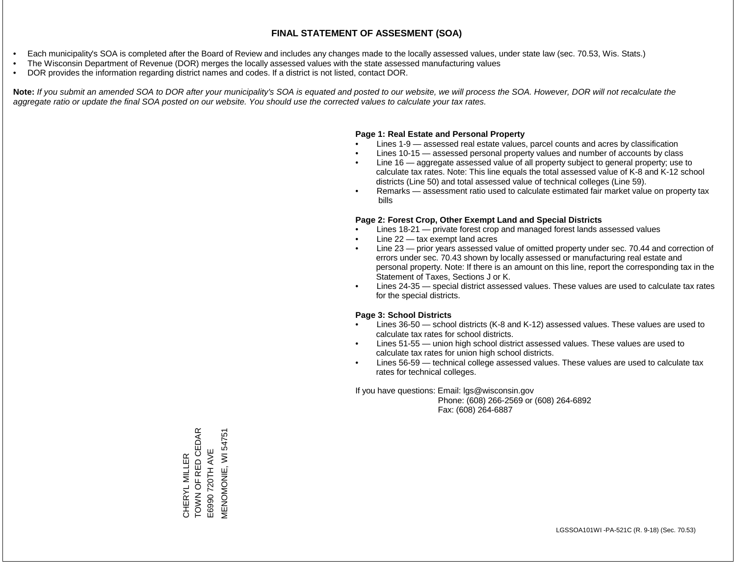- Each municipality's SOA is completed after the Board of Review and includes any changes made to the locally assessed values, under state law (sec. 70.53, Wis. Stats.)
- The Wisconsin Department of Revenue (DOR) merges the locally assessed values with the state assessed manufacturing values
- DOR provides the information regarding district names and codes. If a district is not listed, contact DOR.

Note: If you submit an amended SOA to DOR after your municipality's SOA is equated and posted to our website, we will process the SOA. However, DOR will not recalculate the *aggregate ratio or update the final SOA posted on our website. You should use the corrected values to calculate your tax rates.*

### **Page 1: Real Estate and Personal Property**

- Lines 1-9 assessed real estate values, parcel counts and acres by classification
- Lines 10-15 assessed personal property values and number of accounts by class
- Line 16 aggregate assessed value of all property subject to general property; use to calculate tax rates. Note: This line equals the total assessed value of K-8 and K-12 school districts (Line 50) and total assessed value of technical colleges (Line 59).
- Remarks assessment ratio used to calculate estimated fair market value on property tax bills

### **Page 2: Forest Crop, Other Exempt Land and Special Districts**

- Lines 18-21 private forest crop and managed forest lands assessed values
- Line  $22 -$  tax exempt land acres
- Line 23 prior years assessed value of omitted property under sec. 70.44 and correction of errors under sec. 70.43 shown by locally assessed or manufacturing real estate and personal property. Note: If there is an amount on this line, report the corresponding tax in the Statement of Taxes, Sections J or K.
- Lines 24-35 special district assessed values. These values are used to calculate tax rates for the special districts.

### **Page 3: School Districts**

- Lines 36-50 school districts (K-8 and K-12) assessed values. These values are used to calculate tax rates for school districts.
- Lines 51-55 union high school district assessed values. These values are used to calculate tax rates for union high school districts.
- Lines 56-59 technical college assessed values. These values are used to calculate tax rates for technical colleges.

If you have questions: Email: lgs@wisconsin.gov

 Phone: (608) 266-2569 or (608) 264-6892 Fax: (608) 264-6887

TOWN OF RED CEDAR CHERYL MILLER<br>TOWN OF RED CEDAR VIENOMONIE, WI 54751 MENOMONIE, WI 54751E6990 720TH AVE E6990 720TH AVE CHERYL MILLER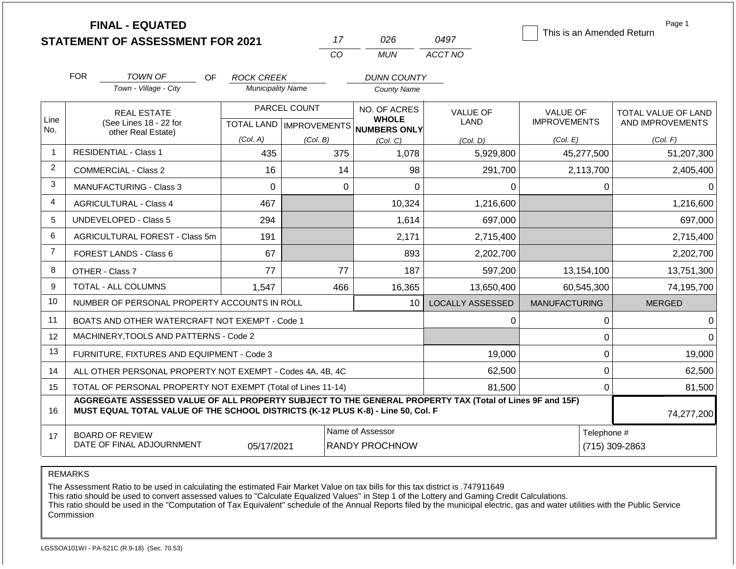|                |                                      | <b>FINAL - EQUATED</b><br><b>STATEMENT OF ASSESSMENT FOR 2021</b>                                                                                                                            |                                           |          | 17                                                                         | 026                | 0497                    |                                        |              | Page 1<br>This is an Amended Return     |
|----------------|--------------------------------------|----------------------------------------------------------------------------------------------------------------------------------------------------------------------------------------------|-------------------------------------------|----------|----------------------------------------------------------------------------|--------------------|-------------------------|----------------------------------------|--------------|-----------------------------------------|
|                |                                      |                                                                                                                                                                                              |                                           | CO       |                                                                            | <b>MUN</b>         | ACCT NO                 |                                        |              |                                         |
|                | <b>FOR</b>                           | <b>TOWN OF</b><br><b>OF</b>                                                                                                                                                                  | <b>ROCK CREEK</b>                         |          |                                                                            | <b>DUNN COUNTY</b> |                         |                                        |              |                                         |
|                |                                      | Town - Village - City                                                                                                                                                                        | <b>Municipality Name</b>                  |          |                                                                            | <b>County Name</b> |                         |                                        |              |                                         |
| Line<br>No.    |                                      | <b>REAL ESTATE</b><br>(See Lines 18 - 22 for                                                                                                                                                 | PARCEL COUNT<br>TOTAL LAND   IMPROVEMENTS |          | NO. OF ACRES<br><b>WHOLE</b><br><b>NUMBERS ONLY</b>                        |                    | <b>VALUE OF</b><br>LAND | <b>VALUE OF</b><br><b>IMPROVEMENTS</b> |              | TOTAL VALUE OF LAND<br>AND IMPROVEMENTS |
|                |                                      | other Real Estate)                                                                                                                                                                           | (Col. A)                                  | (Col. B) |                                                                            | (Col. C)           | (Col. D)                | (Col. E)                               |              | (Col. F)                                |
| $\overline{1}$ |                                      | <b>RESIDENTIAL - Class 1</b>                                                                                                                                                                 | 435                                       |          | 375                                                                        | 1,078              | 5,929,800               |                                        | 45,277,500   | 51,207,300                              |
| $\overline{2}$ |                                      | 16<br><b>COMMERCIAL - Class 2</b>                                                                                                                                                            |                                           |          |                                                                            | 98                 | 291,700                 |                                        | 2,113,700    | 2,405,400                               |
| 3              | 0<br>MANUFACTURING - Class 3         |                                                                                                                                                                                              |                                           |          | $\Omega$                                                                   | $\Omega$           | 0                       |                                        | $\mathbf 0$  | $\Omega$                                |
| 4              | 467<br><b>AGRICULTURAL - Class 4</b> |                                                                                                                                                                                              |                                           |          |                                                                            | 10,324             | 1,216,600               |                                        |              | 1,216,600                               |
| 5              |                                      | <b>UNDEVELOPED - Class 5</b>                                                                                                                                                                 | 294                                       |          |                                                                            | 1,614              | 697,000                 |                                        |              | 697,000                                 |
| 6              |                                      | AGRICULTURAL FOREST - Class 5m                                                                                                                                                               | 191                                       |          |                                                                            | 2,171              | 2,715,400               |                                        |              | 2,715,400                               |
| $\overline{7}$ |                                      | FOREST LANDS - Class 6                                                                                                                                                                       | 67                                        |          |                                                                            | 893                | 2,202,700               |                                        |              | 2,202,700                               |
| 8              |                                      | OTHER - Class 7                                                                                                                                                                              | 77                                        |          | 77                                                                         | 187                | 597,200                 |                                        | 13,154,100   | 13,751,300                              |
| 9              |                                      | TOTAL - ALL COLUMNS                                                                                                                                                                          | 1,547                                     |          | 466                                                                        | 16,365             | 13,650,400              |                                        | 60,545,300   | 74,195,700                              |
| 10             |                                      | NUMBER OF PERSONAL PROPERTY ACCOUNTS IN ROLL                                                                                                                                                 |                                           |          |                                                                            | 10 <sup>1</sup>    | <b>LOCALLY ASSESSED</b> | <b>MANUFACTURING</b>                   |              | <b>MERGED</b>                           |
| 11             |                                      | BOATS AND OTHER WATERCRAFT NOT EXEMPT - Code 1                                                                                                                                               |                                           |          |                                                                            |                    | 0                       |                                        | $\mathbf 0$  | $\Omega$                                |
| 12             |                                      | MACHINERY.TOOLS AND PATTERNS - Code 2                                                                                                                                                        |                                           |          |                                                                            |                    |                         |                                        | $\mathbf 0$  | $\Omega$                                |
| 13             |                                      | FURNITURE, FIXTURES AND EQUIPMENT - Code 3                                                                                                                                                   |                                           |          |                                                                            |                    | 19,000                  |                                        | $\mathbf 0$  | 19,000                                  |
| 14             |                                      | ALL OTHER PERSONAL PROPERTY NOT EXEMPT - Codes 4A, 4B, 4C                                                                                                                                    |                                           |          |                                                                            |                    | 62,500                  |                                        | $\mathbf 0$  | 62,500                                  |
| 15             |                                      | TOTAL OF PERSONAL PROPERTY NOT EXEMPT (Total of Lines 11-14)                                                                                                                                 |                                           |          |                                                                            |                    | 81,500                  |                                        | $\mathbf{0}$ | 81,500                                  |
| 16             |                                      | AGGREGATE ASSESSED VALUE OF ALL PROPERTY SUBJECT TO THE GENERAL PROPERTY TAX (Total of Lines 9F and 15F)<br>MUST EQUAL TOTAL VALUE OF THE SCHOOL DISTRICTS (K-12 PLUS K-8) - Line 50, Col. F |                                           |          |                                                                            |                    |                         |                                        |              | 74,277,200                              |
| 17             |                                      | <b>BOARD OF REVIEW</b><br>DATE OF FINAL ADJOURNMENT                                                                                                                                          | 05/17/2021                                |          | Name of Assessor<br>Telephone #<br>(715) 309-2863<br><b>RANDY PROCHNOW</b> |                    |                         |                                        |              |                                         |

The Assessment Ratio to be used in calculating the estimated Fair Market Value on tax bills for this tax district is .747911649

This ratio should be used to convert assessed values to "Calculate Equalized Values" in Step 1 of the Lottery and Gaming Credit Calculations.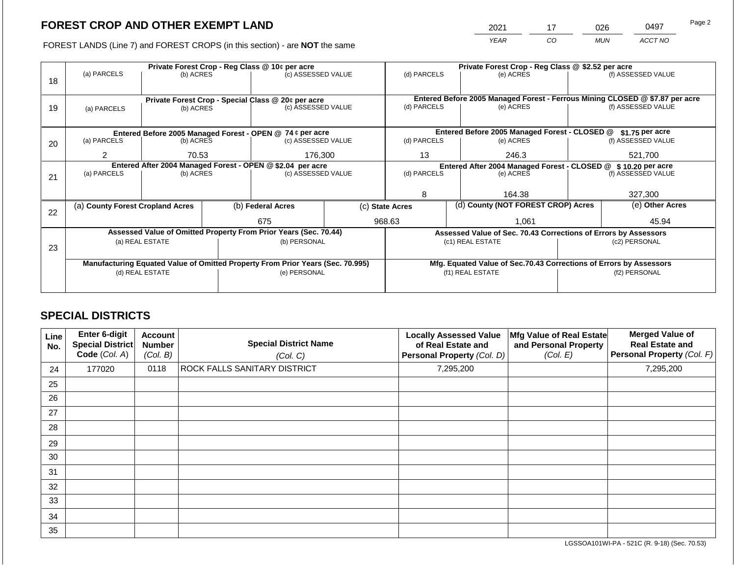2021 17 026 0497

FOREST LANDS (Line 7) and FOREST CROPS (in this section) - are **NOT** the same *YEAR CO MUN ACCT NO*

|    |                                                                                |                 |  | Private Forest Crop - Reg Class @ 10¢ per acre                   |                                                               | Private Forest Crop - Reg Class @ \$2.52 per acre                            |                                               |                                                                 |                    |                    |  |
|----|--------------------------------------------------------------------------------|-----------------|--|------------------------------------------------------------------|---------------------------------------------------------------|------------------------------------------------------------------------------|-----------------------------------------------|-----------------------------------------------------------------|--------------------|--------------------|--|
| 18 | (a) PARCELS                                                                    | (b) ACRES       |  | (c) ASSESSED VALUE                                               |                                                               | (d) PARCELS                                                                  |                                               | (e) ACRES                                                       |                    | (f) ASSESSED VALUE |  |
|    |                                                                                |                 |  |                                                                  |                                                               |                                                                              |                                               |                                                                 |                    |                    |  |
|    |                                                                                |                 |  | Private Forest Crop - Special Class @ 20¢ per acre               |                                                               | Entered Before 2005 Managed Forest - Ferrous Mining CLOSED @ \$7.87 per acre |                                               |                                                                 |                    |                    |  |
| 19 | (a) PARCELS                                                                    | (b) ACRES       |  | (c) ASSESSED VALUE                                               |                                                               | (d) PARCELS                                                                  |                                               | (e) ACRES                                                       |                    | (f) ASSESSED VALUE |  |
|    |                                                                                |                 |  |                                                                  |                                                               |                                                                              |                                               |                                                                 |                    |                    |  |
|    |                                                                                |                 |  | Entered Before 2005 Managed Forest - OPEN @ 74 ¢ per acre        |                                                               |                                                                              | Entered Before 2005 Managed Forest - CLOSED @ |                                                                 | $$1.75$ per acre   |                    |  |
| 20 | (a) PARCELS                                                                    | (b) ACRES       |  | (c) ASSESSED VALUE                                               |                                                               | (d) PARCELS                                                                  |                                               | (e) ACRES                                                       |                    | (f) ASSESSED VALUE |  |
|    |                                                                                |                 |  |                                                                  |                                                               |                                                                              |                                               |                                                                 |                    |                    |  |
|    | 2                                                                              | 70.53           |  | 176,300                                                          |                                                               | 13                                                                           |                                               | 246.3                                                           |                    | 521,700            |  |
|    | Entered After 2004 Managed Forest - OPEN @ \$2.04 per acre                     |                 |  |                                                                  | Entered After 2004 Managed Forest - CLOSED @ \$10.20 per acre |                                                                              |                                               |                                                                 |                    |                    |  |
| 21 | (a) PARCELS                                                                    | (b) ACRES       |  | (c) ASSESSED VALUE                                               | (d) PARCELS                                                   |                                                                              | (e) ACRES                                     |                                                                 | (f) ASSESSED VALUE |                    |  |
|    |                                                                                |                 |  |                                                                  |                                                               |                                                                              |                                               |                                                                 |                    |                    |  |
|    |                                                                                |                 |  |                                                                  | 8                                                             |                                                                              | 164.38                                        |                                                                 | 327,300            |                    |  |
|    | (a) County Forest Cropland Acres                                               |                 |  | (b) Federal Acres<br>(c) State Acres                             |                                                               |                                                                              |                                               | (d) County (NOT FOREST CROP) Acres                              |                    | (e) Other Acres    |  |
| 22 |                                                                                |                 |  |                                                                  |                                                               |                                                                              |                                               |                                                                 |                    |                    |  |
|    |                                                                                |                 |  | 675                                                              |                                                               | 968.63<br>45.94<br>1,061                                                     |                                               |                                                                 |                    |                    |  |
|    |                                                                                |                 |  | Assessed Value of Omitted Property From Prior Years (Sec. 70.44) |                                                               |                                                                              |                                               | Assessed Value of Sec. 70.43 Corrections of Errors by Assessors |                    |                    |  |
| 23 |                                                                                | (a) REAL ESTATE |  | (b) PERSONAL                                                     |                                                               |                                                                              |                                               | (c1) REAL ESTATE                                                |                    | (c2) PERSONAL      |  |
|    |                                                                                |                 |  |                                                                  |                                                               |                                                                              |                                               |                                                                 |                    |                    |  |
|    | Manufacturing Equated Value of Omitted Property From Prior Years (Sec. 70.995) |                 |  |                                                                  |                                                               | Mfg. Equated Value of Sec.70.43 Corrections of Errors by Assessors           |                                               |                                                                 |                    |                    |  |
|    | (d) REAL ESTATE                                                                |                 |  | (e) PERSONAL                                                     |                                                               | (f1) REAL ESTATE                                                             |                                               |                                                                 | (f2) PERSONAL      |                    |  |
|    |                                                                                |                 |  |                                                                  |                                                               |                                                                              |                                               |                                                                 |                    |                    |  |
|    |                                                                                |                 |  |                                                                  |                                                               |                                                                              |                                               |                                                                 |                    |                    |  |

# **SPECIAL DISTRICTS**

| Line<br>No. | Enter 6-digit<br><b>Special District</b><br>Code (Col. A) | Account<br><b>Number</b><br>(Col. B) | <b>Special District Name</b><br>(Col. C) | <b>Locally Assessed Value</b><br>of Real Estate and<br>Personal Property (Col. D) | Mfg Value of Real Estate<br>and Personal Property<br>(Col. E) | <b>Merged Value of</b><br><b>Real Estate and</b><br>Personal Property (Col. F) |
|-------------|-----------------------------------------------------------|--------------------------------------|------------------------------------------|-----------------------------------------------------------------------------------|---------------------------------------------------------------|--------------------------------------------------------------------------------|
| 24          | 177020                                                    | 0118                                 | <b>ROCK FALLS SANITARY DISTRICT</b>      | 7,295,200                                                                         |                                                               | 7,295,200                                                                      |
| 25          |                                                           |                                      |                                          |                                                                                   |                                                               |                                                                                |
| 26          |                                                           |                                      |                                          |                                                                                   |                                                               |                                                                                |
| 27          |                                                           |                                      |                                          |                                                                                   |                                                               |                                                                                |
| 28          |                                                           |                                      |                                          |                                                                                   |                                                               |                                                                                |
| 29          |                                                           |                                      |                                          |                                                                                   |                                                               |                                                                                |
| 30          |                                                           |                                      |                                          |                                                                                   |                                                               |                                                                                |
| 31          |                                                           |                                      |                                          |                                                                                   |                                                               |                                                                                |
| 32          |                                                           |                                      |                                          |                                                                                   |                                                               |                                                                                |
| 33          |                                                           |                                      |                                          |                                                                                   |                                                               |                                                                                |
| 34          |                                                           |                                      |                                          |                                                                                   |                                                               |                                                                                |
| 35          |                                                           |                                      |                                          |                                                                                   |                                                               |                                                                                |

LGSSOA101WI-PA - 521C (R. 9-18) (Sec. 70.53)

Page 2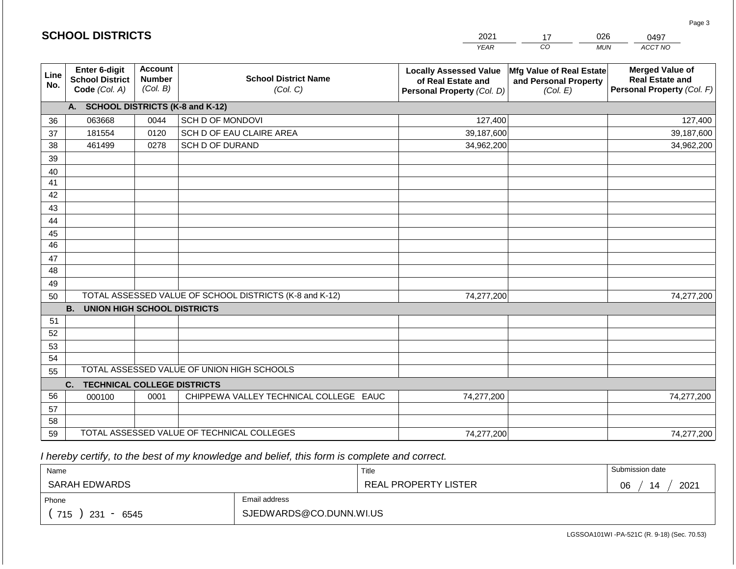|             | <b>SCHOOL DISTRICTS</b>                                  |                                             |                                                         | 2021                                                                              | 17                                                            | 026<br>0497                                                                    |
|-------------|----------------------------------------------------------|---------------------------------------------|---------------------------------------------------------|-----------------------------------------------------------------------------------|---------------------------------------------------------------|--------------------------------------------------------------------------------|
|             |                                                          |                                             |                                                         | <b>YEAR</b>                                                                       | CO                                                            | ACCT NO<br><b>MUN</b>                                                          |
| Line<br>No. | Enter 6-digit<br><b>School District</b><br>Code (Col. A) | <b>Account</b><br><b>Number</b><br>(Col. B) | <b>School District Name</b><br>(Col. C)                 | <b>Locally Assessed Value</b><br>of Real Estate and<br>Personal Property (Col. D) | Mfg Value of Real Estate<br>and Personal Property<br>(Col. E) | <b>Merged Value of</b><br><b>Real Estate and</b><br>Personal Property (Col. F) |
|             | A. SCHOOL DISTRICTS (K-8 and K-12)                       |                                             |                                                         |                                                                                   |                                                               |                                                                                |
| 36          | 063668                                                   | 0044                                        | SCH D OF MONDOVI                                        | 127,400                                                                           |                                                               | 127,400                                                                        |
| 37          | 181554                                                   | 0120                                        | SCH D OF EAU CLAIRE AREA                                | 39,187,600                                                                        |                                                               | 39,187,600                                                                     |
| 38          | 461499                                                   | 0278                                        | SCH D OF DURAND                                         | 34,962,200                                                                        |                                                               | 34,962,200                                                                     |
| 39          |                                                          |                                             |                                                         |                                                                                   |                                                               |                                                                                |
| 40          |                                                          |                                             |                                                         |                                                                                   |                                                               |                                                                                |
| 41          |                                                          |                                             |                                                         |                                                                                   |                                                               |                                                                                |
| 42          |                                                          |                                             |                                                         |                                                                                   |                                                               |                                                                                |
| 43          |                                                          |                                             |                                                         |                                                                                   |                                                               |                                                                                |
| 44          |                                                          |                                             |                                                         |                                                                                   |                                                               |                                                                                |
| 45          |                                                          |                                             |                                                         |                                                                                   |                                                               |                                                                                |
| 46          |                                                          |                                             |                                                         |                                                                                   |                                                               |                                                                                |
| 47          |                                                          |                                             |                                                         |                                                                                   |                                                               |                                                                                |
| 48          |                                                          |                                             |                                                         |                                                                                   |                                                               |                                                                                |
| 49          |                                                          |                                             |                                                         |                                                                                   |                                                               |                                                                                |
| 50          | <b>B.</b><br><b>UNION HIGH SCHOOL DISTRICTS</b>          |                                             | TOTAL ASSESSED VALUE OF SCHOOL DISTRICTS (K-8 and K-12) | 74,277,200                                                                        |                                                               | 74,277,200                                                                     |
| 51          |                                                          |                                             |                                                         |                                                                                   |                                                               |                                                                                |
| 52          |                                                          |                                             |                                                         |                                                                                   |                                                               |                                                                                |
| 53          |                                                          |                                             |                                                         |                                                                                   |                                                               |                                                                                |
| 54          |                                                          |                                             |                                                         |                                                                                   |                                                               |                                                                                |
| 55          |                                                          |                                             | TOTAL ASSESSED VALUE OF UNION HIGH SCHOOLS              |                                                                                   |                                                               |                                                                                |
|             | <b>TECHNICAL COLLEGE DISTRICTS</b><br>C.                 |                                             |                                                         |                                                                                   |                                                               |                                                                                |
| 56          | 000100                                                   | 0001                                        | CHIPPEWA VALLEY TECHNICAL COLLEGE EAUC                  | 74,277,200                                                                        |                                                               | 74,277,200                                                                     |
| 57          |                                                          |                                             |                                                         |                                                                                   |                                                               |                                                                                |
| 58          |                                                          |                                             |                                                         |                                                                                   |                                                               |                                                                                |
| 59          |                                                          |                                             | TOTAL ASSESSED VALUE OF TECHNICAL COLLEGES              | 74,277,200                                                                        |                                                               | 74,277,200                                                                     |

 *I hereby certify, to the best of my knowledge and belief, this form is complete and correct.*

**SCHOOL DISTRICTS**

| Name                                           |                         | Title                       | Submission date  |
|------------------------------------------------|-------------------------|-----------------------------|------------------|
| SARAH EDWARDS                                  |                         | <b>REAL PROPERTY LISTER</b> | 2021<br>∩ഭ<br>14 |
| Phone                                          | Email address           |                             |                  |
| 715<br>231<br>6545<br>$\overline{\phantom{0}}$ | SJEDWARDS@CO.DUNN.WI.US |                             |                  |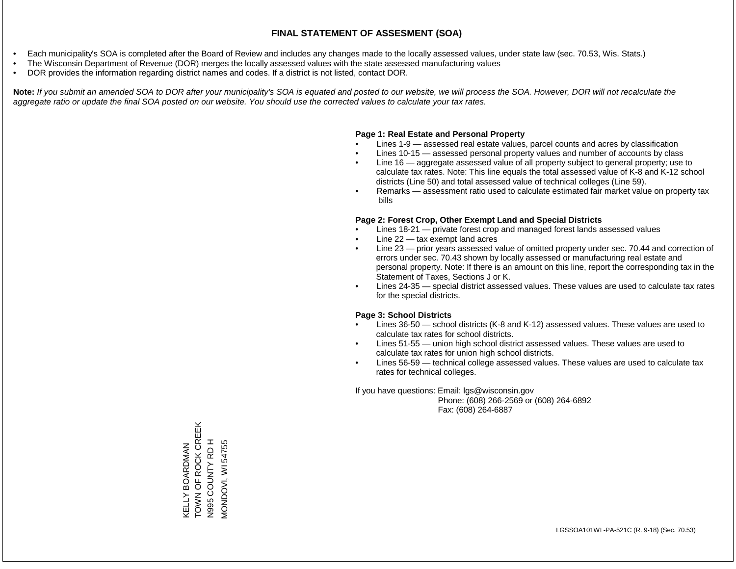- Each municipality's SOA is completed after the Board of Review and includes any changes made to the locally assessed values, under state law (sec. 70.53, Wis. Stats.)
- The Wisconsin Department of Revenue (DOR) merges the locally assessed values with the state assessed manufacturing values
- DOR provides the information regarding district names and codes. If a district is not listed, contact DOR.

Note: If you submit an amended SOA to DOR after your municipality's SOA is equated and posted to our website, we will process the SOA. However, DOR will not recalculate the *aggregate ratio or update the final SOA posted on our website. You should use the corrected values to calculate your tax rates.*

#### **Page 1: Real Estate and Personal Property**

- Lines 1-9 assessed real estate values, parcel counts and acres by classification
- Lines 10-15 assessed personal property values and number of accounts by class
- Line 16 aggregate assessed value of all property subject to general property; use to calculate tax rates. Note: This line equals the total assessed value of K-8 and K-12 school districts (Line 50) and total assessed value of technical colleges (Line 59).
- Remarks assessment ratio used to calculate estimated fair market value on property tax bills

#### **Page 2: Forest Crop, Other Exempt Land and Special Districts**

- Lines 18-21 private forest crop and managed forest lands assessed values
- Line  $22 -$  tax exempt land acres
- Line 23 prior years assessed value of omitted property under sec. 70.44 and correction of errors under sec. 70.43 shown by locally assessed or manufacturing real estate and personal property. Note: If there is an amount on this line, report the corresponding tax in the Statement of Taxes, Sections J or K.
- Lines 24-35 special district assessed values. These values are used to calculate tax rates for the special districts.

#### **Page 3: School Districts**

- Lines 36-50 school districts (K-8 and K-12) assessed values. These values are used to calculate tax rates for school districts.
- Lines 51-55 union high school district assessed values. These values are used to calculate tax rates for union high school districts.
- Lines 56-59 technical college assessed values. These values are used to calculate tax rates for technical colleges.

If you have questions: Email: lgs@wisconsin.gov

 Phone: (608) 266-2569 or (608) 264-6892 Fax: (608) 264-6887

KELLY BOARDMAN<br>TOWN OF ROCK CREEK<br>N995 COUNTY RD H TOWN OF ROCK CREEK N995 COUNTY RD H VIONDOVI, WI 54755 MONDOVI, WI 54755KELLY BOARDMAN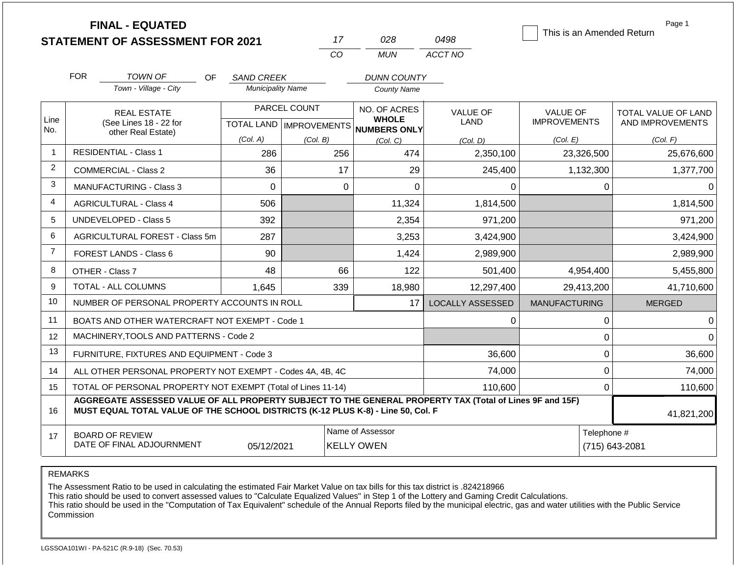|                |                                            | <b>FINAL - EQUATED</b><br><b>STATEMENT OF ASSESSMENT FOR 2021</b>                                                                                                                            |                          |          | 17                                                                     | 028                                                 | 0498             |                      |              | Page 1<br>This is an Amended Return |
|----------------|--------------------------------------------|----------------------------------------------------------------------------------------------------------------------------------------------------------------------------------------------|--------------------------|----------|------------------------------------------------------------------------|-----------------------------------------------------|------------------|----------------------|--------------|-------------------------------------|
|                |                                            |                                                                                                                                                                                              |                          |          | CO                                                                     | <b>MUN</b>                                          | ACCT NO          |                      |              |                                     |
|                | <b>FOR</b>                                 | <b>TOWN OF</b><br>OF.                                                                                                                                                                        | <b>SAND CREEK</b>        |          |                                                                        | <b>DUNN COUNTY</b>                                  |                  |                      |              |                                     |
|                |                                            | Town - Village - City                                                                                                                                                                        | <b>Municipality Name</b> |          | <b>County Name</b>                                                     |                                                     |                  |                      |              |                                     |
|                |                                            | <b>REAL ESTATE</b>                                                                                                                                                                           | PARCEL COUNT             |          | NO. OF ACRES                                                           |                                                     | <b>VALUE OF</b>  | <b>VALUE OF</b>      |              | TOTAL VALUE OF LAND                 |
| Line<br>No.    |                                            | (See Lines 18 - 22 for<br>other Real Estate)                                                                                                                                                 |                          |          |                                                                        | <b>WHOLE</b><br>TOTAL LAND MPROVEMENTS NUMBERS ONLY | <b>LAND</b>      | <b>IMPROVEMENTS</b>  |              | AND IMPROVEMENTS                    |
|                |                                            |                                                                                                                                                                                              | (Col. A)                 | (Col. B) |                                                                        | (Col, C)                                            | (Col. D)         | (Col. E)             |              | (Col. F)                            |
| $\overline{1}$ |                                            | <b>RESIDENTIAL - Class 1</b>                                                                                                                                                                 | 286                      |          | 256                                                                    | 474                                                 | 2,350,100        |                      | 23,326,500   | 25,676,600                          |
| 2              |                                            | COMMERCIAL - Class 2                                                                                                                                                                         | 36                       |          | 17                                                                     | 29                                                  | 245,400          |                      | 1,132,300    | 1,377,700                           |
| 3              | <b>MANUFACTURING - Class 3</b><br>$\Omega$ |                                                                                                                                                                                              |                          |          | $\Omega$                                                               | $\Omega$                                            | 0                |                      | $\mathbf{0}$ | $\Omega$                            |
| $\overline{4}$ |                                            | <b>AGRICULTURAL - Class 4</b>                                                                                                                                                                | 506                      |          |                                                                        | 11,324                                              | 1,814,500        |                      |              | 1,814,500                           |
| 5              | UNDEVELOPED - Class 5                      |                                                                                                                                                                                              | 392                      |          |                                                                        | 2,354                                               | 971,200          |                      |              | 971,200                             |
| 6              |                                            | AGRICULTURAL FOREST - Class 5m                                                                                                                                                               | 287                      |          |                                                                        | 3,253                                               | 3,424,900        |                      |              | 3,424,900                           |
| $\overline{7}$ |                                            | FOREST LANDS - Class 6                                                                                                                                                                       | 90                       |          |                                                                        | 1,424                                               | 2,989,900        |                      |              | 2,989,900                           |
| 8              |                                            | OTHER - Class 7                                                                                                                                                                              | 48                       |          | 66                                                                     | 122                                                 | 501,400          |                      | 4,954,400    | 5,455,800                           |
| 9              |                                            | <b>TOTAL - ALL COLUMNS</b>                                                                                                                                                                   | 1,645                    |          | 339                                                                    | 18,980                                              | 12,297,400       |                      | 29,413,200   | 41,710,600                          |
| 10             |                                            | NUMBER OF PERSONAL PROPERTY ACCOUNTS IN ROLL                                                                                                                                                 |                          |          |                                                                        | 17                                                  | LOCALLY ASSESSED | <b>MANUFACTURING</b> |              | <b>MERGED</b>                       |
| 11             |                                            | BOATS AND OTHER WATERCRAFT NOT EXEMPT - Code 1                                                                                                                                               |                          |          |                                                                        |                                                     | 0                |                      | 0            | $\Omega$                            |
| 12             |                                            | MACHINERY, TOOLS AND PATTERNS - Code 2                                                                                                                                                       |                          |          |                                                                        |                                                     |                  |                      | $\mathbf 0$  | $\Omega$                            |
| 13             |                                            | FURNITURE, FIXTURES AND EQUIPMENT - Code 3                                                                                                                                                   |                          |          |                                                                        |                                                     | 36,600           |                      | $\mathbf 0$  | 36,600                              |
| 14             |                                            | ALL OTHER PERSONAL PROPERTY NOT EXEMPT - Codes 4A, 4B, 4C                                                                                                                                    |                          |          |                                                                        |                                                     | 74,000           |                      | $\mathbf 0$  | 74,000                              |
| 15             |                                            | TOTAL OF PERSONAL PROPERTY NOT EXEMPT (Total of Lines 11-14)                                                                                                                                 |                          |          |                                                                        |                                                     | 110,600          |                      | $\mathbf{0}$ | 110,600                             |
| 16             |                                            | AGGREGATE ASSESSED VALUE OF ALL PROPERTY SUBJECT TO THE GENERAL PROPERTY TAX (Total of Lines 9F and 15F)<br>MUST EQUAL TOTAL VALUE OF THE SCHOOL DISTRICTS (K-12 PLUS K-8) - Line 50, Col. F |                          |          |                                                                        |                                                     |                  |                      |              | 41,821,200                          |
| 17             |                                            | <b>BOARD OF REVIEW</b><br>DATE OF FINAL ADJOURNMENT                                                                                                                                          | 05/12/2021               |          | Name of Assessor<br>Telephone #<br><b>KELLY OWEN</b><br>(715) 643-2081 |                                                     |                  |                      |              |                                     |

The Assessment Ratio to be used in calculating the estimated Fair Market Value on tax bills for this tax district is .824218966

This ratio should be used to convert assessed values to "Calculate Equalized Values" in Step 1 of the Lottery and Gaming Credit Calculations.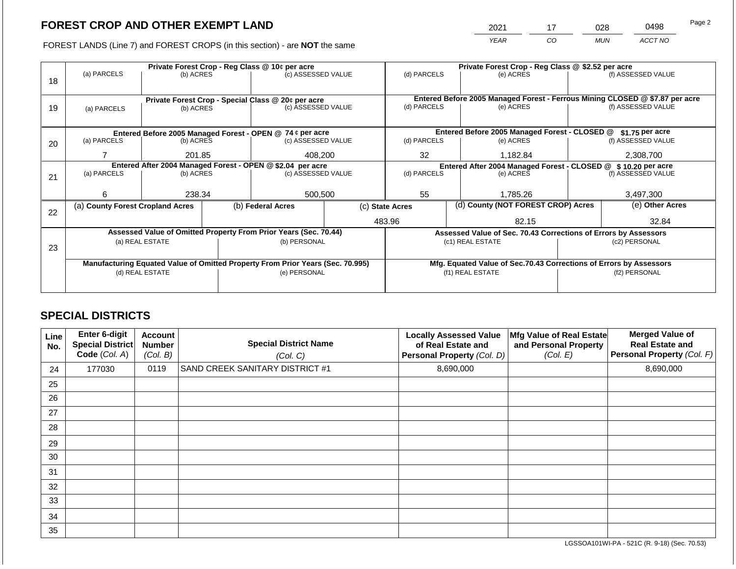2021 17 028 0498 Page 2

FOREST LANDS (Line 7) and FOREST CROPS (in this section) - are **NOT** the same *YEAR CO MUN ACCT NO*

|    |                                  |                 |  | Private Forest Crop - Reg Class @ 10¢ per acre                                 |                                                                              | Private Forest Crop - Reg Class @ \$2.52 per acre |  |                                                                    |                 |                    |  |
|----|----------------------------------|-----------------|--|--------------------------------------------------------------------------------|------------------------------------------------------------------------------|---------------------------------------------------|--|--------------------------------------------------------------------|-----------------|--------------------|--|
| 18 | (a) PARCELS                      | (b) ACRES       |  | (c) ASSESSED VALUE                                                             |                                                                              | (d) PARCELS                                       |  | (e) ACRES                                                          |                 | (f) ASSESSED VALUE |  |
|    |                                  |                 |  |                                                                                |                                                                              |                                                   |  |                                                                    |                 |                    |  |
|    |                                  |                 |  | Private Forest Crop - Special Class @ 20¢ per acre                             | Entered Before 2005 Managed Forest - Ferrous Mining CLOSED @ \$7.87 per acre |                                                   |  |                                                                    |                 |                    |  |
| 19 | (a) PARCELS                      | (b) ACRES       |  | (c) ASSESSED VALUE                                                             |                                                                              | (d) PARCELS                                       |  | (e) ACRES                                                          |                 | (f) ASSESSED VALUE |  |
|    |                                  |                 |  |                                                                                |                                                                              |                                                   |  |                                                                    |                 |                    |  |
|    |                                  |                 |  |                                                                                |                                                                              |                                                   |  |                                                                    |                 |                    |  |
|    |                                  |                 |  | Entered Before 2005 Managed Forest - OPEN @ 74 ¢ per acre                      |                                                                              |                                                   |  | Entered Before 2005 Managed Forest - CLOSED @                      |                 | $$1.75$ per acre   |  |
| 20 | (a) PARCELS                      | (b) ACRES       |  | (c) ASSESSED VALUE                                                             |                                                                              | (d) PARCELS                                       |  | (e) ACRES                                                          |                 | (f) ASSESSED VALUE |  |
|    |                                  | 201.85          |  | 408,200                                                                        |                                                                              | 32                                                |  | 1,182.84                                                           |                 | 2,308,700          |  |
|    |                                  |                 |  | Entered After 2004 Managed Forest - OPEN @ \$2.04 per acre                     | Entered After 2004 Managed Forest - CLOSED @ \$ 10.20 per acre               |                                                   |  |                                                                    |                 |                    |  |
| 21 | (a) PARCELS                      | (b) ACRES       |  | (c) ASSESSED VALUE                                                             |                                                                              | (d) PARCELS                                       |  | (e) ACRES                                                          |                 | (f) ASSESSED VALUE |  |
|    |                                  |                 |  |                                                                                |                                                                              |                                                   |  |                                                                    |                 |                    |  |
|    | 6.                               | 238.34          |  | 500,500                                                                        |                                                                              | 55                                                |  | 1.785.26                                                           |                 | 3,497,300          |  |
|    | (a) County Forest Cropland Acres |                 |  | (b) Federal Acres                                                              | (d) County (NOT FOREST CROP) Acres<br>(c) State Acres                        |                                                   |  |                                                                    | (e) Other Acres |                    |  |
| 22 |                                  |                 |  |                                                                                |                                                                              |                                                   |  |                                                                    |                 |                    |  |
|    |                                  |                 |  |                                                                                |                                                                              | 483.96<br>82.15                                   |  |                                                                    | 32.84           |                    |  |
|    |                                  |                 |  | Assessed Value of Omitted Property From Prior Years (Sec. 70.44)               |                                                                              |                                                   |  | Assessed Value of Sec. 70.43 Corrections of Errors by Assessors    |                 |                    |  |
|    |                                  | (a) REAL ESTATE |  | (b) PERSONAL                                                                   |                                                                              |                                                   |  | (c1) REAL ESTATE                                                   | (c2) PERSONAL   |                    |  |
| 23 |                                  |                 |  |                                                                                |                                                                              |                                                   |  |                                                                    |                 |                    |  |
|    |                                  |                 |  | Manufacturing Equated Value of Omitted Property From Prior Years (Sec. 70.995) |                                                                              |                                                   |  | Mfg. Equated Value of Sec.70.43 Corrections of Errors by Assessors |                 |                    |  |
|    |                                  | (d) REAL ESTATE |  | (e) PERSONAL                                                                   | (f1) REAL ESTATE                                                             |                                                   |  | (f2) PERSONAL                                                      |                 |                    |  |
|    |                                  |                 |  |                                                                                |                                                                              |                                                   |  |                                                                    |                 |                    |  |
|    |                                  |                 |  |                                                                                |                                                                              |                                                   |  |                                                                    |                 |                    |  |

# **SPECIAL DISTRICTS**

| Line<br>No. | <b>Enter 6-digit</b><br>Special District<br>Code (Col. A) | <b>Account</b><br><b>Number</b><br>(Col. B) | <b>Special District Name</b><br>(Col. C) | <b>Locally Assessed Value</b><br>of Real Estate and<br>Personal Property (Col. D) | Mfg Value of Real Estate<br>and Personal Property<br>(Col. E) | <b>Merged Value of</b><br><b>Real Estate and</b><br><b>Personal Property (Col. F)</b> |
|-------------|-----------------------------------------------------------|---------------------------------------------|------------------------------------------|-----------------------------------------------------------------------------------|---------------------------------------------------------------|---------------------------------------------------------------------------------------|
| 24          | 177030                                                    | 0119                                        | SAND CREEK SANITARY DISTRICT #1          | 8,690,000                                                                         |                                                               | 8,690,000                                                                             |
| 25          |                                                           |                                             |                                          |                                                                                   |                                                               |                                                                                       |
| 26          |                                                           |                                             |                                          |                                                                                   |                                                               |                                                                                       |
| 27          |                                                           |                                             |                                          |                                                                                   |                                                               |                                                                                       |
| 28          |                                                           |                                             |                                          |                                                                                   |                                                               |                                                                                       |
| 29          |                                                           |                                             |                                          |                                                                                   |                                                               |                                                                                       |
| 30          |                                                           |                                             |                                          |                                                                                   |                                                               |                                                                                       |
| 31          |                                                           |                                             |                                          |                                                                                   |                                                               |                                                                                       |
| 32          |                                                           |                                             |                                          |                                                                                   |                                                               |                                                                                       |
| 33          |                                                           |                                             |                                          |                                                                                   |                                                               |                                                                                       |
| 34          |                                                           |                                             |                                          |                                                                                   |                                                               |                                                                                       |
| 35          |                                                           |                                             |                                          |                                                                                   |                                                               |                                                                                       |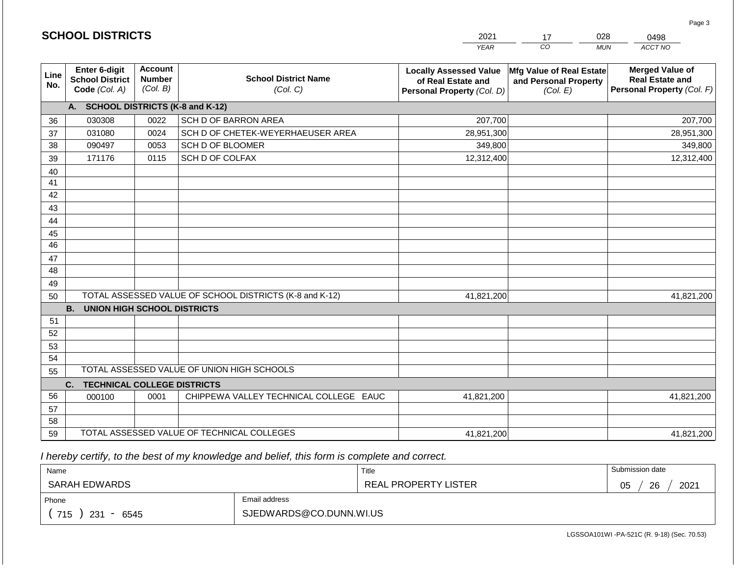|                 |                                                          |                                             |                                                         | <b>YEAR</b>                                                                       | CO<br><b>MUN</b>                                                     | ACCT NO                                                                        |
|-----------------|----------------------------------------------------------|---------------------------------------------|---------------------------------------------------------|-----------------------------------------------------------------------------------|----------------------------------------------------------------------|--------------------------------------------------------------------------------|
| Line<br>No.     | Enter 6-digit<br><b>School District</b><br>Code (Col. A) | <b>Account</b><br><b>Number</b><br>(Col. B) | <b>School District Name</b><br>(Col. C)                 | <b>Locally Assessed Value</b><br>of Real Estate and<br>Personal Property (Col. D) | <b>Mfg Value of Real Estate</b><br>and Personal Property<br>(Col. E) | <b>Merged Value of</b><br><b>Real Estate and</b><br>Personal Property (Col. F) |
|                 | A.                                                       |                                             | <b>SCHOOL DISTRICTS (K-8 and K-12)</b>                  |                                                                                   |                                                                      |                                                                                |
| 36              | 030308                                                   | 0022                                        | SCH D OF BARRON AREA                                    | 207,700                                                                           |                                                                      | 207,700                                                                        |
| 37              | 031080                                                   | 0024                                        | SCH D OF CHETEK-WEYERHAEUSER AREA                       | 28,951,300                                                                        |                                                                      | 28,951,300                                                                     |
| 38              | 090497                                                   | 0053                                        | SCH D OF BLOOMER                                        | 349,800                                                                           |                                                                      | 349,800                                                                        |
| 39              | 171176                                                   | 0115                                        | SCH D OF COLFAX                                         | 12,312,400                                                                        |                                                                      | 12,312,400                                                                     |
| 40              |                                                          |                                             |                                                         |                                                                                   |                                                                      |                                                                                |
| 41              |                                                          |                                             |                                                         |                                                                                   |                                                                      |                                                                                |
| 42              |                                                          |                                             |                                                         |                                                                                   |                                                                      |                                                                                |
| 43              |                                                          |                                             |                                                         |                                                                                   |                                                                      |                                                                                |
| 44              |                                                          |                                             |                                                         |                                                                                   |                                                                      |                                                                                |
| 45              |                                                          |                                             |                                                         |                                                                                   |                                                                      |                                                                                |
| $\overline{46}$ |                                                          |                                             |                                                         |                                                                                   |                                                                      |                                                                                |
| 47              |                                                          |                                             |                                                         |                                                                                   |                                                                      |                                                                                |
| 48              |                                                          |                                             |                                                         |                                                                                   |                                                                      |                                                                                |
| 49              |                                                          |                                             |                                                         |                                                                                   |                                                                      |                                                                                |
| 50              |                                                          |                                             | TOTAL ASSESSED VALUE OF SCHOOL DISTRICTS (K-8 and K-12) | 41,821,200                                                                        |                                                                      | 41,821,200                                                                     |
|                 | <b>B.</b><br><b>UNION HIGH SCHOOL DISTRICTS</b>          |                                             |                                                         |                                                                                   |                                                                      |                                                                                |
| 51              |                                                          |                                             |                                                         |                                                                                   |                                                                      |                                                                                |
| 52              |                                                          |                                             |                                                         |                                                                                   |                                                                      |                                                                                |
| 53              |                                                          |                                             |                                                         |                                                                                   |                                                                      |                                                                                |
| 54              |                                                          |                                             | TOTAL ASSESSED VALUE OF UNION HIGH SCHOOLS              |                                                                                   |                                                                      |                                                                                |
| 55              |                                                          |                                             |                                                         |                                                                                   |                                                                      |                                                                                |
|                 | C.<br><b>TECHNICAL COLLEGE DISTRICTS</b>                 |                                             |                                                         |                                                                                   |                                                                      |                                                                                |
| 56              | 000100                                                   | 0001                                        | CHIPPEWA VALLEY TECHNICAL COLLEGE EAUC                  | 41,821,200                                                                        |                                                                      | 41,821,200                                                                     |
| 57<br>58        |                                                          |                                             |                                                         |                                                                                   |                                                                      |                                                                                |
| 59              |                                                          |                                             | TOTAL ASSESSED VALUE OF TECHNICAL COLLEGES              |                                                                                   |                                                                      | 41,821,200                                                                     |
|                 |                                                          |                                             |                                                         | 41,821,200                                                                        |                                                                      |                                                                                |

2021

17

028

 *I hereby certify, to the best of my knowledge and belief, this form is complete and correct.*

**SCHOOL DISTRICTS**

| Name                                          |               | Title                | Submission date  |
|-----------------------------------------------|---------------|----------------------|------------------|
| SARAH EDWARDS                                 |               | REAL PROPERTY LISTER | 26<br>2021<br>05 |
| Phone                                         | Email address |                      |                  |
| SJEDWARDS@CO.DUNN.WI.US<br>715<br>231<br>6545 |               |                      |                  |

0498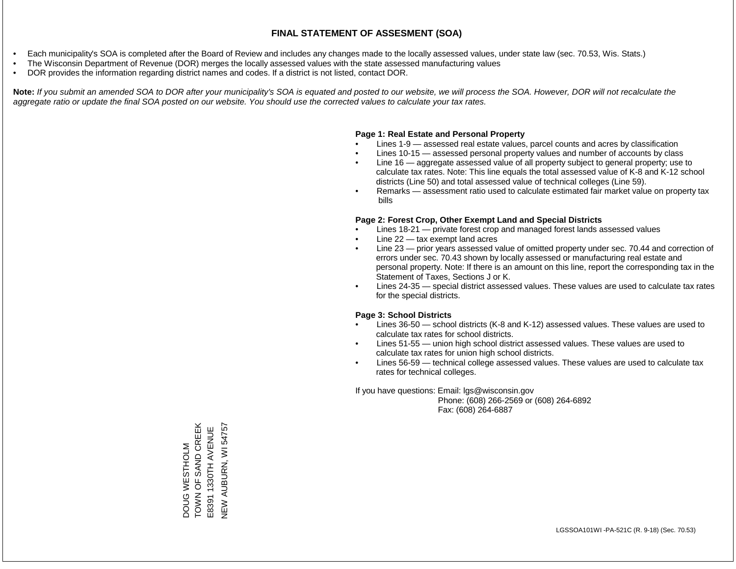- Each municipality's SOA is completed after the Board of Review and includes any changes made to the locally assessed values, under state law (sec. 70.53, Wis. Stats.)
- The Wisconsin Department of Revenue (DOR) merges the locally assessed values with the state assessed manufacturing values
- DOR provides the information regarding district names and codes. If a district is not listed, contact DOR.

Note: If you submit an amended SOA to DOR after your municipality's SOA is equated and posted to our website, we will process the SOA. However, DOR will not recalculate the *aggregate ratio or update the final SOA posted on our website. You should use the corrected values to calculate your tax rates.*

## **Page 1: Real Estate and Personal Property**

- Lines 1-9 assessed real estate values, parcel counts and acres by classification
- Lines 10-15 assessed personal property values and number of accounts by class
- Line 16 aggregate assessed value of all property subject to general property; use to calculate tax rates. Note: This line equals the total assessed value of K-8 and K-12 school districts (Line 50) and total assessed value of technical colleges (Line 59).
- Remarks assessment ratio used to calculate estimated fair market value on property tax bills

### **Page 2: Forest Crop, Other Exempt Land and Special Districts**

- Lines 18-21 private forest crop and managed forest lands assessed values
- Line  $22 -$  tax exempt land acres
- Line 23 prior years assessed value of omitted property under sec. 70.44 and correction of errors under sec. 70.43 shown by locally assessed or manufacturing real estate and personal property. Note: If there is an amount on this line, report the corresponding tax in the Statement of Taxes, Sections J or K.
- Lines 24-35 special district assessed values. These values are used to calculate tax rates for the special districts.

### **Page 3: School Districts**

- Lines 36-50 school districts (K-8 and K-12) assessed values. These values are used to calculate tax rates for school districts.
- Lines 51-55 union high school district assessed values. These values are used to calculate tax rates for union high school districts.
- Lines 56-59 technical college assessed values. These values are used to calculate tax rates for technical colleges.

If you have questions: Email: lgs@wisconsin.gov

 Phone: (608) 266-2569 or (608) 264-6892 Fax: (608) 264-6887

DOUG WESTHOLM<br>TOWN OF SAND CREEK<br>E8391 1330TH AVENUE TOWN OF SAND CREEK **NEW AUBURN, WI 54757** NEW AUBURN, WI 54757E8391 1330TH AVENUE DOUG WESTHOLM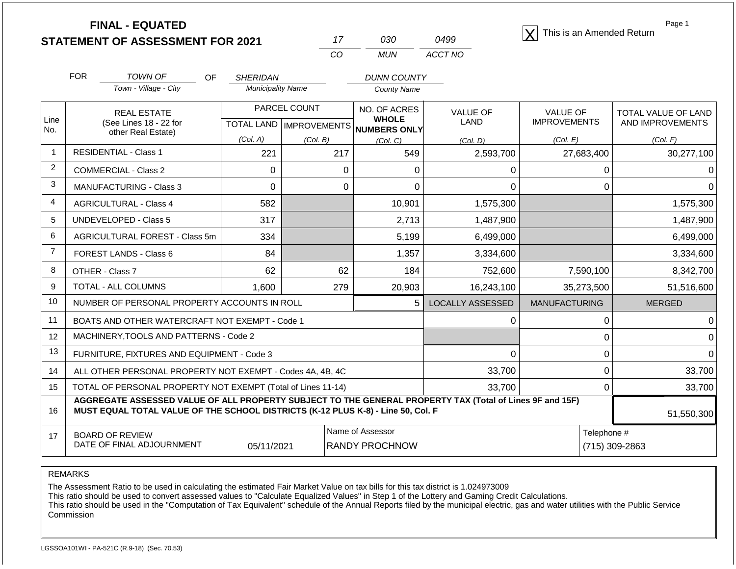|                |                                                           | <b>FINAL - EQUATED</b><br><b>STATEMENT OF ASSESSMENT FOR 2021</b>                                                                                                                            |                                  |              | 17          | 030                          | 0499                    |                      |             | Page 1<br>This is an Amended Return |  |
|----------------|-----------------------------------------------------------|----------------------------------------------------------------------------------------------------------------------------------------------------------------------------------------------|----------------------------------|--------------|-------------|------------------------------|-------------------------|----------------------|-------------|-------------------------------------|--|
|                |                                                           |                                                                                                                                                                                              |                                  |              | CO          | <b>MUN</b>                   | ACCT NO                 |                      |             |                                     |  |
|                |                                                           |                                                                                                                                                                                              |                                  |              |             |                              |                         |                      |             |                                     |  |
|                | <b>FOR</b>                                                | <b>TOWN OF</b><br>OF                                                                                                                                                                         | <b>SHERIDAN</b>                  |              |             | <b>DUNN COUNTY</b>           |                         |                      |             |                                     |  |
|                |                                                           | Town - Village - City                                                                                                                                                                        | <b>Municipality Name</b>         |              |             | <b>County Name</b>           |                         |                      |             |                                     |  |
|                |                                                           | <b>REAL ESTATE</b>                                                                                                                                                                           |                                  | PARCEL COUNT |             | NO. OF ACRES                 | <b>VALUE OF</b>         | <b>VALUE OF</b>      |             | TOTAL VALUE OF LAND                 |  |
| Line<br>No.    | (See Lines 18 - 22 for<br>other Real Estate)              |                                                                                                                                                                                              | <b>TOTAL LAND   IMPROVEMENTS</b> |              |             | <b>WHOLE</b><br>NUMBERS ONLY | LAND                    | <b>IMPROVEMENTS</b>  |             | AND IMPROVEMENTS                    |  |
|                |                                                           |                                                                                                                                                                                              | (Col. A)                         | (Col. B)     |             | (Col, C)                     | (Col, D)                | (Col. E)             |             | (Col. F)                            |  |
| $\overline{1}$ |                                                           | <b>RESIDENTIAL - Class 1</b>                                                                                                                                                                 | 221                              |              | 217         | 549                          | 2,593,700               |                      | 27,683,400  | 30,277,100                          |  |
| 2              |                                                           | COMMERCIAL - Class 2                                                                                                                                                                         | $\Omega$                         |              | $\Omega$    | 0                            | 0                       |                      | 0           |                                     |  |
| 3              |                                                           | <b>MANUFACTURING - Class 3</b>                                                                                                                                                               | $\overline{0}$                   |              | $\mathbf 0$ | $\Omega$                     | 0                       |                      | $\mathbf 0$ | $\Omega$                            |  |
| 4              |                                                           | <b>AGRICULTURAL - Class 4</b>                                                                                                                                                                | 582                              |              |             | 10,901                       | 1,575,300               |                      |             | 1,575,300                           |  |
| 5              |                                                           | <b>UNDEVELOPED - Class 5</b>                                                                                                                                                                 | 317                              |              |             | 2,713                        | 1,487,900               |                      |             | 1,487,900                           |  |
| 6              |                                                           | AGRICULTURAL FOREST - Class 5m                                                                                                                                                               | 334                              |              |             | 5,199                        | 6,499,000               |                      |             | 6,499,000                           |  |
| 7              |                                                           | FOREST LANDS - Class 6                                                                                                                                                                       | 84                               |              |             | 1,357                        | 3,334,600               |                      |             | 3,334,600                           |  |
| 8              |                                                           | OTHER - Class 7                                                                                                                                                                              | 62                               |              | 62          | 184                          | 752,600                 |                      | 7,590,100   | 8,342,700                           |  |
| 9              |                                                           | TOTAL - ALL COLUMNS                                                                                                                                                                          | 1.600                            |              | 279         | 20,903                       | 16,243,100              |                      | 35,273,500  | 51,516,600                          |  |
| 10             |                                                           | NUMBER OF PERSONAL PROPERTY ACCOUNTS IN ROLL                                                                                                                                                 |                                  |              |             | 5                            | <b>LOCALLY ASSESSED</b> | <b>MANUFACTURING</b> |             | <b>MERGED</b>                       |  |
| 11             |                                                           | BOATS AND OTHER WATERCRAFT NOT EXEMPT - Code 1                                                                                                                                               |                                  |              |             |                              | 0                       |                      | $\Omega$    | $\Omega$                            |  |
| 12             |                                                           | MACHINERY, TOOLS AND PATTERNS - Code 2                                                                                                                                                       |                                  |              |             |                              |                         |                      | 0           | 0                                   |  |
| 13             |                                                           | FURNITURE, FIXTURES AND EQUIPMENT - Code 3                                                                                                                                                   |                                  |              |             |                              | 0                       |                      | 0           | $\Omega$                            |  |
| 14             | ALL OTHER PERSONAL PROPERTY NOT EXEMPT - Codes 4A, 4B, 4C |                                                                                                                                                                                              |                                  |              |             |                              | 33,700                  |                      | 0           | 33,700                              |  |
| 15             |                                                           | TOTAL OF PERSONAL PROPERTY NOT EXEMPT (Total of Lines 11-14)                                                                                                                                 |                                  |              |             |                              | 33,700                  |                      | 0           | 33,700                              |  |
| 16             |                                                           | AGGREGATE ASSESSED VALUE OF ALL PROPERTY SUBJECT TO THE GENERAL PROPERTY TAX (Total of Lines 9F and 15F)<br>MUST EQUAL TOTAL VALUE OF THE SCHOOL DISTRICTS (K-12 PLUS K-8) - Line 50, Col. F |                                  |              |             |                              |                         |                      |             | 51,550,300                          |  |
| 17             |                                                           | <b>BOARD OF REVIEW</b>                                                                                                                                                                       |                                  |              |             | Name of Assessor             |                         |                      | Telephone # |                                     |  |
|                |                                                           | DATE OF FINAL ADJOURNMENT                                                                                                                                                                    | 05/11/2021                       |              |             | <b>RANDY PROCHNOW</b>        |                         |                      |             | (715) 309-2863                      |  |

The Assessment Ratio to be used in calculating the estimated Fair Market Value on tax bills for this tax district is 1.024973009

This ratio should be used to convert assessed values to "Calculate Equalized Values" in Step 1 of the Lottery and Gaming Credit Calculations.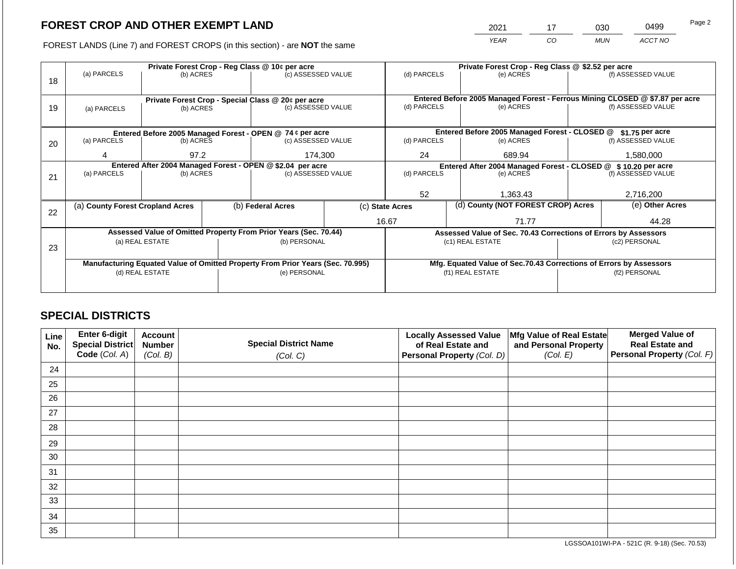2021 17 030 0499 Page 2

FOREST LANDS (Line 7) and FOREST CROPS (in this section) - are **NOT** the same *YEAR CO MUN ACCT NO*

|    |                                  |                                                           |  | Private Forest Crop - Reg Class @ 10¢ per acre                                 |  | Private Forest Crop - Reg Class @ \$2.52 per acre     |  |                                                                    |               |                                                                                                    |
|----|----------------------------------|-----------------------------------------------------------|--|--------------------------------------------------------------------------------|--|-------------------------------------------------------|--|--------------------------------------------------------------------|---------------|----------------------------------------------------------------------------------------------------|
|    | (a) PARCELS                      | (b) ACRES                                                 |  | (c) ASSESSED VALUE                                                             |  | (d) PARCELS                                           |  | (e) ACRES                                                          |               | (f) ASSESSED VALUE                                                                                 |
| 18 |                                  |                                                           |  |                                                                                |  |                                                       |  |                                                                    |               |                                                                                                    |
|    |                                  |                                                           |  |                                                                                |  |                                                       |  |                                                                    |               |                                                                                                    |
|    |                                  |                                                           |  | Private Forest Crop - Special Class @ 20¢ per acre<br>(c) ASSESSED VALUE       |  | (d) PARCELS                                           |  | (e) ACRES                                                          |               | Entered Before 2005 Managed Forest - Ferrous Mining CLOSED @ \$7.87 per acre<br>(f) ASSESSED VALUE |
| 19 | (a) PARCELS                      | (b) ACRES                                                 |  |                                                                                |  |                                                       |  |                                                                    |               |                                                                                                    |
|    |                                  |                                                           |  |                                                                                |  |                                                       |  |                                                                    |               |                                                                                                    |
|    |                                  | Entered Before 2005 Managed Forest - OPEN @ 74 ¢ per acre |  |                                                                                |  | Entered Before 2005 Managed Forest - CLOSED @         |  | \$1.75 per acre                                                    |               |                                                                                                    |
| 20 | (a) PARCELS                      | (b) ACRES                                                 |  | (c) ASSESSED VALUE                                                             |  | (d) PARCELS                                           |  | (e) ACRES                                                          |               | (f) ASSESSED VALUE                                                                                 |
|    |                                  |                                                           |  |                                                                                |  |                                                       |  |                                                                    |               |                                                                                                    |
|    | 4                                | 97.2                                                      |  | 174,300                                                                        |  | 24                                                    |  | 689.94                                                             |               | 1,580,000                                                                                          |
|    |                                  |                                                           |  | Entered After 2004 Managed Forest - OPEN @ \$2.04 per acre                     |  |                                                       |  | Entered After 2004 Managed Forest - CLOSED @ \$10.20 per acre      |               |                                                                                                    |
| 21 | (a) PARCELS                      | (b) ACRES                                                 |  | (c) ASSESSED VALUE                                                             |  | (d) PARCELS                                           |  | (e) ACRES                                                          |               | (f) ASSESSED VALUE                                                                                 |
|    |                                  |                                                           |  |                                                                                |  |                                                       |  |                                                                    |               |                                                                                                    |
|    |                                  |                                                           |  |                                                                                |  | 52                                                    |  | 1,363.43                                                           |               | 2,716,200                                                                                          |
|    | (a) County Forest Cropland Acres |                                                           |  | (b) Federal Acres                                                              |  | (d) County (NOT FOREST CROP) Acres<br>(c) State Acres |  |                                                                    |               | (e) Other Acres                                                                                    |
| 22 |                                  |                                                           |  |                                                                                |  |                                                       |  |                                                                    |               |                                                                                                    |
|    |                                  |                                                           |  |                                                                                |  | 16.67                                                 |  | 71.77                                                              |               | 44.28                                                                                              |
|    |                                  |                                                           |  | Assessed Value of Omitted Property From Prior Years (Sec. 70.44)               |  |                                                       |  | Assessed Value of Sec. 70.43 Corrections of Errors by Assessors    |               |                                                                                                    |
|    |                                  | (a) REAL ESTATE                                           |  | (b) PERSONAL                                                                   |  |                                                       |  | (c1) REAL ESTATE                                                   |               | (c2) PERSONAL                                                                                      |
| 23 |                                  |                                                           |  |                                                                                |  |                                                       |  |                                                                    |               |                                                                                                    |
|    |                                  |                                                           |  | Manufacturing Equated Value of Omitted Property From Prior Years (Sec. 70.995) |  |                                                       |  | Mfg. Equated Value of Sec.70.43 Corrections of Errors by Assessors |               |                                                                                                    |
|    | (d) REAL ESTATE                  |                                                           |  | (e) PERSONAL                                                                   |  |                                                       |  | (f1) REAL ESTATE                                                   | (f2) PERSONAL |                                                                                                    |
|    |                                  |                                                           |  |                                                                                |  |                                                       |  |                                                                    |               |                                                                                                    |
|    |                                  |                                                           |  |                                                                                |  |                                                       |  |                                                                    |               |                                                                                                    |

# **SPECIAL DISTRICTS**

| Line<br>No. | Enter 6-digit<br>Special District | <b>Account</b><br><b>Number</b> | <b>Special District Name</b> | <b>Locally Assessed Value</b><br>of Real Estate and | Mfg Value of Real Estate<br>and Personal Property | <b>Merged Value of</b><br><b>Real Estate and</b> |
|-------------|-----------------------------------|---------------------------------|------------------------------|-----------------------------------------------------|---------------------------------------------------|--------------------------------------------------|
|             | Code (Col. A)                     | (Col. B)                        | (Col. C)                     | Personal Property (Col. D)                          | (Col. E)                                          | Personal Property (Col. F)                       |
| 24          |                                   |                                 |                              |                                                     |                                                   |                                                  |
| 25          |                                   |                                 |                              |                                                     |                                                   |                                                  |
| 26          |                                   |                                 |                              |                                                     |                                                   |                                                  |
| 27          |                                   |                                 |                              |                                                     |                                                   |                                                  |
| 28          |                                   |                                 |                              |                                                     |                                                   |                                                  |
| 29          |                                   |                                 |                              |                                                     |                                                   |                                                  |
| 30          |                                   |                                 |                              |                                                     |                                                   |                                                  |
| 31          |                                   |                                 |                              |                                                     |                                                   |                                                  |
| 32          |                                   |                                 |                              |                                                     |                                                   |                                                  |
| 33          |                                   |                                 |                              |                                                     |                                                   |                                                  |
| 34          |                                   |                                 |                              |                                                     |                                                   |                                                  |
| 35          |                                   |                                 |                              |                                                     |                                                   |                                                  |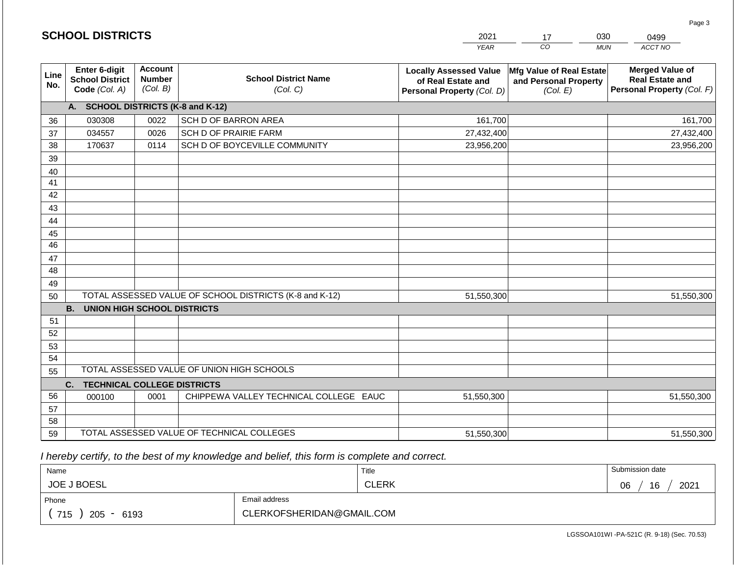|             | <b>SCHOOL DISTRICTS</b>                                  |                                             |                                                         | 2021                                                                              | 17                                                            | 030<br>0499                                                                    |
|-------------|----------------------------------------------------------|---------------------------------------------|---------------------------------------------------------|-----------------------------------------------------------------------------------|---------------------------------------------------------------|--------------------------------------------------------------------------------|
|             |                                                          |                                             |                                                         | <b>YEAR</b>                                                                       | $\overline{co}$                                               | <b>MUN</b><br>ACCT NO                                                          |
| Line<br>No. | Enter 6-digit<br><b>School District</b><br>Code (Col. A) | <b>Account</b><br><b>Number</b><br>(Col. B) | <b>School District Name</b><br>(Col. C)                 | <b>Locally Assessed Value</b><br>of Real Estate and<br>Personal Property (Col. D) | Mfg Value of Real Estate<br>and Personal Property<br>(Col. E) | <b>Merged Value of</b><br><b>Real Estate and</b><br>Personal Property (Col. F) |
|             | A. SCHOOL DISTRICTS (K-8 and K-12)                       |                                             |                                                         |                                                                                   |                                                               |                                                                                |
| 36          | 030308                                                   | 0022                                        | SCH D OF BARRON AREA                                    | 161,700                                                                           |                                                               | 161,700                                                                        |
| 37          | 034557                                                   | 0026                                        | SCH D OF PRAIRIE FARM                                   | 27,432,400                                                                        |                                                               | 27,432,400                                                                     |
| 38          | 170637                                                   | 0114                                        | SCH D OF BOYCEVILLE COMMUNITY                           | 23,956,200                                                                        |                                                               | 23,956,200                                                                     |
| 39          |                                                          |                                             |                                                         |                                                                                   |                                                               |                                                                                |
| 40          |                                                          |                                             |                                                         |                                                                                   |                                                               |                                                                                |
| 41          |                                                          |                                             |                                                         |                                                                                   |                                                               |                                                                                |
| 42          |                                                          |                                             |                                                         |                                                                                   |                                                               |                                                                                |
| 43          |                                                          |                                             |                                                         |                                                                                   |                                                               |                                                                                |
| 44          |                                                          |                                             |                                                         |                                                                                   |                                                               |                                                                                |
| 45          |                                                          |                                             |                                                         |                                                                                   |                                                               |                                                                                |
| 46          |                                                          |                                             |                                                         |                                                                                   |                                                               |                                                                                |
| 47          |                                                          |                                             |                                                         |                                                                                   |                                                               |                                                                                |
| 48          |                                                          |                                             |                                                         |                                                                                   |                                                               |                                                                                |
| 49          |                                                          |                                             |                                                         |                                                                                   |                                                               |                                                                                |
| 50          |                                                          |                                             | TOTAL ASSESSED VALUE OF SCHOOL DISTRICTS (K-8 and K-12) | 51,550,300                                                                        |                                                               | 51,550,300                                                                     |
|             | <b>B.</b><br><b>UNION HIGH SCHOOL DISTRICTS</b>          |                                             |                                                         |                                                                                   |                                                               |                                                                                |
| 51<br>52    |                                                          |                                             |                                                         |                                                                                   |                                                               |                                                                                |
| 53          |                                                          |                                             |                                                         |                                                                                   |                                                               |                                                                                |
| 54          |                                                          |                                             |                                                         |                                                                                   |                                                               |                                                                                |
| 55          |                                                          |                                             | TOTAL ASSESSED VALUE OF UNION HIGH SCHOOLS              |                                                                                   |                                                               |                                                                                |
|             | <b>TECHNICAL COLLEGE DISTRICTS</b><br>C.                 |                                             |                                                         |                                                                                   |                                                               |                                                                                |
| 56          | 000100                                                   | 0001                                        | CHIPPEWA VALLEY TECHNICAL COLLEGE EAUC                  | 51,550,300                                                                        |                                                               | 51,550,300                                                                     |
| 57          |                                                          |                                             |                                                         |                                                                                   |                                                               |                                                                                |
| 58          |                                                          |                                             |                                                         |                                                                                   |                                                               |                                                                                |
| 59          |                                                          |                                             | TOTAL ASSESSED VALUE OF TECHNICAL COLLEGES              | 51,550,300                                                                        |                                                               | 51,550,300                                                                     |

2021

 *I hereby certify, to the best of my knowledge and belief, this form is complete and correct.*

**SCHOOL DISTRICTS**

| Name                                            |  | Title        | Submission date  |
|-------------------------------------------------|--|--------------|------------------|
| <b>JOE J BOESL</b>                              |  | <b>CLERK</b> | 2021<br>16<br>06 |
| Email address<br>Phone                          |  |              |                  |
| CLERKOFSHERIDAN@GMAIL.COM<br>715<br>205<br>6193 |  |              |                  |

030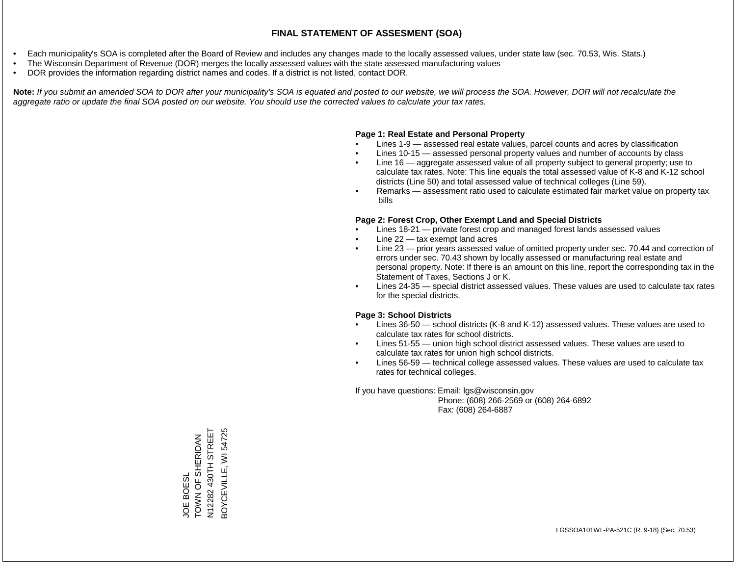- Each municipality's SOA is completed after the Board of Review and includes any changes made to the locally assessed values, under state law (sec. 70.53, Wis. Stats.)
- The Wisconsin Department of Revenue (DOR) merges the locally assessed values with the state assessed manufacturing values
- DOR provides the information regarding district names and codes. If a district is not listed, contact DOR.

Note: If you submit an amended SOA to DOR after your municipality's SOA is equated and posted to our website, we will process the SOA. However, DOR will not recalculate the *aggregate ratio or update the final SOA posted on our website. You should use the corrected values to calculate your tax rates.*

#### **Page 1: Real Estate and Personal Property**

- Lines 1-9 assessed real estate values, parcel counts and acres by classification
- Lines 10-15 assessed personal property values and number of accounts by class
- Line 16 aggregate assessed value of all property subject to general property; use to calculate tax rates. Note: This line equals the total assessed value of K-8 and K-12 school districts (Line 50) and total assessed value of technical colleges (Line 59).
- Remarks assessment ratio used to calculate estimated fair market value on property tax bills

#### **Page 2: Forest Crop, Other Exempt Land and Special Districts**

- Lines 18-21 private forest crop and managed forest lands assessed values
- Line  $22 -$  tax exempt land acres
- Line 23 prior years assessed value of omitted property under sec. 70.44 and correction of errors under sec. 70.43 shown by locally assessed or manufacturing real estate and personal property. Note: If there is an amount on this line, report the corresponding tax in the Statement of Taxes, Sections J or K.
- Lines 24-35 special district assessed values. These values are used to calculate tax rates for the special districts.

#### **Page 3: School Districts**

- Lines 36-50 school districts (K-8 and K-12) assessed values. These values are used to calculate tax rates for school districts.
- Lines 51-55 union high school district assessed values. These values are used to calculate tax rates for union high school districts.
- Lines 56-59 technical college assessed values. These values are used to calculate tax rates for technical colleges.

If you have questions: Email: lgs@wisconsin.gov

 Phone: (608) 266-2569 or (608) 264-6892 Fax: (608) 264-6887

N12282 430TH STREET N12282 430TH STREET BOYCEVILLE, WI 54725 BOYCEVILLE, WI 54725TOWN OF SHERIDAN JOE BOESL<br>TOWN OF SHERIDAN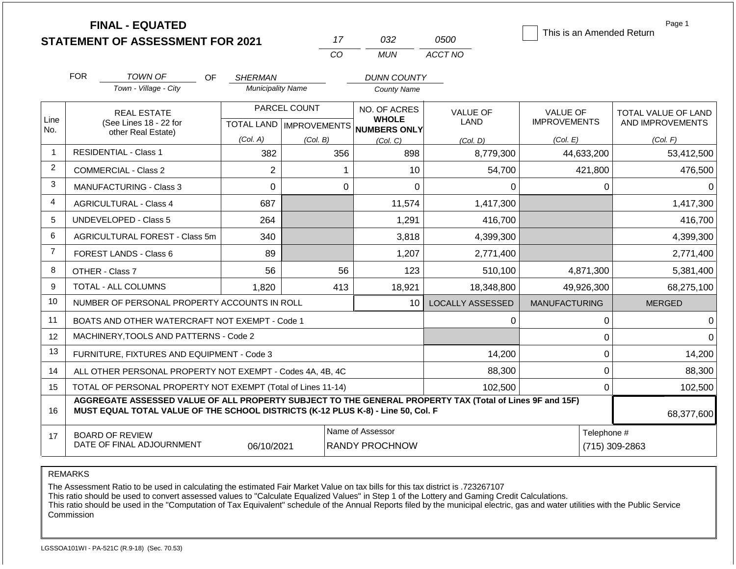|                |                                                                                                                                                                                              | <b>FINAL - EQUATED</b><br><b>STATEMENT OF ASSESSMENT FOR 2021</b> |                          |              | 17                                        | 032                                                      | 0500                    | This is an Amended Return | Page 1                        |  |
|----------------|----------------------------------------------------------------------------------------------------------------------------------------------------------------------------------------------|-------------------------------------------------------------------|--------------------------|--------------|-------------------------------------------|----------------------------------------------------------|-------------------------|---------------------------|-------------------------------|--|
|                |                                                                                                                                                                                              |                                                                   |                          | CO           |                                           | <b>MUN</b>                                               | ACCT NO                 |                           |                               |  |
|                | <b>FOR</b>                                                                                                                                                                                   | <b>TOWN OF</b><br>OF.                                             | SHERMAN                  |              |                                           | <b>DUNN COUNTY</b>                                       |                         |                           |                               |  |
|                |                                                                                                                                                                                              | Town - Village - City                                             | <b>Municipality Name</b> |              |                                           | <b>County Name</b>                                       |                         |                           |                               |  |
|                |                                                                                                                                                                                              | <b>REAL ESTATE</b>                                                |                          | PARCEL COUNT |                                           | NO. OF ACRES                                             | <b>VALUE OF</b>         | <b>VALUE OF</b>           | TOTAL VALUE OF LAND           |  |
| Line<br>No.    |                                                                                                                                                                                              | (See Lines 18 - 22 for                                            |                          |              |                                           | <b>WHOLE</b><br>TOTAL LAND   IMPROVEMENTS   NUMBERS ONLY | LAND                    | <b>IMPROVEMENTS</b>       | AND IMPROVEMENTS              |  |
|                | other Real Estate)                                                                                                                                                                           |                                                                   | (Col. A)                 | (Col. B)     |                                           | (Col, C)                                                 | (Col. D)                | (Col. E)                  | (Col. F)                      |  |
| 1              |                                                                                                                                                                                              | <b>RESIDENTIAL - Class 1</b>                                      | 382                      |              | 356                                       | 898                                                      | 8,779,300               | 44,633,200                | 53,412,500                    |  |
| $\overline{2}$ |                                                                                                                                                                                              | <b>COMMERCIAL - Class 2</b>                                       | $\overline{2}$           |              | 1                                         | 10                                                       | 54,700                  | 421,800                   | 476,500                       |  |
| 3              |                                                                                                                                                                                              | <b>MANUFACTURING - Class 3</b>                                    | $\overline{0}$           |              | $\Omega$                                  | $\Omega$                                                 | 0                       | 0                         | 0                             |  |
| 4              |                                                                                                                                                                                              | <b>AGRICULTURAL - Class 4</b>                                     | 687                      |              |                                           | 11,574                                                   | 1,417,300               |                           | 1,417,300                     |  |
| 5              |                                                                                                                                                                                              | UNDEVELOPED - Class 5                                             | 264                      |              |                                           | 1,291                                                    | 416,700                 |                           | 416,700                       |  |
| 6              |                                                                                                                                                                                              | AGRICULTURAL FOREST - Class 5m                                    | 340                      |              |                                           | 3,818                                                    | 4,399,300               |                           | 4,399,300                     |  |
| $\overline{7}$ |                                                                                                                                                                                              | <b>FOREST LANDS - Class 6</b>                                     | 89                       |              |                                           | 1,207                                                    | 2,771,400               |                           | 2,771,400                     |  |
| 8              |                                                                                                                                                                                              | OTHER - Class 7                                                   | 56                       |              | 56                                        | 123                                                      | 510,100                 | 4,871,300                 | 5,381,400                     |  |
| 9              |                                                                                                                                                                                              | <b>TOTAL - ALL COLUMNS</b>                                        | 1,820                    |              | 413                                       | 18,921                                                   | 18,348,800              | 49,926,300                | 68,275,100                    |  |
| 10             |                                                                                                                                                                                              | NUMBER OF PERSONAL PROPERTY ACCOUNTS IN ROLL                      |                          |              |                                           | 10                                                       | <b>LOCALLY ASSESSED</b> | <b>MANUFACTURING</b>      | <b>MERGED</b>                 |  |
| 11             |                                                                                                                                                                                              | BOATS AND OTHER WATERCRAFT NOT EXEMPT - Code 1                    |                          |              |                                           |                                                          | 0                       | 0                         | $\Omega$                      |  |
| 12             |                                                                                                                                                                                              | MACHINERY, TOOLS AND PATTERNS - Code 2                            |                          |              |                                           |                                                          |                         | $\mathbf 0$               | $\Omega$                      |  |
| 13             |                                                                                                                                                                                              | FURNITURE, FIXTURES AND EQUIPMENT - Code 3                        |                          |              |                                           |                                                          | 14,200                  | $\mathbf 0$               | 14,200                        |  |
| 14             |                                                                                                                                                                                              | ALL OTHER PERSONAL PROPERTY NOT EXEMPT - Codes 4A, 4B, 4C         |                          |              |                                           |                                                          | 88,300                  | $\pmb{0}$                 | 88,300                        |  |
| 15             | TOTAL OF PERSONAL PROPERTY NOT EXEMPT (Total of Lines 11-14)                                                                                                                                 |                                                                   |                          |              |                                           |                                                          | 102,500                 | 0                         | 102,500                       |  |
| 16             | AGGREGATE ASSESSED VALUE OF ALL PROPERTY SUBJECT TO THE GENERAL PROPERTY TAX (Total of Lines 9F and 15F)<br>MUST EQUAL TOTAL VALUE OF THE SCHOOL DISTRICTS (K-12 PLUS K-8) - Line 50, Col. F |                                                                   |                          |              |                                           |                                                          |                         |                           | 68,377,600                    |  |
| 17             | <b>BOARD OF REVIEW</b><br>DATE OF FINAL ADJOURNMENT<br>06/10/2021                                                                                                                            |                                                                   |                          |              | Name of Assessor<br><b>RANDY PROCHNOW</b> |                                                          |                         |                           | Telephone #<br>(715) 309-2863 |  |

The Assessment Ratio to be used in calculating the estimated Fair Market Value on tax bills for this tax district is .723267107

This ratio should be used to convert assessed values to "Calculate Equalized Values" in Step 1 of the Lottery and Gaming Credit Calculations.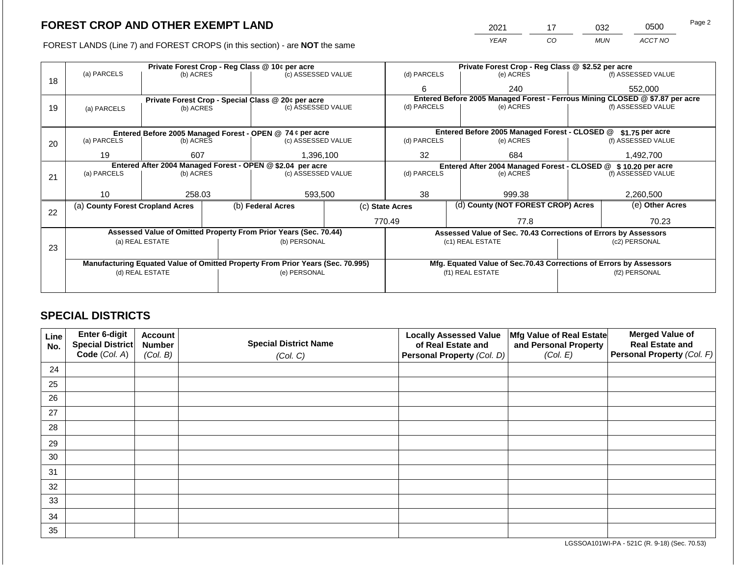FOREST LANDS (Line 7) and FOREST CROPS (in this section) - are **NOT** the same

| 2021 | 17 | 032 | 0500    | Page 2 |
|------|----|-----|---------|--------|
| YFAR | CО | MUN | ACCT NO |        |

|    |                                                            |                 |  | Private Forest Crop - Reg Class @ 10¢ per acre                                 |  |                                                       | Private Forest Crop - Reg Class @ \$2.52 per acre                            |                 |                    |  |
|----|------------------------------------------------------------|-----------------|--|--------------------------------------------------------------------------------|--|-------------------------------------------------------|------------------------------------------------------------------------------|-----------------|--------------------|--|
|    | (a) PARCELS                                                | (b) ACRES       |  | (c) ASSESSED VALUE                                                             |  | (d) PARCELS                                           | (e) ACRES                                                                    |                 | (f) ASSESSED VALUE |  |
| 18 |                                                            |                 |  |                                                                                |  | 6                                                     | 240                                                                          |                 | 552,000            |  |
|    |                                                            |                 |  | Private Forest Crop - Special Class @ 20¢ per acre                             |  |                                                       | Entered Before 2005 Managed Forest - Ferrous Mining CLOSED @ \$7.87 per acre |                 |                    |  |
| 19 | (a) PARCELS                                                | (b) ACRES       |  | (c) ASSESSED VALUE                                                             |  | (d) PARCELS                                           | (e) ACRES                                                                    |                 | (f) ASSESSED VALUE |  |
|    |                                                            |                 |  |                                                                                |  |                                                       |                                                                              |                 |                    |  |
|    |                                                            |                 |  | Entered Before 2005 Managed Forest - OPEN @ 74 ¢ per acre                      |  |                                                       | Entered Before 2005 Managed Forest - CLOSED @                                |                 | \$1.75 per acre    |  |
| 20 | (a) PARCELS                                                | (b) ACRES       |  | (c) ASSESSED VALUE                                                             |  | (d) PARCELS                                           | (e) ACRES                                                                    |                 | (f) ASSESSED VALUE |  |
|    |                                                            |                 |  |                                                                                |  |                                                       |                                                                              |                 |                    |  |
|    | 19                                                         | 607             |  | 1,396,100                                                                      |  | 32<br>684                                             |                                                                              |                 | 1,492,700          |  |
|    | Entered After 2004 Managed Forest - OPEN @ \$2.04 per acre |                 |  |                                                                                |  |                                                       | Entered After 2004 Managed Forest - CLOSED @ \$10.20 per acre                |                 |                    |  |
| 21 | (a) PARCELS                                                | (b) ACRES       |  | (c) ASSESSED VALUE                                                             |  | (d) PARCELS                                           | (e) ACRES                                                                    |                 | (f) ASSESSED VALUE |  |
|    |                                                            |                 |  |                                                                                |  |                                                       |                                                                              |                 |                    |  |
|    | 10                                                         | 258.03          |  | 593,500                                                                        |  | 38<br>999.38                                          |                                                                              |                 | 2,260,500          |  |
| 22 | (a) County Forest Cropland Acres                           |                 |  | (b) Federal Acres                                                              |  | (d) County (NOT FOREST CROP) Acres<br>(c) State Acres |                                                                              | (e) Other Acres |                    |  |
|    |                                                            |                 |  |                                                                                |  | 770.49                                                | 77.8                                                                         |                 | 70.23              |  |
|    |                                                            |                 |  | Assessed Value of Omitted Property From Prior Years (Sec. 70.44)               |  |                                                       | Assessed Value of Sec. 70.43 Corrections of Errors by Assessors              |                 |                    |  |
|    |                                                            | (a) REAL ESTATE |  | (b) PERSONAL                                                                   |  |                                                       | (c1) REAL ESTATE                                                             |                 | (c2) PERSONAL      |  |
| 23 |                                                            |                 |  |                                                                                |  |                                                       |                                                                              |                 |                    |  |
|    |                                                            |                 |  | Manufacturing Equated Value of Omitted Property From Prior Years (Sec. 70.995) |  |                                                       | Mfg. Equated Value of Sec.70.43 Corrections of Errors by Assessors           |                 |                    |  |
|    |                                                            | (d) REAL ESTATE |  | (e) PERSONAL                                                                   |  |                                                       | (f1) REAL ESTATE                                                             | (f2) PERSONAL   |                    |  |
|    |                                                            |                 |  |                                                                                |  |                                                       |                                                                              |                 |                    |  |
|    |                                                            |                 |  |                                                                                |  |                                                       |                                                                              |                 |                    |  |

# **SPECIAL DISTRICTS**

| Line<br>No. | Enter 6-digit<br>Special District<br>Code (Col. A) | <b>Account</b><br><b>Number</b><br>(Col. B) | <b>Special District Name</b><br>(Col. C) | <b>Locally Assessed Value</b><br>of Real Estate and<br>Personal Property (Col. D) | Mfg Value of Real Estate<br>and Personal Property<br>(Col. E) | <b>Merged Value of</b><br><b>Real Estate and</b><br>Personal Property (Col. F) |
|-------------|----------------------------------------------------|---------------------------------------------|------------------------------------------|-----------------------------------------------------------------------------------|---------------------------------------------------------------|--------------------------------------------------------------------------------|
| 24          |                                                    |                                             |                                          |                                                                                   |                                                               |                                                                                |
| 25          |                                                    |                                             |                                          |                                                                                   |                                                               |                                                                                |
| 26          |                                                    |                                             |                                          |                                                                                   |                                                               |                                                                                |
| 27          |                                                    |                                             |                                          |                                                                                   |                                                               |                                                                                |
| 28          |                                                    |                                             |                                          |                                                                                   |                                                               |                                                                                |
| 29          |                                                    |                                             |                                          |                                                                                   |                                                               |                                                                                |
| 30          |                                                    |                                             |                                          |                                                                                   |                                                               |                                                                                |
| 31          |                                                    |                                             |                                          |                                                                                   |                                                               |                                                                                |
| 32          |                                                    |                                             |                                          |                                                                                   |                                                               |                                                                                |
| 33          |                                                    |                                             |                                          |                                                                                   |                                                               |                                                                                |
| 34          |                                                    |                                             |                                          |                                                                                   |                                                               |                                                                                |
| 35          |                                                    |                                             |                                          |                                                                                   |                                                               |                                                                                |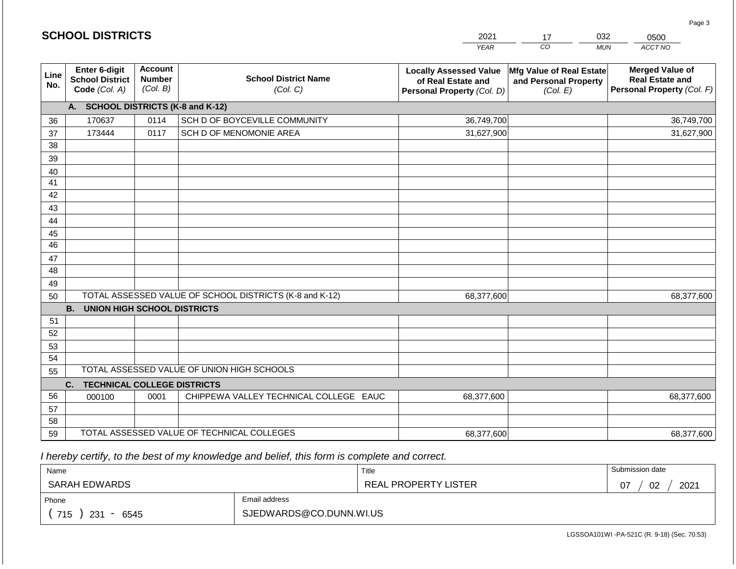| <b>SCHOOL DISTRICTS</b> |                                                          |                                             |                                                         | 2021                                                                              | 17                                                            | 032<br>0500                                                                    |
|-------------------------|----------------------------------------------------------|---------------------------------------------|---------------------------------------------------------|-----------------------------------------------------------------------------------|---------------------------------------------------------------|--------------------------------------------------------------------------------|
|                         |                                                          |                                             |                                                         | <b>YEAR</b>                                                                       | CO                                                            | ACCT NO<br><b>MUN</b>                                                          |
| Line<br>No.             | Enter 6-digit<br><b>School District</b><br>Code (Col. A) | <b>Account</b><br><b>Number</b><br>(Col. B) | <b>School District Name</b><br>(Col. C)                 | <b>Locally Assessed Value</b><br>of Real Estate and<br>Personal Property (Col. D) | Mfg Value of Real Estate<br>and Personal Property<br>(Col. E) | <b>Merged Value of</b><br><b>Real Estate and</b><br>Personal Property (Col. F) |
|                         | A. SCHOOL DISTRICTS (K-8 and K-12)                       |                                             |                                                         |                                                                                   |                                                               |                                                                                |
| 36                      | 170637                                                   | 0114                                        | SCH D OF BOYCEVILLE COMMUNITY                           | 36,749,700                                                                        |                                                               | 36,749,700                                                                     |
| 37                      | 173444                                                   | 0117                                        | SCH D OF MENOMONIE AREA                                 | 31,627,900                                                                        |                                                               | 31,627,900                                                                     |
| 38                      |                                                          |                                             |                                                         |                                                                                   |                                                               |                                                                                |
| 39                      |                                                          |                                             |                                                         |                                                                                   |                                                               |                                                                                |
| 40                      |                                                          |                                             |                                                         |                                                                                   |                                                               |                                                                                |
| 41                      |                                                          |                                             |                                                         |                                                                                   |                                                               |                                                                                |
| 42                      |                                                          |                                             |                                                         |                                                                                   |                                                               |                                                                                |
| 43                      |                                                          |                                             |                                                         |                                                                                   |                                                               |                                                                                |
| 44                      |                                                          |                                             |                                                         |                                                                                   |                                                               |                                                                                |
| 45<br>$\overline{46}$   |                                                          |                                             |                                                         |                                                                                   |                                                               |                                                                                |
| 47                      |                                                          |                                             |                                                         |                                                                                   |                                                               |                                                                                |
| 48                      |                                                          |                                             |                                                         |                                                                                   |                                                               |                                                                                |
| 49                      |                                                          |                                             |                                                         |                                                                                   |                                                               |                                                                                |
| 50                      |                                                          |                                             | TOTAL ASSESSED VALUE OF SCHOOL DISTRICTS (K-8 and K-12) | 68,377,600                                                                        |                                                               | 68,377,600                                                                     |
|                         | <b>B. UNION HIGH SCHOOL DISTRICTS</b>                    |                                             |                                                         |                                                                                   |                                                               |                                                                                |
| 51                      |                                                          |                                             |                                                         |                                                                                   |                                                               |                                                                                |
| 52                      |                                                          |                                             |                                                         |                                                                                   |                                                               |                                                                                |
| 53                      |                                                          |                                             |                                                         |                                                                                   |                                                               |                                                                                |
| 54                      |                                                          |                                             |                                                         |                                                                                   |                                                               |                                                                                |
| 55                      |                                                          |                                             | TOTAL ASSESSED VALUE OF UNION HIGH SCHOOLS              |                                                                                   |                                                               |                                                                                |
|                         | <b>TECHNICAL COLLEGE DISTRICTS</b><br>C.                 |                                             |                                                         |                                                                                   |                                                               |                                                                                |
| 56                      | 000100                                                   | 0001                                        | CHIPPEWA VALLEY TECHNICAL COLLEGE EAUC                  | 68,377,600                                                                        |                                                               | 68,377,600                                                                     |
| 57                      |                                                          |                                             |                                                         |                                                                                   |                                                               |                                                                                |
| 58                      |                                                          |                                             |                                                         |                                                                                   |                                                               |                                                                                |
| 59                      |                                                          |                                             | TOTAL ASSESSED VALUE OF TECHNICAL COLLEGES              | 68,377,600                                                                        |                                                               | 68,377,600                                                                     |

 *I hereby certify, to the best of my knowledge and belief, this form is complete and correct.*

**SCHOOL DISTRICTS**

| Name                |                         | Title                | Submission date        |  |  |
|---------------------|-------------------------|----------------------|------------------------|--|--|
| SARAH EDWARDS       |                         | REAL PROPERTY LISTER | 2021<br>02<br>^7<br>UΙ |  |  |
| Phone               | Email address           |                      |                        |  |  |
| 715<br>-231<br>6545 | SJEDWARDS@CO.DUNN.WI.US |                      |                        |  |  |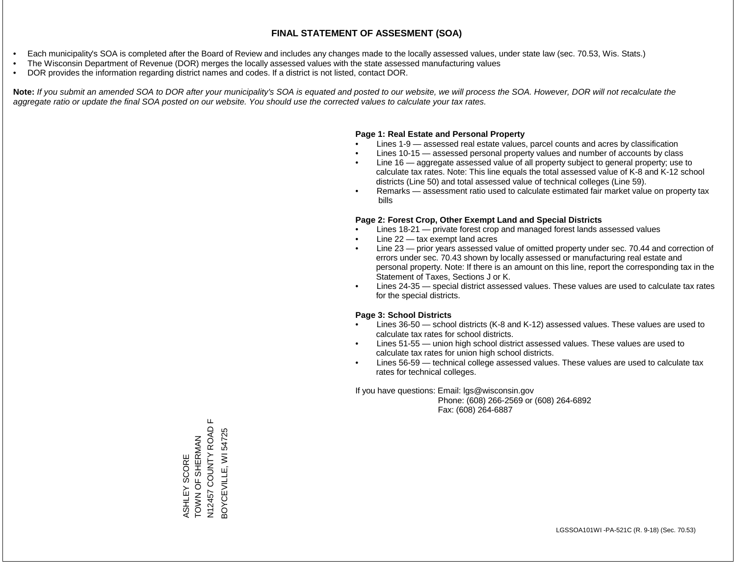- Each municipality's SOA is completed after the Board of Review and includes any changes made to the locally assessed values, under state law (sec. 70.53, Wis. Stats.)
- The Wisconsin Department of Revenue (DOR) merges the locally assessed values with the state assessed manufacturing values
- DOR provides the information regarding district names and codes. If a district is not listed, contact DOR.

Note: If you submit an amended SOA to DOR after your municipality's SOA is equated and posted to our website, we will process the SOA. However, DOR will not recalculate the *aggregate ratio or update the final SOA posted on our website. You should use the corrected values to calculate your tax rates.*

#### **Page 1: Real Estate and Personal Property**

- Lines 1-9 assessed real estate values, parcel counts and acres by classification
- Lines 10-15 assessed personal property values and number of accounts by class
- Line 16 aggregate assessed value of all property subject to general property; use to calculate tax rates. Note: This line equals the total assessed value of K-8 and K-12 school districts (Line 50) and total assessed value of technical colleges (Line 59).
- Remarks assessment ratio used to calculate estimated fair market value on property tax bills

#### **Page 2: Forest Crop, Other Exempt Land and Special Districts**

- Lines 18-21 private forest crop and managed forest lands assessed values
- Line  $22 -$  tax exempt land acres
- Line 23 prior years assessed value of omitted property under sec. 70.44 and correction of errors under sec. 70.43 shown by locally assessed or manufacturing real estate and personal property. Note: If there is an amount on this line, report the corresponding tax in the Statement of Taxes, Sections J or K.
- Lines 24-35 special district assessed values. These values are used to calculate tax rates for the special districts.

#### **Page 3: School Districts**

- Lines 36-50 school districts (K-8 and K-12) assessed values. These values are used to calculate tax rates for school districts.
- Lines 51-55 union high school district assessed values. These values are used to calculate tax rates for union high school districts.
- Lines 56-59 technical college assessed values. These values are used to calculate tax rates for technical colleges.

If you have questions: Email: lgs@wisconsin.gov

 Phone: (608) 266-2569 or (608) 264-6892 Fax: (608) 264-6887

N12457 COUNTY ROAD F N12457 COUNTY ROAD 3OYCEVILLE, WI 54725 BOYCEVILLE, WI 54725TOWN OF SHERMAN ASHLEY SCORE<br>TOWN OF SHERMAN ASHLEY SCORE

 $\mathbf{L}$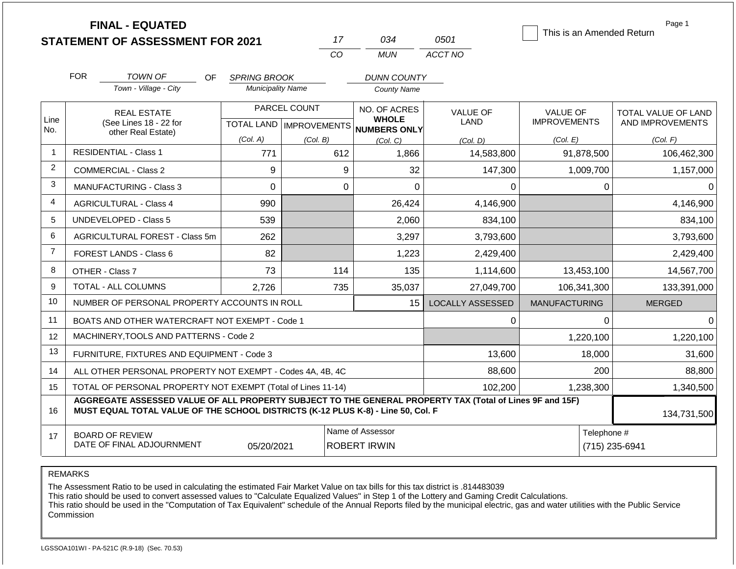|                |                               | <b>FINAL - EQUATED</b><br><b>STATEMENT OF ASSESSMENT FOR 2021</b>                                                                                                                            |                          |              | 17                           | 034                                             | 0501                    | This is an Amended Return              | Page 1                                  |
|----------------|-------------------------------|----------------------------------------------------------------------------------------------------------------------------------------------------------------------------------------------|--------------------------|--------------|------------------------------|-------------------------------------------------|-------------------------|----------------------------------------|-----------------------------------------|
|                |                               |                                                                                                                                                                                              |                          | CO           |                              | <b>MUN</b>                                      | ACCT NO                 |                                        |                                         |
|                | <b>FOR</b>                    | <b>TOWN OF</b><br>OF.                                                                                                                                                                        | <b>SPRING BROOK</b>      |              |                              | <b>DUNN COUNTY</b>                              |                         |                                        |                                         |
|                |                               | Town - Village - City                                                                                                                                                                        | <b>Municipality Name</b> |              |                              | <b>County Name</b>                              |                         |                                        |                                         |
| Line           |                               | <b>REAL ESTATE</b><br>(See Lines 18 - 22 for                                                                                                                                                 |                          | PARCEL COUNT | NO. OF ACRES<br><b>WHOLE</b> |                                                 | <b>VALUE OF</b><br>LAND | <b>VALUE OF</b><br><b>IMPROVEMENTS</b> | TOTAL VALUE OF LAND<br>AND IMPROVEMENTS |
| No.            |                               | other Real Estate)                                                                                                                                                                           | (Col. A)                 | (Col. B)     |                              | TOTAL LAND MPROVEMENTS NUMBERS ONLY<br>(Col. C) |                         | (Col. E)                               | (Col. F)                                |
| $\mathbf{1}$   |                               | <b>RESIDENTIAL - Class 1</b>                                                                                                                                                                 | 771                      |              | 612                          | 1,866                                           | (Col. D)<br>14,583,800  | 91,878,500                             | 106,462,300                             |
| $\overline{2}$ |                               | <b>COMMERCIAL - Class 2</b>                                                                                                                                                                  | 9                        |              | 9                            | 32                                              | 147,300                 | 1,009,700                              | 1,157,000                               |
| 3              |                               | <b>MANUFACTURING - Class 3</b>                                                                                                                                                               | $\overline{0}$           |              | $\Omega$                     | $\Omega$                                        | $\Omega$                | $\Omega$                               | 0                                       |
| 4              | <b>AGRICULTURAL - Class 4</b> |                                                                                                                                                                                              | 990                      |              |                              | 26,424                                          | 4,146,900               |                                        | 4,146,900                               |
| 5              | UNDEVELOPED - Class 5         |                                                                                                                                                                                              | 539                      |              |                              | 2,060                                           | 834,100                 |                                        | 834,100                                 |
| 6              |                               | AGRICULTURAL FOREST - Class 5m                                                                                                                                                               | 262                      |              |                              | 3,297                                           | 3,793,600               |                                        | 3,793,600                               |
| $\overline{7}$ |                               | <b>FOREST LANDS - Class 6</b>                                                                                                                                                                | 82                       |              |                              | 1,223                                           | 2,429,400               |                                        | 2,429,400                               |
| 8              |                               | OTHER - Class 7                                                                                                                                                                              | 73                       |              | 114                          | 135                                             | 1,114,600               | 13,453,100                             | 14,567,700                              |
| 9              |                               | TOTAL - ALL COLUMNS                                                                                                                                                                          | 2.726                    |              | 735                          | 35,037                                          | 27,049,700              | 106,341,300                            | 133,391,000                             |
| 10             |                               | NUMBER OF PERSONAL PROPERTY ACCOUNTS IN ROLL                                                                                                                                                 |                          |              |                              | 15                                              | <b>LOCALLY ASSESSED</b> | <b>MANUFACTURING</b>                   | <b>MERGED</b>                           |
| 11             |                               | BOATS AND OTHER WATERCRAFT NOT EXEMPT - Code 1                                                                                                                                               |                          |              |                              |                                                 | 0                       | $\mathbf 0$                            | $\Omega$                                |
| 12             |                               | MACHINERY, TOOLS AND PATTERNS - Code 2                                                                                                                                                       |                          |              |                              |                                                 |                         | 1,220,100                              | 1,220,100                               |
| 13             |                               | FURNITURE, FIXTURES AND EQUIPMENT - Code 3                                                                                                                                                   |                          |              |                              |                                                 | 13,600                  | 18,000                                 | 31,600                                  |
| 14             |                               | ALL OTHER PERSONAL PROPERTY NOT EXEMPT - Codes 4A, 4B, 4C                                                                                                                                    |                          |              |                              |                                                 | 88,600                  | 200                                    | 88,800                                  |
| 15             |                               | TOTAL OF PERSONAL PROPERTY NOT EXEMPT (Total of Lines 11-14)                                                                                                                                 |                          |              |                              |                                                 | 102,200                 | 1,238,300                              | 1,340,500                               |
| 16             |                               | AGGREGATE ASSESSED VALUE OF ALL PROPERTY SUBJECT TO THE GENERAL PROPERTY TAX (Total of Lines 9F and 15F)<br>MUST EQUAL TOTAL VALUE OF THE SCHOOL DISTRICTS (K-12 PLUS K-8) - Line 50, Col. F |                          |              |                              |                                                 |                         |                                        | 134,731,500                             |
| 17             |                               | <b>BOARD OF REVIEW</b><br>DATE OF FINAL ADJOURNMENT                                                                                                                                          | 05/20/2021               |              | Telephone #                  | (715) 235-6941                                  |                         |                                        |                                         |

The Assessment Ratio to be used in calculating the estimated Fair Market Value on tax bills for this tax district is .814483039

This ratio should be used to convert assessed values to "Calculate Equalized Values" in Step 1 of the Lottery and Gaming Credit Calculations.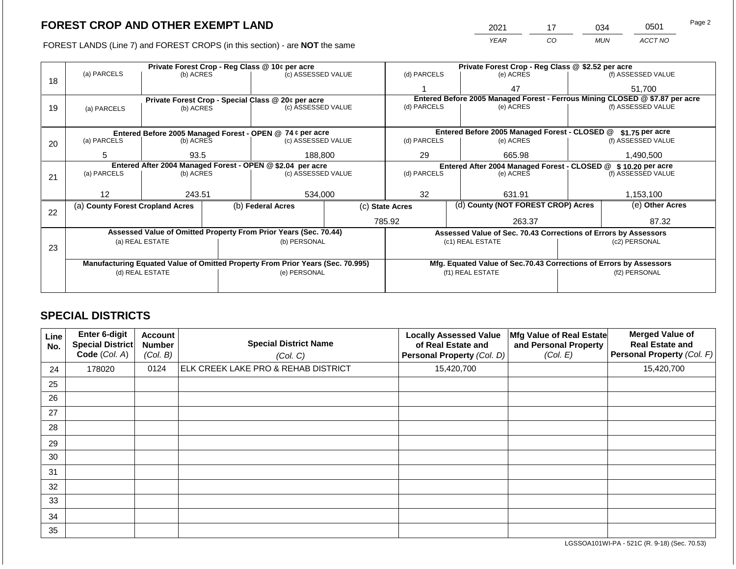FOREST LANDS (Line 7) and FOREST CROPS (in this section) - are **NOT** the same

| 2021        | 17 | 034        | 0501    | Page 2 |
|-------------|----|------------|---------|--------|
| <b>YFAR</b> | CO | <b>MUN</b> | ACCT NO |        |

|    |                                                            |                 |                 | Private Forest Crop - Reg Class @ 10¢ per acre                                 |                 |                    | Private Forest Crop - Reg Class @ \$2.52 per acre                  |  |                                                                              |  |
|----|------------------------------------------------------------|-----------------|-----------------|--------------------------------------------------------------------------------|-----------------|--------------------|--------------------------------------------------------------------|--|------------------------------------------------------------------------------|--|
|    | (a) PARCELS                                                | (b) ACRES       |                 | (c) ASSESSED VALUE                                                             |                 | (d) PARCELS        | (e) ACRES                                                          |  | (f) ASSESSED VALUE                                                           |  |
| 18 |                                                            |                 |                 |                                                                                |                 |                    | 47                                                                 |  | 51,700                                                                       |  |
|    |                                                            |                 |                 | Private Forest Crop - Special Class @ 20¢ per acre                             |                 |                    |                                                                    |  | Entered Before 2005 Managed Forest - Ferrous Mining CLOSED @ \$7.87 per acre |  |
| 19 | (a) PARCELS                                                | (b) ACRES       |                 | (c) ASSESSED VALUE                                                             |                 | (d) PARCELS        | (e) ACRES                                                          |  | (f) ASSESSED VALUE                                                           |  |
|    |                                                            |                 |                 |                                                                                |                 |                    |                                                                    |  |                                                                              |  |
|    |                                                            |                 |                 | Entered Before 2005 Managed Forest - OPEN @ 74 ¢ per acre                      |                 |                    | Entered Before 2005 Managed Forest - CLOSED @                      |  | \$1.75 per acre                                                              |  |
| 20 | (a) PARCELS<br>(c) ASSESSED VALUE<br>(b) ACRES             |                 | (d) PARCELS     | (e) ACRES                                                                      |                 | (f) ASSESSED VALUE |                                                                    |  |                                                                              |  |
|    |                                                            |                 |                 |                                                                                |                 |                    |                                                                    |  |                                                                              |  |
|    | 5                                                          |                 | 188,800<br>93.5 |                                                                                |                 | 665.98<br>29       |                                                                    |  | 1,490,500                                                                    |  |
|    | Entered After 2004 Managed Forest - OPEN @ \$2.04 per acre |                 |                 |                                                                                |                 |                    | Entered After 2004 Managed Forest - CLOSED @ \$10.20 per acre      |  |                                                                              |  |
| 21 | (a) PARCELS                                                | (b) ACRES       |                 | (c) ASSESSED VALUE                                                             |                 | (d) PARCELS        | (e) ACRES                                                          |  | (f) ASSESSED VALUE                                                           |  |
|    |                                                            |                 |                 |                                                                                |                 |                    |                                                                    |  |                                                                              |  |
|    | 12                                                         | 243.51          |                 | 534,000                                                                        |                 | 32                 | 631.91                                                             |  | 1,153,100                                                                    |  |
| 22 | (a) County Forest Cropland Acres                           |                 |                 | (b) Federal Acres                                                              | (c) State Acres |                    | (d) County (NOT FOREST CROP) Acres                                 |  | (e) Other Acres                                                              |  |
|    |                                                            |                 |                 |                                                                                |                 |                    |                                                                    |  |                                                                              |  |
|    |                                                            |                 |                 |                                                                                |                 | 785.92             | 263.37                                                             |  | 87.32                                                                        |  |
|    |                                                            |                 |                 | Assessed Value of Omitted Property From Prior Years (Sec. 70.44)               |                 |                    | Assessed Value of Sec. 70.43 Corrections of Errors by Assessors    |  |                                                                              |  |
|    |                                                            | (a) REAL ESTATE |                 | (b) PERSONAL                                                                   |                 |                    | (c1) REAL ESTATE                                                   |  | (c2) PERSONAL                                                                |  |
| 23 |                                                            |                 |                 |                                                                                |                 |                    |                                                                    |  |                                                                              |  |
|    |                                                            |                 |                 | Manufacturing Equated Value of Omitted Property From Prior Years (Sec. 70.995) |                 |                    | Mfg. Equated Value of Sec.70.43 Corrections of Errors by Assessors |  |                                                                              |  |
|    |                                                            | (d) REAL ESTATE |                 | (e) PERSONAL                                                                   |                 |                    | (f1) REAL ESTATE                                                   |  | (f2) PERSONAL                                                                |  |
|    |                                                            |                 |                 |                                                                                |                 |                    |                                                                    |  |                                                                              |  |
|    |                                                            |                 |                 |                                                                                |                 |                    |                                                                    |  |                                                                              |  |

# **SPECIAL DISTRICTS**

| Line<br>No. | <b>Enter 6-digit</b><br>Special District<br>Code (Col. A) | <b>Account</b><br><b>Number</b><br>(Col. B) | <b>Special District Name</b><br>(Col. C)       | <b>Locally Assessed Value</b><br>of Real Estate and<br><b>Personal Property (Col. D)</b> | Mfg Value of Real Estate<br>and Personal Property<br>(Col. E) | <b>Merged Value of</b><br><b>Real Estate and</b><br>Personal Property (Col. F) |
|-------------|-----------------------------------------------------------|---------------------------------------------|------------------------------------------------|------------------------------------------------------------------------------------------|---------------------------------------------------------------|--------------------------------------------------------------------------------|
| 24          | 178020                                                    | 0124                                        | <b>ELK CREEK LAKE PRO &amp; REHAB DISTRICT</b> | 15,420,700                                                                               |                                                               | 15,420,700                                                                     |
| 25          |                                                           |                                             |                                                |                                                                                          |                                                               |                                                                                |
| 26          |                                                           |                                             |                                                |                                                                                          |                                                               |                                                                                |
| 27          |                                                           |                                             |                                                |                                                                                          |                                                               |                                                                                |
| 28          |                                                           |                                             |                                                |                                                                                          |                                                               |                                                                                |
| 29          |                                                           |                                             |                                                |                                                                                          |                                                               |                                                                                |
| 30          |                                                           |                                             |                                                |                                                                                          |                                                               |                                                                                |
| 31          |                                                           |                                             |                                                |                                                                                          |                                                               |                                                                                |
| 32          |                                                           |                                             |                                                |                                                                                          |                                                               |                                                                                |
| 33          |                                                           |                                             |                                                |                                                                                          |                                                               |                                                                                |
| 34          |                                                           |                                             |                                                |                                                                                          |                                                               |                                                                                |
| 35          |                                                           |                                             |                                                |                                                                                          |                                                               |                                                                                |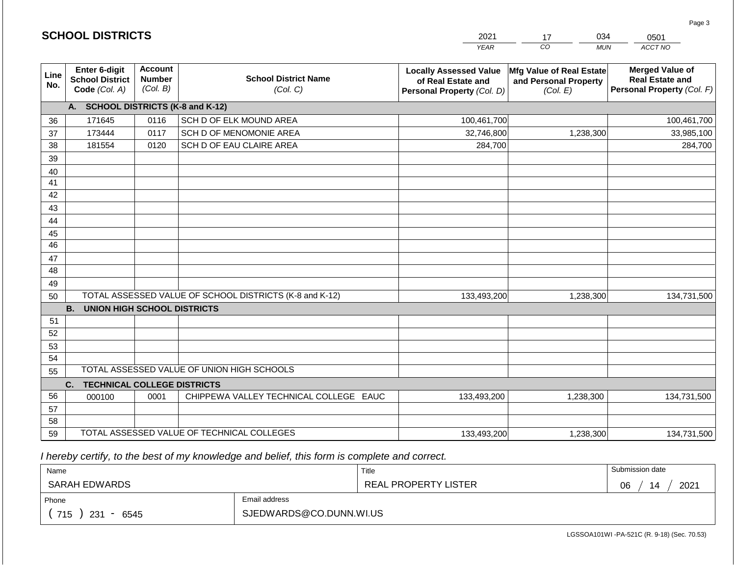|             |                                                          |                                             |                                                         | <b>YEAR</b>                                                                       | $\overline{co}$<br><b>MUN</b>                                 | ACCT NO                                                                        |
|-------------|----------------------------------------------------------|---------------------------------------------|---------------------------------------------------------|-----------------------------------------------------------------------------------|---------------------------------------------------------------|--------------------------------------------------------------------------------|
| Line<br>No. | Enter 6-digit<br><b>School District</b><br>Code (Col. A) | <b>Account</b><br><b>Number</b><br>(Col. B) | <b>School District Name</b><br>(Col. C)                 | <b>Locally Assessed Value</b><br>of Real Estate and<br>Personal Property (Col. D) | Mfg Value of Real Estate<br>and Personal Property<br>(Col. E) | <b>Merged Value of</b><br><b>Real Estate and</b><br>Personal Property (Col. F) |
|             | A.                                                       |                                             | <b>SCHOOL DISTRICTS (K-8 and K-12)</b>                  |                                                                                   |                                                               |                                                                                |
| 36          | 171645                                                   | 0116                                        | SCH D OF ELK MOUND AREA                                 | 100,461,700                                                                       |                                                               | 100,461,700                                                                    |
| 37          | 173444                                                   | 0117                                        | SCH D OF MENOMONIE AREA                                 | 32,746,800                                                                        | 1,238,300                                                     | 33,985,100                                                                     |
| 38          | 181554                                                   | 0120                                        | SCH D OF EAU CLAIRE AREA                                | 284,700                                                                           |                                                               | 284,700                                                                        |
| 39          |                                                          |                                             |                                                         |                                                                                   |                                                               |                                                                                |
| 40          |                                                          |                                             |                                                         |                                                                                   |                                                               |                                                                                |
| 41          |                                                          |                                             |                                                         |                                                                                   |                                                               |                                                                                |
| 42          |                                                          |                                             |                                                         |                                                                                   |                                                               |                                                                                |
| 43          |                                                          |                                             |                                                         |                                                                                   |                                                               |                                                                                |
| 44          |                                                          |                                             |                                                         |                                                                                   |                                                               |                                                                                |
| 45          |                                                          |                                             |                                                         |                                                                                   |                                                               |                                                                                |
| 46          |                                                          |                                             |                                                         |                                                                                   |                                                               |                                                                                |
| 47          |                                                          |                                             |                                                         |                                                                                   |                                                               |                                                                                |
| 48          |                                                          |                                             |                                                         |                                                                                   |                                                               |                                                                                |
| 49          |                                                          |                                             | TOTAL ASSESSED VALUE OF SCHOOL DISTRICTS (K-8 and K-12) | 133,493,200                                                                       | 1,238,300                                                     | 134,731,500                                                                    |
| 50          | <b>B.</b><br>UNION HIGH SCHOOL DISTRICTS                 |                                             |                                                         |                                                                                   |                                                               |                                                                                |
| 51          |                                                          |                                             |                                                         |                                                                                   |                                                               |                                                                                |
| 52          |                                                          |                                             |                                                         |                                                                                   |                                                               |                                                                                |
| 53          |                                                          |                                             |                                                         |                                                                                   |                                                               |                                                                                |
| 54          |                                                          |                                             |                                                         |                                                                                   |                                                               |                                                                                |
| 55          |                                                          |                                             | TOTAL ASSESSED VALUE OF UNION HIGH SCHOOLS              |                                                                                   |                                                               |                                                                                |
|             | <b>TECHNICAL COLLEGE DISTRICTS</b><br>C.                 |                                             |                                                         |                                                                                   |                                                               |                                                                                |
| 56          | 000100                                                   | 0001                                        | CHIPPEWA VALLEY TECHNICAL COLLEGE EAUC                  | 133,493,200                                                                       | 1,238,300                                                     | 134,731,500                                                                    |
| 57          |                                                          |                                             |                                                         |                                                                                   |                                                               |                                                                                |
| 58          |                                                          |                                             |                                                         |                                                                                   |                                                               |                                                                                |
| 59          |                                                          |                                             | TOTAL ASSESSED VALUE OF TECHNICAL COLLEGES              | 133,493,200                                                                       | 1,238,300                                                     | 134,731,500                                                                    |

2021

17

034

 *I hereby certify, to the best of my knowledge and belief, this form is complete and correct.*

**SCHOOL DISTRICTS**

| Name               |                         | Title                       | Submission date  |  |  |
|--------------------|-------------------------|-----------------------------|------------------|--|--|
| SARAH EDWARDS      |                         | <b>REAL PROPERTY LISTER</b> | 2021<br>06<br>14 |  |  |
| Phone              | Email address           |                             |                  |  |  |
| 715<br>231<br>6545 | SJEDWARDS@CO.DUNN.WI.US |                             |                  |  |  |

Page 3

0501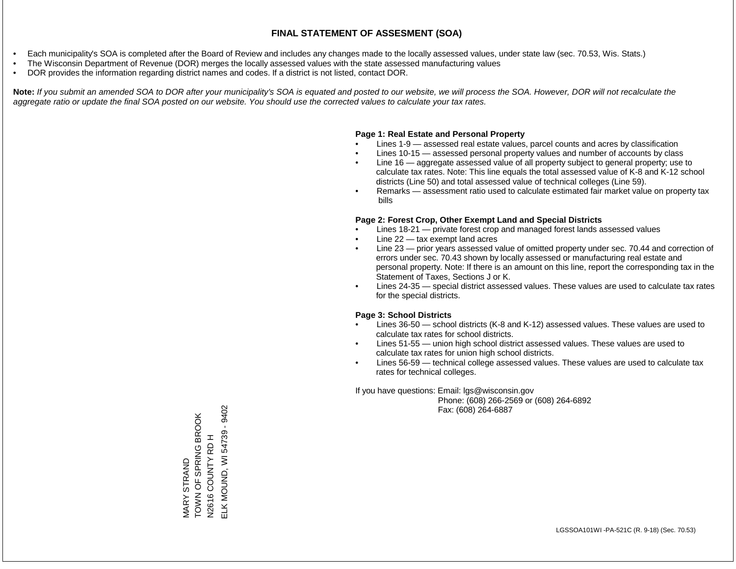- Each municipality's SOA is completed after the Board of Review and includes any changes made to the locally assessed values, under state law (sec. 70.53, Wis. Stats.)
- The Wisconsin Department of Revenue (DOR) merges the locally assessed values with the state assessed manufacturing values
- DOR provides the information regarding district names and codes. If a district is not listed, contact DOR.

Note: If you submit an amended SOA to DOR after your municipality's SOA is equated and posted to our website, we will process the SOA. However, DOR will not recalculate the *aggregate ratio or update the final SOA posted on our website. You should use the corrected values to calculate your tax rates.*

### **Page 1: Real Estate and Personal Property**

- Lines 1-9 assessed real estate values, parcel counts and acres by classification
- Lines 10-15 assessed personal property values and number of accounts by class
- Line 16 aggregate assessed value of all property subject to general property; use to calculate tax rates. Note: This line equals the total assessed value of K-8 and K-12 school districts (Line 50) and total assessed value of technical colleges (Line 59).
- Remarks assessment ratio used to calculate estimated fair market value on property tax bills

### **Page 2: Forest Crop, Other Exempt Land and Special Districts**

- Lines 18-21 private forest crop and managed forest lands assessed values
- Line  $22 -$  tax exempt land acres
- Line 23 prior years assessed value of omitted property under sec. 70.44 and correction of errors under sec. 70.43 shown by locally assessed or manufacturing real estate and personal property. Note: If there is an amount on this line, report the corresponding tax in the Statement of Taxes, Sections J or K.
- Lines 24-35 special district assessed values. These values are used to calculate tax rates for the special districts.

### **Page 3: School Districts**

- Lines 36-50 school districts (K-8 and K-12) assessed values. These values are used to calculate tax rates for school districts.
- Lines 51-55 union high school district assessed values. These values are used to calculate tax rates for union high school districts.
- Lines 56-59 technical college assessed values. These values are used to calculate tax rates for technical colleges.

If you have questions: Email: lgs@wisconsin.gov

 Phone: (608) 266-2569 or (608) 264-6892 Fax: (608) 264-6887

ELK MOUND, WI 54739 - 9402 ELK MOUND, WI 54739 - 9402MARY STRAND<br>TOWN OF SPRING BROOK<br>N2616 COUNTY RD H TOWN OF SPRING BROOK N2616 COUNTY RD H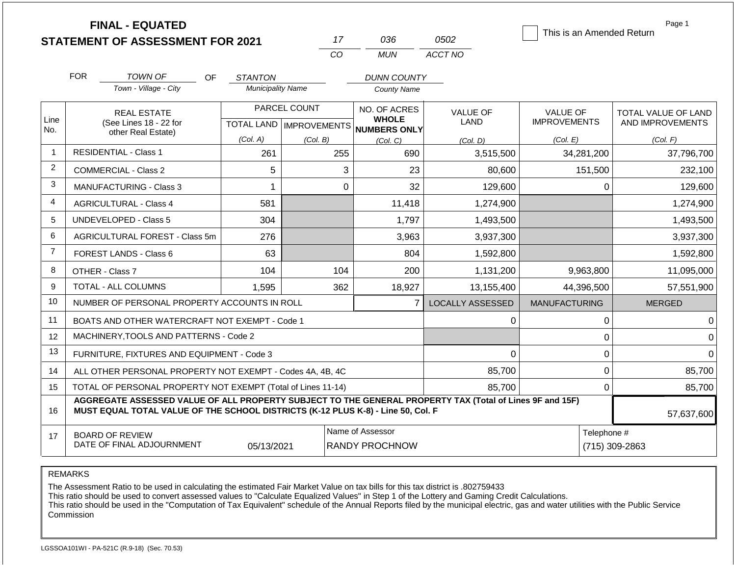|                |                                                                                                                               | <b>FINAL - EQUATED</b><br><b>STATEMENT OF ASSESSMENT FOR 2021</b>                                                                                                                            |                          | 17           | 036                                                 | 0502                    | This is an Amended Return | Page 1              |
|----------------|-------------------------------------------------------------------------------------------------------------------------------|----------------------------------------------------------------------------------------------------------------------------------------------------------------------------------------------|--------------------------|--------------|-----------------------------------------------------|-------------------------|---------------------------|---------------------|
|                |                                                                                                                               |                                                                                                                                                                                              |                          | CO           | <b>MUN</b>                                          | ACCT NO                 |                           |                     |
|                | <b>FOR</b>                                                                                                                    | TOWN OF<br>OF.                                                                                                                                                                               | <b>STANTON</b>           |              | <b>DUNN COUNTY</b>                                  |                         |                           |                     |
|                |                                                                                                                               | Town - Village - City                                                                                                                                                                        | <b>Municipality Name</b> |              | <b>County Name</b>                                  |                         |                           |                     |
|                |                                                                                                                               | <b>REAL ESTATE</b>                                                                                                                                                                           |                          | PARCEL COUNT | NO. OF ACRES                                        | <b>VALUE OF</b>         | <b>VALUE OF</b>           | TOTAL VALUE OF LAND |
| Line<br>No.    |                                                                                                                               | (See Lines 18 - 22 for                                                                                                                                                                       |                          |              | <b>WHOLE</b><br>TOTAL LAND MPROVEMENTS NUMBERS ONLY | LAND                    | <b>IMPROVEMENTS</b>       | AND IMPROVEMENTS    |
|                |                                                                                                                               | other Real Estate)                                                                                                                                                                           | (Col. A)                 | (Col. B)     | (Col, C)                                            | (Col. D)                | (Col. E)                  | (Col. F)            |
| $\mathbf{1}$   |                                                                                                                               | <b>RESIDENTIAL - Class 1</b><br>255<br>261<br>690<br>3,515,500                                                                                                                               |                          | 34,281,200   | 37,796,700                                          |                         |                           |                     |
| $\overline{2}$ | <b>COMMERCIAL - Class 2</b>                                                                                                   |                                                                                                                                                                                              | 5                        |              | 3<br>23                                             | 80,600                  | 151,500                   | 232,100             |
| 3              | MANUFACTURING - Class 3                                                                                                       |                                                                                                                                                                                              | 1                        |              | $\overline{0}$<br>32                                | 129,600                 | 0                         | 129,600             |
| 4              | <b>AGRICULTURAL - Class 4</b>                                                                                                 |                                                                                                                                                                                              | 581                      |              | 11,418                                              | 1,274,900               |                           | 1,274,900           |
| 5              | UNDEVELOPED - Class 5                                                                                                         |                                                                                                                                                                                              | 304                      |              | 1,797                                               | 1,493,500               |                           | 1,493,500           |
| 6              |                                                                                                                               | AGRICULTURAL FOREST - Class 5m                                                                                                                                                               | 276                      |              | 3,963                                               | 3,937,300               |                           | 3,937,300           |
| $\overline{7}$ |                                                                                                                               | FOREST LANDS - Class 6                                                                                                                                                                       | 63                       |              | 804                                                 | 1,592,800               |                           | 1,592,800           |
| 8              |                                                                                                                               | OTHER - Class 7                                                                                                                                                                              | 104                      | 104          | 200                                                 | 1,131,200               | 9,963,800                 | 11,095,000          |
| 9              |                                                                                                                               | <b>TOTAL - ALL COLUMNS</b>                                                                                                                                                                   | 1,595                    | 362          | 18,927                                              | 13,155,400              | 44,396,500                | 57,551,900          |
| 10             |                                                                                                                               | NUMBER OF PERSONAL PROPERTY ACCOUNTS IN ROLL                                                                                                                                                 |                          |              | $\overline{7}$                                      | <b>LOCALLY ASSESSED</b> | <b>MANUFACTURING</b>      | <b>MERGED</b>       |
| 11             |                                                                                                                               | BOATS AND OTHER WATERCRAFT NOT EXEMPT - Code 1                                                                                                                                               |                          |              |                                                     | 0                       | 0                         | 0                   |
| 12             |                                                                                                                               | MACHINERY, TOOLS AND PATTERNS - Code 2                                                                                                                                                       |                          |              |                                                     |                         | $\mathbf 0$               | $\Omega$            |
| 13             |                                                                                                                               | FURNITURE, FIXTURES AND EQUIPMENT - Code 3                                                                                                                                                   |                          |              |                                                     | $\mathbf 0$             | $\pmb{0}$                 | $\Omega$            |
| 14             |                                                                                                                               | ALL OTHER PERSONAL PROPERTY NOT EXEMPT - Codes 4A, 4B, 4C                                                                                                                                    |                          |              |                                                     | 85,700                  | $\overline{0}$            | 85,700              |
| 15             |                                                                                                                               | TOTAL OF PERSONAL PROPERTY NOT EXEMPT (Total of Lines 11-14)                                                                                                                                 |                          |              |                                                     | 85,700                  | $\mathbf 0$               | 85,700              |
| 16             |                                                                                                                               | AGGREGATE ASSESSED VALUE OF ALL PROPERTY SUBJECT TO THE GENERAL PROPERTY TAX (Total of Lines 9F and 15F)<br>MUST EQUAL TOTAL VALUE OF THE SCHOOL DISTRICTS (K-12 PLUS K-8) - Line 50, Col. F |                          |              |                                                     |                         |                           | 57,637,600          |
| 17             | Name of Assessor<br>Telephone #<br><b>BOARD OF REVIEW</b><br>DATE OF FINAL ADJOURNMENT<br>05/13/2021<br><b>RANDY PROCHNOW</b> |                                                                                                                                                                                              |                          |              |                                                     |                         |                           | (715) 309-2863      |

The Assessment Ratio to be used in calculating the estimated Fair Market Value on tax bills for this tax district is .802759433

This ratio should be used to convert assessed values to "Calculate Equalized Values" in Step 1 of the Lottery and Gaming Credit Calculations.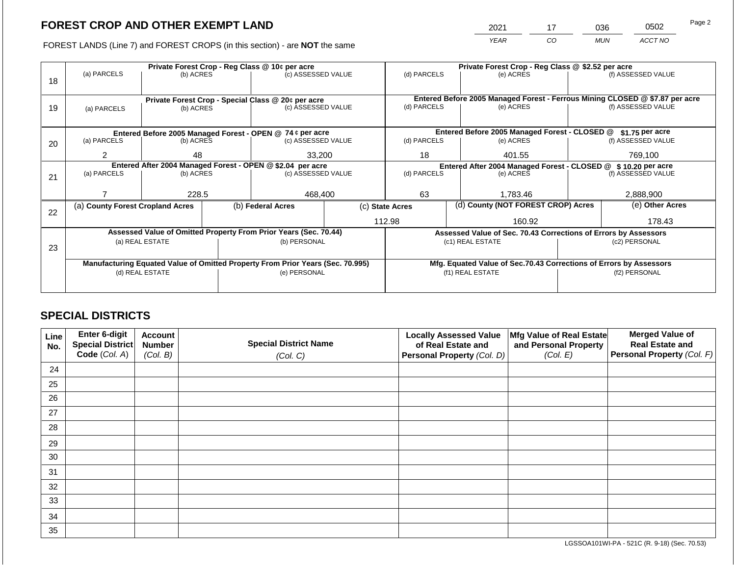2021 17 036 0502

FOREST LANDS (Line 7) and FOREST CROPS (in this section) - are **NOT** the same *YEAR CO MUN ACCT NO*

|    |                                                            | Private Forest Crop - Reg Class @ 10¢ per acre |                                                           |                                                                                |                 |                                                                              |                                               | Private Forest Crop - Reg Class @ \$2.52 per acre                  |                    |                    |  |  |
|----|------------------------------------------------------------|------------------------------------------------|-----------------------------------------------------------|--------------------------------------------------------------------------------|-----------------|------------------------------------------------------------------------------|-----------------------------------------------|--------------------------------------------------------------------|--------------------|--------------------|--|--|
|    | (a) PARCELS                                                | (b) ACRES                                      |                                                           | (c) ASSESSED VALUE                                                             |                 | (d) PARCELS                                                                  |                                               | (e) ACRES                                                          |                    | (f) ASSESSED VALUE |  |  |
| 18 |                                                            |                                                |                                                           |                                                                                |                 |                                                                              |                                               |                                                                    |                    |                    |  |  |
|    |                                                            |                                                |                                                           |                                                                                |                 |                                                                              |                                               |                                                                    |                    |                    |  |  |
|    |                                                            |                                                |                                                           | Private Forest Crop - Special Class @ 20¢ per acre                             |                 | Entered Before 2005 Managed Forest - Ferrous Mining CLOSED @ \$7.87 per acre |                                               |                                                                    |                    |                    |  |  |
| 19 | (b) ACRES<br>(a) PARCELS                                   |                                                | (c) ASSESSED VALUE                                        |                                                                                | (d) PARCELS     |                                                                              | (e) ACRES                                     |                                                                    | (f) ASSESSED VALUE |                    |  |  |
|    |                                                            |                                                |                                                           |                                                                                |                 |                                                                              |                                               |                                                                    |                    |                    |  |  |
|    |                                                            |                                                | Entered Before 2005 Managed Forest - OPEN @ 74 ¢ per acre |                                                                                |                 |                                                                              | Entered Before 2005 Managed Forest - CLOSED @ |                                                                    | \$1.75 per acre    |                    |  |  |
| 20 | (a) PARCELS<br>(b) ACRES                                   |                                                |                                                           | (c) ASSESSED VALUE                                                             |                 | (d) PARCELS                                                                  |                                               | (e) ACRES                                                          |                    | (f) ASSESSED VALUE |  |  |
|    |                                                            |                                                |                                                           |                                                                                |                 |                                                                              |                                               |                                                                    |                    |                    |  |  |
|    | $\overline{2}$                                             | 48                                             |                                                           | 33,200                                                                         |                 | 18                                                                           |                                               | 401.55                                                             | 769,100            |                    |  |  |
|    | Entered After 2004 Managed Forest - OPEN @ \$2.04 per acre |                                                |                                                           |                                                                                |                 |                                                                              |                                               | Entered After 2004 Managed Forest - CLOSED @ \$10.20 per acre      |                    |                    |  |  |
| 21 | (a) PARCELS                                                | (b) ACRES                                      |                                                           | (c) ASSESSED VALUE                                                             |                 | (d) PARCELS                                                                  |                                               | (e) ACRES                                                          | (f) ASSESSED VALUE |                    |  |  |
|    |                                                            |                                                |                                                           |                                                                                |                 |                                                                              |                                               |                                                                    |                    |                    |  |  |
|    |                                                            | 228.5                                          |                                                           | 468,400                                                                        |                 | 63                                                                           |                                               | 1,783.46                                                           |                    | 2,888,900          |  |  |
|    | (a) County Forest Cropland Acres                           |                                                |                                                           | (b) Federal Acres                                                              | (c) State Acres |                                                                              |                                               | (d) County (NOT FOREST CROP) Acres                                 |                    | (e) Other Acres    |  |  |
| 22 |                                                            |                                                |                                                           |                                                                                |                 |                                                                              |                                               |                                                                    |                    |                    |  |  |
|    |                                                            |                                                |                                                           |                                                                                |                 | 112.98                                                                       |                                               | 160.92                                                             |                    | 178.43             |  |  |
|    |                                                            |                                                |                                                           | Assessed Value of Omitted Property From Prior Years (Sec. 70.44)               |                 |                                                                              |                                               | Assessed Value of Sec. 70.43 Corrections of Errors by Assessors    |                    |                    |  |  |
|    |                                                            | (a) REAL ESTATE                                |                                                           | (b) PERSONAL                                                                   |                 |                                                                              |                                               | (c1) REAL ESTATE                                                   |                    | (c2) PERSONAL      |  |  |
| 23 |                                                            |                                                |                                                           |                                                                                |                 |                                                                              |                                               |                                                                    |                    |                    |  |  |
|    |                                                            |                                                |                                                           | Manufacturing Equated Value of Omitted Property From Prior Years (Sec. 70.995) |                 |                                                                              |                                               | Mfg. Equated Value of Sec.70.43 Corrections of Errors by Assessors |                    |                    |  |  |
|    |                                                            | (d) REAL ESTATE                                |                                                           | (e) PERSONAL                                                                   |                 |                                                                              |                                               | (f1) REAL ESTATE                                                   | (f2) PERSONAL      |                    |  |  |
|    |                                                            |                                                |                                                           |                                                                                |                 |                                                                              |                                               |                                                                    |                    |                    |  |  |
|    |                                                            |                                                |                                                           |                                                                                |                 |                                                                              |                                               |                                                                    |                    |                    |  |  |

# **SPECIAL DISTRICTS**

| Line<br>No. | Enter 6-digit<br><b>Special District</b><br>Code (Col. A) | <b>Account</b><br><b>Number</b><br>(Col. B) | <b>Special District Name</b><br>(Col. C) | <b>Locally Assessed Value</b><br>of Real Estate and<br>Personal Property (Col. D) | Mfg Value of Real Estate<br>and Personal Property<br>(Col. E) | <b>Merged Value of</b><br><b>Real Estate and</b><br>Personal Property (Col. F) |
|-------------|-----------------------------------------------------------|---------------------------------------------|------------------------------------------|-----------------------------------------------------------------------------------|---------------------------------------------------------------|--------------------------------------------------------------------------------|
| 24          |                                                           |                                             |                                          |                                                                                   |                                                               |                                                                                |
|             |                                                           |                                             |                                          |                                                                                   |                                                               |                                                                                |
| 25          |                                                           |                                             |                                          |                                                                                   |                                                               |                                                                                |
| 26          |                                                           |                                             |                                          |                                                                                   |                                                               |                                                                                |
| 27          |                                                           |                                             |                                          |                                                                                   |                                                               |                                                                                |
| 28          |                                                           |                                             |                                          |                                                                                   |                                                               |                                                                                |
| 29          |                                                           |                                             |                                          |                                                                                   |                                                               |                                                                                |
| 30          |                                                           |                                             |                                          |                                                                                   |                                                               |                                                                                |
| 31          |                                                           |                                             |                                          |                                                                                   |                                                               |                                                                                |
| 32          |                                                           |                                             |                                          |                                                                                   |                                                               |                                                                                |
| 33          |                                                           |                                             |                                          |                                                                                   |                                                               |                                                                                |
| 34          |                                                           |                                             |                                          |                                                                                   |                                                               |                                                                                |
| 35          |                                                           |                                             |                                          |                                                                                   |                                                               |                                                                                |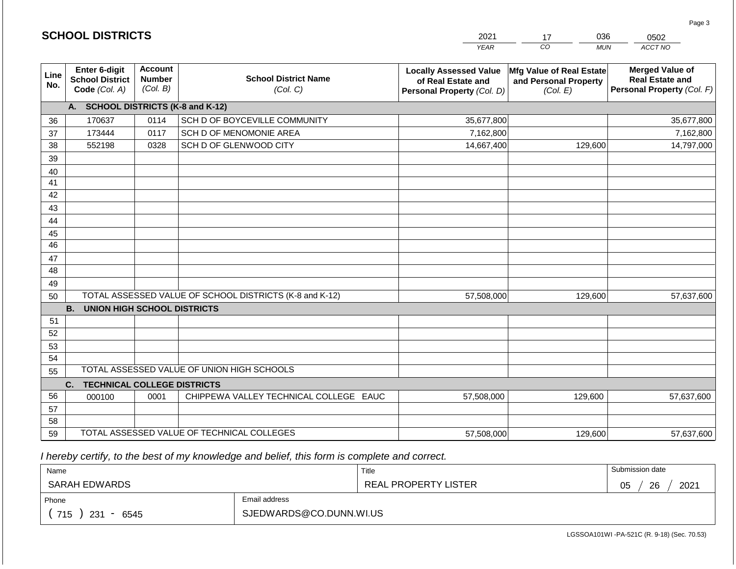|             |                                                          |                                             |                                                         | <b>YEAR</b>                                                                       | $\overline{co}$<br><b>MUN</b>                                 | ACCT NO                                                                        |
|-------------|----------------------------------------------------------|---------------------------------------------|---------------------------------------------------------|-----------------------------------------------------------------------------------|---------------------------------------------------------------|--------------------------------------------------------------------------------|
| Line<br>No. | Enter 6-digit<br><b>School District</b><br>Code (Col. A) | <b>Account</b><br><b>Number</b><br>(Col. B) | <b>School District Name</b><br>(Col. C)                 | <b>Locally Assessed Value</b><br>of Real Estate and<br>Personal Property (Col. D) | Mfg Value of Real Estate<br>and Personal Property<br>(Col. E) | <b>Merged Value of</b><br><b>Real Estate and</b><br>Personal Property (Col. F) |
|             | A. SCHOOL DISTRICTS (K-8 and K-12)                       |                                             |                                                         |                                                                                   |                                                               |                                                                                |
| 36          | 170637                                                   | 0114                                        | SCH D OF BOYCEVILLE COMMUNITY                           | 35,677,800                                                                        |                                                               | 35,677,800                                                                     |
| 37          | 173444                                                   | 0117                                        | SCH D OF MENOMONIE AREA                                 | 7,162,800                                                                         |                                                               | 7,162,800                                                                      |
| 38          | 552198                                                   | 0328                                        | SCH D OF GLENWOOD CITY                                  | 14,667,400                                                                        | 129,600                                                       | 14,797,000                                                                     |
| 39          |                                                          |                                             |                                                         |                                                                                   |                                                               |                                                                                |
| 40          |                                                          |                                             |                                                         |                                                                                   |                                                               |                                                                                |
| 41          |                                                          |                                             |                                                         |                                                                                   |                                                               |                                                                                |
| 42          |                                                          |                                             |                                                         |                                                                                   |                                                               |                                                                                |
| 43          |                                                          |                                             |                                                         |                                                                                   |                                                               |                                                                                |
| 44          |                                                          |                                             |                                                         |                                                                                   |                                                               |                                                                                |
| 45          |                                                          |                                             |                                                         |                                                                                   |                                                               |                                                                                |
| 46          |                                                          |                                             |                                                         |                                                                                   |                                                               |                                                                                |
| 47          |                                                          |                                             |                                                         |                                                                                   |                                                               |                                                                                |
| 48          |                                                          |                                             |                                                         |                                                                                   |                                                               |                                                                                |
| 49          |                                                          |                                             |                                                         |                                                                                   |                                                               |                                                                                |
| 50          |                                                          |                                             | TOTAL ASSESSED VALUE OF SCHOOL DISTRICTS (K-8 and K-12) | 57,508,000                                                                        | 129,600                                                       | 57,637,600                                                                     |
|             | <b>B.</b><br><b>UNION HIGH SCHOOL DISTRICTS</b>          |                                             |                                                         |                                                                                   |                                                               |                                                                                |
| 51          |                                                          |                                             |                                                         |                                                                                   |                                                               |                                                                                |
| 52          |                                                          |                                             |                                                         |                                                                                   |                                                               |                                                                                |
| 53          |                                                          |                                             |                                                         |                                                                                   |                                                               |                                                                                |
| 54          |                                                          |                                             |                                                         |                                                                                   |                                                               |                                                                                |
| 55          |                                                          |                                             | TOTAL ASSESSED VALUE OF UNION HIGH SCHOOLS              |                                                                                   |                                                               |                                                                                |
|             | <b>TECHNICAL COLLEGE DISTRICTS</b><br>C.                 |                                             |                                                         |                                                                                   |                                                               |                                                                                |
| 56          | 000100                                                   | 0001                                        | CHIPPEWA VALLEY TECHNICAL COLLEGE EAUC                  | 57,508,000                                                                        | 129,600                                                       | 57,637,600                                                                     |
| 57          |                                                          |                                             |                                                         |                                                                                   |                                                               |                                                                                |
| 58          |                                                          |                                             |                                                         |                                                                                   |                                                               |                                                                                |
| 59          |                                                          |                                             | TOTAL ASSESSED VALUE OF TECHNICAL COLLEGES              | 57,508,000                                                                        | 129,600                                                       | 57,637,600                                                                     |

2021

17

036

 *I hereby certify, to the best of my knowledge and belief, this form is complete and correct.*

**SCHOOL DISTRICTS**

| Name               |                         | Title                | Submission date        |  |  |
|--------------------|-------------------------|----------------------|------------------------|--|--|
| SARAH EDWARDS      |                         | REAL PROPERTY LISTER | 2021<br>26<br>∩ҕ<br>◡◡ |  |  |
| Phone              | Email address           |                      |                        |  |  |
| 715<br>231<br>6545 | SJEDWARDS@CO.DUNN.WI.US |                      |                        |  |  |

Page 3

0502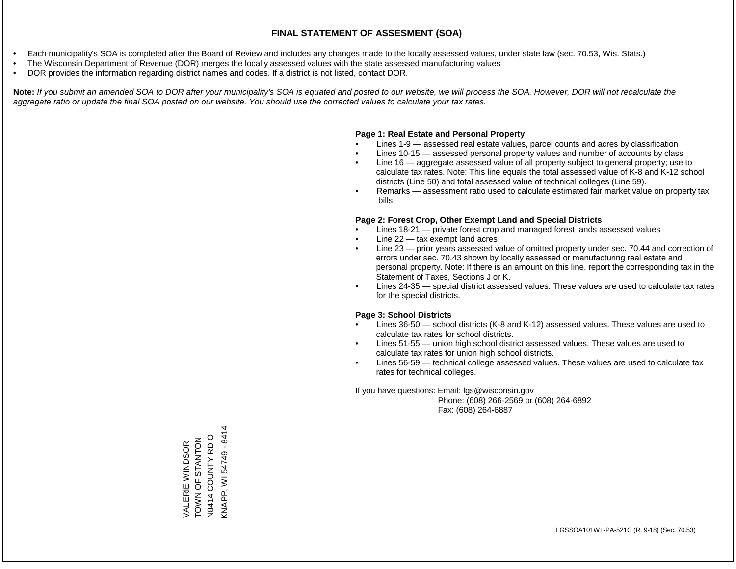- Each municipality's SOA is completed after the Board of Review and includes any changes made to the locally assessed values, under state law (sec. 70.53, Wis. Stats.)
- The Wisconsin Department of Revenue (DOR) merges the locally assessed values with the state assessed manufacturing values
- DOR provides the information regarding district names and codes. If a district is not listed, contact DOR.

Note: If you submit an amended SOA to DOR after your municipality's SOA is equated and posted to our website, we will process the SOA. However, DOR will not recalculate the *aggregate ratio or update the final SOA posted on our website. You should use the corrected values to calculate your tax rates.*

#### **Page 1: Real Estate and Personal Property**

- Lines 1-9 assessed real estate values, parcel counts and acres by classification
- Lines 10-15 assessed personal property values and number of accounts by class
- Line 16 aggregate assessed value of all property subject to general property; use to calculate tax rates. Note: This line equals the total assessed value of K-8 and K-12 school districts (Line 50) and total assessed value of technical colleges (Line 59).
- Remarks assessment ratio used to calculate estimated fair market value on property tax bills

#### **Page 2: Forest Crop, Other Exempt Land and Special Districts**

- Lines 18-21 private forest crop and managed forest lands assessed values
- Line  $22 -$  tax exempt land acres
- Line 23 prior years assessed value of omitted property under sec. 70.44 and correction of errors under sec. 70.43 shown by locally assessed or manufacturing real estate and personal property. Note: If there is an amount on this line, report the corresponding tax in the Statement of Taxes, Sections J or K.
- Lines 24-35 special district assessed values. These values are used to calculate tax rates for the special districts.

#### **Page 3: School Districts**

- Lines 36-50 school districts (K-8 and K-12) assessed values. These values are used to calculate tax rates for school districts.
- Lines 51-55 union high school district assessed values. These values are used to calculate tax rates for union high school districts.
- Lines 56-59 technical college assessed values. These values are used to calculate tax rates for technical colleges.

If you have questions: Email: lgs@wisconsin.gov

 Phone: (608) 266-2569 or (608) 264-6892 Fax: (608) 264-6887

<NAPP, WI54749 - 8414 KNAPP, WI 54749 - 8414N8414 COUNTY RD O VALERIE WINDSOR<br>TOWN OF STANTON N8414 COUNTY RD O ZOLNYLS LO NNOL VALERIE WINDSOR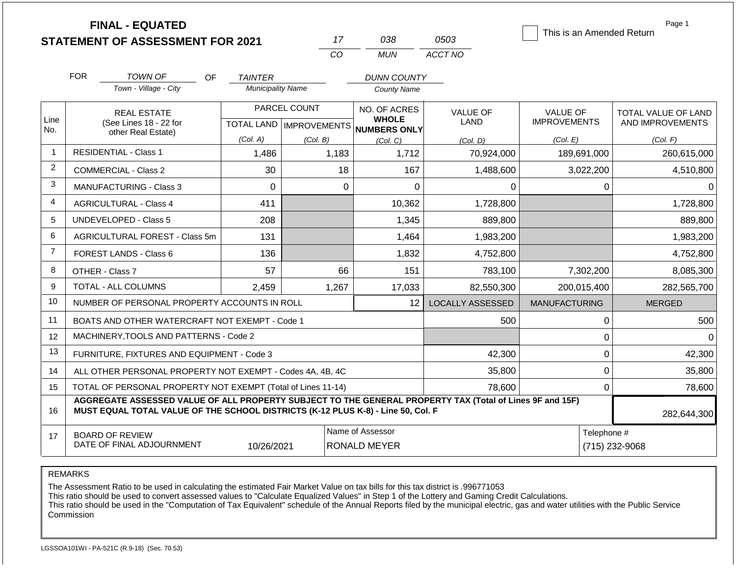|                |            | <b>FINAL - EQUATED</b><br><b>STATEMENT OF ASSESSMENT FOR 2021</b>                                                                                                                            |                          | 17           | 038                                                  | 0503                    | This is an Amended Return | Page 1              |
|----------------|------------|----------------------------------------------------------------------------------------------------------------------------------------------------------------------------------------------|--------------------------|--------------|------------------------------------------------------|-------------------------|---------------------------|---------------------|
|                |            |                                                                                                                                                                                              |                          | CO           | <b>MUN</b>                                           | ACCT NO                 |                           |                     |
|                | <b>FOR</b> | <b>TOWN OF</b><br>OF.                                                                                                                                                                        | <b>TAINTER</b>           |              | <b>DUNN COUNTY</b>                                   |                         |                           |                     |
|                |            | Town - Village - City                                                                                                                                                                        | <b>Municipality Name</b> |              | <b>County Name</b>                                   |                         |                           |                     |
|                |            | <b>REAL ESTATE</b>                                                                                                                                                                           |                          | PARCEL COUNT | NO. OF ACRES                                         | <b>VALUE OF</b>         | <b>VALUE OF</b>           | TOTAL VALUE OF LAND |
| Line<br>No.    |            | (See Lines 18 - 22 for                                                                                                                                                                       |                          |              | <b>WHOLE</b><br>TOTAL LAND IMPROVEMENTS NUMBERS ONLY | LAND                    | <b>IMPROVEMENTS</b>       | AND IMPROVEMENTS    |
|                |            | other Real Estate)                                                                                                                                                                           | (Col. A)                 | (Col. B)     | (Col, C)                                             | (Col. D)                | (Col. E)                  | (Col. F)            |
| $\mathbf{1}$   |            | <b>RESIDENTIAL - Class 1</b>                                                                                                                                                                 | 1,486                    | 1,183        | 1,712                                                | 70,924,000              | 189,691,000               | 260,615,000         |
| 2              |            | <b>COMMERCIAL - Class 2</b>                                                                                                                                                                  | 30                       | 18           | 167                                                  | 1,488,600               | 3,022,200                 | 4,510,800           |
| 3              |            | <b>MANUFACTURING - Class 3</b>                                                                                                                                                               | $\Omega$                 | $\Omega$     | $\Omega$                                             | $\Omega$                | 0                         | 0                   |
| $\overline{4}$ |            | <b>AGRICULTURAL - Class 4</b>                                                                                                                                                                | 411                      |              | 10,362                                               | 1,728,800               |                           | 1,728,800           |
| 5              |            | <b>UNDEVELOPED - Class 5</b>                                                                                                                                                                 | 208                      |              | 1,345                                                | 889,800                 |                           | 889,800             |
| 6              |            | <b>AGRICULTURAL FOREST - Class 5m</b>                                                                                                                                                        | 131                      |              | 1,464                                                | 1,983,200               |                           | 1,983,200           |
| $\overline{7}$ |            | <b>FOREST LANDS - Class 6</b>                                                                                                                                                                | 136                      |              | 1,832                                                | 4,752,800               |                           | 4,752,800           |
| 8              |            | OTHER - Class 7                                                                                                                                                                              | 57                       | 66           | 151                                                  | 783,100                 | 7,302,200                 | 8,085,300           |
| 9              |            | TOTAL - ALL COLUMNS                                                                                                                                                                          | 2,459                    | 1,267        | 17,033                                               | 82,550,300              | 200,015,400               | 282,565,700         |
| 10             |            | NUMBER OF PERSONAL PROPERTY ACCOUNTS IN ROLL                                                                                                                                                 |                          |              | 12                                                   | <b>LOCALLY ASSESSED</b> | <b>MANUFACTURING</b>      | <b>MERGED</b>       |
| 11             |            | BOATS AND OTHER WATERCRAFT NOT EXEMPT - Code 1                                                                                                                                               |                          |              |                                                      | 500                     | 0                         | 500                 |
| 12             |            | MACHINERY, TOOLS AND PATTERNS - Code 2                                                                                                                                                       |                          |              |                                                      |                         | $\mathbf 0$               | $\Omega$            |
| 13             |            | FURNITURE, FIXTURES AND EQUIPMENT - Code 3                                                                                                                                                   |                          |              |                                                      | 42,300                  | $\pmb{0}$                 | 42,300              |
| 14             |            | ALL OTHER PERSONAL PROPERTY NOT EXEMPT - Codes 4A, 4B, 4C                                                                                                                                    |                          |              |                                                      | 35,800                  | $\mathbf 0$               | 35,800              |
| 15             |            | TOTAL OF PERSONAL PROPERTY NOT EXEMPT (Total of Lines 11-14)                                                                                                                                 |                          |              |                                                      | 78,600                  | $\mathbf 0$               | 78,600              |
| 16             |            | AGGREGATE ASSESSED VALUE OF ALL PROPERTY SUBJECT TO THE GENERAL PROPERTY TAX (Total of Lines 9F and 15F)<br>MUST EQUAL TOTAL VALUE OF THE SCHOOL DISTRICTS (K-12 PLUS K-8) - Line 50, Col. F |                          |              |                                                      |                         |                           | 282,644,300         |
| 17             |            | <b>BOARD OF REVIEW</b>                                                                                                                                                                       |                          |              | Name of Assessor                                     |                         | Telephone #               |                     |
|                |            | DATE OF FINAL ADJOURNMENT                                                                                                                                                                    | 10/26/2021               |              | <b>RONALD MEYER</b>                                  |                         |                           | (715) 232-9068      |

The Assessment Ratio to be used in calculating the estimated Fair Market Value on tax bills for this tax district is .996771053

This ratio should be used to convert assessed values to "Calculate Equalized Values" in Step 1 of the Lottery and Gaming Credit Calculations.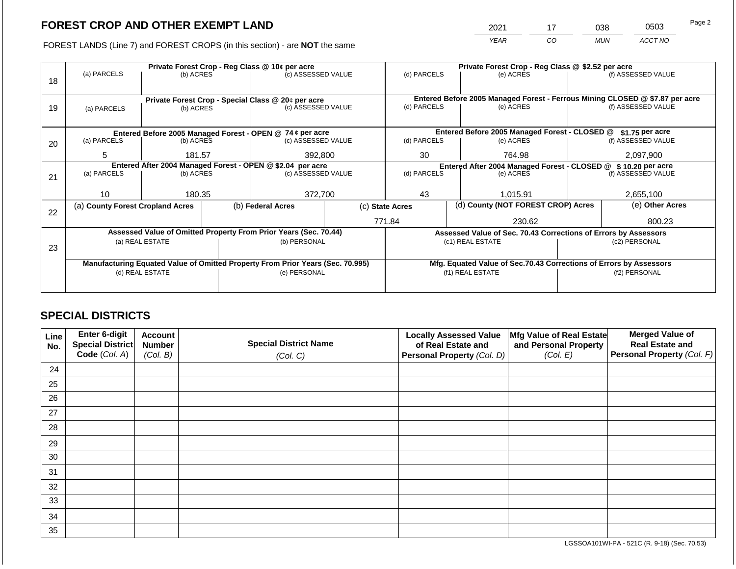2021 17 038 0503

FOREST LANDS (Line 7) and FOREST CROPS (in this section) - are **NOT** the same *YEAR CO MUN ACCT NO*

|    |                                                                                |           |  | Private Forest Crop - Reg Class @ 10¢ per acre                   |  |                                                               | Private Forest Crop - Reg Class @ \$2.52 per acre |                                                                    |                                                                                                    |                    |
|----|--------------------------------------------------------------------------------|-----------|--|------------------------------------------------------------------|--|---------------------------------------------------------------|---------------------------------------------------|--------------------------------------------------------------------|----------------------------------------------------------------------------------------------------|--------------------|
|    | (a) PARCELS                                                                    | (b) ACRES |  | (c) ASSESSED VALUE                                               |  | (d) PARCELS                                                   |                                                   | (e) ACRES                                                          |                                                                                                    | (f) ASSESSED VALUE |
| 18 |                                                                                |           |  |                                                                  |  |                                                               |                                                   |                                                                    |                                                                                                    |                    |
|    |                                                                                |           |  |                                                                  |  |                                                               |                                                   |                                                                    |                                                                                                    |                    |
|    |                                                                                |           |  | Private Forest Crop - Special Class @ 20¢ per acre               |  | (d) PARCELS                                                   |                                                   |                                                                    | Entered Before 2005 Managed Forest - Ferrous Mining CLOSED @ \$7.87 per acre<br>(f) ASSESSED VALUE |                    |
| 19 | (a) PARCELS                                                                    | (b) ACRES |  | (c) ASSESSED VALUE                                               |  |                                                               |                                                   | (e) ACRES                                                          |                                                                                                    |                    |
|    |                                                                                |           |  |                                                                  |  |                                                               |                                                   |                                                                    |                                                                                                    |                    |
|    |                                                                                |           |  | Entered Before 2005 Managed Forest - OPEN @ 74 ¢ per acre        |  |                                                               |                                                   | Entered Before 2005 Managed Forest - CLOSED @                      |                                                                                                    | \$1.75 per acre    |
| 20 | (a) PARCELS                                                                    | (b) ACRES |  | (c) ASSESSED VALUE                                               |  | (d) PARCELS                                                   |                                                   | (e) ACRES                                                          |                                                                                                    | (f) ASSESSED VALUE |
|    |                                                                                |           |  |                                                                  |  |                                                               |                                                   |                                                                    |                                                                                                    |                    |
|    | 5                                                                              | 181.57    |  | 392,800                                                          |  | 30                                                            |                                                   | 764.98                                                             |                                                                                                    | 2,097,900          |
|    | Entered After 2004 Managed Forest - OPEN @ \$2.04 per acre                     |           |  |                                                                  |  | Entered After 2004 Managed Forest - CLOSED @ \$10.20 per acre |                                                   |                                                                    |                                                                                                    |                    |
| 21 | (a) PARCELS                                                                    | (b) ACRES |  | (c) ASSESSED VALUE                                               |  | (d) PARCELS                                                   |                                                   | (e) ACRES                                                          |                                                                                                    | (f) ASSESSED VALUE |
|    |                                                                                |           |  |                                                                  |  |                                                               |                                                   |                                                                    |                                                                                                    |                    |
|    | 10                                                                             | 180.35    |  | 372,700                                                          |  | 43                                                            |                                                   | 1,015.91                                                           |                                                                                                    | 2,655,100          |
|    | (a) County Forest Cropland Acres                                               |           |  | (b) Federal Acres                                                |  | (c) State Acres                                               |                                                   | (d) County (NOT FOREST CROP) Acres                                 |                                                                                                    | (e) Other Acres    |
| 22 |                                                                                |           |  |                                                                  |  |                                                               |                                                   |                                                                    |                                                                                                    |                    |
|    |                                                                                |           |  |                                                                  |  | 771.84                                                        |                                                   | 230.62                                                             |                                                                                                    | 800.23             |
|    |                                                                                |           |  | Assessed Value of Omitted Property From Prior Years (Sec. 70.44) |  |                                                               |                                                   |                                                                    | Assessed Value of Sec. 70.43 Corrections of Errors by Assessors                                    |                    |
|    | (a) REAL ESTATE                                                                |           |  | (b) PERSONAL                                                     |  |                                                               |                                                   | (c1) REAL ESTATE                                                   |                                                                                                    | (c2) PERSONAL      |
| 23 |                                                                                |           |  |                                                                  |  |                                                               |                                                   |                                                                    |                                                                                                    |                    |
|    | Manufacturing Equated Value of Omitted Property From Prior Years (Sec. 70.995) |           |  |                                                                  |  |                                                               |                                                   | Mfg. Equated Value of Sec.70.43 Corrections of Errors by Assessors |                                                                                                    |                    |
|    | (d) REAL ESTATE                                                                |           |  | (e) PERSONAL                                                     |  |                                                               |                                                   | (f1) REAL ESTATE                                                   |                                                                                                    | (f2) PERSONAL      |
|    |                                                                                |           |  |                                                                  |  |                                                               |                                                   |                                                                    |                                                                                                    |                    |
|    |                                                                                |           |  |                                                                  |  |                                                               |                                                   |                                                                    |                                                                                                    |                    |

# **SPECIAL DISTRICTS**

| Line<br>No. | <b>Enter 6-digit</b><br>Special District | <b>Account</b><br><b>Number</b> | <b>Special District Name</b> | <b>Locally Assessed Value</b><br>of Real Estate and | Mfg Value of Real Estate<br>and Personal Property | <b>Merged Value of</b><br><b>Real Estate and</b> |
|-------------|------------------------------------------|---------------------------------|------------------------------|-----------------------------------------------------|---------------------------------------------------|--------------------------------------------------|
|             | Code (Col. A)                            | (Col. B)                        | (Col. C)                     | Personal Property (Col. D)                          | (Col. E)                                          | Personal Property (Col. F)                       |
| 24          |                                          |                                 |                              |                                                     |                                                   |                                                  |
| 25          |                                          |                                 |                              |                                                     |                                                   |                                                  |
| 26          |                                          |                                 |                              |                                                     |                                                   |                                                  |
| 27          |                                          |                                 |                              |                                                     |                                                   |                                                  |
| 28          |                                          |                                 |                              |                                                     |                                                   |                                                  |
| 29          |                                          |                                 |                              |                                                     |                                                   |                                                  |
| 30          |                                          |                                 |                              |                                                     |                                                   |                                                  |
| 31          |                                          |                                 |                              |                                                     |                                                   |                                                  |
| 32          |                                          |                                 |                              |                                                     |                                                   |                                                  |
| 33          |                                          |                                 |                              |                                                     |                                                   |                                                  |
| 34          |                                          |                                 |                              |                                                     |                                                   |                                                  |
| 35          |                                          |                                 |                              |                                                     |                                                   |                                                  |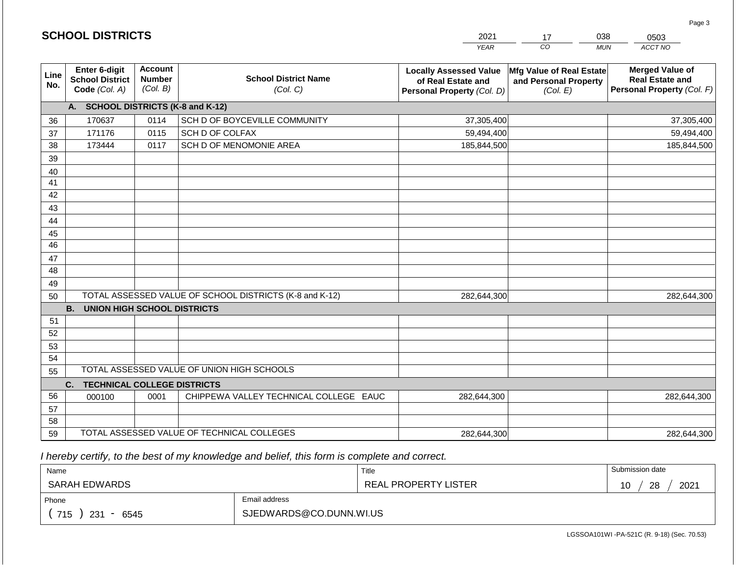|                 |                                                          |                                             |                                                         | <b>YEAR</b>                                                                       | $\overline{co}$<br><b>MUN</b>                                        | ACCT NO                                                                        |
|-----------------|----------------------------------------------------------|---------------------------------------------|---------------------------------------------------------|-----------------------------------------------------------------------------------|----------------------------------------------------------------------|--------------------------------------------------------------------------------|
| Line<br>No.     | Enter 6-digit<br><b>School District</b><br>Code (Col. A) | <b>Account</b><br><b>Number</b><br>(Col. B) | <b>School District Name</b><br>(Col. C)                 | <b>Locally Assessed Value</b><br>of Real Estate and<br>Personal Property (Col. D) | <b>Mfg Value of Real Estate</b><br>and Personal Property<br>(Col. E) | <b>Merged Value of</b><br><b>Real Estate and</b><br>Personal Property (Col. F) |
|                 | A. SCHOOL DISTRICTS (K-8 and K-12)                       |                                             |                                                         |                                                                                   |                                                                      |                                                                                |
| 36              | 170637                                                   | 0114                                        | SCH D OF BOYCEVILLE COMMUNITY                           | 37,305,400                                                                        |                                                                      | 37,305,400                                                                     |
| 37              | 171176                                                   | 0115                                        | SCH D OF COLFAX                                         | 59,494,400                                                                        |                                                                      | 59,494,400                                                                     |
| 38              | 173444                                                   | 0117                                        | SCH D OF MENOMONIE AREA                                 | 185,844,500                                                                       |                                                                      | 185,844,500                                                                    |
| 39              |                                                          |                                             |                                                         |                                                                                   |                                                                      |                                                                                |
| 40              |                                                          |                                             |                                                         |                                                                                   |                                                                      |                                                                                |
| 41              |                                                          |                                             |                                                         |                                                                                   |                                                                      |                                                                                |
| 42              |                                                          |                                             |                                                         |                                                                                   |                                                                      |                                                                                |
| 43              |                                                          |                                             |                                                         |                                                                                   |                                                                      |                                                                                |
| 44              |                                                          |                                             |                                                         |                                                                                   |                                                                      |                                                                                |
| 45              |                                                          |                                             |                                                         |                                                                                   |                                                                      |                                                                                |
| $\overline{46}$ |                                                          |                                             |                                                         |                                                                                   |                                                                      |                                                                                |
| 47<br>48        |                                                          |                                             |                                                         |                                                                                   |                                                                      |                                                                                |
|                 |                                                          |                                             |                                                         |                                                                                   |                                                                      |                                                                                |
| 49<br>50        |                                                          |                                             | TOTAL ASSESSED VALUE OF SCHOOL DISTRICTS (K-8 and K-12) | 282,644,300                                                                       |                                                                      | 282,644,300                                                                    |
|                 | <b>B.</b><br><b>UNION HIGH SCHOOL DISTRICTS</b>          |                                             |                                                         |                                                                                   |                                                                      |                                                                                |
| 51              |                                                          |                                             |                                                         |                                                                                   |                                                                      |                                                                                |
| 52              |                                                          |                                             |                                                         |                                                                                   |                                                                      |                                                                                |
| 53              |                                                          |                                             |                                                         |                                                                                   |                                                                      |                                                                                |
| 54              |                                                          |                                             |                                                         |                                                                                   |                                                                      |                                                                                |
| 55              |                                                          |                                             | TOTAL ASSESSED VALUE OF UNION HIGH SCHOOLS              |                                                                                   |                                                                      |                                                                                |
|                 | C.<br><b>TECHNICAL COLLEGE DISTRICTS</b>                 |                                             |                                                         |                                                                                   |                                                                      |                                                                                |
| 56              | 000100                                                   | 0001                                        | CHIPPEWA VALLEY TECHNICAL COLLEGE EAUC                  | 282,644,300                                                                       |                                                                      | 282,644,300                                                                    |
| 57              |                                                          |                                             |                                                         |                                                                                   |                                                                      |                                                                                |
| 58              |                                                          |                                             |                                                         |                                                                                   |                                                                      |                                                                                |
| 59              |                                                          |                                             | TOTAL ASSESSED VALUE OF TECHNICAL COLLEGES              | 282,644,300                                                                       |                                                                      | 282,644,300                                                                    |

2021

17

038

 *I hereby certify, to the best of my knowledge and belief, this form is complete and correct.*

**SCHOOL DISTRICTS**

| Name               |                         | Title                | Submission date  |
|--------------------|-------------------------|----------------------|------------------|
| SARAH EDWARDS      |                         | REAL PROPERTY LISTER | 28<br>2021<br>10 |
| Phone              | Email address           |                      |                  |
| 715<br>231<br>6545 | SJEDWARDS@CO.DUNN.WI.US |                      |                  |

0503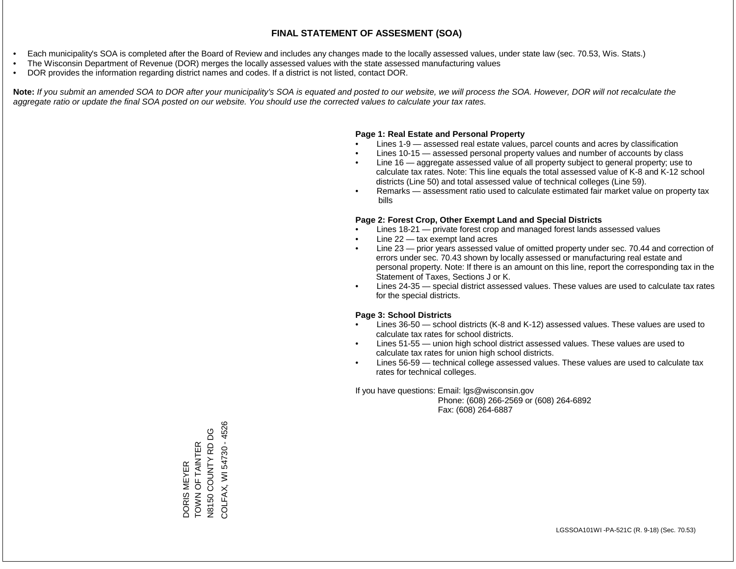- Each municipality's SOA is completed after the Board of Review and includes any changes made to the locally assessed values, under state law (sec. 70.53, Wis. Stats.)
- The Wisconsin Department of Revenue (DOR) merges the locally assessed values with the state assessed manufacturing values
- DOR provides the information regarding district names and codes. If a district is not listed, contact DOR.

Note: If you submit an amended SOA to DOR after your municipality's SOA is equated and posted to our website, we will process the SOA. However, DOR will not recalculate the *aggregate ratio or update the final SOA posted on our website. You should use the corrected values to calculate your tax rates.*

#### **Page 1: Real Estate and Personal Property**

- Lines 1-9 assessed real estate values, parcel counts and acres by classification
- Lines 10-15 assessed personal property values and number of accounts by class
- Line 16 aggregate assessed value of all property subject to general property; use to calculate tax rates. Note: This line equals the total assessed value of K-8 and K-12 school districts (Line 50) and total assessed value of technical colleges (Line 59).
- Remarks assessment ratio used to calculate estimated fair market value on property tax bills

#### **Page 2: Forest Crop, Other Exempt Land and Special Districts**

- Lines 18-21 private forest crop and managed forest lands assessed values
- Line  $22 -$  tax exempt land acres
- Line 23 prior years assessed value of omitted property under sec. 70.44 and correction of errors under sec. 70.43 shown by locally assessed or manufacturing real estate and personal property. Note: If there is an amount on this line, report the corresponding tax in the Statement of Taxes, Sections J or K.
- Lines 24-35 special district assessed values. These values are used to calculate tax rates for the special districts.

#### **Page 3: School Districts**

- Lines 36-50 school districts (K-8 and K-12) assessed values. These values are used to calculate tax rates for school districts.
- Lines 51-55 union high school district assessed values. These values are used to calculate tax rates for union high school districts.
- Lines 56-59 technical college assessed values. These values are used to calculate tax rates for technical colleges.

If you have questions: Email: lgs@wisconsin.gov

 Phone: (608) 266-2569 or (608) 264-6892 Fax: (608) 264-6887

COLFAX, WI 54730 - 4526 DORIS MEYER<br>TOWN OF TAINTER<br>N8150 COUNTY RD DG COLFAX, WI 54730 - 4526N8150 COUNTY RD DG TOWN OF TAINTER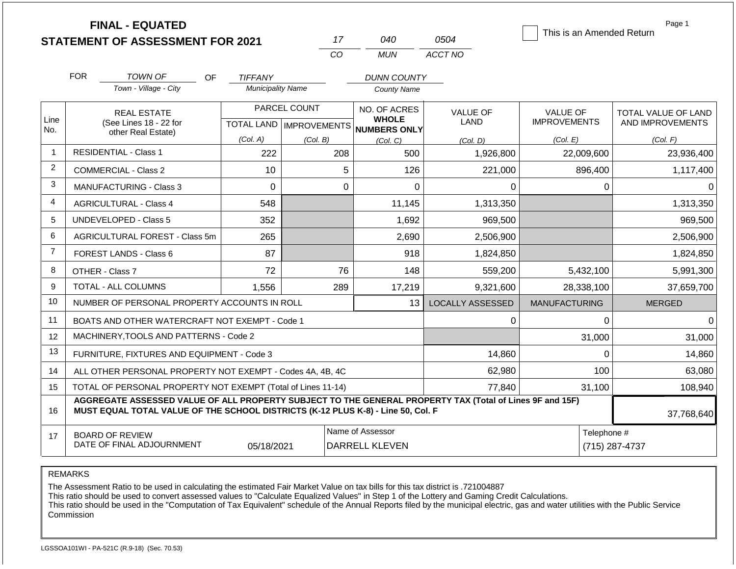|                |            | <b>FINAL - EQUATED</b><br><b>STATEMENT OF ASSESSMENT FOR 2021</b>                                                                                                                            |                          |              | 17          | 040                                                 | 0504                    | This is an Amended Return | Page 1              |
|----------------|------------|----------------------------------------------------------------------------------------------------------------------------------------------------------------------------------------------|--------------------------|--------------|-------------|-----------------------------------------------------|-------------------------|---------------------------|---------------------|
|                |            |                                                                                                                                                                                              |                          | CO           |             | <b>MUN</b>                                          | ACCT NO                 |                           |                     |
|                | <b>FOR</b> | <b>TOWN OF</b><br>OF.                                                                                                                                                                        | <b>TIFFANY</b>           |              |             | <b>DUNN COUNTY</b>                                  |                         |                           |                     |
|                |            | Town - Village - City                                                                                                                                                                        | <b>Municipality Name</b> |              |             | County Name                                         |                         |                           |                     |
|                |            | <b>REAL ESTATE</b>                                                                                                                                                                           |                          | PARCEL COUNT |             | NO. OF ACRES                                        | <b>VALUE OF</b>         | <b>VALUE OF</b>           | TOTAL VALUE OF LAND |
| Line<br>No.    |            | (See Lines 18 - 22 for<br>other Real Estate)                                                                                                                                                 |                          |              |             | <b>WHOLE</b><br>TOTAL LAND MPROVEMENTS NUMBERS ONLY | <b>LAND</b>             | <b>IMPROVEMENTS</b>       | AND IMPROVEMENTS    |
|                |            |                                                                                                                                                                                              | (Col. A)                 | (Col. B)     |             | (Col, C)                                            | (Col. D)                | (Col. E)                  | (Col. F)            |
| -1             |            | <b>RESIDENTIAL - Class 1</b>                                                                                                                                                                 | 222                      |              | 208         | 500                                                 | 1,926,800               | 22,009,600                | 23,936,400          |
| 2              |            | <b>COMMERCIAL - Class 2</b>                                                                                                                                                                  | 10                       |              | 5           | 126                                                 | 221,000                 | 896,400                   | 1,117,400           |
| 3              |            | <b>MANUFACTURING - Class 3</b>                                                                                                                                                               | $\Omega$                 |              | $\mathbf 0$ | $\overline{0}$                                      | $\Omega$                | 0                         | $\Omega$            |
| 4              |            | <b>AGRICULTURAL - Class 4</b>                                                                                                                                                                | 548                      |              |             | 11,145                                              | 1,313,350               |                           | 1,313,350           |
| 5              |            | UNDEVELOPED - Class 5                                                                                                                                                                        | 352                      |              |             | 1,692                                               | 969,500                 |                           | 969,500             |
| 6              |            | AGRICULTURAL FOREST - Class 5m                                                                                                                                                               | 265                      |              |             | 2,690                                               | 2,506,900               |                           | 2,506,900           |
| $\overline{7}$ |            | FOREST LANDS - Class 6                                                                                                                                                                       | 87                       |              |             | 918                                                 | 1,824,850               |                           | 1,824,850           |
| 8              |            | OTHER - Class 7                                                                                                                                                                              | 72                       |              | 76          | 148                                                 | 559,200                 | 5,432,100                 | 5,991,300           |
| 9              |            | <b>TOTAL - ALL COLUMNS</b>                                                                                                                                                                   | 1,556                    |              | 289         | 17,219                                              | 9,321,600               | 28,338,100                | 37,659,700          |
| 10             |            | NUMBER OF PERSONAL PROPERTY ACCOUNTS IN ROLL                                                                                                                                                 |                          |              |             | 13                                                  | <b>LOCALLY ASSESSED</b> | <b>MANUFACTURING</b>      | <b>MERGED</b>       |
| 11             |            | BOATS AND OTHER WATERCRAFT NOT EXEMPT - Code 1                                                                                                                                               |                          |              |             |                                                     | 0                       | $\Omega$                  | $\Omega$            |
| 12             |            | MACHINERY, TOOLS AND PATTERNS - Code 2                                                                                                                                                       |                          |              |             |                                                     |                         | 31,000                    | 31,000              |
| 13             |            | FURNITURE, FIXTURES AND EQUIPMENT - Code 3                                                                                                                                                   |                          |              |             |                                                     | 14,860                  | $\mathbf 0$               | 14,860              |
| 14             |            | ALL OTHER PERSONAL PROPERTY NOT EXEMPT - Codes 4A, 4B, 4C                                                                                                                                    |                          |              |             |                                                     | 62,980                  | 100                       | 63,080              |
| 15             |            | TOTAL OF PERSONAL PROPERTY NOT EXEMPT (Total of Lines 11-14)                                                                                                                                 |                          |              |             |                                                     | 77,840                  | 31,100                    | 108,940             |
| 16             |            | AGGREGATE ASSESSED VALUE OF ALL PROPERTY SUBJECT TO THE GENERAL PROPERTY TAX (Total of Lines 9F and 15F)<br>MUST EQUAL TOTAL VALUE OF THE SCHOOL DISTRICTS (K-12 PLUS K-8) - Line 50, Col. F |                          |              |             |                                                     |                         |                           | 37,768,640          |
| 17             |            | <b>BOARD OF REVIEW</b>                                                                                                                                                                       |                          |              |             | Name of Assessor                                    |                         | Telephone #               |                     |
|                |            | DATE OF FINAL ADJOURNMENT                                                                                                                                                                    | 05/18/2021               |              |             | <b>DARRELL KLEVEN</b>                               |                         |                           | (715) 287-4737      |

The Assessment Ratio to be used in calculating the estimated Fair Market Value on tax bills for this tax district is .721004887

This ratio should be used to convert assessed values to "Calculate Equalized Values" in Step 1 of the Lottery and Gaming Credit Calculations.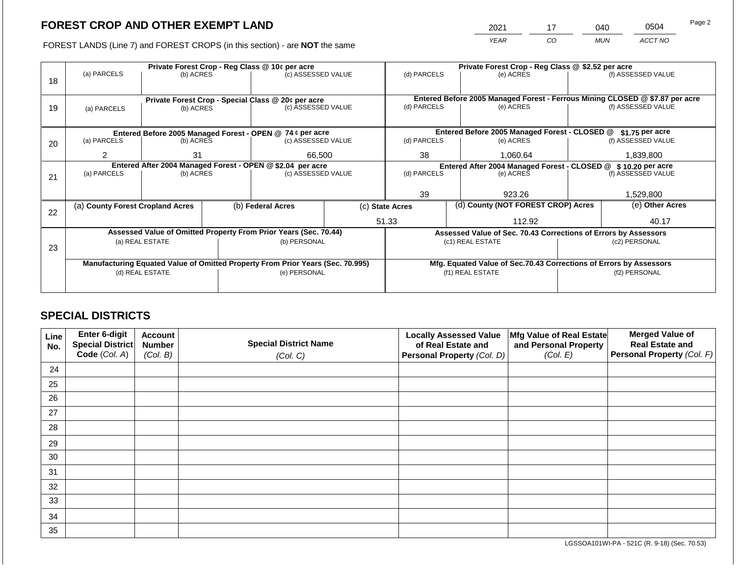2021 17 040 0504

FOREST LANDS (Line 7) and FOREST CROPS (in this section) - are **NOT** the same *YEAR CO MUN ACCT NO*

|    |                                  |           |  | Private Forest Crop - Reg Class @ 10¢ per acre                                 |                                                                | Private Forest Crop - Reg Class @ \$2.52 per acre |  |                                                                              |                                                                    |                    |
|----|----------------------------------|-----------|--|--------------------------------------------------------------------------------|----------------------------------------------------------------|---------------------------------------------------|--|------------------------------------------------------------------------------|--------------------------------------------------------------------|--------------------|
|    | (a) PARCELS                      | (b) ACRES |  | (c) ASSESSED VALUE                                                             |                                                                | (d) PARCELS                                       |  | (e) ACRES                                                                    |                                                                    | (f) ASSESSED VALUE |
| 18 |                                  |           |  |                                                                                |                                                                |                                                   |  |                                                                              |                                                                    |                    |
|    |                                  |           |  |                                                                                |                                                                |                                                   |  |                                                                              |                                                                    |                    |
|    |                                  |           |  | Private Forest Crop - Special Class @ 20¢ per acre                             |                                                                |                                                   |  | Entered Before 2005 Managed Forest - Ferrous Mining CLOSED @ \$7.87 per acre |                                                                    |                    |
| 19 | (a) PARCELS                      | (b) ACRES |  | (c) ASSESSED VALUE                                                             |                                                                | (d) PARCELS                                       |  | (e) ACRES                                                                    |                                                                    | (f) ASSESSED VALUE |
|    |                                  |           |  |                                                                                |                                                                |                                                   |  |                                                                              |                                                                    |                    |
|    |                                  |           |  | Entered Before 2005 Managed Forest - OPEN @ 74 ¢ per acre                      |                                                                |                                                   |  | Entered Before 2005 Managed Forest - CLOSED @                                |                                                                    | $$1.75$ per acre   |
| 20 | (a) PARCELS                      | (b) ACRES |  | (c) ASSESSED VALUE                                                             |                                                                | (d) PARCELS                                       |  | (e) ACRES                                                                    |                                                                    | (f) ASSESSED VALUE |
|    |                                  |           |  |                                                                                |                                                                |                                                   |  |                                                                              |                                                                    |                    |
|    | 2                                | 31        |  | 66,500                                                                         |                                                                | 38                                                |  | 1,060.64                                                                     |                                                                    | 1,839,800          |
|    |                                  |           |  | Entered After 2004 Managed Forest - OPEN @ \$2.04 per acre                     | Entered After 2004 Managed Forest - CLOSED @ \$ 10.20 per acre |                                                   |  |                                                                              |                                                                    |                    |
| 21 | (a) PARCELS                      | (b) ACRES |  | (c) ASSESSED VALUE                                                             |                                                                | (d) PARCELS                                       |  | (e) ACRES                                                                    |                                                                    | (f) ASSESSED VALUE |
|    |                                  |           |  |                                                                                |                                                                |                                                   |  |                                                                              |                                                                    |                    |
|    |                                  |           |  |                                                                                |                                                                | 39                                                |  | 923.26                                                                       |                                                                    | 1,529,800          |
|    | (a) County Forest Cropland Acres |           |  | (b) Federal Acres                                                              |                                                                | (c) State Acres                                   |  | (d) County (NOT FOREST CROP) Acres                                           |                                                                    | (e) Other Acres    |
| 22 |                                  |           |  |                                                                                |                                                                |                                                   |  |                                                                              |                                                                    |                    |
|    |                                  |           |  |                                                                                |                                                                | 51.33                                             |  | 112.92                                                                       |                                                                    | 40.17              |
|    |                                  |           |  | Assessed Value of Omitted Property From Prior Years (Sec. 70.44)               |                                                                |                                                   |  | Assessed Value of Sec. 70.43 Corrections of Errors by Assessors              |                                                                    |                    |
|    | (a) REAL ESTATE                  |           |  | (b) PERSONAL                                                                   |                                                                |                                                   |  | (c1) REAL ESTATE                                                             |                                                                    | (c2) PERSONAL      |
| 23 |                                  |           |  |                                                                                |                                                                |                                                   |  |                                                                              |                                                                    |                    |
|    |                                  |           |  | Manufacturing Equated Value of Omitted Property From Prior Years (Sec. 70.995) |                                                                |                                                   |  |                                                                              | Mfg. Equated Value of Sec.70.43 Corrections of Errors by Assessors |                    |
|    | (d) REAL ESTATE                  |           |  | (e) PERSONAL                                                                   |                                                                | (f1) REAL ESTATE                                  |  |                                                                              | (f2) PERSONAL                                                      |                    |
|    |                                  |           |  |                                                                                |                                                                |                                                   |  |                                                                              |                                                                    |                    |
|    |                                  |           |  |                                                                                |                                                                |                                                   |  |                                                                              |                                                                    |                    |

# **SPECIAL DISTRICTS**

| Line<br>No. | Enter 6-digit<br>Special District<br>Code (Col. A) | <b>Account</b><br><b>Number</b><br>(Col. B) | <b>Special District Name</b><br>(Col. C) | <b>Locally Assessed Value</b><br>of Real Estate and<br><b>Personal Property (Col. D)</b> | Mfg Value of Real Estate<br>and Personal Property<br>(Col. E) | <b>Merged Value of</b><br><b>Real Estate and</b><br>Personal Property (Col. F) |
|-------------|----------------------------------------------------|---------------------------------------------|------------------------------------------|------------------------------------------------------------------------------------------|---------------------------------------------------------------|--------------------------------------------------------------------------------|
| 24          |                                                    |                                             |                                          |                                                                                          |                                                               |                                                                                |
| 25          |                                                    |                                             |                                          |                                                                                          |                                                               |                                                                                |
| 26          |                                                    |                                             |                                          |                                                                                          |                                                               |                                                                                |
| 27          |                                                    |                                             |                                          |                                                                                          |                                                               |                                                                                |
| 28          |                                                    |                                             |                                          |                                                                                          |                                                               |                                                                                |
| 29          |                                                    |                                             |                                          |                                                                                          |                                                               |                                                                                |
| 30          |                                                    |                                             |                                          |                                                                                          |                                                               |                                                                                |
| 31          |                                                    |                                             |                                          |                                                                                          |                                                               |                                                                                |
| 32          |                                                    |                                             |                                          |                                                                                          |                                                               |                                                                                |
| 33          |                                                    |                                             |                                          |                                                                                          |                                                               |                                                                                |
| 34          |                                                    |                                             |                                          |                                                                                          |                                                               |                                                                                |
| 35          |                                                    |                                             |                                          |                                                                                          |                                                               |                                                                                |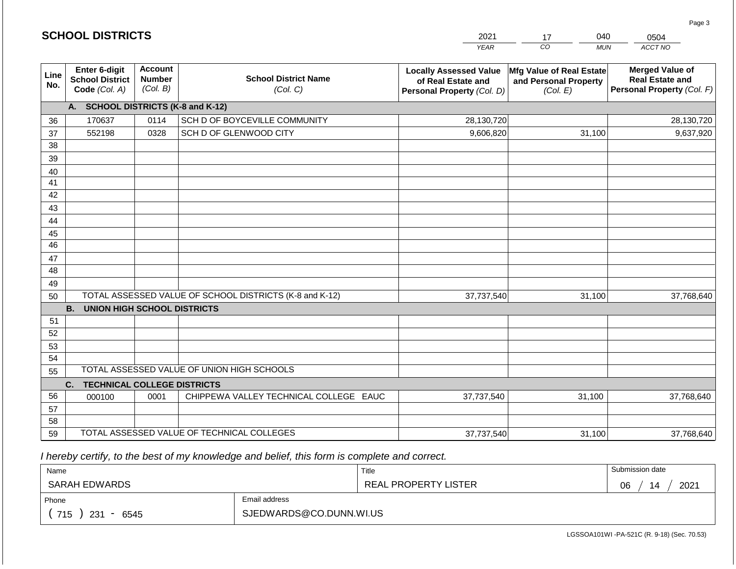|             |                                                          |                                             |                                                         | <b>YEAR</b>                                                                       | $\overline{co}$<br><b>MUN</b>                                 | ACCT NO                                                                        |
|-------------|----------------------------------------------------------|---------------------------------------------|---------------------------------------------------------|-----------------------------------------------------------------------------------|---------------------------------------------------------------|--------------------------------------------------------------------------------|
| Line<br>No. | Enter 6-digit<br><b>School District</b><br>Code (Col. A) | <b>Account</b><br><b>Number</b><br>(Col. B) | <b>School District Name</b><br>(Col. C)                 | <b>Locally Assessed Value</b><br>of Real Estate and<br>Personal Property (Col. D) | Mfg Value of Real Estate<br>and Personal Property<br>(Col. E) | <b>Merged Value of</b><br><b>Real Estate and</b><br>Personal Property (Col. F) |
|             | A. SCHOOL DISTRICTS (K-8 and K-12)                       |                                             |                                                         |                                                                                   |                                                               |                                                                                |
| 36          | 170637                                                   | 0114                                        | SCH D OF BOYCEVILLE COMMUNITY                           | 28,130,720                                                                        |                                                               | 28,130,720                                                                     |
| 37          | 552198                                                   | 0328                                        | SCH D OF GLENWOOD CITY                                  | 9,606,820                                                                         | 31,100                                                        | 9,637,920                                                                      |
| 38          |                                                          |                                             |                                                         |                                                                                   |                                                               |                                                                                |
| 39          |                                                          |                                             |                                                         |                                                                                   |                                                               |                                                                                |
| 40          |                                                          |                                             |                                                         |                                                                                   |                                                               |                                                                                |
| 41          |                                                          |                                             |                                                         |                                                                                   |                                                               |                                                                                |
| 42          |                                                          |                                             |                                                         |                                                                                   |                                                               |                                                                                |
| 43          |                                                          |                                             |                                                         |                                                                                   |                                                               |                                                                                |
| 44          |                                                          |                                             |                                                         |                                                                                   |                                                               |                                                                                |
| 45          |                                                          |                                             |                                                         |                                                                                   |                                                               |                                                                                |
| 46          |                                                          |                                             |                                                         |                                                                                   |                                                               |                                                                                |
| 47<br>48    |                                                          |                                             |                                                         |                                                                                   |                                                               |                                                                                |
| 49          |                                                          |                                             |                                                         |                                                                                   |                                                               |                                                                                |
| 50          |                                                          |                                             | TOTAL ASSESSED VALUE OF SCHOOL DISTRICTS (K-8 and K-12) | 37,737,540                                                                        | 31,100                                                        | 37,768,640                                                                     |
|             | <b>B.</b><br><b>UNION HIGH SCHOOL DISTRICTS</b>          |                                             |                                                         |                                                                                   |                                                               |                                                                                |
| 51          |                                                          |                                             |                                                         |                                                                                   |                                                               |                                                                                |
| 52          |                                                          |                                             |                                                         |                                                                                   |                                                               |                                                                                |
| 53          |                                                          |                                             |                                                         |                                                                                   |                                                               |                                                                                |
| 54          |                                                          |                                             |                                                         |                                                                                   |                                                               |                                                                                |
| 55          |                                                          |                                             | TOTAL ASSESSED VALUE OF UNION HIGH SCHOOLS              |                                                                                   |                                                               |                                                                                |
|             | <b>TECHNICAL COLLEGE DISTRICTS</b><br>C.                 |                                             |                                                         |                                                                                   |                                                               |                                                                                |
| 56          | 000100                                                   | 0001                                        | CHIPPEWA VALLEY TECHNICAL COLLEGE EAUC                  | 37,737,540                                                                        | 31,100                                                        | 37,768,640                                                                     |
| 57          |                                                          |                                             |                                                         |                                                                                   |                                                               |                                                                                |
| 58          |                                                          |                                             |                                                         |                                                                                   |                                                               |                                                                                |
| 59          |                                                          |                                             | TOTAL ASSESSED VALUE OF TECHNICAL COLLEGES              | 37,737,540                                                                        | 31,100                                                        | 37,768,640                                                                     |

2021

17

040

 *I hereby certify, to the best of my knowledge and belief, this form is complete and correct.*

**SCHOOL DISTRICTS**

| Name               |                         | Title                | Submission date  |
|--------------------|-------------------------|----------------------|------------------|
| SARAH EDWARDS      |                         | REAL PROPERTY LISTER | 2021<br>06<br>14 |
| Phone              | Email address           |                      |                  |
| 715<br>231<br>6545 | SJEDWARDS@CO.DUNN.WI.US |                      |                  |

Page 3

0504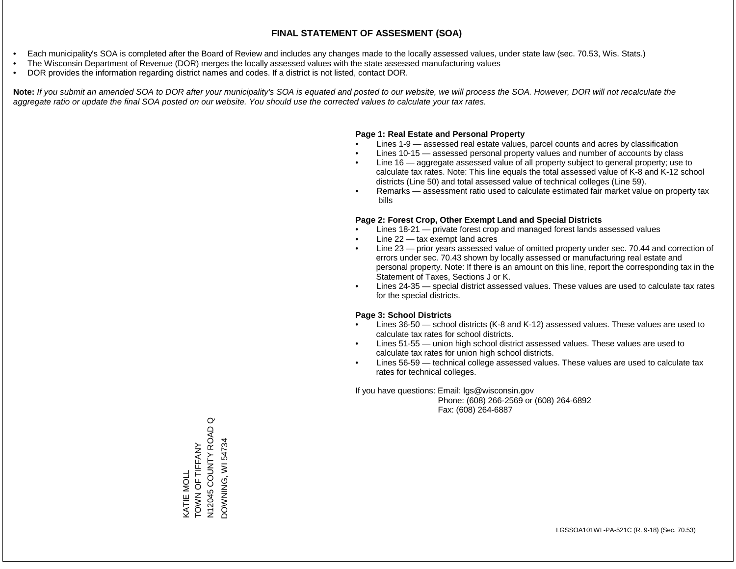- Each municipality's SOA is completed after the Board of Review and includes any changes made to the locally assessed values, under state law (sec. 70.53, Wis. Stats.)
- The Wisconsin Department of Revenue (DOR) merges the locally assessed values with the state assessed manufacturing values
- DOR provides the information regarding district names and codes. If a district is not listed, contact DOR.

Note: If you submit an amended SOA to DOR after your municipality's SOA is equated and posted to our website, we will process the SOA. However, DOR will not recalculate the *aggregate ratio or update the final SOA posted on our website. You should use the corrected values to calculate your tax rates.*

# **Page 1: Real Estate and Personal Property**

- Lines 1-9 assessed real estate values, parcel counts and acres by classification
- Lines 10-15 assessed personal property values and number of accounts by class
- Line 16 aggregate assessed value of all property subject to general property; use to calculate tax rates. Note: This line equals the total assessed value of K-8 and K-12 school districts (Line 50) and total assessed value of technical colleges (Line 59).
- Remarks assessment ratio used to calculate estimated fair market value on property tax bills

# **Page 2: Forest Crop, Other Exempt Land and Special Districts**

- Lines 18-21 private forest crop and managed forest lands assessed values
- Line  $22 -$  tax exempt land acres
- Line 23 prior years assessed value of omitted property under sec. 70.44 and correction of errors under sec. 70.43 shown by locally assessed or manufacturing real estate and personal property. Note: If there is an amount on this line, report the corresponding tax in the Statement of Taxes, Sections J or K.
- Lines 24-35 special district assessed values. These values are used to calculate tax rates for the special districts.

# **Page 3: School Districts**

- Lines 36-50 school districts (K-8 and K-12) assessed values. These values are used to calculate tax rates for school districts.
- Lines 51-55 union high school district assessed values. These values are used to calculate tax rates for union high school districts.
- Lines 56-59 technical college assessed values. These values are used to calculate tax rates for technical colleges.

If you have questions: Email: lgs@wisconsin.gov

 Phone: (608) 266-2569 or (608) 264-6892 Fax: (608) 264-6887

 $\circlearrowleft$ N12045 COUNTY ROAD Q N12045 COUNTY ROAD **DOWNING, WI54734** 46249 ING, WINDO **NUMBER AND ANY** KATIE MOLL<br>TOWN OF TIFFANY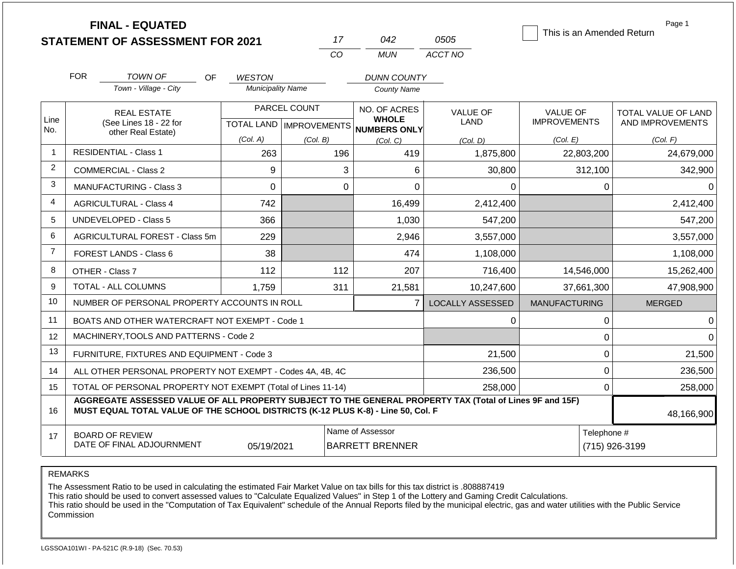|                |            | <b>FINAL - EQUATED</b><br><b>STATEMENT OF ASSESSMENT FOR 2021</b>                                                                                                                            |                          | 17                                        | 042                                                 | 0505                    | This is an Amended Return              | Page 1                                  |  |
|----------------|------------|----------------------------------------------------------------------------------------------------------------------------------------------------------------------------------------------|--------------------------|-------------------------------------------|-----------------------------------------------------|-------------------------|----------------------------------------|-----------------------------------------|--|
|                |            |                                                                                                                                                                                              |                          | CO.                                       | <b>MUN</b>                                          | ACCT NO                 |                                        |                                         |  |
|                | <b>FOR</b> | <b>TOWN OF</b><br><b>OF</b>                                                                                                                                                                  | <b>WESTON</b>            |                                           | <b>DUNN COUNTY</b>                                  |                         |                                        |                                         |  |
|                |            | Town - Village - City                                                                                                                                                                        | <b>Municipality Name</b> |                                           | <b>County Name</b>                                  |                         |                                        |                                         |  |
| Line<br>No.    |            | <b>REAL ESTATE</b><br>(See Lines 18 - 22 for                                                                                                                                                 |                          | PARCEL COUNT<br>TOTAL LAND   IMPROVEMENTS | NO. OF ACRES<br><b>WHOLE</b><br><b>NUMBERS ONLY</b> | <b>VALUE OF</b><br>LAND | <b>VALUE OF</b><br><b>IMPROVEMENTS</b> | TOTAL VALUE OF LAND<br>AND IMPROVEMENTS |  |
|                |            | other Real Estate)                                                                                                                                                                           | (Col. A)                 | (Col. B)                                  | (Col, C)                                            | (Col, D)                | (Col. E)                               | (Col. F)                                |  |
| $\mathbf{1}$   |            | <b>RESIDENTIAL - Class 1</b>                                                                                                                                                                 | 263                      | 196                                       | 419                                                 | 1,875,800               | 22,803,200                             | 24,679,000                              |  |
| $\overline{2}$ |            | COMMERCIAL - Class 2                                                                                                                                                                         | 9                        |                                           | 3<br>6                                              | 30,800                  | 312,100                                | 342,900                                 |  |
| 3              |            | <b>MANUFACTURING - Class 3</b>                                                                                                                                                               | $\Omega$                 |                                           | $\mathbf 0$<br>$\Omega$                             | 0                       | $\mathbf 0$                            | $\Omega$                                |  |
| 4              |            | <b>AGRICULTURAL - Class 4</b>                                                                                                                                                                | 742                      |                                           | 16,499                                              | 2,412,400               |                                        | 2,412,400                               |  |
| 5              |            | <b>UNDEVELOPED - Class 5</b>                                                                                                                                                                 | 366                      |                                           | 1,030                                               | 547,200                 |                                        | 547,200                                 |  |
| 6              |            | AGRICULTURAL FOREST - Class 5m                                                                                                                                                               | 229                      |                                           | 2,946                                               | 3,557,000               |                                        | 3,557,000                               |  |
| $\overline{7}$ |            | <b>FOREST LANDS - Class 6</b>                                                                                                                                                                | 38                       |                                           | 474                                                 | 1,108,000               |                                        | 1,108,000                               |  |
| 8              |            | OTHER - Class 7                                                                                                                                                                              | 112                      | 112                                       | 207                                                 | 716,400                 | 14,546,000                             | 15,262,400                              |  |
| 9              |            | <b>TOTAL - ALL COLUMNS</b>                                                                                                                                                                   | 1.759                    | 311                                       | 21,581                                              | 10,247,600              | 37,661,300                             | 47,908,900                              |  |
| 10             |            | NUMBER OF PERSONAL PROPERTY ACCOUNTS IN ROLL                                                                                                                                                 |                          |                                           | $\overline{7}$                                      | <b>LOCALLY ASSESSED</b> | <b>MANUFACTURING</b>                   | <b>MERGED</b>                           |  |
| 11             |            | BOATS AND OTHER WATERCRAFT NOT EXEMPT - Code 1                                                                                                                                               |                          |                                           |                                                     | $\Omega$                | $\mathbf 0$                            | $\Omega$                                |  |
| 12             |            | MACHINERY.TOOLS AND PATTERNS - Code 2                                                                                                                                                        |                          |                                           |                                                     |                         | $\mathbf 0$                            | $\Omega$                                |  |
| 13             |            | FURNITURE, FIXTURES AND EQUIPMENT - Code 3                                                                                                                                                   |                          |                                           |                                                     | 21,500                  | $\pmb{0}$                              | 21,500                                  |  |
| 14             |            | ALL OTHER PERSONAL PROPERTY NOT EXEMPT - Codes 4A, 4B, 4C                                                                                                                                    |                          |                                           |                                                     | 236,500                 | $\mathbf 0$                            | 236,500                                 |  |
| 15             |            | TOTAL OF PERSONAL PROPERTY NOT EXEMPT (Total of Lines 11-14)                                                                                                                                 |                          |                                           |                                                     | 258,000                 | $\Omega$                               | 258,000                                 |  |
| 16             |            | AGGREGATE ASSESSED VALUE OF ALL PROPERTY SUBJECT TO THE GENERAL PROPERTY TAX (Total of Lines 9F and 15F)<br>MUST EQUAL TOTAL VALUE OF THE SCHOOL DISTRICTS (K-12 PLUS K-8) - Line 50, Col. F |                          |                                           |                                                     |                         |                                        | 48,166,900                              |  |
| 17             |            | <b>BOARD OF REVIEW</b><br>DATE OF FINAL ADJOURNMENT                                                                                                                                          | 05/19/2021               |                                           | Name of Assessor<br><b>BARRETT BRENNER</b>          |                         |                                        | Telephone #<br>(715) 926-3199           |  |

The Assessment Ratio to be used in calculating the estimated Fair Market Value on tax bills for this tax district is .808887419

This ratio should be used to convert assessed values to "Calculate Equalized Values" in Step 1 of the Lottery and Gaming Credit Calculations.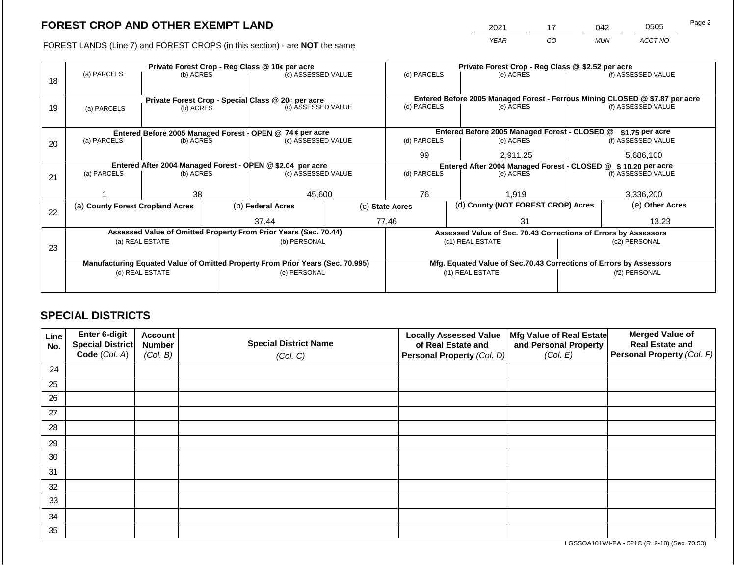2021 17 042 0505

FOREST LANDS (Line 7) and FOREST CROPS (in this section) - are **NOT** the same *YEAR CO MUN ACCT NO*

|    |                                                                                |           |                                                           | Private Forest Crop - Reg Class @ 10¢ per acre                   |                                                               | Private Forest Crop - Reg Class @ \$2.52 per acre |                                               |                                                                 |                                                                    |                                                                              |
|----|--------------------------------------------------------------------------------|-----------|-----------------------------------------------------------|------------------------------------------------------------------|---------------------------------------------------------------|---------------------------------------------------|-----------------------------------------------|-----------------------------------------------------------------|--------------------------------------------------------------------|------------------------------------------------------------------------------|
| 18 | (a) PARCELS                                                                    | (b) ACRES |                                                           | (c) ASSESSED VALUE                                               |                                                               | (d) PARCELS                                       |                                               | (e) ACRES                                                       |                                                                    | (f) ASSESSED VALUE                                                           |
|    |                                                                                |           |                                                           |                                                                  |                                                               |                                                   |                                               |                                                                 |                                                                    |                                                                              |
|    |                                                                                |           |                                                           | Private Forest Crop - Special Class @ 20¢ per acre               |                                                               |                                                   |                                               |                                                                 |                                                                    | Entered Before 2005 Managed Forest - Ferrous Mining CLOSED @ \$7.87 per acre |
| 19 | (a) PARCELS                                                                    | (b) ACRES |                                                           | (c) ASSESSED VALUE                                               |                                                               | (d) PARCELS                                       |                                               | (e) ACRES                                                       |                                                                    | (f) ASSESSED VALUE                                                           |
|    |                                                                                |           |                                                           |                                                                  |                                                               |                                                   |                                               |                                                                 |                                                                    |                                                                              |
|    |                                                                                |           | Entered Before 2005 Managed Forest - OPEN @ 74 ¢ per acre |                                                                  |                                                               |                                                   | Entered Before 2005 Managed Forest - CLOSED @ |                                                                 | $$1.75$ per acre                                                   |                                                                              |
| 20 | (a) PARCELS<br>(b) ACRES                                                       |           |                                                           | (c) ASSESSED VALUE                                               |                                                               | (d) PARCELS                                       |                                               | (e) ACRES                                                       |                                                                    | (f) ASSESSED VALUE                                                           |
|    |                                                                                |           |                                                           |                                                                  |                                                               | 99                                                |                                               | 2,911.25                                                        |                                                                    | 5,686,100                                                                    |
|    | Entered After 2004 Managed Forest - OPEN @ \$2.04 per acre                     |           |                                                           |                                                                  | Entered After 2004 Managed Forest - CLOSED @ \$10.20 per acre |                                                   |                                               |                                                                 |                                                                    |                                                                              |
| 21 | (a) PARCELS                                                                    | (b) ACRES |                                                           | (c) ASSESSED VALUE                                               |                                                               | (d) PARCELS                                       |                                               | (e) ACRES                                                       |                                                                    | (f) ASSESSED VALUE                                                           |
|    |                                                                                |           |                                                           |                                                                  |                                                               |                                                   |                                               |                                                                 |                                                                    |                                                                              |
|    |                                                                                | 38        |                                                           | 45,600                                                           |                                                               | 76                                                |                                               | 1.919                                                           |                                                                    | 3,336,200                                                                    |
|    | (a) County Forest Cropland Acres                                               |           |                                                           | (b) Federal Acres                                                |                                                               | (c) State Acres                                   |                                               | (d) County (NOT FOREST CROP) Acres                              |                                                                    | (e) Other Acres                                                              |
| 22 |                                                                                |           |                                                           | 37.44                                                            |                                                               | 77.46                                             |                                               | 31                                                              |                                                                    | 13.23                                                                        |
|    |                                                                                |           |                                                           |                                                                  |                                                               |                                                   |                                               |                                                                 |                                                                    |                                                                              |
|    |                                                                                |           |                                                           | Assessed Value of Omitted Property From Prior Years (Sec. 70.44) |                                                               |                                                   |                                               | Assessed Value of Sec. 70.43 Corrections of Errors by Assessors |                                                                    |                                                                              |
| 23 | (a) REAL ESTATE                                                                |           |                                                           | (b) PERSONAL                                                     |                                                               |                                                   |                                               | (c1) REAL ESTATE                                                |                                                                    | (c2) PERSONAL                                                                |
|    |                                                                                |           |                                                           |                                                                  |                                                               |                                                   |                                               |                                                                 |                                                                    |                                                                              |
|    | Manufacturing Equated Value of Omitted Property From Prior Years (Sec. 70.995) |           |                                                           |                                                                  |                                                               |                                                   |                                               |                                                                 | Mfg. Equated Value of Sec.70.43 Corrections of Errors by Assessors |                                                                              |
|    | (d) REAL ESTATE                                                                |           |                                                           | (e) PERSONAL                                                     | (f1) REAL ESTATE                                              |                                                   |                                               |                                                                 | (f2) PERSONAL                                                      |                                                                              |
|    |                                                                                |           |                                                           |                                                                  |                                                               |                                                   |                                               |                                                                 |                                                                    |                                                                              |
|    |                                                                                |           |                                                           |                                                                  |                                                               |                                                   |                                               |                                                                 |                                                                    |                                                                              |

# **SPECIAL DISTRICTS**

| Line<br>No. | Enter 6-digit<br>Special District<br>Code (Col. A) | <b>Account</b><br><b>Number</b><br>(Col. B) | <b>Special District Name</b><br>(Col. C) | <b>Locally Assessed Value</b><br>of Real Estate and<br><b>Personal Property (Col. D)</b> | Mfg Value of Real Estate<br>and Personal Property<br>(Col. E) | <b>Merged Value of</b><br><b>Real Estate and</b><br>Personal Property (Col. F) |
|-------------|----------------------------------------------------|---------------------------------------------|------------------------------------------|------------------------------------------------------------------------------------------|---------------------------------------------------------------|--------------------------------------------------------------------------------|
| 24          |                                                    |                                             |                                          |                                                                                          |                                                               |                                                                                |
| 25          |                                                    |                                             |                                          |                                                                                          |                                                               |                                                                                |
| 26          |                                                    |                                             |                                          |                                                                                          |                                                               |                                                                                |
| 27          |                                                    |                                             |                                          |                                                                                          |                                                               |                                                                                |
| 28          |                                                    |                                             |                                          |                                                                                          |                                                               |                                                                                |
| 29          |                                                    |                                             |                                          |                                                                                          |                                                               |                                                                                |
| 30          |                                                    |                                             |                                          |                                                                                          |                                                               |                                                                                |
| 31          |                                                    |                                             |                                          |                                                                                          |                                                               |                                                                                |
| 32          |                                                    |                                             |                                          |                                                                                          |                                                               |                                                                                |
| 33          |                                                    |                                             |                                          |                                                                                          |                                                               |                                                                                |
| 34          |                                                    |                                             |                                          |                                                                                          |                                                               |                                                                                |
| 35          |                                                    |                                             |                                          |                                                                                          |                                                               |                                                                                |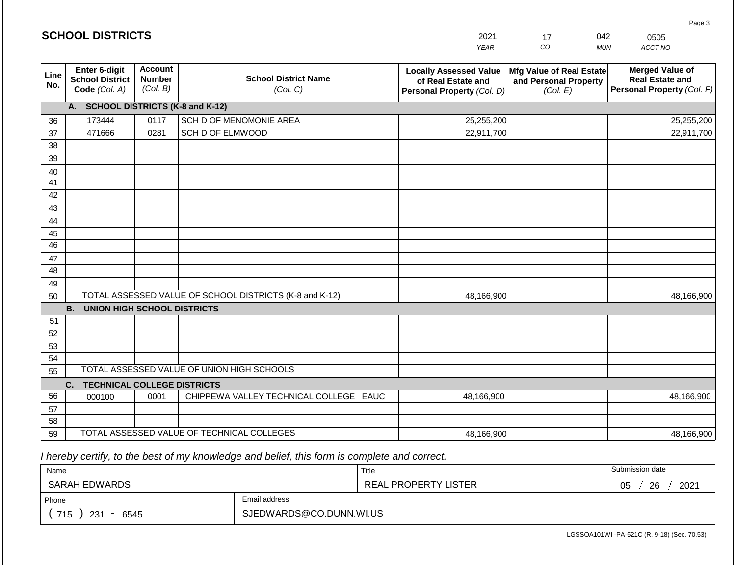| <b>SCHOOL DISTRICTS</b><br>2021<br>042<br>17 |                                                          |                                             |                                                         |                                                                                   |                                                               | 0505                                                                           |
|----------------------------------------------|----------------------------------------------------------|---------------------------------------------|---------------------------------------------------------|-----------------------------------------------------------------------------------|---------------------------------------------------------------|--------------------------------------------------------------------------------|
|                                              |                                                          |                                             |                                                         | <b>YEAR</b>                                                                       | CO                                                            | ACCT NO<br><b>MUN</b>                                                          |
| Line<br>No.                                  | Enter 6-digit<br><b>School District</b><br>Code (Col. A) | <b>Account</b><br><b>Number</b><br>(Col. B) | <b>School District Name</b><br>(Col. C)                 | <b>Locally Assessed Value</b><br>of Real Estate and<br>Personal Property (Col. D) | Mfg Value of Real Estate<br>and Personal Property<br>(Col. E) | <b>Merged Value of</b><br><b>Real Estate and</b><br>Personal Property (Col. F) |
|                                              | A. SCHOOL DISTRICTS (K-8 and K-12)                       |                                             |                                                         |                                                                                   |                                                               |                                                                                |
| 36                                           | 173444                                                   | 0117                                        | SCH D OF MENOMONIE AREA                                 | 25,255,200                                                                        |                                                               | 25,255,200                                                                     |
| 37                                           | 471666                                                   | 0281                                        | SCH D OF ELMWOOD                                        | 22,911,700                                                                        |                                                               | 22,911,700                                                                     |
| 38                                           |                                                          |                                             |                                                         |                                                                                   |                                                               |                                                                                |
| 39                                           |                                                          |                                             |                                                         |                                                                                   |                                                               |                                                                                |
| 40                                           |                                                          |                                             |                                                         |                                                                                   |                                                               |                                                                                |
| 41                                           |                                                          |                                             |                                                         |                                                                                   |                                                               |                                                                                |
| 42                                           |                                                          |                                             |                                                         |                                                                                   |                                                               |                                                                                |
| 43                                           |                                                          |                                             |                                                         |                                                                                   |                                                               |                                                                                |
| 44<br>45                                     |                                                          |                                             |                                                         |                                                                                   |                                                               |                                                                                |
| 46                                           |                                                          |                                             |                                                         |                                                                                   |                                                               |                                                                                |
| 47                                           |                                                          |                                             |                                                         |                                                                                   |                                                               |                                                                                |
| 48                                           |                                                          |                                             |                                                         |                                                                                   |                                                               |                                                                                |
| 49                                           |                                                          |                                             |                                                         |                                                                                   |                                                               |                                                                                |
| 50                                           |                                                          |                                             | TOTAL ASSESSED VALUE OF SCHOOL DISTRICTS (K-8 and K-12) | 48,166,900                                                                        |                                                               | 48,166,900                                                                     |
|                                              | <b>B. UNION HIGH SCHOOL DISTRICTS</b>                    |                                             |                                                         |                                                                                   |                                                               |                                                                                |
| 51                                           |                                                          |                                             |                                                         |                                                                                   |                                                               |                                                                                |
| 52                                           |                                                          |                                             |                                                         |                                                                                   |                                                               |                                                                                |
| 53                                           |                                                          |                                             |                                                         |                                                                                   |                                                               |                                                                                |
| 54                                           |                                                          |                                             |                                                         |                                                                                   |                                                               |                                                                                |
| 55                                           |                                                          |                                             | TOTAL ASSESSED VALUE OF UNION HIGH SCHOOLS              |                                                                                   |                                                               |                                                                                |
|                                              | C.<br><b>TECHNICAL COLLEGE DISTRICTS</b>                 |                                             |                                                         |                                                                                   |                                                               |                                                                                |
| 56                                           | 000100                                                   | 0001                                        | CHIPPEWA VALLEY TECHNICAL COLLEGE EAUC                  | 48,166,900                                                                        |                                                               | 48,166,900                                                                     |
| 57<br>58                                     |                                                          |                                             |                                                         |                                                                                   |                                                               |                                                                                |
| 59                                           |                                                          |                                             | TOTAL ASSESSED VALUE OF TECHNICAL COLLEGES              | 48,166,900                                                                        |                                                               | 48,166,900                                                                     |

 *I hereby certify, to the best of my knowledge and belief, this form is complete and correct.*

| Name               |                         | Title                | Submission date  |
|--------------------|-------------------------|----------------------|------------------|
| SARAH EDWARDS      |                         | REAL PROPERTY LISTER | 26<br>2021<br>05 |
| Phone              | Email address           |                      |                  |
| 715<br>231<br>6545 | SJEDWARDS@CO.DUNN.WI.US |                      |                  |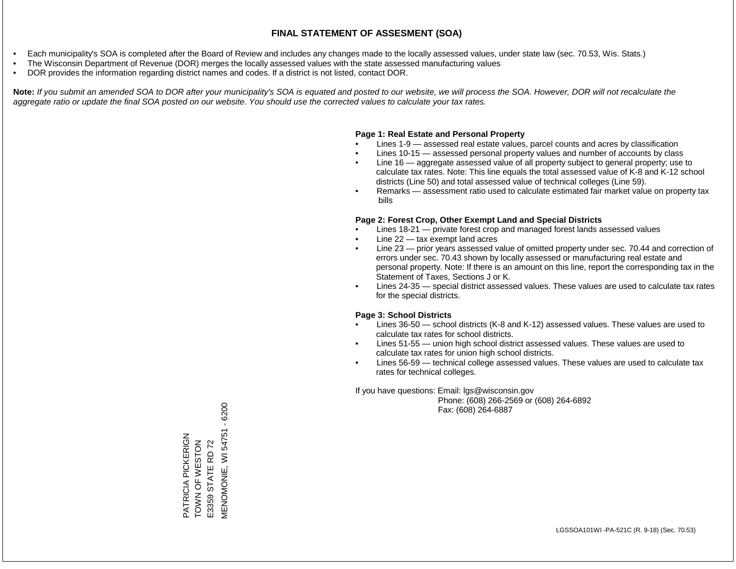- Each municipality's SOA is completed after the Board of Review and includes any changes made to the locally assessed values, under state law (sec. 70.53, Wis. Stats.)
- The Wisconsin Department of Revenue (DOR) merges the locally assessed values with the state assessed manufacturing values
- DOR provides the information regarding district names and codes. If a district is not listed, contact DOR.

Note: If you submit an amended SOA to DOR after your municipality's SOA is equated and posted to our website, we will process the SOA. However, DOR will not recalculate the *aggregate ratio or update the final SOA posted on our website. You should use the corrected values to calculate your tax rates.*

# **Page 1: Real Estate and Personal Property**

- Lines 1-9 assessed real estate values, parcel counts and acres by classification
- Lines 10-15 assessed personal property values and number of accounts by class
- Line 16 aggregate assessed value of all property subject to general property; use to calculate tax rates. Note: This line equals the total assessed value of K-8 and K-12 school districts (Line 50) and total assessed value of technical colleges (Line 59).
- Remarks assessment ratio used to calculate estimated fair market value on property tax bills

# **Page 2: Forest Crop, Other Exempt Land and Special Districts**

- Lines 18-21 private forest crop and managed forest lands assessed values
- Line  $22 -$  tax exempt land acres
- Line 23 prior years assessed value of omitted property under sec. 70.44 and correction of errors under sec. 70.43 shown by locally assessed or manufacturing real estate and personal property. Note: If there is an amount on this line, report the corresponding tax in the Statement of Taxes, Sections J or K.
- Lines 24-35 special district assessed values. These values are used to calculate tax rates for the special districts.

# **Page 3: School Districts**

- Lines 36-50 school districts (K-8 and K-12) assessed values. These values are used to calculate tax rates for school districts.
- Lines 51-55 union high school district assessed values. These values are used to calculate tax rates for union high school districts.
- Lines 56-59 technical college assessed values. These values are used to calculate tax rates for technical colleges.

If you have questions: Email: lgs@wisconsin.gov

 Phone: (608) 266-2569 or (608) 264-6892 Fax: (608) 264-6887

 $-6200$ MENOMONIE, WI 54751 - 6200VIENOMONIE, WI 54751 PATRICIA PICKERIGN PATRICIA PICKERIGN TOWN OF WESTON<br>E3359 STATE RD 72 **ZOLSHSWESTON** E3359 STATE RD 72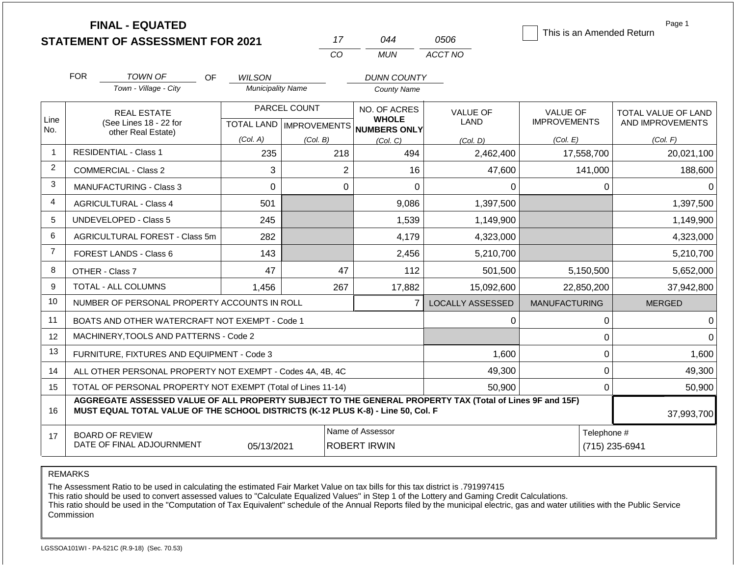|                |                               | <b>FINAL - EQUATED</b><br><b>STATEMENT OF ASSESSMENT FOR 2021</b>                                                                                                                            |                          | 17                                        | 044                                                 | 0506                           | This is an Amended Return              | Page 1                                         |
|----------------|-------------------------------|----------------------------------------------------------------------------------------------------------------------------------------------------------------------------------------------|--------------------------|-------------------------------------------|-----------------------------------------------------|--------------------------------|----------------------------------------|------------------------------------------------|
|                |                               |                                                                                                                                                                                              |                          | CO.                                       | <b>MUN</b>                                          | ACCT NO                        |                                        |                                                |
|                | <b>FOR</b>                    | <b>TOWN OF</b><br><b>OF</b>                                                                                                                                                                  | <b>WILSON</b>            |                                           | <b>DUNN COUNTY</b>                                  |                                |                                        |                                                |
|                |                               | Town - Village - City                                                                                                                                                                        | <b>Municipality Name</b> |                                           | <b>County Name</b>                                  |                                |                                        |                                                |
| Line<br>No.    |                               | <b>REAL ESTATE</b><br>(See Lines 18 - 22 for                                                                                                                                                 |                          | PARCEL COUNT<br>TOTAL LAND   IMPROVEMENTS | NO. OF ACRES<br><b>WHOLE</b><br><b>NUMBERS ONLY</b> | <b>VALUE OF</b><br><b>LAND</b> | <b>VALUE OF</b><br><b>IMPROVEMENTS</b> | <b>TOTAL VALUE OF LAND</b><br>AND IMPROVEMENTS |
|                |                               | other Real Estate)                                                                                                                                                                           | (Col. A)                 | (Col. B)                                  | (Col, C)                                            | (Col, D)                       | (Col. E)                               | (Col. F)                                       |
| $\mathbf{1}$   |                               | <b>RESIDENTIAL - Class 1</b>                                                                                                                                                                 | 235                      | 218                                       | 494                                                 | 2,462,400                      | 17,558,700                             | 20,021,100                                     |
| $\overline{2}$ |                               | <b>COMMERCIAL - Class 2</b>                                                                                                                                                                  | 3                        |                                           | $\overline{2}$<br>16                                | 47,600                         | 141,000                                | 188,600                                        |
| 3              |                               | MANUFACTURING - Class 3                                                                                                                                                                      | $\Omega$                 |                                           | $\mathbf 0$<br>$\overline{0}$                       | 0                              | $\mathbf 0$                            | $\Omega$                                       |
| 4              | <b>AGRICULTURAL - Class 4</b> |                                                                                                                                                                                              | 501                      |                                           | 9,086                                               | 1,397,500                      |                                        | 1,397,500                                      |
| 5              |                               | UNDEVELOPED - Class 5                                                                                                                                                                        | 245                      |                                           | 1,539                                               | 1,149,900                      |                                        | 1,149,900                                      |
| 6              |                               | AGRICULTURAL FOREST - Class 5m                                                                                                                                                               | 282                      |                                           | 4,179                                               | 4,323,000                      |                                        | 4,323,000                                      |
| $\overline{7}$ |                               | <b>FOREST LANDS - Class 6</b>                                                                                                                                                                | 143                      |                                           | 2,456                                               | 5,210,700                      |                                        | 5,210,700                                      |
| 8              |                               | OTHER - Class 7                                                                                                                                                                              | 47                       | 47                                        | 112                                                 | 501,500                        | 5,150,500                              | 5,652,000                                      |
| 9              |                               | <b>TOTAL - ALL COLUMNS</b>                                                                                                                                                                   | 1.456                    | 267                                       | 17,882                                              | 15,092,600                     | 22,850,200                             | 37,942,800                                     |
| 10             |                               | NUMBER OF PERSONAL PROPERTY ACCOUNTS IN ROLL                                                                                                                                                 |                          |                                           | $\overline{7}$                                      | <b>LOCALLY ASSESSED</b>        | <b>MANUFACTURING</b>                   | <b>MERGED</b>                                  |
| 11             |                               | BOATS AND OTHER WATERCRAFT NOT EXEMPT - Code 1                                                                                                                                               |                          |                                           |                                                     | $\Omega$                       | $\pmb{0}$                              | $\Omega$                                       |
| 12             |                               | MACHINERY.TOOLS AND PATTERNS - Code 2                                                                                                                                                        |                          |                                           |                                                     |                                | $\pmb{0}$                              | $\Omega$                                       |
| 13             |                               | FURNITURE, FIXTURES AND EQUIPMENT - Code 3                                                                                                                                                   |                          |                                           |                                                     | 1,600                          | $\pmb{0}$                              | 1,600                                          |
| 14             |                               | ALL OTHER PERSONAL PROPERTY NOT EXEMPT - Codes 4A, 4B, 4C                                                                                                                                    |                          |                                           |                                                     | 49,300                         | $\mathbf 0$                            | 49,300                                         |
| 15             |                               | TOTAL OF PERSONAL PROPERTY NOT EXEMPT (Total of Lines 11-14)                                                                                                                                 |                          |                                           |                                                     | 50.900                         | $\Omega$                               | 50,900                                         |
| 16             |                               | AGGREGATE ASSESSED VALUE OF ALL PROPERTY SUBJECT TO THE GENERAL PROPERTY TAX (Total of Lines 9F and 15F)<br>MUST EQUAL TOTAL VALUE OF THE SCHOOL DISTRICTS (K-12 PLUS K-8) - Line 50, Col. F |                          |                                           |                                                     |                                |                                        | 37,993,700                                     |
| 17             |                               | <b>BOARD OF REVIEW</b><br>DATE OF FINAL ADJOURNMENT                                                                                                                                          | 05/13/2021               |                                           | Name of Assessor<br><b>ROBERT IRWIN</b>             |                                | Telephone #                            | (715) 235-6941                                 |

The Assessment Ratio to be used in calculating the estimated Fair Market Value on tax bills for this tax district is .791997415

This ratio should be used to convert assessed values to "Calculate Equalized Values" in Step 1 of the Lottery and Gaming Credit Calculations.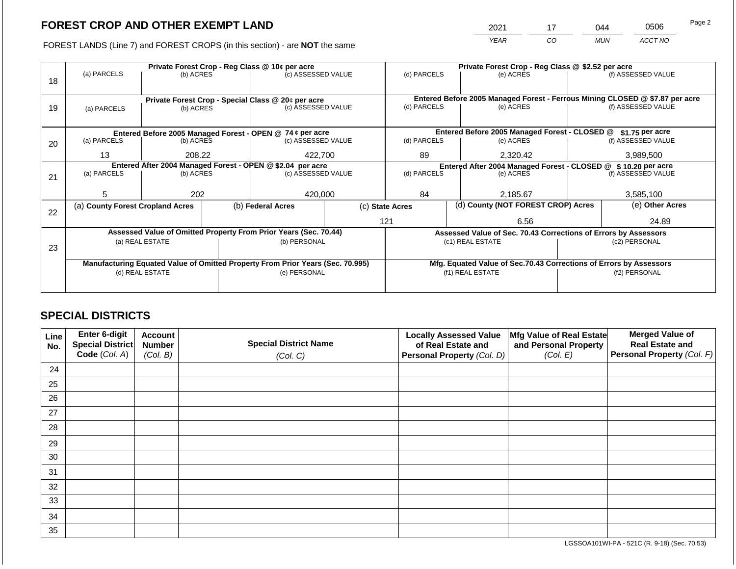2021 17 044 0506

FOREST LANDS (Line 7) and FOREST CROPS (in this section) - are **NOT** the same *YEAR CO MUN ACCT NO*

|    |                                                                                       |                 | Private Forest Crop - Reg Class @ 10¢ per acre |                                                                                | Private Forest Crop - Reg Class @ \$2.52 per acre |             |                                    |                                                                    |               |                                                                                                    |  |
|----|---------------------------------------------------------------------------------------|-----------------|------------------------------------------------|--------------------------------------------------------------------------------|---------------------------------------------------|-------------|------------------------------------|--------------------------------------------------------------------|---------------|----------------------------------------------------------------------------------------------------|--|
|    | (a) PARCELS                                                                           | (b) ACRES       |                                                | (c) ASSESSED VALUE                                                             |                                                   | (d) PARCELS |                                    | (e) ACRES                                                          |               | (f) ASSESSED VALUE                                                                                 |  |
| 18 |                                                                                       |                 |                                                |                                                                                |                                                   |             |                                    |                                                                    |               |                                                                                                    |  |
|    |                                                                                       |                 |                                                |                                                                                |                                                   |             |                                    |                                                                    |               |                                                                                                    |  |
|    |                                                                                       |                 |                                                | Private Forest Crop - Special Class @ 20¢ per acre                             |                                                   | (d) PARCELS |                                    | (e) ACRES                                                          |               | Entered Before 2005 Managed Forest - Ferrous Mining CLOSED @ \$7.87 per acre<br>(f) ASSESSED VALUE |  |
| 19 | (b) ACRES<br>(a) PARCELS                                                              |                 |                                                | (c) ASSESSED VALUE                                                             |                                                   |             |                                    |                                                                    |               |                                                                                                    |  |
|    |                                                                                       |                 |                                                |                                                                                |                                                   |             |                                    |                                                                    |               |                                                                                                    |  |
|    |                                                                                       |                 |                                                |                                                                                | Entered Before 2005 Managed Forest - CLOSED @     |             | $$1.75$ per acre                   |                                                                    |               |                                                                                                    |  |
| 20 | Entered Before 2005 Managed Forest - OPEN @ 74 ¢ per acre<br>(a) PARCELS<br>(b) ACRES |                 |                                                | (c) ASSESSED VALUE                                                             |                                                   | (d) PARCELS |                                    | (e) ACRES                                                          |               | (f) ASSESSED VALUE                                                                                 |  |
|    |                                                                                       |                 |                                                |                                                                                |                                                   |             |                                    |                                                                    |               |                                                                                                    |  |
|    | 13                                                                                    | 208.22          |                                                | 422,700                                                                        |                                                   |             | 89<br>2,320.42                     |                                                                    |               | 3,989,500                                                                                          |  |
|    | Entered After 2004 Managed Forest - OPEN @ \$2.04 per acre                            |                 |                                                |                                                                                |                                                   |             |                                    | Entered After 2004 Managed Forest - CLOSED @ \$ 10.20 per acre     |               |                                                                                                    |  |
| 21 | (a) PARCELS                                                                           | (b) ACRES       |                                                | (c) ASSESSED VALUE                                                             |                                                   | (d) PARCELS |                                    | (e) ACRES                                                          |               | (f) ASSESSED VALUE                                                                                 |  |
|    |                                                                                       |                 |                                                |                                                                                |                                                   |             |                                    |                                                                    |               |                                                                                                    |  |
|    | 5.                                                                                    | 202             |                                                | 420,000                                                                        |                                                   | 84          |                                    | 2,185.67                                                           |               | 3,585,100                                                                                          |  |
|    | (a) County Forest Cropland Acres                                                      |                 |                                                | (b) Federal Acres                                                              | (c) State Acres                                   |             | (d) County (NOT FOREST CROP) Acres |                                                                    |               | (e) Other Acres                                                                                    |  |
| 22 |                                                                                       |                 |                                                |                                                                                |                                                   |             |                                    |                                                                    |               |                                                                                                    |  |
|    |                                                                                       |                 |                                                |                                                                                |                                                   | 121         |                                    | 6.56                                                               |               | 24.89                                                                                              |  |
|    |                                                                                       |                 |                                                | Assessed Value of Omitted Property From Prior Years (Sec. 70.44)               |                                                   |             |                                    | Assessed Value of Sec. 70.43 Corrections of Errors by Assessors    |               |                                                                                                    |  |
|    |                                                                                       | (a) REAL ESTATE |                                                | (b) PERSONAL                                                                   |                                                   |             |                                    | (c1) REAL ESTATE                                                   |               | (c2) PERSONAL                                                                                      |  |
| 23 |                                                                                       |                 |                                                |                                                                                |                                                   |             |                                    |                                                                    |               |                                                                                                    |  |
|    |                                                                                       |                 |                                                | Manufacturing Equated Value of Omitted Property From Prior Years (Sec. 70.995) |                                                   |             |                                    | Mfg. Equated Value of Sec.70.43 Corrections of Errors by Assessors |               |                                                                                                    |  |
|    |                                                                                       | (d) REAL ESTATE |                                                | (e) PERSONAL                                                                   |                                                   |             |                                    | (f1) REAL ESTATE                                                   | (f2) PERSONAL |                                                                                                    |  |
|    |                                                                                       |                 |                                                |                                                                                |                                                   |             |                                    |                                                                    |               |                                                                                                    |  |
|    |                                                                                       |                 |                                                |                                                                                |                                                   |             |                                    |                                                                    |               |                                                                                                    |  |

# **SPECIAL DISTRICTS**

| Line<br>No. | Enter 6-digit<br>Special District | <b>Account</b><br><b>Number</b> | <b>Special District Name</b> | <b>Locally Assessed Value</b><br>of Real Estate and | Mfg Value of Real Estate<br>and Personal Property | <b>Merged Value of</b><br><b>Real Estate and</b> |
|-------------|-----------------------------------|---------------------------------|------------------------------|-----------------------------------------------------|---------------------------------------------------|--------------------------------------------------|
|             | Code (Col. A)                     | (Col. B)                        | (Col. C)                     | Personal Property (Col. D)                          | (Col. E)                                          | Personal Property (Col. F)                       |
| 24          |                                   |                                 |                              |                                                     |                                                   |                                                  |
| 25          |                                   |                                 |                              |                                                     |                                                   |                                                  |
| 26          |                                   |                                 |                              |                                                     |                                                   |                                                  |
| 27          |                                   |                                 |                              |                                                     |                                                   |                                                  |
| 28          |                                   |                                 |                              |                                                     |                                                   |                                                  |
| 29          |                                   |                                 |                              |                                                     |                                                   |                                                  |
| 30          |                                   |                                 |                              |                                                     |                                                   |                                                  |
| 31          |                                   |                                 |                              |                                                     |                                                   |                                                  |
| 32          |                                   |                                 |                              |                                                     |                                                   |                                                  |
| 33          |                                   |                                 |                              |                                                     |                                                   |                                                  |
| 34          |                                   |                                 |                              |                                                     |                                                   |                                                  |
| 35          |                                   |                                 |                              |                                                     |                                                   |                                                  |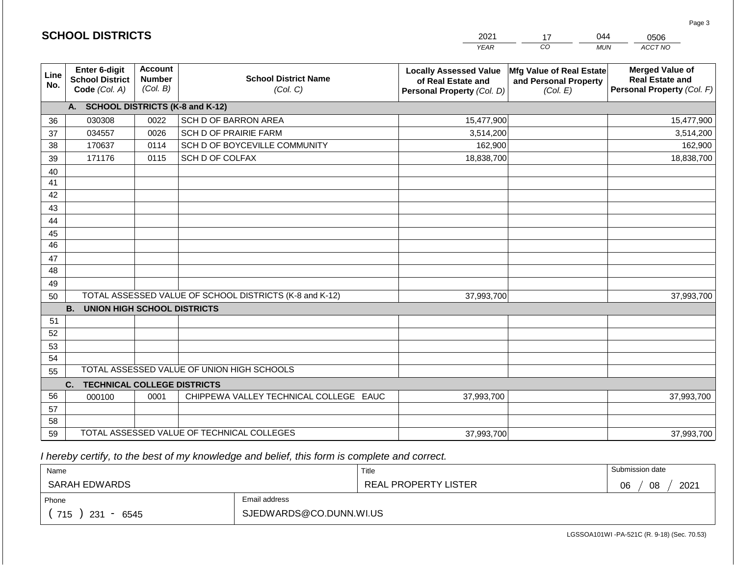|             |                                                          |                                             |                                                         | <b>YEAR</b>                                                                       | CO<br><b>MUN</b>                                                     | ACCT NO                                                                        |
|-------------|----------------------------------------------------------|---------------------------------------------|---------------------------------------------------------|-----------------------------------------------------------------------------------|----------------------------------------------------------------------|--------------------------------------------------------------------------------|
| Line<br>No. | Enter 6-digit<br><b>School District</b><br>Code (Col. A) | <b>Account</b><br><b>Number</b><br>(Col. B) | <b>School District Name</b><br>(Col. C)                 | <b>Locally Assessed Value</b><br>of Real Estate and<br>Personal Property (Col. D) | <b>Mfg Value of Real Estate</b><br>and Personal Property<br>(Col. E) | <b>Merged Value of</b><br><b>Real Estate and</b><br>Personal Property (Col. F) |
|             | A. SCHOOL DISTRICTS (K-8 and K-12)                       |                                             |                                                         |                                                                                   |                                                                      |                                                                                |
| 36          | 030308                                                   | 0022                                        | SCH D OF BARRON AREA                                    | 15,477,900                                                                        |                                                                      | 15,477,900                                                                     |
| 37          | 034557                                                   | 0026                                        | SCH D OF PRAIRIE FARM                                   | 3,514,200                                                                         |                                                                      | 3,514,200                                                                      |
| 38          | 170637                                                   | 0114                                        | SCH D OF BOYCEVILLE COMMUNITY                           | 162,900                                                                           |                                                                      | 162,900                                                                        |
| 39          | 171176                                                   | 0115                                        | SCH D OF COLFAX                                         | 18,838,700                                                                        |                                                                      | 18,838,700                                                                     |
| 40          |                                                          |                                             |                                                         |                                                                                   |                                                                      |                                                                                |
| 41          |                                                          |                                             |                                                         |                                                                                   |                                                                      |                                                                                |
| 42          |                                                          |                                             |                                                         |                                                                                   |                                                                      |                                                                                |
| 43          |                                                          |                                             |                                                         |                                                                                   |                                                                      |                                                                                |
| 44          |                                                          |                                             |                                                         |                                                                                   |                                                                      |                                                                                |
| 45          |                                                          |                                             |                                                         |                                                                                   |                                                                      |                                                                                |
| 46          |                                                          |                                             |                                                         |                                                                                   |                                                                      |                                                                                |
| 47          |                                                          |                                             |                                                         |                                                                                   |                                                                      |                                                                                |
| 48          |                                                          |                                             |                                                         |                                                                                   |                                                                      |                                                                                |
| 49          |                                                          |                                             |                                                         |                                                                                   |                                                                      |                                                                                |
| 50          |                                                          |                                             | TOTAL ASSESSED VALUE OF SCHOOL DISTRICTS (K-8 and K-12) | 37,993,700                                                                        |                                                                      | 37,993,700                                                                     |
|             | <b>B.</b><br><b>UNION HIGH SCHOOL DISTRICTS</b>          |                                             |                                                         |                                                                                   |                                                                      |                                                                                |
| 51          |                                                          |                                             |                                                         |                                                                                   |                                                                      |                                                                                |
| 52          |                                                          |                                             |                                                         |                                                                                   |                                                                      |                                                                                |
| 53          |                                                          |                                             |                                                         |                                                                                   |                                                                      |                                                                                |
| 54          |                                                          |                                             |                                                         |                                                                                   |                                                                      |                                                                                |
| 55          |                                                          |                                             | TOTAL ASSESSED VALUE OF UNION HIGH SCHOOLS              |                                                                                   |                                                                      |                                                                                |
|             | C.<br><b>TECHNICAL COLLEGE DISTRICTS</b>                 |                                             |                                                         |                                                                                   |                                                                      |                                                                                |
| 56          | 000100                                                   | 0001                                        | CHIPPEWA VALLEY TECHNICAL COLLEGE EAUC                  | 37,993,700                                                                        |                                                                      | 37,993,700                                                                     |
| 57          |                                                          |                                             |                                                         |                                                                                   |                                                                      |                                                                                |
| 58          |                                                          |                                             |                                                         |                                                                                   |                                                                      |                                                                                |
| 59          |                                                          |                                             | TOTAL ASSESSED VALUE OF TECHNICAL COLLEGES              | 37,993,700                                                                        |                                                                      | 37,993,700                                                                     |

2021

17

044

 *I hereby certify, to the best of my knowledge and belief, this form is complete and correct.*

**SCHOOL DISTRICTS**

| Name                                           |                         | Title                | Submission date  |
|------------------------------------------------|-------------------------|----------------------|------------------|
| SARAH EDWARDS                                  |                         | REAL PROPERTY LISTER | 2021<br>08<br>06 |
| Phone                                          | Email address           |                      |                  |
| 715<br>23'<br>6545<br>$\overline{\phantom{a}}$ | SJEDWARDS@CO.DUNN.WI.US |                      |                  |

0506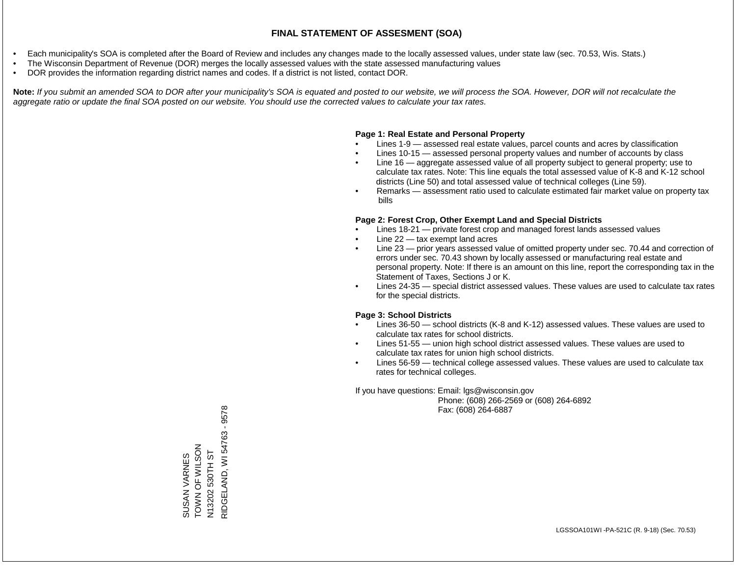- Each municipality's SOA is completed after the Board of Review and includes any changes made to the locally assessed values, under state law (sec. 70.53, Wis. Stats.)
- The Wisconsin Department of Revenue (DOR) merges the locally assessed values with the state assessed manufacturing values
- DOR provides the information regarding district names and codes. If a district is not listed, contact DOR.

Note: If you submit an amended SOA to DOR after your municipality's SOA is equated and posted to our website, we will process the SOA. However, DOR will not recalculate the *aggregate ratio or update the final SOA posted on our website. You should use the corrected values to calculate your tax rates.*

# **Page 1: Real Estate and Personal Property**

- Lines 1-9 assessed real estate values, parcel counts and acres by classification
- Lines 10-15 assessed personal property values and number of accounts by class
- Line 16 aggregate assessed value of all property subject to general property; use to calculate tax rates. Note: This line equals the total assessed value of K-8 and K-12 school districts (Line 50) and total assessed value of technical colleges (Line 59).
- Remarks assessment ratio used to calculate estimated fair market value on property tax bills

# **Page 2: Forest Crop, Other Exempt Land and Special Districts**

- Lines 18-21 private forest crop and managed forest lands assessed values
- Line  $22 -$  tax exempt land acres
- Line 23 prior years assessed value of omitted property under sec. 70.44 and correction of errors under sec. 70.43 shown by locally assessed or manufacturing real estate and personal property. Note: If there is an amount on this line, report the corresponding tax in the Statement of Taxes, Sections J or K.
- Lines 24-35 special district assessed values. These values are used to calculate tax rates for the special districts.

# **Page 3: School Districts**

- Lines 36-50 school districts (K-8 and K-12) assessed values. These values are used to calculate tax rates for school districts.
- Lines 51-55 union high school district assessed values. These values are used to calculate tax rates for union high school districts.
- Lines 56-59 technical college assessed values. These values are used to calculate tax rates for technical colleges.

If you have questions: Email: lgs@wisconsin.gov

 Phone: (608) 266-2569 or (608) 264-6892 Fax: (608) 264-6887

RIDGELAND, WI 54763 - 9578 RIDGELAND, WI 54763 - 9578ZOSTS FOR AND SUSAN VARNES<br>TOWN OF WILSON N13202 530TH ST N13202 530TH ST SUSAN VARNES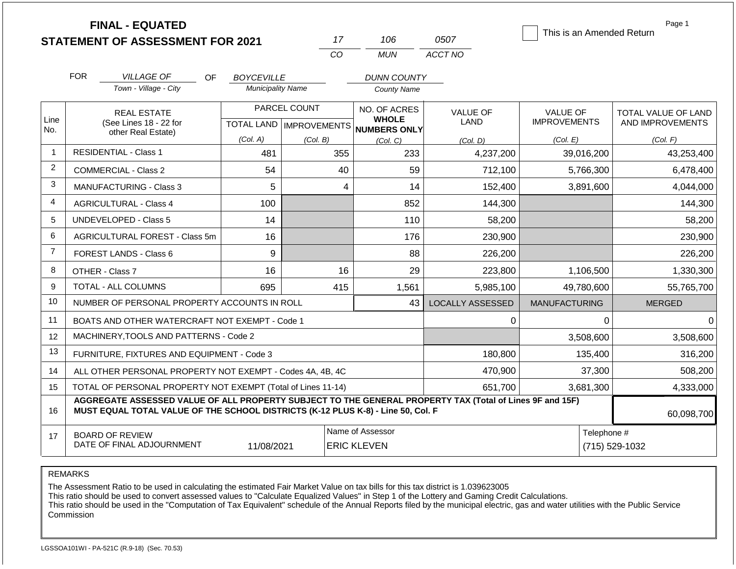|                |                                              | <b>FINAL - EQUATED</b>                                                                                                                                                                       |                          |              |                                                     |                         | This is an Amended Return | Page 1              |
|----------------|----------------------------------------------|----------------------------------------------------------------------------------------------------------------------------------------------------------------------------------------------|--------------------------|--------------|-----------------------------------------------------|-------------------------|---------------------------|---------------------|
|                |                                              | <b>STATEMENT OF ASSESSMENT FOR 2021</b>                                                                                                                                                      |                          | 17<br>CO     | 106<br><b>MUN</b>                                   | 0507<br>ACCT NO         |                           |                     |
|                |                                              |                                                                                                                                                                                              |                          |              |                                                     |                         |                           |                     |
|                | <b>FOR</b>                                   | <b>VILLAGE OF</b><br>OF.                                                                                                                                                                     | <b>BOYCEVILLE</b>        |              | <b>DUNN COUNTY</b>                                  |                         |                           |                     |
|                |                                              | Town - Village - City                                                                                                                                                                        | <b>Municipality Name</b> |              | <b>County Name</b>                                  |                         |                           |                     |
|                |                                              | <b>REAL ESTATE</b>                                                                                                                                                                           |                          | PARCEL COUNT | NO. OF ACRES                                        | <b>VALUE OF</b>         | <b>VALUE OF</b>           | TOTAL VALUE OF LAND |
| Line<br>No.    | (See Lines 18 - 22 for<br>other Real Estate) |                                                                                                                                                                                              |                          |              | <b>WHOLE</b><br>TOTAL LAND MPROVEMENTS NUMBERS ONLY | LAND                    | <b>IMPROVEMENTS</b>       | AND IMPROVEMENTS    |
|                |                                              |                                                                                                                                                                                              | (Col. A)                 | (Col. B)     | (Col. C)                                            | (Col. D)                | (Col. E)                  | (Col. F)            |
| $\overline{1}$ |                                              | <b>RESIDENTIAL - Class 1</b>                                                                                                                                                                 | 481                      | 355          | 233                                                 | 4,237,200               | 39,016,200                | 43,253,400          |
| $\overline{2}$ |                                              | <b>COMMERCIAL - Class 2</b>                                                                                                                                                                  | 54                       | 40           | 59                                                  | 712,100                 | 5,766,300                 | 6,478,400           |
| 3              |                                              | <b>MANUFACTURING - Class 3</b>                                                                                                                                                               | 5                        |              | 4<br>14                                             | 152,400                 | 3,891,600                 | 4,044,000           |
| 4              |                                              | <b>AGRICULTURAL - Class 4</b>                                                                                                                                                                | 100                      |              | 852                                                 | 144,300                 |                           | 144,300             |
| 5              |                                              | UNDEVELOPED - Class 5                                                                                                                                                                        | 14                       |              | 110                                                 | 58,200                  |                           | 58,200              |
| 6              |                                              | AGRICULTURAL FOREST - Class 5m                                                                                                                                                               | 16                       |              | 176                                                 | 230,900                 |                           | 230,900             |
| $\overline{7}$ |                                              | <b>FOREST LANDS - Class 6</b>                                                                                                                                                                | 9                        |              | 88                                                  | 226,200                 |                           | 226,200             |
| 8              |                                              | OTHER - Class 7                                                                                                                                                                              | 16                       | 16           | 29                                                  | 223,800                 | 1,106,500                 | 1,330,300           |
| 9              |                                              | TOTAL - ALL COLUMNS                                                                                                                                                                          | 695                      | 415          | 1,561                                               | 5,985,100               | 49,780,600                | 55,765,700          |
| 10             |                                              | NUMBER OF PERSONAL PROPERTY ACCOUNTS IN ROLL                                                                                                                                                 |                          |              | 43                                                  | <b>LOCALLY ASSESSED</b> | <b>MANUFACTURING</b>      | <b>MERGED</b>       |
| 11             |                                              | BOATS AND OTHER WATERCRAFT NOT EXEMPT - Code 1                                                                                                                                               |                          |              |                                                     | $\mathbf 0$             | 0                         | $\mathbf 0$         |
| 12             |                                              | MACHINERY, TOOLS AND PATTERNS - Code 2                                                                                                                                                       |                          |              |                                                     |                         | 3,508,600                 | 3,508,600           |
| 13             |                                              | FURNITURE, FIXTURES AND EQUIPMENT - Code 3                                                                                                                                                   |                          |              |                                                     | 180,800                 | 135,400                   | 316,200             |
| 14             |                                              | ALL OTHER PERSONAL PROPERTY NOT EXEMPT - Codes 4A, 4B, 4C                                                                                                                                    |                          |              |                                                     | 470,900                 | 37,300                    | 508,200             |
| 15             |                                              | TOTAL OF PERSONAL PROPERTY NOT EXEMPT (Total of Lines 11-14)                                                                                                                                 |                          |              |                                                     | 651,700                 | 3,681,300                 | 4,333,000           |
| 16             |                                              | AGGREGATE ASSESSED VALUE OF ALL PROPERTY SUBJECT TO THE GENERAL PROPERTY TAX (Total of Lines 9F and 15F)<br>MUST EQUAL TOTAL VALUE OF THE SCHOOL DISTRICTS (K-12 PLUS K-8) - Line 50, Col. F |                          |              |                                                     |                         |                           | 60,098,700          |
| 17             |                                              | <b>BOARD OF REVIEW</b><br>DATE OF FINAL ADJOURNMENT                                                                                                                                          | 11/08/2021               |              | Name of Assessor<br><b>ERIC KLEVEN</b>              |                         | Telephone #               | (715) 529-1032      |

The Assessment Ratio to be used in calculating the estimated Fair Market Value on tax bills for this tax district is 1.039623005

This ratio should be used to convert assessed values to "Calculate Equalized Values" in Step 1 of the Lottery and Gaming Credit Calculations.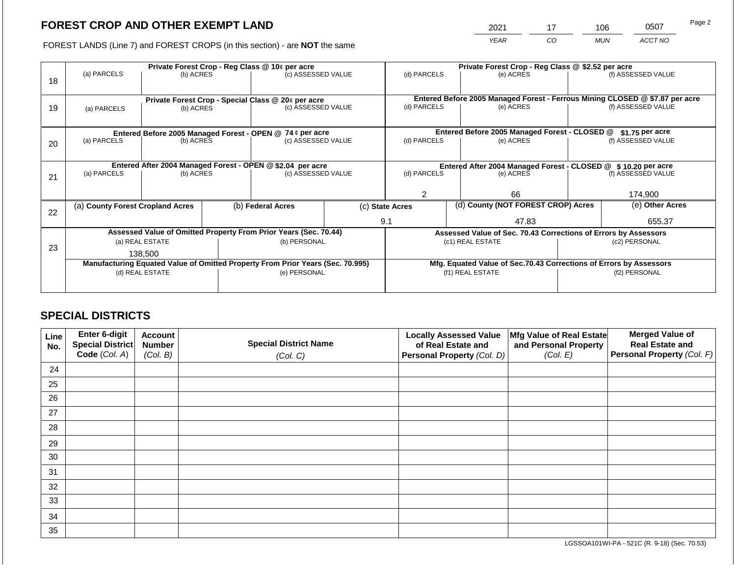2021 17 106 0507

FOREST LANDS (Line 7) and FOREST CROPS (in this section) - are **NOT** the same *YEAR CO MUN ACCT NO*

| 18 | (a) PARCELS                                                | Private Forest Crop - Reg Class @ 10¢ per acre<br>(b) ACRES     |  | (c) ASSESSED VALUE                                                             | (d) PARCELS                                                   |                 |                  | Private Forest Crop - Reg Class @ \$2.52 per acre<br>(e) ACRES               |                 | (f) ASSESSED VALUE |
|----|------------------------------------------------------------|-----------------------------------------------------------------|--|--------------------------------------------------------------------------------|---------------------------------------------------------------|-----------------|------------------|------------------------------------------------------------------------------|-----------------|--------------------|
| 19 | (a) PARCELS                                                | Private Forest Crop - Special Class @ 20¢ per acre<br>(b) ACRES |  |                                                                                | (d) PARCELS<br>(c) ASSESSED VALUE                             |                 | (e) ACRES        | Entered Before 2005 Managed Forest - Ferrous Mining CLOSED @ \$7.87 per acre |                 |                    |
|    |                                                            |                                                                 |  | Entered Before 2005 Managed Forest - OPEN @ 74 ¢ per acre                      |                                                               |                 |                  | Entered Before 2005 Managed Forest - CLOSED @                                |                 | $$1.75$ per acre   |
| 20 | (a) PARCELS                                                | (b) ACRES                                                       |  | (c) ASSESSED VALUE                                                             |                                                               | (d) PARCELS     |                  | (e) ACRES                                                                    |                 | (f) ASSESSED VALUE |
|    | Entered After 2004 Managed Forest - OPEN @ \$2.04 per acre |                                                                 |  |                                                                                | Entered After 2004 Managed Forest - CLOSED @ \$10.20 per acre |                 |                  |                                                                              |                 |                    |
| 21 | (a) PARCELS                                                | (b) ACRES                                                       |  | (c) ASSESSED VALUE                                                             |                                                               | (d) PARCELS     |                  | (e) ACRES                                                                    |                 | (f) ASSESSED VALUE |
|    |                                                            |                                                                 |  |                                                                                |                                                               |                 | 66               |                                                                              | 174,900         |                    |
| 22 | (a) County Forest Cropland Acres                           |                                                                 |  | (b) Federal Acres                                                              |                                                               | (c) State Acres |                  | (d) County (NOT FOREST CROP) Acres                                           | (e) Other Acres |                    |
|    |                                                            |                                                                 |  |                                                                                |                                                               | 9.1             | 47.83            |                                                                              |                 | 655.37             |
|    |                                                            |                                                                 |  | Assessed Value of Omitted Property From Prior Years (Sec. 70.44)               |                                                               |                 |                  | Assessed Value of Sec. 70.43 Corrections of Errors by Assessors              |                 |                    |
| 23 |                                                            | (a) REAL ESTATE                                                 |  | (b) PERSONAL                                                                   |                                                               |                 |                  | (c1) REAL ESTATE                                                             |                 | (c2) PERSONAL      |
|    |                                                            | 138,500                                                         |  |                                                                                |                                                               |                 |                  |                                                                              |                 |                    |
|    |                                                            |                                                                 |  | Manufacturing Equated Value of Omitted Property From Prior Years (Sec. 70.995) |                                                               |                 |                  | Mfg. Equated Value of Sec.70.43 Corrections of Errors by Assessors           |                 |                    |
|    |                                                            | (d) REAL ESTATE                                                 |  | (e) PERSONAL                                                                   |                                                               |                 | (f1) REAL ESTATE |                                                                              | (f2) PERSONAL   |                    |
|    |                                                            |                                                                 |  |                                                                                |                                                               |                 |                  |                                                                              |                 |                    |

# **SPECIAL DISTRICTS**

| Line<br>No. | <b>Enter 6-digit</b><br>Special District | <b>Account</b><br><b>Number</b> | <b>Special District Name</b> | <b>Locally Assessed Value</b><br>of Real Estate and | Mfg Value of Real Estate<br>and Personal Property | <b>Merged Value of</b><br><b>Real Estate and</b> |
|-------------|------------------------------------------|---------------------------------|------------------------------|-----------------------------------------------------|---------------------------------------------------|--------------------------------------------------|
|             | Code (Col. A)                            | (Col. B)                        | (Col. C)                     | Personal Property (Col. D)                          | (Col. E)                                          | <b>Personal Property (Col. F)</b>                |
| 24          |                                          |                                 |                              |                                                     |                                                   |                                                  |
| 25          |                                          |                                 |                              |                                                     |                                                   |                                                  |
| 26          |                                          |                                 |                              |                                                     |                                                   |                                                  |
| 27          |                                          |                                 |                              |                                                     |                                                   |                                                  |
| 28          |                                          |                                 |                              |                                                     |                                                   |                                                  |
| 29          |                                          |                                 |                              |                                                     |                                                   |                                                  |
| 30          |                                          |                                 |                              |                                                     |                                                   |                                                  |
| 31          |                                          |                                 |                              |                                                     |                                                   |                                                  |
| 32          |                                          |                                 |                              |                                                     |                                                   |                                                  |
| 33          |                                          |                                 |                              |                                                     |                                                   |                                                  |
| 34          |                                          |                                 |                              |                                                     |                                                   |                                                  |
| 35          |                                          |                                 |                              |                                                     |                                                   |                                                  |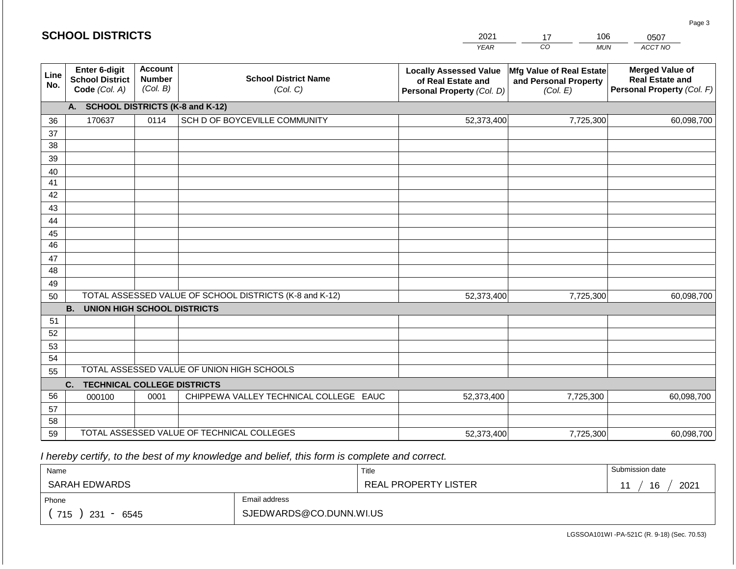#### *YEAR*  2021  $\overline{co}$ 17 *MUN*  106 *ACCT NO*  0507 **SCHOOL DISTRICTS Line No. Enter 6-digit School District Code** *(Col. A)* **Account Number** *(Col. B)* **School District Name** *(Col. C)* **Locally Assessed Value of Real Estate and Personal Property** *(Col. D)* **Mfg Value of Real Estate and Personal Property** *(Col. E)* **Merged Value of Real Estate and Personal Property** *(Col. F)* **A. SCHOOL DISTRICTS (K-8 and K-12)** 36 37 38 39 40 41 42 43 44 45 46 47 48 49 50 TOTAL ASSESSED VALUE OF SCHOOL DISTRICTS (K-8 and K-12) **B. UNION HIGH SCHOOL DISTRICTS** 51 52 53 54 55 **C. TECHNICAL COLLEGE DISTRICTS** 56 57 58 59 TOTAL ASSESSED VALUE OF TECHNICAL COLLEGES TOTAL ASSESSED VALUE OF UNION HIGH SCHOOLS 170637 0114 SCH D OF BOYCEVILLE COMMUNITY **170637** 52,373,400 52,373,400 000100 | 0001 | CHIPPEWA VALLEY TECHNICAL COLLEGE EAUC 52,373,400 7,725,300 60,098,700 7,725,300 60,098,700 7,725,300 60,098,700 52,373,400 7,725,300 60,098,700

 *I hereby certify, to the best of my knowledge and belief, this form is complete and correct.*

| Name                                           |                         | Title                | Submission date |
|------------------------------------------------|-------------------------|----------------------|-----------------|
| SARAH EDWARDS                                  |                         | REAL PROPERTY LISTER | 2021<br>16      |
| Phone                                          | Email address           |                      |                 |
| 715<br>231<br>6545<br>$\overline{\phantom{0}}$ | SJEDWARDS@CO.DUNN.WI.US |                      |                 |

Page 3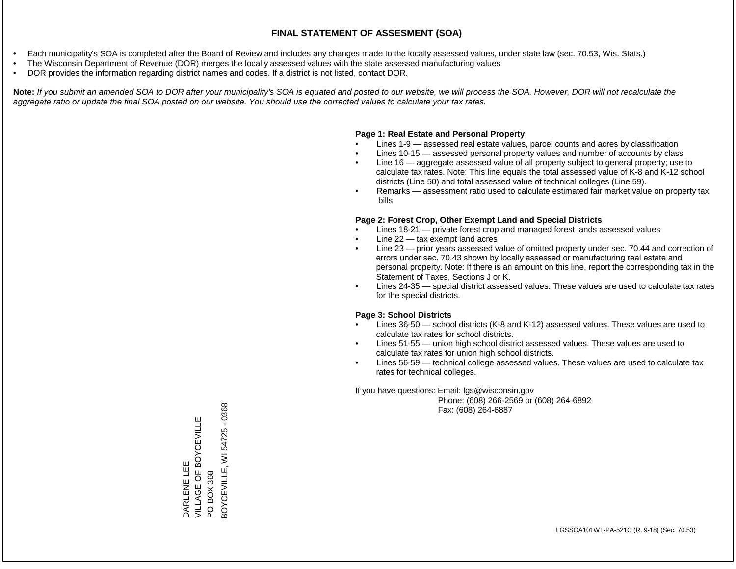- Each municipality's SOA is completed after the Board of Review and includes any changes made to the locally assessed values, under state law (sec. 70.53, Wis. Stats.)
- The Wisconsin Department of Revenue (DOR) merges the locally assessed values with the state assessed manufacturing values
- DOR provides the information regarding district names and codes. If a district is not listed, contact DOR.

Note: If you submit an amended SOA to DOR after your municipality's SOA is equated and posted to our website, we will process the SOA. However, DOR will not recalculate the *aggregate ratio or update the final SOA posted on our website. You should use the corrected values to calculate your tax rates.*

#### **Page 1: Real Estate and Personal Property**

- Lines 1-9 assessed real estate values, parcel counts and acres by classification
- Lines 10-15 assessed personal property values and number of accounts by class
- Line 16 aggregate assessed value of all property subject to general property; use to calculate tax rates. Note: This line equals the total assessed value of K-8 and K-12 school districts (Line 50) and total assessed value of technical colleges (Line 59).
- Remarks assessment ratio used to calculate estimated fair market value on property tax bills

#### **Page 2: Forest Crop, Other Exempt Land and Special Districts**

- Lines 18-21 private forest crop and managed forest lands assessed values
- Line  $22 -$  tax exempt land acres
- Line 23 prior years assessed value of omitted property under sec. 70.44 and correction of errors under sec. 70.43 shown by locally assessed or manufacturing real estate and personal property. Note: If there is an amount on this line, report the corresponding tax in the Statement of Taxes, Sections J or K.
- Lines 24-35 special district assessed values. These values are used to calculate tax rates for the special districts.

#### **Page 3: School Districts**

- Lines 36-50 school districts (K-8 and K-12) assessed values. These values are used to calculate tax rates for school districts.
- Lines 51-55 union high school district assessed values. These values are used to calculate tax rates for union high school districts.
- Lines 56-59 technical college assessed values. These values are used to calculate tax rates for technical colleges.

If you have questions: Email: lgs@wisconsin.gov

 Phone: (608) 266-2569 or (608) 264-6892 Fax: (608) 264-6887

3OYCEVILLE, WI 54725 - 0368 BOYCEVILLE, WI 54725 - 0368VILLAGE OF BOYCEVILLE DARLENE LEE<br>VILLAGE OF BOYCEVILLE PO BOX 368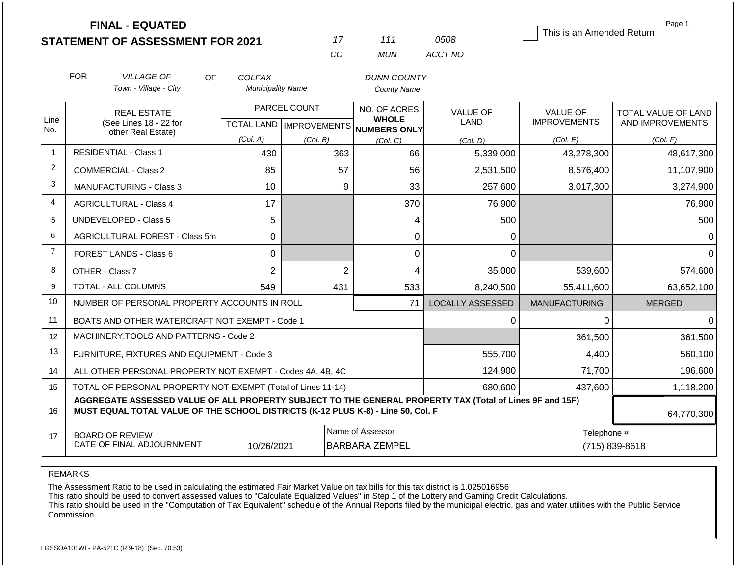|                | <b>FINAL - EQUATED</b>                                                                                                                                                                       |                          |                           |                                     | 0508                    | This is an Amended Return | Page 1                     |
|----------------|----------------------------------------------------------------------------------------------------------------------------------------------------------------------------------------------|--------------------------|---------------------------|-------------------------------------|-------------------------|---------------------------|----------------------------|
|                | <b>STATEMENT OF ASSESSMENT FOR 2021</b>                                                                                                                                                      |                          | 17<br>CO                  | 111<br><b>MUN</b>                   | ACCT NO                 |                           |                            |
|                |                                                                                                                                                                                              |                          |                           |                                     |                         |                           |                            |
|                | <b>FOR</b><br><b>VILLAGE OF</b><br>OF.                                                                                                                                                       | <b>COLFAX</b>            |                           | <b>DUNN COUNTY</b>                  |                         |                           |                            |
|                | Town - Village - City                                                                                                                                                                        | <b>Municipality Name</b> |                           | <b>County Name</b>                  |                         |                           |                            |
|                | <b>REAL ESTATE</b>                                                                                                                                                                           |                          | PARCEL COUNT              | NO. OF ACRES                        | <b>VALUE OF</b>         | <b>VALUE OF</b>           | <b>TOTAL VALUE OF LAND</b> |
| Line<br>No.    | (See Lines 18 - 22 for<br>other Real Estate)                                                                                                                                                 |                          | TOTAL LAND   IMPROVEMENTS | <b>WHOLE</b><br><b>NUMBERS ONLY</b> | <b>LAND</b>             | <b>IMPROVEMENTS</b>       | AND IMPROVEMENTS           |
|                |                                                                                                                                                                                              | (Col. A)                 | (Col. B)                  | (Col, C)                            | (Col. D)                | (Col. E)                  | (Col. F)                   |
| $\mathbf{1}$   | <b>RESIDENTIAL - Class 1</b>                                                                                                                                                                 | 430                      | 363                       | 66                                  | 5,339,000               | 43,278,300                | 48,617,300                 |
| $\overline{2}$ | COMMERCIAL - Class 2                                                                                                                                                                         | 85                       | 57                        | 56                                  | 2,531,500               | 8,576,400                 | 11,107,900                 |
| 3              | <b>MANUFACTURING - Class 3</b>                                                                                                                                                               | 10                       |                           | 9<br>33                             | 257,600                 | 3,017,300                 | 3,274,900                  |
| $\overline{4}$ | <b>AGRICULTURAL - Class 4</b>                                                                                                                                                                | 17                       |                           | 370                                 | 76,900                  |                           | 76,900                     |
| 5              | UNDEVELOPED - Class 5                                                                                                                                                                        | 5                        |                           | 4                                   | 500                     |                           | 500                        |
| 6              | AGRICULTURAL FOREST - Class 5m                                                                                                                                                               | 0                        |                           | 0                                   | 0                       |                           | $\Omega$                   |
| $\overline{7}$ | <b>FOREST LANDS - Class 6</b>                                                                                                                                                                | $\Omega$                 |                           | 0                                   | $\Omega$                |                           | $\Omega$                   |
| 8              | OTHER - Class 7                                                                                                                                                                              | $\overline{2}$           |                           | 2<br>4                              | 35,000                  | 539,600                   | 574,600                    |
| 9              | <b>TOTAL - ALL COLUMNS</b>                                                                                                                                                                   | 549                      | 431                       | 533                                 | 8.240.500               | 55,411,600                | 63,652,100                 |
| 10             | NUMBER OF PERSONAL PROPERTY ACCOUNTS IN ROLL                                                                                                                                                 |                          |                           | 71                                  | <b>LOCALLY ASSESSED</b> | <b>MANUFACTURING</b>      | <b>MERGED</b>              |
| 11             | BOATS AND OTHER WATERCRAFT NOT EXEMPT - Code 1                                                                                                                                               |                          |                           |                                     | 0                       | 0                         | $\Omega$                   |
| 12             | MACHINERY, TOOLS AND PATTERNS - Code 2                                                                                                                                                       |                          |                           |                                     |                         | 361,500                   | 361,500                    |
| 13             | FURNITURE, FIXTURES AND EQUIPMENT - Code 3                                                                                                                                                   |                          |                           |                                     | 555,700                 | 4,400                     | 560,100                    |
| 14             | ALL OTHER PERSONAL PROPERTY NOT EXEMPT - Codes 4A, 4B, 4C                                                                                                                                    |                          |                           |                                     | 124,900                 | 71,700                    | 196,600                    |
| 15             | TOTAL OF PERSONAL PROPERTY NOT EXEMPT (Total of Lines 11-14)                                                                                                                                 |                          |                           |                                     | 680,600                 | 437.600                   | 1,118,200                  |
| 16             | AGGREGATE ASSESSED VALUE OF ALL PROPERTY SUBJECT TO THE GENERAL PROPERTY TAX (Total of Lines 9F and 15F)<br>MUST EQUAL TOTAL VALUE OF THE SCHOOL DISTRICTS (K-12 PLUS K-8) - Line 50, Col. F |                          |                           |                                     |                         |                           | 64,770,300                 |
| 17             | <b>BOARD OF REVIEW</b>                                                                                                                                                                       |                          |                           | Name of Assessor                    |                         | Telephone #               |                            |
|                | DATE OF FINAL ADJOURNMENT                                                                                                                                                                    | 10/26/2021               |                           | <b>BARBARA ZEMPEL</b>               |                         |                           | (715) 839-8618             |

The Assessment Ratio to be used in calculating the estimated Fair Market Value on tax bills for this tax district is 1.025016956

This ratio should be used to convert assessed values to "Calculate Equalized Values" in Step 1 of the Lottery and Gaming Credit Calculations.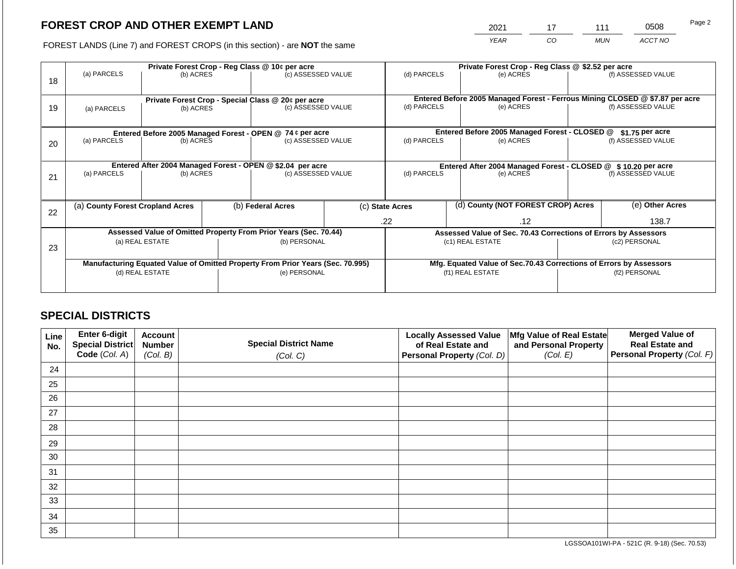2021 17 111 0508

FOREST LANDS (Line 7) and FOREST CROPS (in this section) - are **NOT** the same *YEAR CO MUN ACCT NO*

|    |                                                                                |                 |  | Private Forest Crop - Reg Class @ 10¢ per acre                   |                                                                    | Private Forest Crop - Reg Class @ \$2.52 per acre                            |  |                                                                 |       |                    |  |
|----|--------------------------------------------------------------------------------|-----------------|--|------------------------------------------------------------------|--------------------------------------------------------------------|------------------------------------------------------------------------------|--|-----------------------------------------------------------------|-------|--------------------|--|
| 18 | (a) PARCELS                                                                    | (b) ACRES       |  | (c) ASSESSED VALUE                                               |                                                                    | (d) PARCELS                                                                  |  | (e) ACRES                                                       |       | (f) ASSESSED VALUE |  |
|    |                                                                                |                 |  | Private Forest Crop - Special Class @ 20¢ per acre               |                                                                    | Entered Before 2005 Managed Forest - Ferrous Mining CLOSED @ \$7.87 per acre |  |                                                                 |       |                    |  |
| 19 | (a) PARCELS                                                                    | (b) ACRES       |  |                                                                  | (c) ASSESSED VALUE                                                 |                                                                              |  | (e) ACRES                                                       |       | (f) ASSESSED VALUE |  |
|    |                                                                                |                 |  | Entered Before 2005 Managed Forest - OPEN @ 74 ¢ per acre        |                                                                    |                                                                              |  | Entered Before 2005 Managed Forest - CLOSED @                   |       | \$1.75 per acre    |  |
| 20 | (a) PARCELS<br>(b) ACRES                                                       |                 |  | (c) ASSESSED VALUE                                               |                                                                    | (d) PARCELS<br>(e) ACRES                                                     |  |                                                                 |       | (f) ASSESSED VALUE |  |
|    |                                                                                |                 |  | Entered After 2004 Managed Forest - OPEN @ \$2.04 per acre       |                                                                    | Entered After 2004 Managed Forest - CLOSED @ \$10.20 per acre                |  |                                                                 |       |                    |  |
| 21 | (a) PARCELS                                                                    | (b) ACRES       |  | (c) ASSESSED VALUE                                               |                                                                    | (d) PARCELS                                                                  |  | (e) ACRES                                                       |       | (f) ASSESSED VALUE |  |
|    |                                                                                |                 |  |                                                                  |                                                                    |                                                                              |  |                                                                 |       |                    |  |
| 22 | (a) County Forest Cropland Acres                                               |                 |  | (b) Federal Acres                                                |                                                                    | (c) State Acres                                                              |  | (d) County (NOT FOREST CROP) Acres                              |       | (e) Other Acres    |  |
|    |                                                                                |                 |  |                                                                  |                                                                    | .22<br>.12                                                                   |  |                                                                 | 138.7 |                    |  |
|    |                                                                                |                 |  | Assessed Value of Omitted Property From Prior Years (Sec. 70.44) |                                                                    |                                                                              |  | Assessed Value of Sec. 70.43 Corrections of Errors by Assessors |       |                    |  |
| 23 | (a) REAL ESTATE                                                                |                 |  | (b) PERSONAL                                                     | (c1) REAL ESTATE                                                   |                                                                              |  | (c2) PERSONAL                                                   |       |                    |  |
|    | Manufacturing Equated Value of Omitted Property From Prior Years (Sec. 70.995) |                 |  |                                                                  | Mfg. Equated Value of Sec.70.43 Corrections of Errors by Assessors |                                                                              |  |                                                                 |       |                    |  |
|    |                                                                                | (d) REAL ESTATE |  | (e) PERSONAL                                                     | (f1) REAL ESTATE                                                   |                                                                              |  | (f2) PERSONAL                                                   |       |                    |  |
|    |                                                                                |                 |  |                                                                  |                                                                    |                                                                              |  |                                                                 |       |                    |  |

# **SPECIAL DISTRICTS**

| Line<br>No. | <b>Enter 6-digit</b><br>Special District | <b>Account</b><br><b>Number</b> | <b>Special District Name</b> | <b>Locally Assessed Value</b><br>of Real Estate and | Mfg Value of Real Estate<br>and Personal Property | <b>Merged Value of</b><br><b>Real Estate and</b> |
|-------------|------------------------------------------|---------------------------------|------------------------------|-----------------------------------------------------|---------------------------------------------------|--------------------------------------------------|
|             | Code (Col. A)                            | (Col. B)                        | (Col. C)                     | Personal Property (Col. D)                          | (Col. E)                                          | Personal Property (Col. F)                       |
| 24          |                                          |                                 |                              |                                                     |                                                   |                                                  |
| 25          |                                          |                                 |                              |                                                     |                                                   |                                                  |
| 26          |                                          |                                 |                              |                                                     |                                                   |                                                  |
| 27          |                                          |                                 |                              |                                                     |                                                   |                                                  |
| 28          |                                          |                                 |                              |                                                     |                                                   |                                                  |
| 29          |                                          |                                 |                              |                                                     |                                                   |                                                  |
| 30          |                                          |                                 |                              |                                                     |                                                   |                                                  |
| 31          |                                          |                                 |                              |                                                     |                                                   |                                                  |
| 32          |                                          |                                 |                              |                                                     |                                                   |                                                  |
| 33          |                                          |                                 |                              |                                                     |                                                   |                                                  |
| 34          |                                          |                                 |                              |                                                     |                                                   |                                                  |
| 35          |                                          |                                 |                              |                                                     |                                                   |                                                  |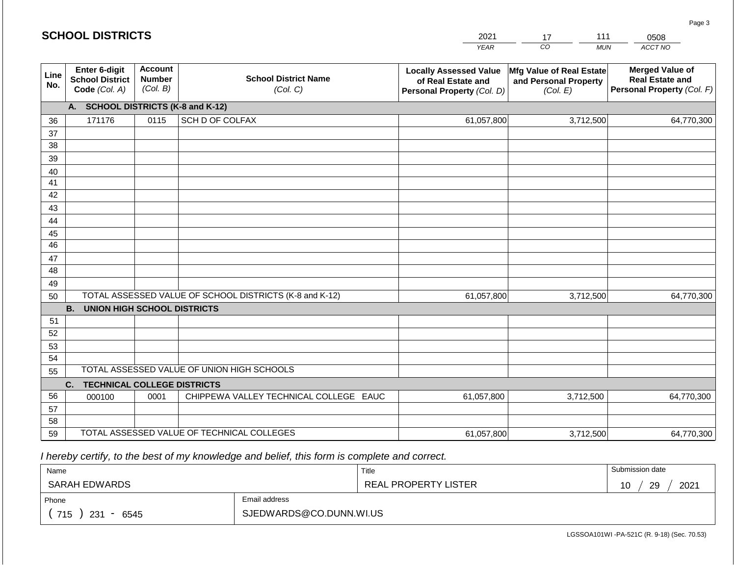#### *YEAR*  2021  $\overline{co}$ 17 *MUN*  111 *ACCT NO*  0508 **SCHOOL DISTRICTS Line No. Enter 6-digit School District Code** *(Col. A)* **Account Number** *(Col. B)* **School District Name** *(Col. C)* **Locally Assessed Value of Real Estate and Personal Property** *(Col. D)* **Mfg Value of Real Estate and Personal Property** *(Col. E)* **Merged Value of Real Estate and Personal Property** *(Col. F)* **A. SCHOOL DISTRICTS (K-8 and K-12)** 36 37 38 39 40 41 42 43 44 45 46 47 48 49 50 TOTAL ASSESSED VALUE OF SCHOOL DISTRICTS (K-8 and K-12) **B. UNION HIGH SCHOOL DISTRICTS** 51 52 53 54 55 **C. TECHNICAL COLLEGE DISTRICTS** 56 57 58 59 TOTAL ASSESSED VALUE OF TECHNICAL COLLEGES TOTAL ASSESSED VALUE OF UNION HIGH SCHOOLS 171176 0115 SCH D OF COLFAX 61,057,800 61,057,800 000100 | 0001 | CHIPPEWA VALLEY TECHNICAL COLLEGE EAUC 61,057,800 3,712,500 64,770,300 3,712,500 64,770,300 3,712,500 64,770,300 61,057,800 3,712,500 64,770,300

 *I hereby certify, to the best of my knowledge and belief, this form is complete and correct.*

| Name               |                         | Title                | Submission date   |
|--------------------|-------------------------|----------------------|-------------------|
| SARAH EDWARDS      |                         | REAL PROPERTY LISTER | 2021<br>29<br>-10 |
| Phone              | Email address           |                      |                   |
| 715<br>231<br>6545 | SJEDWARDS@CO.DUNN.WI.US |                      |                   |

Page 3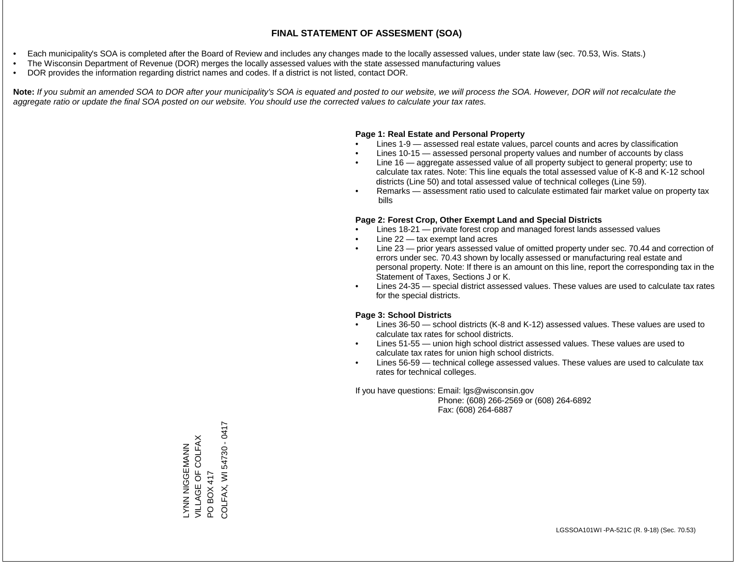- Each municipality's SOA is completed after the Board of Review and includes any changes made to the locally assessed values, under state law (sec. 70.53, Wis. Stats.)
- The Wisconsin Department of Revenue (DOR) merges the locally assessed values with the state assessed manufacturing values
- DOR provides the information regarding district names and codes. If a district is not listed, contact DOR.

Note: If you submit an amended SOA to DOR after your municipality's SOA is equated and posted to our website, we will process the SOA. However, DOR will not recalculate the *aggregate ratio or update the final SOA posted on our website. You should use the corrected values to calculate your tax rates.*

#### **Page 1: Real Estate and Personal Property**

- Lines 1-9 assessed real estate values, parcel counts and acres by classification
- Lines 10-15 assessed personal property values and number of accounts by class
- Line 16 aggregate assessed value of all property subject to general property; use to calculate tax rates. Note: This line equals the total assessed value of K-8 and K-12 school districts (Line 50) and total assessed value of technical colleges (Line 59).
- Remarks assessment ratio used to calculate estimated fair market value on property tax bills

#### **Page 2: Forest Crop, Other Exempt Land and Special Districts**

- Lines 18-21 private forest crop and managed forest lands assessed values
- Line  $22 -$  tax exempt land acres
- Line 23 prior years assessed value of omitted property under sec. 70.44 and correction of errors under sec. 70.43 shown by locally assessed or manufacturing real estate and personal property. Note: If there is an amount on this line, report the corresponding tax in the Statement of Taxes, Sections J or K.
- Lines 24-35 special district assessed values. These values are used to calculate tax rates for the special districts.

#### **Page 3: School Districts**

- Lines 36-50 school districts (K-8 and K-12) assessed values. These values are used to calculate tax rates for school districts.
- Lines 51-55 union high school district assessed values. These values are used to calculate tax rates for union high school districts.
- Lines 56-59 technical college assessed values. These values are used to calculate tax rates for technical colleges.

If you have questions: Email: lgs@wisconsin.gov

 Phone: (608) 266-2569 or (608) 264-6892 Fax: (608) 264-6887

PO BOX 417<br>COLFAX, WI 54730 - 0417 COLFAX, WI 54730 - 0417VILLAGE OF COLFAX LYNN NIGGEMANN<br>VILLAGE OF COLFAX LYNN NIGGEMANN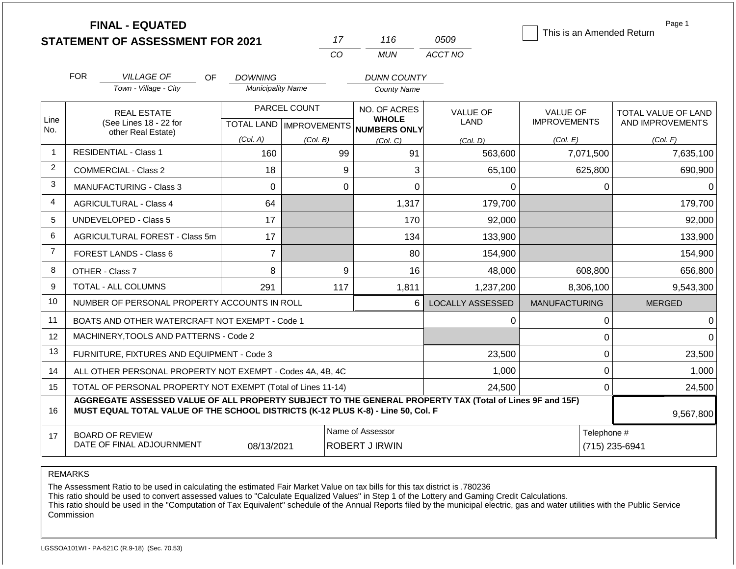|                |            | <b>FINAL - EQUATED</b><br><b>STATEMENT OF ASSESSMENT FOR 2021</b>                                                                                                                            |                                           |          | 17                                        | 116                                  | 0509                          | This is an Amended Return              | Page 1                                  |
|----------------|------------|----------------------------------------------------------------------------------------------------------------------------------------------------------------------------------------------|-------------------------------------------|----------|-------------------------------------------|--------------------------------------|-------------------------------|----------------------------------------|-----------------------------------------|
|                |            |                                                                                                                                                                                              |                                           |          | <b>CO</b>                                 | <b>MUN</b>                           | ACCT NO                       |                                        |                                         |
|                | <b>FOR</b> | <b>VILLAGE OF</b><br>OF.                                                                                                                                                                     | <b>DOWNING</b>                            |          |                                           | <b>DUNN COUNTY</b>                   |                               |                                        |                                         |
|                |            | Town - Village - City                                                                                                                                                                        | <b>Municipality Name</b>                  |          |                                           | <b>County Name</b>                   |                               |                                        |                                         |
| Line           |            | <b>REAL ESTATE</b><br>(See Lines 18 - 22 for                                                                                                                                                 | PARCEL COUNT<br>TOTAL LAND   IMPROVEMENTS |          |                                           | NO. OF ACRES<br><b>WHOLE</b>         | VALUE OF<br>LAND              | <b>VALUE OF</b><br><b>IMPROVEMENTS</b> | TOTAL VALUE OF LAND<br>AND IMPROVEMENTS |
| No.            |            | other Real Estate)                                                                                                                                                                           | (Col. A)                                  | (Col. B) |                                           | NUMBERS ONLY<br>(Col, C)<br>(Col, D) |                               | (Col. E)                               | (Col. F)                                |
| $\mathbf{1}$   |            | <b>RESIDENTIAL - Class 1</b>                                                                                                                                                                 | 160                                       |          | 99                                        | 91                                   | 563,600                       | 7,071,500                              | 7,635,100                               |
| $\overline{2}$ |            | <b>COMMERCIAL - Class 2</b>                                                                                                                                                                  | 18                                        |          | 9                                         | 3                                    | 65,100                        | 625,800                                | 690,900                                 |
| 3              |            | <b>MANUFACTURING - Class 3</b>                                                                                                                                                               | 0                                         |          | $\mathbf 0$                               | 0                                    | $\Omega$                      | 0                                      | $\Omega$                                |
| 4              |            | <b>AGRICULTURAL - Class 4</b>                                                                                                                                                                | 64                                        |          |                                           | 1,317                                | 179,700                       |                                        | 179,700                                 |
| 5              |            | UNDEVELOPED - Class 5                                                                                                                                                                        | 17                                        |          |                                           | 170                                  | 92,000                        |                                        | 92,000                                  |
| 6              |            | AGRICULTURAL FOREST - Class 5m                                                                                                                                                               | 17                                        |          |                                           | 134                                  | 133,900                       |                                        | 133,900                                 |
| $\overline{7}$ |            | <b>FOREST LANDS - Class 6</b>                                                                                                                                                                | $\overline{7}$                            |          |                                           | 80                                   | 154,900                       |                                        | 154,900                                 |
| 8              |            | OTHER - Class 7                                                                                                                                                                              | 8                                         |          | 9                                         | 16                                   | 48,000                        | 608,800                                | 656,800                                 |
| 9              |            | <b>TOTAL - ALL COLUMNS</b>                                                                                                                                                                   | 291                                       |          | 117                                       | 1,811                                | 1,237,200                     | 8,306,100                              | 9,543,300                               |
| 10             |            | NUMBER OF PERSONAL PROPERTY ACCOUNTS IN ROLL                                                                                                                                                 |                                           |          |                                           | 6                                    | <b>LOCALLY ASSESSED</b>       | <b>MANUFACTURING</b>                   | <b>MERGED</b>                           |
| 11             |            | BOATS AND OTHER WATERCRAFT NOT EXEMPT - Code 1                                                                                                                                               |                                           |          |                                           |                                      | 0                             | $\pmb{0}$                              | $\Omega$                                |
| 12             |            | MACHINERY, TOOLS AND PATTERNS - Code 2                                                                                                                                                       |                                           |          |                                           |                                      |                               | $\mathbf 0$                            | $\Omega$                                |
| 13             |            | FURNITURE, FIXTURES AND EQUIPMENT - Code 3                                                                                                                                                   |                                           |          |                                           |                                      | 23,500                        | $\pmb{0}$                              | 23,500                                  |
| 14             |            | ALL OTHER PERSONAL PROPERTY NOT EXEMPT - Codes 4A, 4B, 4C                                                                                                                                    |                                           |          |                                           |                                      | 1,000                         | $\mathbf 0$                            | 1,000                                   |
| 15             |            | TOTAL OF PERSONAL PROPERTY NOT EXEMPT (Total of Lines 11-14)                                                                                                                                 |                                           |          |                                           | 24,500                               | $\mathbf 0$                   | 24,500                                 |                                         |
| 16             |            | AGGREGATE ASSESSED VALUE OF ALL PROPERTY SUBJECT TO THE GENERAL PROPERTY TAX (Total of Lines 9F and 15F)<br>MUST EQUAL TOTAL VALUE OF THE SCHOOL DISTRICTS (K-12 PLUS K-8) - Line 50, Col. F |                                           |          |                                           |                                      |                               |                                        | 9,567,800                               |
| 17             |            | <b>BOARD OF REVIEW</b><br>DATE OF FINAL ADJOURNMENT                                                                                                                                          | 08/13/2021                                |          | Name of Assessor<br><b>ROBERT J IRWIN</b> |                                      | Telephone #<br>(715) 235-6941 |                                        |                                         |

The Assessment Ratio to be used in calculating the estimated Fair Market Value on tax bills for this tax district is .780236

This ratio should be used to convert assessed values to "Calculate Equalized Values" in Step 1 of the Lottery and Gaming Credit Calculations.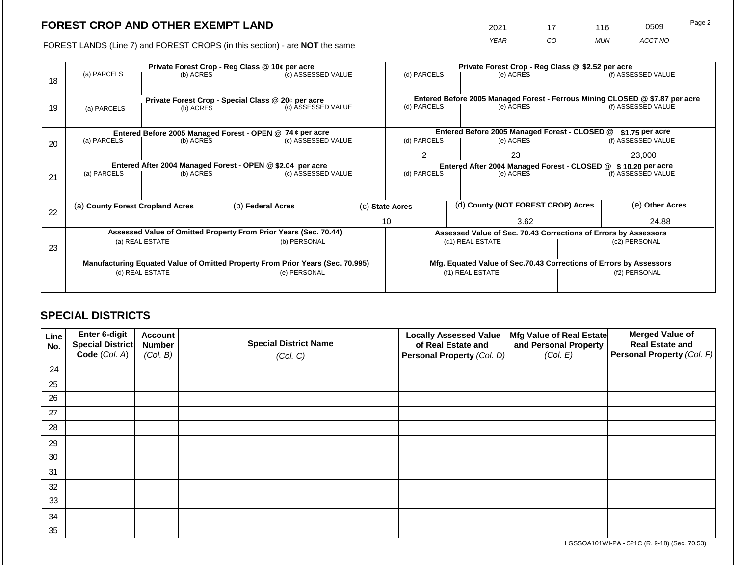2021 17 116 0509

FOREST LANDS (Line 7) and FOREST CROPS (in this section) - are **NOT** the same *YEAR CO MUN ACCT NO*

|    |                                                                                |                 |  | Private Forest Crop - Reg Class @ 10¢ per acre                   |                                   | Private Forest Crop - Reg Class @ \$2.52 per acre                            |  |                                                                    |                    |                    |  |
|----|--------------------------------------------------------------------------------|-----------------|--|------------------------------------------------------------------|-----------------------------------|------------------------------------------------------------------------------|--|--------------------------------------------------------------------|--------------------|--------------------|--|
| 18 | (a) PARCELS                                                                    | (b) ACRES       |  | (c) ASSESSED VALUE                                               |                                   | (d) PARCELS                                                                  |  | (e) ACRES                                                          |                    | (f) ASSESSED VALUE |  |
|    |                                                                                |                 |  | Private Forest Crop - Special Class @ 20¢ per acre               |                                   | Entered Before 2005 Managed Forest - Ferrous Mining CLOSED @ \$7.87 per acre |  |                                                                    |                    |                    |  |
| 19 | (a) PARCELS                                                                    | (b) ACRES       |  | (c) ASSESSED VALUE                                               |                                   | (d) PARCELS<br>(e) ACRES                                                     |  |                                                                    | (f) ASSESSED VALUE |                    |  |
|    |                                                                                |                 |  |                                                                  |                                   |                                                                              |  |                                                                    |                    |                    |  |
|    |                                                                                |                 |  | Entered Before 2005 Managed Forest - OPEN @ 74 ¢ per acre        |                                   |                                                                              |  | Entered Before 2005 Managed Forest - CLOSED @                      |                    | $$1.75$ per acre   |  |
| 20 | (a) PARCELS                                                                    | (b) ACRES       |  | (c) ASSESSED VALUE                                               |                                   | (d) PARCELS                                                                  |  | (e) ACRES                                                          |                    | (f) ASSESSED VALUE |  |
|    |                                                                                |                 |  |                                                                  |                                   | $\overline{2}$                                                               |  | 23                                                                 |                    | 23,000             |  |
|    |                                                                                |                 |  | Entered After 2004 Managed Forest - OPEN @ \$2.04 per acre       |                                   |                                                                              |  | Entered After 2004 Managed Forest - CLOSED @ \$10.20 per acre      |                    |                    |  |
| 21 | (a) PARCELS                                                                    | (b) ACRES       |  |                                                                  | (c) ASSESSED VALUE<br>(d) PARCELS |                                                                              |  | (e) ACRES                                                          |                    | (f) ASSESSED VALUE |  |
|    |                                                                                |                 |  |                                                                  |                                   |                                                                              |  |                                                                    |                    |                    |  |
| 22 | (a) County Forest Cropland Acres                                               |                 |  | (b) Federal Acres                                                |                                   | (c) State Acres                                                              |  | (d) County (NOT FOREST CROP) Acres                                 | (e) Other Acres    |                    |  |
|    |                                                                                |                 |  |                                                                  |                                   | 10                                                                           |  | 3.62                                                               |                    | 24.88              |  |
|    |                                                                                |                 |  | Assessed Value of Omitted Property From Prior Years (Sec. 70.44) |                                   |                                                                              |  | Assessed Value of Sec. 70.43 Corrections of Errors by Assessors    |                    |                    |  |
| 23 |                                                                                | (a) REAL ESTATE |  | (b) PERSONAL                                                     |                                   |                                                                              |  | (c1) REAL ESTATE                                                   | (c2) PERSONAL      |                    |  |
|    |                                                                                |                 |  |                                                                  |                                   |                                                                              |  |                                                                    |                    |                    |  |
|    | Manufacturing Equated Value of Omitted Property From Prior Years (Sec. 70.995) |                 |  |                                                                  |                                   |                                                                              |  | Mfg. Equated Value of Sec.70.43 Corrections of Errors by Assessors |                    |                    |  |
|    |                                                                                | (d) REAL ESTATE |  | (e) PERSONAL                                                     | (f1) REAL ESTATE                  |                                                                              |  | (f2) PERSONAL                                                      |                    |                    |  |
|    |                                                                                |                 |  |                                                                  |                                   |                                                                              |  |                                                                    |                    |                    |  |

# **SPECIAL DISTRICTS**

| Line<br>No. | Enter 6-digit<br>Special District | <b>Account</b><br><b>Number</b> | <b>Special District Name</b> | <b>Locally Assessed Value</b><br>of Real Estate and | Mfg Value of Real Estate<br>and Personal Property | <b>Merged Value of</b><br><b>Real Estate and</b> |
|-------------|-----------------------------------|---------------------------------|------------------------------|-----------------------------------------------------|---------------------------------------------------|--------------------------------------------------|
|             | Code (Col. A)                     | (Col. B)                        | (Col. C)                     | Personal Property (Col. D)                          | (Col. E)                                          | Personal Property (Col. F)                       |
| 24          |                                   |                                 |                              |                                                     |                                                   |                                                  |
| 25          |                                   |                                 |                              |                                                     |                                                   |                                                  |
| 26          |                                   |                                 |                              |                                                     |                                                   |                                                  |
| 27          |                                   |                                 |                              |                                                     |                                                   |                                                  |
| 28          |                                   |                                 |                              |                                                     |                                                   |                                                  |
| 29          |                                   |                                 |                              |                                                     |                                                   |                                                  |
| 30          |                                   |                                 |                              |                                                     |                                                   |                                                  |
| 31          |                                   |                                 |                              |                                                     |                                                   |                                                  |
| 32          |                                   |                                 |                              |                                                     |                                                   |                                                  |
| 33          |                                   |                                 |                              |                                                     |                                                   |                                                  |
| 34          |                                   |                                 |                              |                                                     |                                                   |                                                  |
| 35          |                                   |                                 |                              |                                                     |                                                   |                                                  |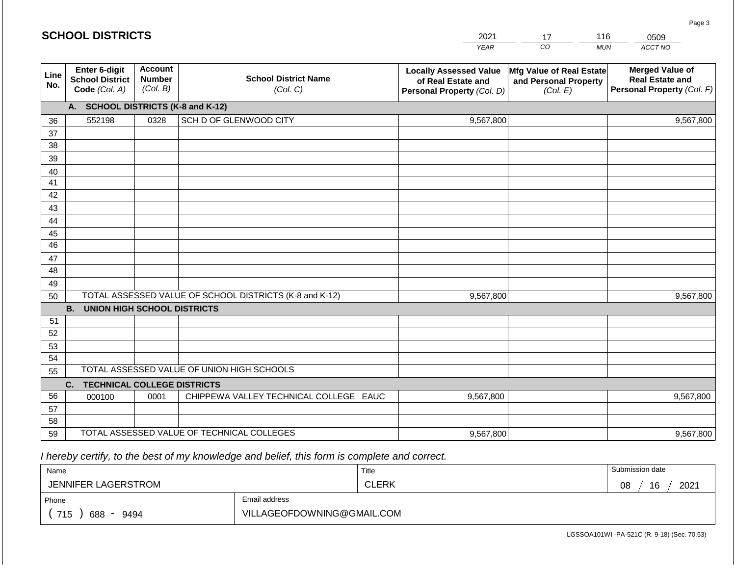#### *YEAR CO MUN ACCT NO*  0509 **Line No. Enter 6-digit School District Code** *(Col. A)* **Account Number** *(Col. B)* **School District Name** *(Col. C)* **Locally Assessed Value of Real Estate and Personal Property** *(Col. D)* **Mfg Value of Real Estate and Personal Property** *(Col. E)* **Merged Value of Real Estate and Personal Property** *(Col. F)* **A. SCHOOL DISTRICTS (K-8 and K-12)** 36 37 38 39 40 41 42 43 44 45 46 47 48 49 50 TOTAL ASSESSED VALUE OF SCHOOL DISTRICTS (K-8 and K-12) **B. UNION HIGH SCHOOL DISTRICTS** 51 52 53 54 55 **C. TECHNICAL COLLEGE DISTRICTS** 56 57 58 59 TOTAL ASSESSED VALUE OF TECHNICAL COLLEGES TOTAL ASSESSED VALUE OF UNION HIGH SCHOOLS 552198 0328 SCH D OF GLENWOOD CITY 9,567,800 9,567,800 000100 | 0001 | CHIPPEWA VALLEY TECHNICAL COLLEGE EAUC 9,567,800 9,567,800 9,567,800 9,567,800 9.567.800 9.567.800

 *I hereby certify, to the best of my knowledge and belief, this form is complete and correct.*

| Name                       |                            | Title | Submission date  |
|----------------------------|----------------------------|-------|------------------|
| <b>JENNIFER LAGERSTROM</b> |                            | JLERK | 16<br>2021<br>08 |
| Phone                      | Email address              |       |                  |
| 715<br>688<br>9494         | VILLAGEOFDOWNING@GMAIL.COM |       |                  |

LGSSOA101WI -PA-521C (R. 9-18) (Sec. 70.53)

Page 3

| 2021 |       | ٦۴  |
|------|-------|-----|
| VEAD | MI IN | ACC |

**SCHOOL DISTRICTS**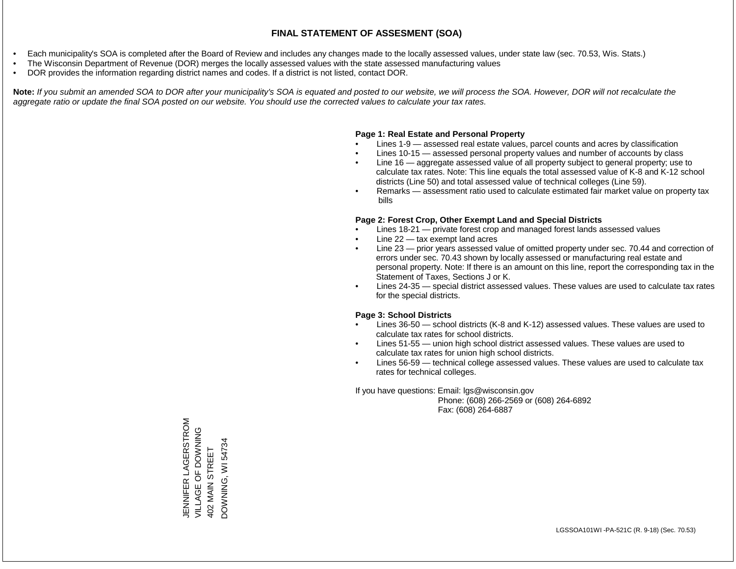- Each municipality's SOA is completed after the Board of Review and includes any changes made to the locally assessed values, under state law (sec. 70.53, Wis. Stats.)
- The Wisconsin Department of Revenue (DOR) merges the locally assessed values with the state assessed manufacturing values
- DOR provides the information regarding district names and codes. If a district is not listed, contact DOR.

Note: If you submit an amended SOA to DOR after your municipality's SOA is equated and posted to our website, we will process the SOA. However, DOR will not recalculate the *aggregate ratio or update the final SOA posted on our website. You should use the corrected values to calculate your tax rates.*

# **Page 1: Real Estate and Personal Property**

- Lines 1-9 assessed real estate values, parcel counts and acres by classification
- Lines 10-15 assessed personal property values and number of accounts by class
- Line 16 aggregate assessed value of all property subject to general property; use to calculate tax rates. Note: This line equals the total assessed value of K-8 and K-12 school districts (Line 50) and total assessed value of technical colleges (Line 59).
- Remarks assessment ratio used to calculate estimated fair market value on property tax bills

# **Page 2: Forest Crop, Other Exempt Land and Special Districts**

- Lines 18-21 private forest crop and managed forest lands assessed values
- Line  $22 -$  tax exempt land acres
- Line 23 prior years assessed value of omitted property under sec. 70.44 and correction of errors under sec. 70.43 shown by locally assessed or manufacturing real estate and personal property. Note: If there is an amount on this line, report the corresponding tax in the Statement of Taxes, Sections J or K.
- Lines 24-35 special district assessed values. These values are used to calculate tax rates for the special districts.

# **Page 3: School Districts**

- Lines 36-50 school districts (K-8 and K-12) assessed values. These values are used to calculate tax rates for school districts.
- Lines 51-55 union high school district assessed values. These values are used to calculate tax rates for union high school districts.
- Lines 56-59 technical college assessed values. These values are used to calculate tax rates for technical colleges.

If you have questions: Email: lgs@wisconsin.gov

 Phone: (608) 266-2569 or (608) 264-6892 Fax: (608) 264-6887

JENNIFER LAGERSTROM<br>VILLAGE OF DOWNING<br>402 MAIN STREET JENNIFER LAGERSTROM VILLAGE OF DOWNING DOWNING, WI54734 46249 ING, WINDO 402 MAIN STREET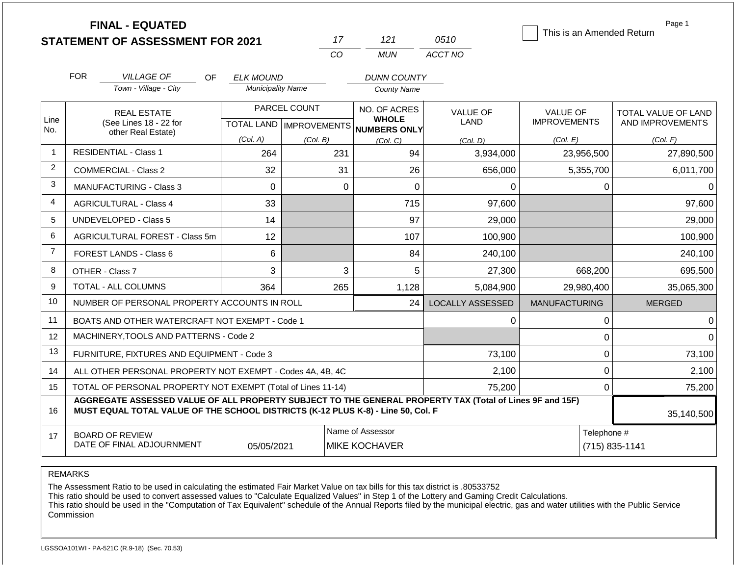|                | <b>FINAL - EQUATED</b>                                                                                                                                                                       |                          |              |                                           |                         | This is an Amended Return | Page 1                        |  |
|----------------|----------------------------------------------------------------------------------------------------------------------------------------------------------------------------------------------|--------------------------|--------------|-------------------------------------------|-------------------------|---------------------------|-------------------------------|--|
|                | <b>STATEMENT OF ASSESSMENT FOR 2021</b>                                                                                                                                                      |                          | 17           | 121                                       | 0510                    |                           |                               |  |
|                |                                                                                                                                                                                              |                          | CO           | <b>MUN</b>                                | ACCT NO                 |                           |                               |  |
|                | <b>FOR</b><br><b>VILLAGE OF</b><br>OF.                                                                                                                                                       | <b>ELK MOUND</b>         |              | <b>DUNN COUNTY</b>                        |                         |                           |                               |  |
|                | Town - Village - City                                                                                                                                                                        | <b>Municipality Name</b> |              | <b>County Name</b>                        |                         |                           |                               |  |
| Line           | <b>REAL ESTATE</b>                                                                                                                                                                           |                          | PARCEL COUNT | NO. OF ACRES<br><b>WHOLE</b>              | <b>VALUE OF</b>         | <b>VALUE OF</b>           | <b>TOTAL VALUE OF LAND</b>    |  |
| No.            | (See Lines 18 - 22 for<br>other Real Estate)                                                                                                                                                 |                          |              | TOTAL LAND MPROVEMENTS NUMBERS ONLY       | LAND                    | <b>IMPROVEMENTS</b>       | AND IMPROVEMENTS              |  |
|                |                                                                                                                                                                                              | (Col. A)                 | (Col. B)     | (Col. C)                                  | (Col, D)                | (Col. E)                  | (Col. F)                      |  |
| $\overline{1}$ | <b>RESIDENTIAL - Class 1</b>                                                                                                                                                                 | 264                      | 231          | 94                                        | 3,934,000               | 23,956,500                | 27,890,500                    |  |
| $\overline{2}$ | COMMERCIAL - Class 2                                                                                                                                                                         | 32                       |              | 26<br>31                                  | 656,000                 | 5,355,700                 | 6,011,700                     |  |
| 3              | <b>MANUFACTURING - Class 3</b>                                                                                                                                                               | $\Omega$                 |              | $\mathbf 0$<br>$\overline{0}$             | $\Omega$                | 0                         | $\Omega$                      |  |
| 4              | <b>AGRICULTURAL - Class 4</b>                                                                                                                                                                | 33                       |              | 715                                       | 97,600                  |                           | 97,600                        |  |
| 5              | <b>UNDEVELOPED - Class 5</b>                                                                                                                                                                 | 14                       |              | 97                                        | 29,000                  |                           | 29,000                        |  |
| 6              | AGRICULTURAL FOREST - Class 5m                                                                                                                                                               | 12                       |              | 107                                       | 100,900                 |                           | 100,900                       |  |
| $\overline{7}$ | FOREST LANDS - Class 6                                                                                                                                                                       | 6                        |              | 84                                        | 240,100                 |                           | 240,100                       |  |
| 8              | OTHER - Class 7                                                                                                                                                                              | 3                        |              | 3<br>5                                    | 27,300                  | 668,200                   | 695,500                       |  |
| 9              | <b>TOTAL - ALL COLUMNS</b>                                                                                                                                                                   | 364                      | 265          | 1,128                                     | 5,084,900               | 29,980,400                | 35,065,300                    |  |
| 10             | NUMBER OF PERSONAL PROPERTY ACCOUNTS IN ROLL                                                                                                                                                 |                          |              | 24                                        | <b>LOCALLY ASSESSED</b> | <b>MANUFACTURING</b>      | <b>MERGED</b>                 |  |
| 11             | BOATS AND OTHER WATERCRAFT NOT EXEMPT - Code 1                                                                                                                                               |                          |              |                                           | 0                       | $\mathbf 0$               | $\Omega$                      |  |
| 12             | MACHINERY, TOOLS AND PATTERNS - Code 2                                                                                                                                                       |                          |              |                                           |                         | $\mathbf 0$               | $\Omega$                      |  |
| 13             | FURNITURE, FIXTURES AND EQUIPMENT - Code 3                                                                                                                                                   |                          |              |                                           | 73,100                  | $\mathbf 0$               | 73,100                        |  |
| 14             | ALL OTHER PERSONAL PROPERTY NOT EXEMPT - Codes 4A, 4B, 4C                                                                                                                                    |                          |              |                                           | 2,100                   | $\mathbf 0$               | 2,100                         |  |
| 15             | TOTAL OF PERSONAL PROPERTY NOT EXEMPT (Total of Lines 11-14)                                                                                                                                 |                          |              |                                           | 75,200                  | $\mathbf 0$               | 75,200                        |  |
| 16             | AGGREGATE ASSESSED VALUE OF ALL PROPERTY SUBJECT TO THE GENERAL PROPERTY TAX (Total of Lines 9F and 15F)<br>MUST EQUAL TOTAL VALUE OF THE SCHOOL DISTRICTS (K-12 PLUS K-8) - Line 50, Col. F |                          |              |                                           |                         |                           | 35,140,500                    |  |
| 17             | <b>BOARD OF REVIEW</b><br>DATE OF FINAL ADJOURNMENT                                                                                                                                          | 05/05/2021               |              | Name of Assessor<br><b>IMIKE KOCHAVER</b> |                         |                           | Telephone #<br>(715) 835-1141 |  |

The Assessment Ratio to be used in calculating the estimated Fair Market Value on tax bills for this tax district is .80533752

This ratio should be used to convert assessed values to "Calculate Equalized Values" in Step 1 of the Lottery and Gaming Credit Calculations.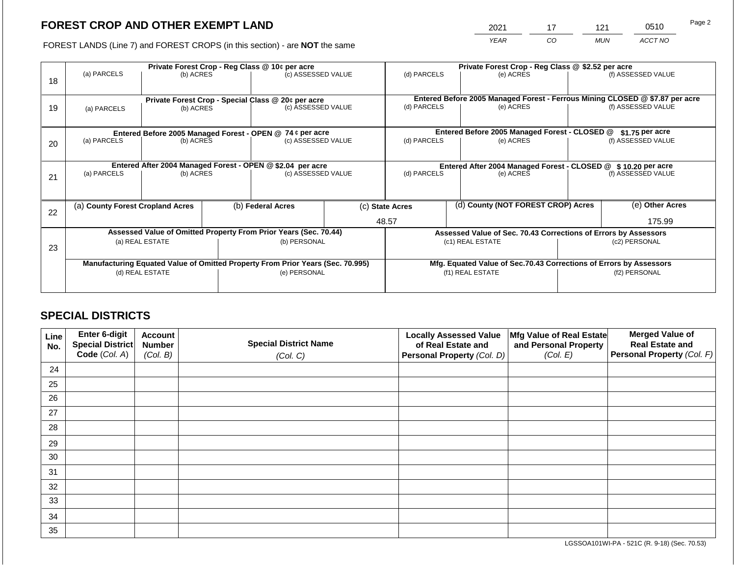2021 17 121 0510

FOREST LANDS (Line 7) and FOREST CROPS (in this section) - are **NOT** the same *YEAR CO MUN ACCT NO*

| 18 | (a) PARCELS                                               | (b) ACRES       | Private Forest Crop - Reg Class @ 10¢ per acre<br>(c) ASSESSED VALUE           |                                                                    |                                                                 | Private Forest Crop - Reg Class @ \$2.52 per acre<br>(d) PARCELS<br>(e) ACRES |                                                                                           | (f) ASSESSED VALUE |                    |  |
|----|-----------------------------------------------------------|-----------------|--------------------------------------------------------------------------------|--------------------------------------------------------------------|-----------------------------------------------------------------|-------------------------------------------------------------------------------|-------------------------------------------------------------------------------------------|--------------------|--------------------|--|
| 19 | (a) PARCELS                                               | (b) ACRES       | Private Forest Crop - Special Class @ 20¢ per acre<br>(c) ASSESSED VALUE       |                                                                    | (d) PARCELS                                                     |                                                                               | Entered Before 2005 Managed Forest - Ferrous Mining CLOSED @ \$7.87 per acre<br>(e) ACRES |                    | (f) ASSESSED VALUE |  |
|    | Entered Before 2005 Managed Forest - OPEN @ 74 ¢ per acre |                 |                                                                                |                                                                    | Entered Before 2005 Managed Forest - CLOSED @                   |                                                                               | $$1.75$ per acre                                                                          |                    |                    |  |
| 20 | (a) PARCELS<br>(b) ACRES                                  |                 | (c) ASSESSED VALUE                                                             |                                                                    | (d) PARCELS                                                     |                                                                               | (e) ACRES                                                                                 |                    | (f) ASSESSED VALUE |  |
|    |                                                           |                 | Entered After 2004 Managed Forest - OPEN @ \$2.04 per acre                     |                                                                    |                                                                 | Entered After 2004 Managed Forest - CLOSED @ \$10.20 per acre                 |                                                                                           |                    |                    |  |
| 21 | (a) PARCELS                                               | (b) ACRES       | (c) ASSESSED VALUE                                                             |                                                                    | (d) PARCELS                                                     |                                                                               | (e) ACRES                                                                                 |                    | (f) ASSESSED VALUE |  |
|    |                                                           |                 |                                                                                |                                                                    |                                                                 |                                                                               |                                                                                           |                    |                    |  |
| 22 | (a) County Forest Cropland Acres                          |                 | (b) Federal Acres                                                              |                                                                    | (c) State Acres                                                 |                                                                               | (d) County (NOT FOREST CROP) Acres                                                        |                    | (e) Other Acres    |  |
|    |                                                           |                 |                                                                                |                                                                    | 48.57                                                           |                                                                               |                                                                                           | 175.99             |                    |  |
|    |                                                           |                 | Assessed Value of Omitted Property From Prior Years (Sec. 70.44)               |                                                                    | Assessed Value of Sec. 70.43 Corrections of Errors by Assessors |                                                                               |                                                                                           |                    |                    |  |
| 23 |                                                           | (a) REAL ESTATE | (b) PERSONAL                                                                   |                                                                    | (c1) REAL ESTATE                                                |                                                                               |                                                                                           | (c2) PERSONAL      |                    |  |
|    |                                                           |                 | Manufacturing Equated Value of Omitted Property From Prior Years (Sec. 70.995) | Mfg. Equated Value of Sec.70.43 Corrections of Errors by Assessors |                                                                 |                                                                               |                                                                                           |                    |                    |  |
|    |                                                           | (d) REAL ESTATE | (e) PERSONAL                                                                   |                                                                    |                                                                 | (f1) REAL ESTATE                                                              |                                                                                           |                    | (f2) PERSONAL      |  |
|    |                                                           |                 |                                                                                |                                                                    |                                                                 |                                                                               |                                                                                           |                    |                    |  |

# **SPECIAL DISTRICTS**

| Line<br>No. | <b>Enter 6-digit</b><br>Special District | <b>Account</b><br><b>Number</b> | <b>Special District Name</b> | <b>Locally Assessed Value</b><br>of Real Estate and | Mfg Value of Real Estate<br>and Personal Property | <b>Merged Value of</b><br><b>Real Estate and</b> |
|-------------|------------------------------------------|---------------------------------|------------------------------|-----------------------------------------------------|---------------------------------------------------|--------------------------------------------------|
|             | Code (Col. A)                            | (Col. B)                        | (Col. C)                     | Personal Property (Col. D)                          | (Col. E)                                          | <b>Personal Property (Col. F)</b>                |
| 24          |                                          |                                 |                              |                                                     |                                                   |                                                  |
| 25          |                                          |                                 |                              |                                                     |                                                   |                                                  |
| 26          |                                          |                                 |                              |                                                     |                                                   |                                                  |
| 27          |                                          |                                 |                              |                                                     |                                                   |                                                  |
| 28          |                                          |                                 |                              |                                                     |                                                   |                                                  |
| 29          |                                          |                                 |                              |                                                     |                                                   |                                                  |
| 30          |                                          |                                 |                              |                                                     |                                                   |                                                  |
| 31          |                                          |                                 |                              |                                                     |                                                   |                                                  |
| 32          |                                          |                                 |                              |                                                     |                                                   |                                                  |
| 33          |                                          |                                 |                              |                                                     |                                                   |                                                  |
| 34          |                                          |                                 |                              |                                                     |                                                   |                                                  |
| 35          |                                          |                                 |                              |                                                     |                                                   |                                                  |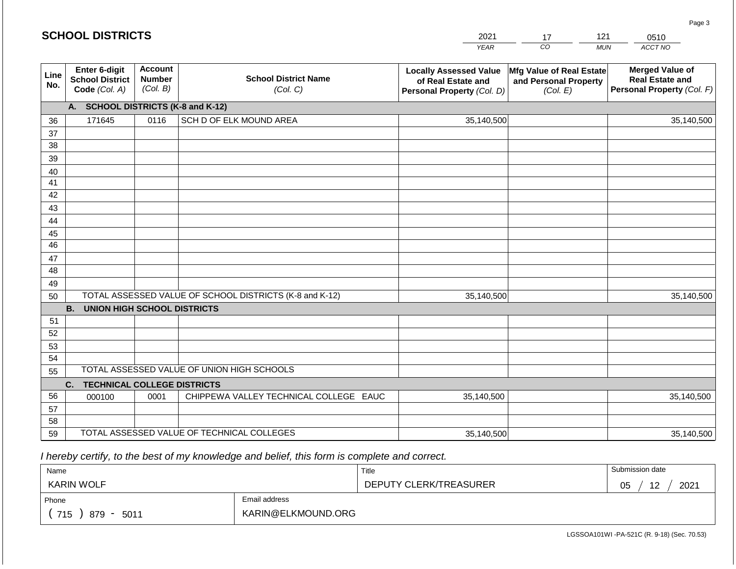#### *YEAR*  2021  $\overline{co}$ 17 *MUN*  121 *ACCT NO*  0510 **Line No. Enter 6-digit School District Code** *(Col. A)* **Account Number** *(Col. B)* **School District Name** *(Col. C)* **Locally Assessed Value of Real Estate and Personal Property** *(Col. D)* **Mfg Value of Real Estate and Personal Property** *(Col. E)* **Merged Value of Real Estate and Personal Property** *(Col. F)* **A. SCHOOL DISTRICTS (K-8 and K-12)** 36 37 38 39 40 41 42 43 44 45 46 47 48 49 50 TOTAL ASSESSED VALUE OF SCHOOL DISTRICTS (K-8 and K-12) **B. UNION HIGH SCHOOL DISTRICTS** 51 52 53 54 55 **C. TECHNICAL COLLEGE DISTRICTS** 56 57 58 TOTAL ASSESSED VALUE OF UNION HIGH SCHOOLS 171645 0116 SCH D OF ELK MOUND AREA 35,140,500 35,140,500 000100 | 0001 | CHIPPEWA VALLEY TECHNICAL COLLEGE EAUC 35,140,500 35,140,500 35,140,500 35,140,500

 *I hereby certify, to the best of my knowledge and belief, this form is complete and correct.*

59 TOTAL ASSESSED VALUE OF TECHNICAL COLLEGES

| Name                                           |                    | Title                  | Submission date                    |
|------------------------------------------------|--------------------|------------------------|------------------------------------|
| <b>KARIN WOLF</b>                              |                    | DEPUTY CLERK/TREASURER | 2021<br>$\overline{a}$<br>∩ҕ<br>◡◡ |
| Phone                                          | Email address      |                        |                                    |
| 715<br>5011<br>879<br>$\overline{\phantom{0}}$ | KARIN@ELKMOUND.ORG |                        |                                    |

35,140,500

LGSSOA101WI -PA-521C (R. 9-18) (Sec. 70.53)

35,140,500

Page 3

| <b>SCHOOL DISTRICTS</b> |  |
|-------------------------|--|
|-------------------------|--|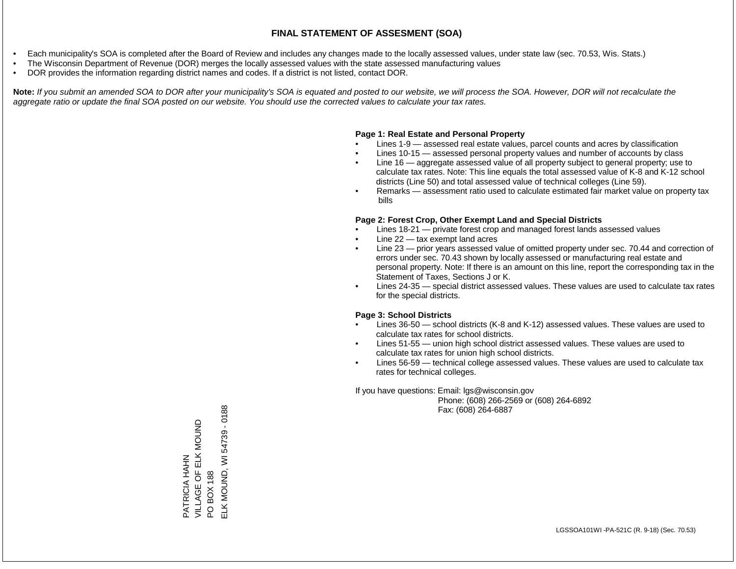- Each municipality's SOA is completed after the Board of Review and includes any changes made to the locally assessed values, under state law (sec. 70.53, Wis. Stats.)
- The Wisconsin Department of Revenue (DOR) merges the locally assessed values with the state assessed manufacturing values
- DOR provides the information regarding district names and codes. If a district is not listed, contact DOR.

Note: If you submit an amended SOA to DOR after your municipality's SOA is equated and posted to our website, we will process the SOA. However, DOR will not recalculate the *aggregate ratio or update the final SOA posted on our website. You should use the corrected values to calculate your tax rates.*

# **Page 1: Real Estate and Personal Property**

- Lines 1-9 assessed real estate values, parcel counts and acres by classification
- Lines 10-15 assessed personal property values and number of accounts by class
- Line 16 aggregate assessed value of all property subject to general property; use to calculate tax rates. Note: This line equals the total assessed value of K-8 and K-12 school districts (Line 50) and total assessed value of technical colleges (Line 59).
- Remarks assessment ratio used to calculate estimated fair market value on property tax bills

# **Page 2: Forest Crop, Other Exempt Land and Special Districts**

- Lines 18-21 private forest crop and managed forest lands assessed values
- Line  $22 -$  tax exempt land acres
- Line 23 prior years assessed value of omitted property under sec. 70.44 and correction of errors under sec. 70.43 shown by locally assessed or manufacturing real estate and personal property. Note: If there is an amount on this line, report the corresponding tax in the Statement of Taxes, Sections J or K.
- Lines 24-35 special district assessed values. These values are used to calculate tax rates for the special districts.

# **Page 3: School Districts**

- Lines 36-50 school districts (K-8 and K-12) assessed values. These values are used to calculate tax rates for school districts.
- Lines 51-55 union high school district assessed values. These values are used to calculate tax rates for union high school districts.
- Lines 56-59 technical college assessed values. These values are used to calculate tax rates for technical colleges.

If you have questions: Email: lgs@wisconsin.gov

 Phone: (608) 266-2569 or (608) 264-6892 Fax: (608) 264-6887

ELK MOUND, WI 54739 - 0188 ELK MOUND, WI 54739 - 0188VILLAGE OF ELK MOUND PATRICIA HAHN<br>VILLAGE OF ELK MOUND PATRICIA HAHN PO BOX 188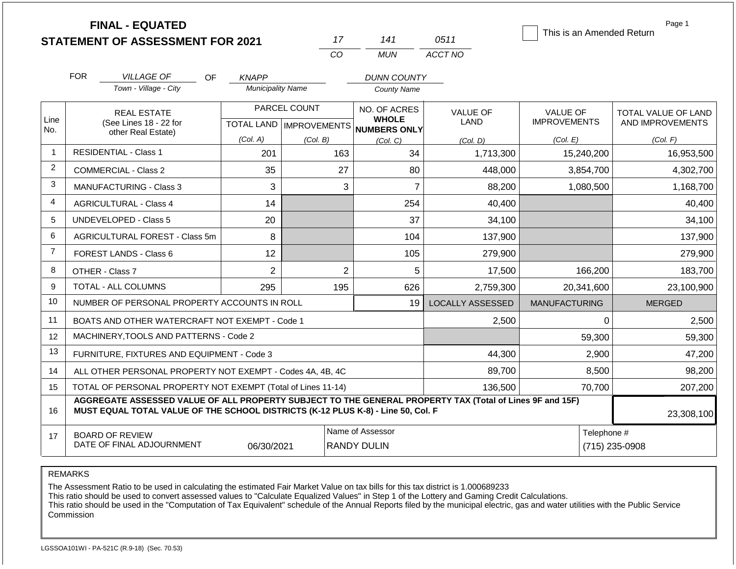|                |                                                           | <b>FINAL - EQUATED</b><br><b>STATEMENT OF ASSESSMENT FOR 2021</b>                                                                                                                            |                                  |          | 17             | 141                                 | 0511                    | This is an Amended Return | Page 1              |
|----------------|-----------------------------------------------------------|----------------------------------------------------------------------------------------------------------------------------------------------------------------------------------------------|----------------------------------|----------|----------------|-------------------------------------|-------------------------|---------------------------|---------------------|
|                |                                                           |                                                                                                                                                                                              |                                  |          | CO             | <b>MUN</b>                          | ACCT NO                 |                           |                     |
|                | <b>FOR</b>                                                | <b>VILLAGE OF</b><br>OF.                                                                                                                                                                     | <b>KNAPP</b>                     |          |                | <b>DUNN COUNTY</b>                  |                         |                           |                     |
|                |                                                           | Town - Village - City                                                                                                                                                                        | <b>Municipality Name</b>         |          |                | <b>County Name</b>                  |                         |                           |                     |
|                |                                                           | <b>REAL ESTATE</b>                                                                                                                                                                           | PARCEL COUNT                     |          | NO. OF ACRES   |                                     | <b>VALUE OF</b>         | <b>VALUE OF</b>           | TOTAL VALUE OF LAND |
| Line<br>No.    |                                                           | (See Lines 18 - 22 for                                                                                                                                                                       | <b>TOTAL LAND   IMPROVEMENTS</b> |          |                | <b>WHOLE</b><br><b>NUMBERS ONLY</b> | LAND                    | <b>IMPROVEMENTS</b>       | AND IMPROVEMENTS    |
|                |                                                           | other Real Estate)                                                                                                                                                                           | (Col. A)                         | (Col. B) |                | (Col. C)                            | (Col. D)                | (Col. E)                  | (Col. F)            |
| $\mathbf{1}$   |                                                           | <b>RESIDENTIAL - Class 1</b>                                                                                                                                                                 | 201                              |          | 163            | 34                                  | 1,713,300               | 15,240,200                | 16,953,500          |
| 2              |                                                           | <b>COMMERCIAL - Class 2</b>                                                                                                                                                                  | 35                               |          | 27             | 80                                  | 448,000                 | 3,854,700                 | 4,302,700           |
| 3              |                                                           | <b>MANUFACTURING - Class 3</b>                                                                                                                                                               | 3                                |          | 3              | $\overline{7}$                      | 88,200                  | 1,080,500                 | 1,168,700           |
| 4              |                                                           | <b>AGRICULTURAL - Class 4</b>                                                                                                                                                                | 14                               |          |                | 254                                 | 40,400                  |                           | 40,400              |
| 5              |                                                           | <b>UNDEVELOPED - Class 5</b>                                                                                                                                                                 | 20                               |          |                | 37                                  | 34,100                  |                           | 34,100              |
| 6              |                                                           | AGRICULTURAL FOREST - Class 5m                                                                                                                                                               | 8                                |          |                | 104                                 | 137,900                 |                           | 137,900             |
| $\overline{7}$ |                                                           | <b>FOREST LANDS - Class 6</b>                                                                                                                                                                | 12                               |          |                | 105                                 | 279,900                 |                           | 279,900             |
| 8              |                                                           | OTHER - Class 7                                                                                                                                                                              | $\overline{2}$                   |          | $\overline{2}$ | 5                                   | 17,500                  | 166,200                   | 183,700             |
| 9              |                                                           | TOTAL - ALL COLUMNS                                                                                                                                                                          | 295                              |          | 195            | 626                                 | 2,759,300               | 20,341,600                | 23,100,900          |
| 10             |                                                           | NUMBER OF PERSONAL PROPERTY ACCOUNTS IN ROLL                                                                                                                                                 |                                  |          |                | 19                                  | <b>LOCALLY ASSESSED</b> | <b>MANUFACTURING</b>      | <b>MERGED</b>       |
| 11             |                                                           | BOATS AND OTHER WATERCRAFT NOT EXEMPT - Code 1                                                                                                                                               |                                  |          |                |                                     | 2,500                   | $\Omega$                  | 2,500               |
| 12             | MACHINERY, TOOLS AND PATTERNS - Code 2                    |                                                                                                                                                                                              |                                  |          |                |                                     |                         | 59,300                    | 59,300              |
| 13             | FURNITURE, FIXTURES AND EQUIPMENT - Code 3                |                                                                                                                                                                                              |                                  |          |                |                                     | 44,300                  | 2,900                     | 47,200              |
| 14             | ALL OTHER PERSONAL PROPERTY NOT EXEMPT - Codes 4A, 4B, 4C |                                                                                                                                                                                              |                                  |          |                |                                     | 89,700                  | 8,500                     | 98,200              |
| 15             |                                                           | TOTAL OF PERSONAL PROPERTY NOT EXEMPT (Total of Lines 11-14)                                                                                                                                 |                                  |          |                |                                     | 136,500                 | 70,700                    | 207,200             |
| 16             |                                                           | AGGREGATE ASSESSED VALUE OF ALL PROPERTY SUBJECT TO THE GENERAL PROPERTY TAX (Total of Lines 9F and 15F)<br>MUST EQUAL TOTAL VALUE OF THE SCHOOL DISTRICTS (K-12 PLUS K-8) - Line 50, Col. F |                                  |          |                |                                     |                         |                           | 23,308,100          |
| 17             |                                                           | <b>BOARD OF REVIEW</b>                                                                                                                                                                       |                                  |          |                | Name of Assessor                    |                         | Telephone #               |                     |
|                | DATE OF FINAL ADJOURNMENT<br>06/30/2021                   |                                                                                                                                                                                              |                                  |          |                | <b>RANDY DULIN</b>                  |                         | (715) 235-0908            |                     |

The Assessment Ratio to be used in calculating the estimated Fair Market Value on tax bills for this tax district is 1.000689233

This ratio should be used to convert assessed values to "Calculate Equalized Values" in Step 1 of the Lottery and Gaming Credit Calculations.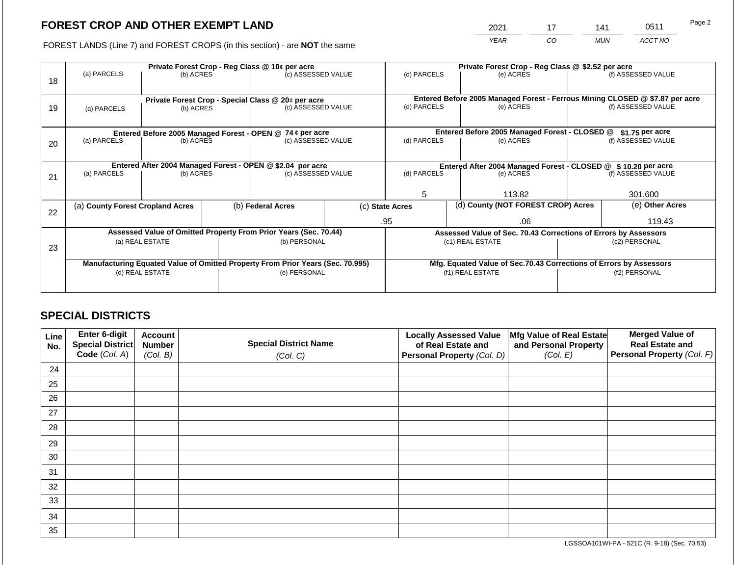2021 17 141 0511

FOREST LANDS (Line 7) and FOREST CROPS (in this section) - are **NOT** the same *YEAR CO MUN ACCT NO*

| 18 | (a) PARCELS                                                                    | Private Forest Crop - Reg Class @ 10¢ per acre<br>(c) ASSESSED VALUE<br>(b) ACRES |  |                                                                          |  | (d) PARCELS                                                        |  | Private Forest Crop - Reg Class @ \$2.52 per acre<br>(e) ACRES  |                                                                                                    | (f) ASSESSED VALUE |  |
|----|--------------------------------------------------------------------------------|-----------------------------------------------------------------------------------|--|--------------------------------------------------------------------------|--|--------------------------------------------------------------------|--|-----------------------------------------------------------------|----------------------------------------------------------------------------------------------------|--------------------|--|
| 19 | (a) PARCELS                                                                    | (b) ACRES                                                                         |  | Private Forest Crop - Special Class @ 20¢ per acre<br>(c) ASSESSED VALUE |  | (d) PARCELS                                                        |  | (e) ACRES                                                       | Entered Before 2005 Managed Forest - Ferrous Mining CLOSED @ \$7.87 per acre<br>(f) ASSESSED VALUE |                    |  |
|    |                                                                                |                                                                                   |  | Entered Before 2005 Managed Forest - OPEN @ 74 ¢ per acre                |  |                                                                    |  | Entered Before 2005 Managed Forest - CLOSED @                   |                                                                                                    | $$1.75$ per acre   |  |
| 20 | (a) PARCELS                                                                    | (b) ACRES                                                                         |  | (c) ASSESSED VALUE                                                       |  | (d) PARCELS<br>(e) ACRES                                           |  | (f) ASSESSED VALUE                                              |                                                                                                    |                    |  |
|    |                                                                                | Entered After 2004 Managed Forest - OPEN @ \$2.04 per acre                        |  |                                                                          |  |                                                                    |  | Entered After 2004 Managed Forest - CLOSED @ \$10.20 per acre   |                                                                                                    |                    |  |
| 21 | (a) PARCELS                                                                    | (b) ACRES                                                                         |  | (c) ASSESSED VALUE                                                       |  | (d) PARCELS                                                        |  | (e) ACRES                                                       | (f) ASSESSED VALUE                                                                                 |                    |  |
|    |                                                                                |                                                                                   |  |                                                                          |  |                                                                    |  |                                                                 |                                                                                                    |                    |  |
|    |                                                                                |                                                                                   |  |                                                                          |  | 5                                                                  |  | 113.82                                                          |                                                                                                    | 301.600            |  |
| 22 | (a) County Forest Cropland Acres                                               |                                                                                   |  | (b) Federal Acres                                                        |  | (d) County (NOT FOREST CROP) Acres<br>(c) State Acres              |  |                                                                 | (e) Other Acres                                                                                    |                    |  |
|    |                                                                                |                                                                                   |  |                                                                          |  | .95<br>.06                                                         |  | 119.43                                                          |                                                                                                    |                    |  |
|    |                                                                                | Assessed Value of Omitted Property From Prior Years (Sec. 70.44)                  |  |                                                                          |  |                                                                    |  | Assessed Value of Sec. 70.43 Corrections of Errors by Assessors |                                                                                                    |                    |  |
| 23 | (a) REAL ESTATE                                                                |                                                                                   |  | (b) PERSONAL                                                             |  | (c1) REAL ESTATE                                                   |  | (c2) PERSONAL                                                   |                                                                                                    |                    |  |
|    |                                                                                |                                                                                   |  |                                                                          |  |                                                                    |  |                                                                 |                                                                                                    |                    |  |
|    | Manufacturing Equated Value of Omitted Property From Prior Years (Sec. 70.995) |                                                                                   |  |                                                                          |  | Mfg. Equated Value of Sec.70.43 Corrections of Errors by Assessors |  |                                                                 |                                                                                                    |                    |  |
|    | (d) REAL ESTATE                                                                |                                                                                   |  | (e) PERSONAL                                                             |  | (f1) REAL ESTATE                                                   |  |                                                                 | (f2) PERSONAL                                                                                      |                    |  |
|    |                                                                                |                                                                                   |  |                                                                          |  |                                                                    |  |                                                                 |                                                                                                    |                    |  |

# **SPECIAL DISTRICTS**

| Line<br>No. | <b>Enter 6-digit</b><br>Special District | <b>Account</b><br><b>Number</b> | <b>Special District Name</b> | <b>Locally Assessed Value</b><br>of Real Estate and | Mfg Value of Real Estate<br>and Personal Property | <b>Merged Value of</b><br><b>Real Estate and</b> |
|-------------|------------------------------------------|---------------------------------|------------------------------|-----------------------------------------------------|---------------------------------------------------|--------------------------------------------------|
|             | Code (Col. A)                            | (Col. B)                        | (Col. C)                     | Personal Property (Col. D)                          | (Col. E)                                          | <b>Personal Property (Col. F)</b>                |
| 24          |                                          |                                 |                              |                                                     |                                                   |                                                  |
| 25          |                                          |                                 |                              |                                                     |                                                   |                                                  |
| 26          |                                          |                                 |                              |                                                     |                                                   |                                                  |
| 27          |                                          |                                 |                              |                                                     |                                                   |                                                  |
| 28          |                                          |                                 |                              |                                                     |                                                   |                                                  |
| 29          |                                          |                                 |                              |                                                     |                                                   |                                                  |
| 30          |                                          |                                 |                              |                                                     |                                                   |                                                  |
| 31          |                                          |                                 |                              |                                                     |                                                   |                                                  |
| 32          |                                          |                                 |                              |                                                     |                                                   |                                                  |
| 33          |                                          |                                 |                              |                                                     |                                                   |                                                  |
| 34          |                                          |                                 |                              |                                                     |                                                   |                                                  |
| 35          |                                          |                                 |                              |                                                     |                                                   |                                                  |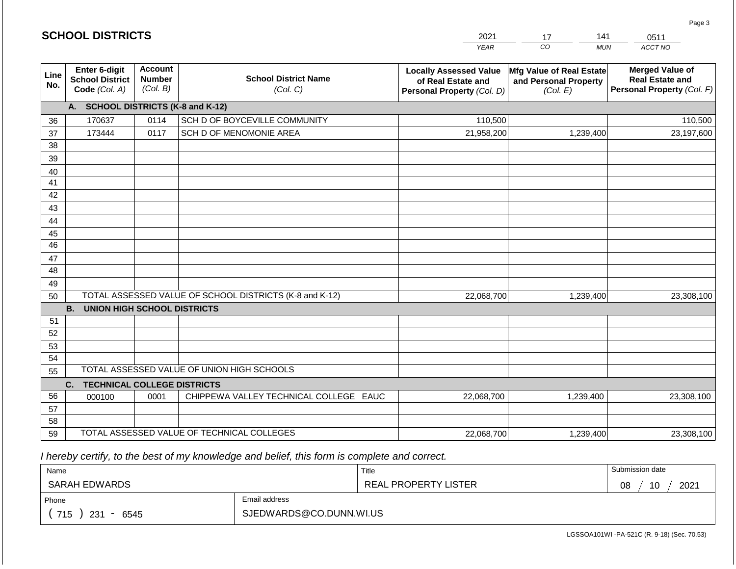|             | <b>SCHOOL DISTRICTS</b>                                  | 2021<br>141<br>17<br>0511                   |                                                         |                                                                                   |                                                               |                                                                                |
|-------------|----------------------------------------------------------|---------------------------------------------|---------------------------------------------------------|-----------------------------------------------------------------------------------|---------------------------------------------------------------|--------------------------------------------------------------------------------|
|             |                                                          |                                             |                                                         | <b>YEAR</b>                                                                       | CO<br><b>MUN</b>                                              | ACCT NO                                                                        |
| Line<br>No. | Enter 6-digit<br><b>School District</b><br>Code (Col. A) | <b>Account</b><br><b>Number</b><br>(Col. B) | <b>School District Name</b><br>(Col. C)                 | <b>Locally Assessed Value</b><br>of Real Estate and<br>Personal Property (Col. D) | Mfg Value of Real Estate<br>and Personal Property<br>(Col. E) | <b>Merged Value of</b><br><b>Real Estate and</b><br>Personal Property (Col. F) |
|             | A. SCHOOL DISTRICTS (K-8 and K-12)                       |                                             |                                                         |                                                                                   |                                                               |                                                                                |
| 36          | 170637                                                   | 0114                                        | SCH D OF BOYCEVILLE COMMUNITY                           | 110,500                                                                           |                                                               | 110,500                                                                        |
| 37          | 173444                                                   | 0117                                        | SCH D OF MENOMONIE AREA                                 | 21,958,200                                                                        | 1,239,400                                                     | 23,197,600                                                                     |
| 38          |                                                          |                                             |                                                         |                                                                                   |                                                               |                                                                                |
| 39          |                                                          |                                             |                                                         |                                                                                   |                                                               |                                                                                |
| 40          |                                                          |                                             |                                                         |                                                                                   |                                                               |                                                                                |
| 41          |                                                          |                                             |                                                         |                                                                                   |                                                               |                                                                                |
| 42          |                                                          |                                             |                                                         |                                                                                   |                                                               |                                                                                |
| 43          |                                                          |                                             |                                                         |                                                                                   |                                                               |                                                                                |
| 44          |                                                          |                                             |                                                         |                                                                                   |                                                               |                                                                                |
| 45<br>46    |                                                          |                                             |                                                         |                                                                                   |                                                               |                                                                                |
| 47          |                                                          |                                             |                                                         |                                                                                   |                                                               |                                                                                |
| 48          |                                                          |                                             |                                                         |                                                                                   |                                                               |                                                                                |
| 49          |                                                          |                                             |                                                         |                                                                                   |                                                               |                                                                                |
| 50          |                                                          |                                             | TOTAL ASSESSED VALUE OF SCHOOL DISTRICTS (K-8 and K-12) | 22,068,700                                                                        | 1,239,400                                                     | 23,308,100                                                                     |
|             | <b>B.</b><br><b>UNION HIGH SCHOOL DISTRICTS</b>          |                                             |                                                         |                                                                                   |                                                               |                                                                                |
| 51          |                                                          |                                             |                                                         |                                                                                   |                                                               |                                                                                |
| 52          |                                                          |                                             |                                                         |                                                                                   |                                                               |                                                                                |
| 53          |                                                          |                                             |                                                         |                                                                                   |                                                               |                                                                                |
| 54          |                                                          |                                             |                                                         |                                                                                   |                                                               |                                                                                |
| 55          |                                                          |                                             | TOTAL ASSESSED VALUE OF UNION HIGH SCHOOLS              |                                                                                   |                                                               |                                                                                |
|             | C.<br><b>TECHNICAL COLLEGE DISTRICTS</b>                 |                                             |                                                         |                                                                                   |                                                               |                                                                                |
| 56          | 000100                                                   | 0001                                        | CHIPPEWA VALLEY TECHNICAL COLLEGE EAUC                  | 22,068,700                                                                        | 1,239,400                                                     | 23,308,100                                                                     |
| 57          |                                                          |                                             |                                                         |                                                                                   |                                                               |                                                                                |
| 58          |                                                          |                                             |                                                         |                                                                                   |                                                               |                                                                                |
| 59          |                                                          |                                             | TOTAL ASSESSED VALUE OF TECHNICAL COLLEGES              | 22,068,700                                                                        | 1,239,400                                                     | 23,308,100                                                                     |

 *I hereby certify, to the best of my knowledge and belief, this form is complete and correct.*

**SCHOOL DISTRICTS**

| Name                   |                         | Title                | Submission date  |  |  |
|------------------------|-------------------------|----------------------|------------------|--|--|
| SARAH EDWARDS          |                         | REAL PROPERTY LISTER | 10<br>2021<br>08 |  |  |
| Email address<br>Phone |                         |                      |                  |  |  |
| 715<br>231<br>6545     | SJEDWARDS@CO.DUNN.WI.US |                      |                  |  |  |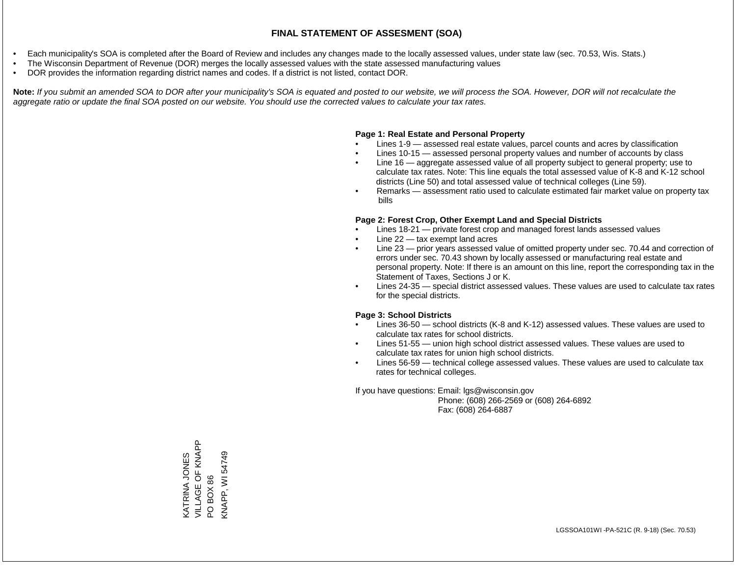- Each municipality's SOA is completed after the Board of Review and includes any changes made to the locally assessed values, under state law (sec. 70.53, Wis. Stats.)
- The Wisconsin Department of Revenue (DOR) merges the locally assessed values with the state assessed manufacturing values
- DOR provides the information regarding district names and codes. If a district is not listed, contact DOR.

Note: If you submit an amended SOA to DOR after your municipality's SOA is equated and posted to our website, we will process the SOA. However, DOR will not recalculate the *aggregate ratio or update the final SOA posted on our website. You should use the corrected values to calculate your tax rates.*

#### **Page 1: Real Estate and Personal Property**

- Lines 1-9 assessed real estate values, parcel counts and acres by classification
- Lines 10-15 assessed personal property values and number of accounts by class
- Line 16 aggregate assessed value of all property subject to general property; use to calculate tax rates. Note: This line equals the total assessed value of K-8 and K-12 school districts (Line 50) and total assessed value of technical colleges (Line 59).
- Remarks assessment ratio used to calculate estimated fair market value on property tax bills

#### **Page 2: Forest Crop, Other Exempt Land and Special Districts**

- Lines 18-21 private forest crop and managed forest lands assessed values
- Line  $22 -$  tax exempt land acres
- Line 23 prior years assessed value of omitted property under sec. 70.44 and correction of errors under sec. 70.43 shown by locally assessed or manufacturing real estate and personal property. Note: If there is an amount on this line, report the corresponding tax in the Statement of Taxes, Sections J or K.
- Lines 24-35 special district assessed values. These values are used to calculate tax rates for the special districts.

#### **Page 3: School Districts**

- Lines 36-50 school districts (K-8 and K-12) assessed values. These values are used to calculate tax rates for school districts.
- Lines 51-55 union high school district assessed values. These values are used to calculate tax rates for union high school districts.
- Lines 56-59 technical college assessed values. These values are used to calculate tax rates for technical colleges.

If you have questions: Email: lgs@wisconsin.gov

 Phone: (608) 266-2569 or (608) 264-6892 Fax: (608) 264-6887

VILLAGE OF KNAPP KATRINA JONES<br>VILLAGE OF KNAPP PO BOX 86<br>KNAPP, WI 54749 KNAPP, WI 54749KATRINA JONES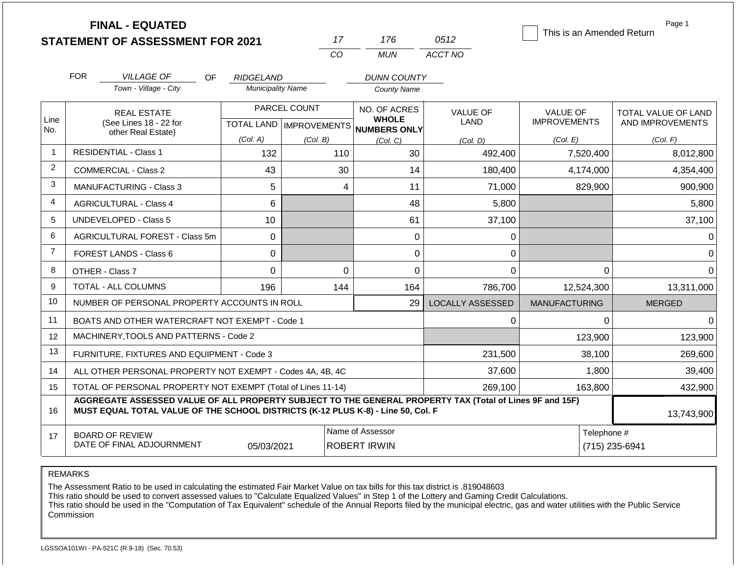|                | <b>FINAL - EQUATED</b>                                                                                                                                                                       |                                       | 17           | 176                                     | 0512                    | This is an Amended Return | Page 1                     |
|----------------|----------------------------------------------------------------------------------------------------------------------------------------------------------------------------------------------|---------------------------------------|--------------|-----------------------------------------|-------------------------|---------------------------|----------------------------|
|                | <b>STATEMENT OF ASSESSMENT FOR 2021</b>                                                                                                                                                      |                                       | CO           | <b>MUN</b>                              | ACCT NO                 |                           |                            |
|                |                                                                                                                                                                                              |                                       |              |                                         |                         |                           |                            |
|                | <b>FOR</b><br><b>VILLAGE OF</b><br>OF.<br>Town - Village - City                                                                                                                              | RIDGELAND<br><b>Municipality Name</b> |              | <b>DUNN COUNTY</b>                      |                         |                           |                            |
|                |                                                                                                                                                                                              |                                       |              | <b>County Name</b>                      |                         |                           |                            |
|                | <b>REAL ESTATE</b>                                                                                                                                                                           |                                       | PARCEL COUNT | NO. OF ACRES<br><b>WHOLE</b>            | <b>VALUE OF</b>         | <b>VALUE OF</b>           | <b>TOTAL VALUE OF LAND</b> |
| Line<br>No.    | (See Lines 18 - 22 for<br>other Real Estate)                                                                                                                                                 |                                       |              | TOTAL LAND MPROVEMENTS NUMBERS ONLY     | <b>LAND</b>             | <b>IMPROVEMENTS</b>       | AND IMPROVEMENTS           |
|                |                                                                                                                                                                                              | (Col. A)                              | (Col. B)     | (Col, C)                                | (Col. D)                | (Col. E)                  | (Col. F)                   |
| $\overline{1}$ | <b>RESIDENTIAL - Class 1</b>                                                                                                                                                                 | 132                                   | 110          | 30                                      | 492,400                 | 7,520,400                 | 8,012,800                  |
| $\overline{2}$ | COMMERCIAL - Class 2                                                                                                                                                                         | 43                                    | 30           | 14                                      | 180,400                 | 4,174,000                 | 4,354,400                  |
| 3              | <b>MANUFACTURING - Class 3</b>                                                                                                                                                               | 5                                     |              | 4<br>11                                 | 71,000                  | 829,900                   | 900,900                    |
| 4              | <b>AGRICULTURAL - Class 4</b>                                                                                                                                                                | 6                                     |              | 48                                      | 5,800                   |                           | 5,800                      |
| 5              | <b>UNDEVELOPED - Class 5</b>                                                                                                                                                                 | 10                                    |              | 61                                      | 37,100                  |                           | 37,100                     |
| 6              | AGRICULTURAL FOREST - Class 5m                                                                                                                                                               | $\mathbf 0$                           |              | 0                                       | 0                       |                           | 0                          |
| $\overline{7}$ | <b>FOREST LANDS - Class 6</b>                                                                                                                                                                | 0                                     |              | $\Omega$                                | $\Omega$                |                           | $\Omega$                   |
| 8              | OTHER - Class 7                                                                                                                                                                              | $\mathbf 0$                           |              | $\Omega$<br>0                           | 0                       | $\Omega$                  | $\Omega$                   |
| 9              | <b>TOTAL - ALL COLUMNS</b>                                                                                                                                                                   | 196                                   | 144          | 164                                     | 786,700                 | 12,524,300                | 13,311,000                 |
| 10             | NUMBER OF PERSONAL PROPERTY ACCOUNTS IN ROLL                                                                                                                                                 |                                       |              | 29                                      | <b>LOCALLY ASSESSED</b> | <b>MANUFACTURING</b>      | <b>MERGED</b>              |
| 11             | BOATS AND OTHER WATERCRAFT NOT EXEMPT - Code 1                                                                                                                                               |                                       |              |                                         | 0                       | 0                         | $\Omega$                   |
| 12             | MACHINERY, TOOLS AND PATTERNS - Code 2                                                                                                                                                       |                                       |              |                                         |                         | 123,900                   | 123,900                    |
| 13             | FURNITURE, FIXTURES AND EQUIPMENT - Code 3                                                                                                                                                   |                                       |              |                                         | 231,500                 | 38,100                    | 269,600                    |
| 14             | ALL OTHER PERSONAL PROPERTY NOT EXEMPT - Codes 4A, 4B, 4C                                                                                                                                    |                                       | 37,600       | 1,800                                   | 39,400                  |                           |                            |
| 15             | TOTAL OF PERSONAL PROPERTY NOT EXEMPT (Total of Lines 11-14)<br>269,100<br>163,800                                                                                                           |                                       |              |                                         |                         |                           |                            |
| 16             | AGGREGATE ASSESSED VALUE OF ALL PROPERTY SUBJECT TO THE GENERAL PROPERTY TAX (Total of Lines 9F and 15F)<br>MUST EQUAL TOTAL VALUE OF THE SCHOOL DISTRICTS (K-12 PLUS K-8) - Line 50, Col. F |                                       |              |                                         |                         |                           | 13,743,900                 |
| 17             | <b>BOARD OF REVIEW</b><br>DATE OF FINAL ADJOURNMENT                                                                                                                                          | 05/03/2021                            |              | Name of Assessor<br><b>ROBERT IRWIN</b> |                         | Telephone #               | (715) 235-6941             |

REMARKS

The Assessment Ratio to be used in calculating the estimated Fair Market Value on tax bills for this tax district is .819048603

This ratio should be used to convert assessed values to "Calculate Equalized Values" in Step 1 of the Lottery and Gaming Credit Calculations.

 This ratio should be used in the "Computation of Tax Equivalent" schedule of the Annual Reports filed by the municipal electric, gas and water utilities with the Public Service Commission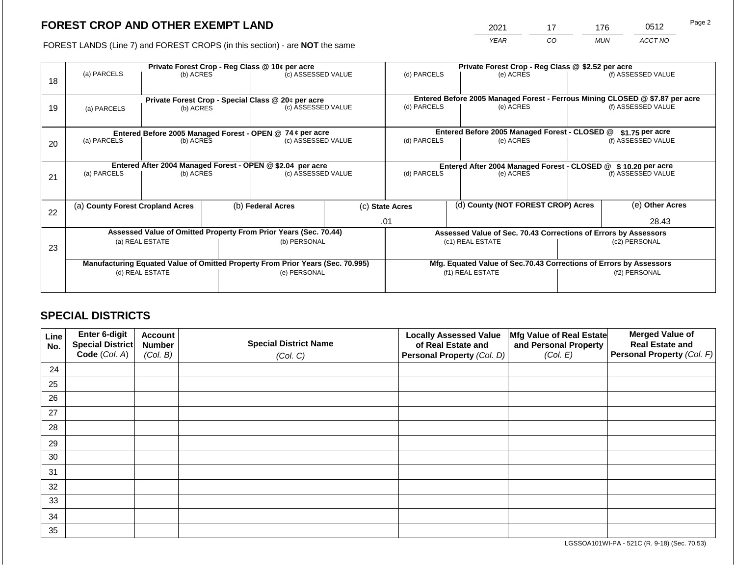# **FOREST CROP AND OTHER EXEMPT LAND**

2021 17 176 0512 Page 2

FOREST LANDS (Line 7) and FOREST CROPS (in this section) - are **NOT** the same *YEAR CO MUN ACCT NO*

| 18 | Private Forest Crop - Reg Class @ 10¢ per acre<br>(a) PARCELS<br>(b) ACRES                        |                                                                 |  | (c) ASSESSED VALUE |                        | (d) PARCELS                                                                            |                                                                                           | Private Forest Crop - Reg Class @ \$2.52 per acre<br>(f) ASSESSED VALUE<br>(e) ACRES |                                                                                     |                          |  |
|----|---------------------------------------------------------------------------------------------------|-----------------------------------------------------------------|--|--------------------|------------------------|----------------------------------------------------------------------------------------|-------------------------------------------------------------------------------------------|--------------------------------------------------------------------------------------|-------------------------------------------------------------------------------------|--------------------------|--|
| 19 | (a) PARCELS                                                                                       | Private Forest Crop - Special Class @ 20¢ per acre<br>(b) ACRES |  | (c) ASSESSED VALUE |                        | (d) PARCELS                                                                            | Entered Before 2005 Managed Forest - Ferrous Mining CLOSED @ \$7.87 per acre<br>(e) ACRES |                                                                                      | (f) ASSESSED VALUE                                                                  |                          |  |
| 20 | Entered Before 2005 Managed Forest - OPEN @ 74 ¢ per acre<br>(a) PARCELS<br>(b) ACRES             |                                                                 |  | (c) ASSESSED VALUE |                        | Entered Before 2005 Managed Forest - CLOSED @<br>(d) PARCELS<br>(e) ACRES              |                                                                                           |                                                                                      | $$1.75$ per acre<br>(f) ASSESSED VALUE                                              |                          |  |
| 21 | Entered After 2004 Managed Forest - OPEN @ \$2.04 per acre<br>(a) PARCELS<br>(b) ACRES            |                                                                 |  | (c) ASSESSED VALUE |                        | (d) PARCELS                                                                            |                                                                                           | (e) ACRES                                                                            | Entered After 2004 Managed Forest - CLOSED @ \$10.20 per acre<br>(f) ASSESSED VALUE |                          |  |
| 22 | (a) County Forest Cropland Acres                                                                  |                                                                 |  | (b) Federal Acres  | (c) State Acres<br>.01 |                                                                                        |                                                                                           | (d) County (NOT FOREST CROP) Acres                                                   |                                                                                     | (e) Other Acres<br>28.43 |  |
| 23 | Assessed Value of Omitted Property From Prior Years (Sec. 70.44)<br>(a) REAL ESTATE               |                                                                 |  | (b) PERSONAL       |                        |                                                                                        |                                                                                           | (c1) REAL ESTATE                                                                     | Assessed Value of Sec. 70.43 Corrections of Errors by Assessors<br>(c2) PERSONAL    |                          |  |
|    | Manufacturing Equated Value of Omitted Property From Prior Years (Sec. 70.995)<br>(d) REAL ESTATE |                                                                 |  | (e) PERSONAL       |                        | Mfg. Equated Value of Sec.70.43 Corrections of Errors by Assessors<br>(f1) REAL ESTATE |                                                                                           |                                                                                      | (f2) PERSONAL                                                                       |                          |  |

# **SPECIAL DISTRICTS**

| Line<br>No. | <b>Enter 6-digit</b><br>Special District | <b>Account</b><br><b>Number</b> | <b>Special District Name</b> | <b>Locally Assessed Value</b><br>of Real Estate and | Mfg Value of Real Estate<br>and Personal Property | <b>Merged Value of</b><br><b>Real Estate and</b> |
|-------------|------------------------------------------|---------------------------------|------------------------------|-----------------------------------------------------|---------------------------------------------------|--------------------------------------------------|
|             | Code (Col. A)                            | (Col. B)                        | (Col. C)                     | Personal Property (Col. D)                          | (Col. E)                                          | Personal Property (Col. F)                       |
| 24          |                                          |                                 |                              |                                                     |                                                   |                                                  |
| 25          |                                          |                                 |                              |                                                     |                                                   |                                                  |
| 26          |                                          |                                 |                              |                                                     |                                                   |                                                  |
| 27          |                                          |                                 |                              |                                                     |                                                   |                                                  |
| 28          |                                          |                                 |                              |                                                     |                                                   |                                                  |
| 29          |                                          |                                 |                              |                                                     |                                                   |                                                  |
| 30          |                                          |                                 |                              |                                                     |                                                   |                                                  |
| 31          |                                          |                                 |                              |                                                     |                                                   |                                                  |
| 32          |                                          |                                 |                              |                                                     |                                                   |                                                  |
| 33          |                                          |                                 |                              |                                                     |                                                   |                                                  |
| 34          |                                          |                                 |                              |                                                     |                                                   |                                                  |
| 35          |                                          |                                 |                              |                                                     |                                                   |                                                  |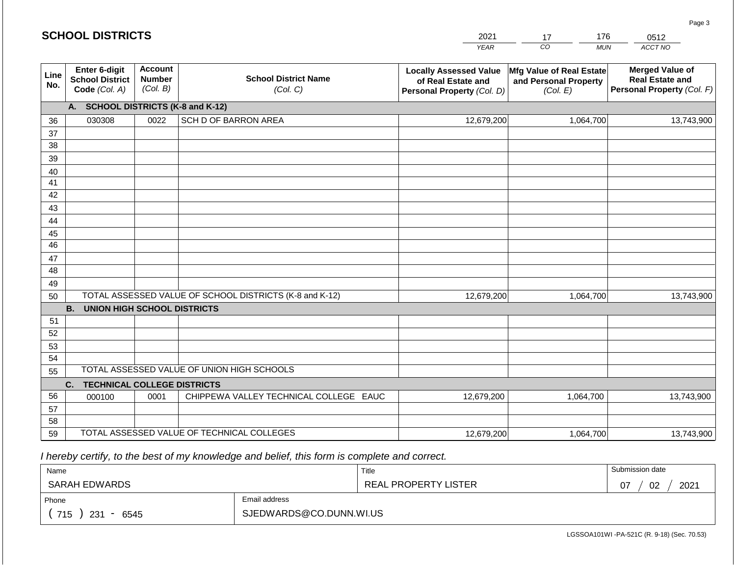#### **YEA**  $202'$ *CO MUN ACCT NO*  0512 **Line No. Enter 6-digit School District Code** *(Col. A)* **Account Number** *(Col. B)* **School District Name** *(Col. C)* **Locally Assessed Value of Real Estate and Personal Property** *(Col. D)* **Mfg Value of Real Estate and Personal Property** *(Col. E)* **Merged Value of Real Estate and Personal Property** *(Col. F)* **A. SCHOOL DISTRICTS (K-8 and K-12)** 36 37 38 39 40 41 42 43 44 45 46 47 48 49 50 TOTAL ASSESSED VALUE OF SCHOOL DISTRICTS (K-8 and K-12) **B. UNION HIGH SCHOOL DISTRICTS** 51 52 53 54 55 **C. TECHNICAL COLLEGE DISTRICTS** 56 57 58 59 TOTAL ASSESSED VALUE OF TECHNICAL COLLEGES TOTAL ASSESSED VALUE OF UNION HIGH SCHOOLS 030308 0022 SCH D OF BARRON AREA 12,679,200 12,679,200 000100 | 0001 | CHIPPEWA VALLEY TECHNICAL COLLEGE EAUC 12,679,200 1,064,700 13,743,900 1,064,700 13,743,900 1,064,700 13,743,900 12,679,200 1,064,700 13,743,900

 *I hereby certify, to the best of my knowledge and belief, this form is complete and correct.*

| Name               |                         | Title                | Submission date  |
|--------------------|-------------------------|----------------------|------------------|
| SARAH EDWARDS      |                         | REAL PROPERTY LISTER | 02<br>2021<br>07 |
| Phone              | Email address           |                      |                  |
| 715<br>231<br>6545 | SJEDWARDS@CO.DUNN.WI.US |                      |                  |

Page 3

| <b>SCHOOL DISTRICTS</b> |  |  |  |  |  |
|-------------------------|--|--|--|--|--|
|-------------------------|--|--|--|--|--|

| м<br>. . |           |             |  |
|----------|-----------|-------------|--|
| ∍<br>٦   | $\cdot$ r | <b>MLIN</b> |  |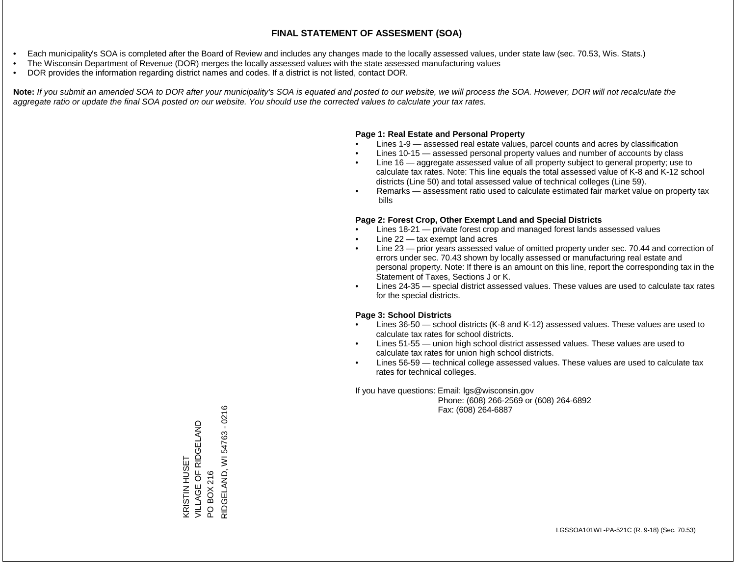### **FINAL STATEMENT OF ASSESMENT (SOA)**

- Each municipality's SOA is completed after the Board of Review and includes any changes made to the locally assessed values, under state law (sec. 70.53, Wis. Stats.)
- The Wisconsin Department of Revenue (DOR) merges the locally assessed values with the state assessed manufacturing values
- DOR provides the information regarding district names and codes. If a district is not listed, contact DOR.

Note: If you submit an amended SOA to DOR after your municipality's SOA is equated and posted to our website, we will process the SOA. However, DOR will not recalculate the *aggregate ratio or update the final SOA posted on our website. You should use the corrected values to calculate your tax rates.*

### **Page 1: Real Estate and Personal Property**

- Lines 1-9 assessed real estate values, parcel counts and acres by classification
- Lines 10-15 assessed personal property values and number of accounts by class
- Line 16 aggregate assessed value of all property subject to general property; use to calculate tax rates. Note: This line equals the total assessed value of K-8 and K-12 school districts (Line 50) and total assessed value of technical colleges (Line 59).
- Remarks assessment ratio used to calculate estimated fair market value on property tax bills

### **Page 2: Forest Crop, Other Exempt Land and Special Districts**

- Lines 18-21 private forest crop and managed forest lands assessed values
- Line  $22 -$  tax exempt land acres
- Line 23 prior years assessed value of omitted property under sec. 70.44 and correction of errors under sec. 70.43 shown by locally assessed or manufacturing real estate and personal property. Note: If there is an amount on this line, report the corresponding tax in the Statement of Taxes, Sections J or K.
- Lines 24-35 special district assessed values. These values are used to calculate tax rates for the special districts.

### **Page 3: School Districts**

- Lines 36-50 school districts (K-8 and K-12) assessed values. These values are used to calculate tax rates for school districts.
- Lines 51-55 union high school district assessed values. These values are used to calculate tax rates for union high school districts.
- Lines 56-59 technical college assessed values. These values are used to calculate tax rates for technical colleges.

If you have questions: Email: lgs@wisconsin.gov

 Phone: (608) 266-2569 or (608) 264-6892 Fax: (608) 264-6887

RIDGELAND, WI 54763 - 0216 RIDGELAND, WI 54763 - 0216VILLAGE OF RIDGELAND KRISTIN HUSET<br>VILLAGE OF RIDGELAND KRISTIN HUSET PO BOX 216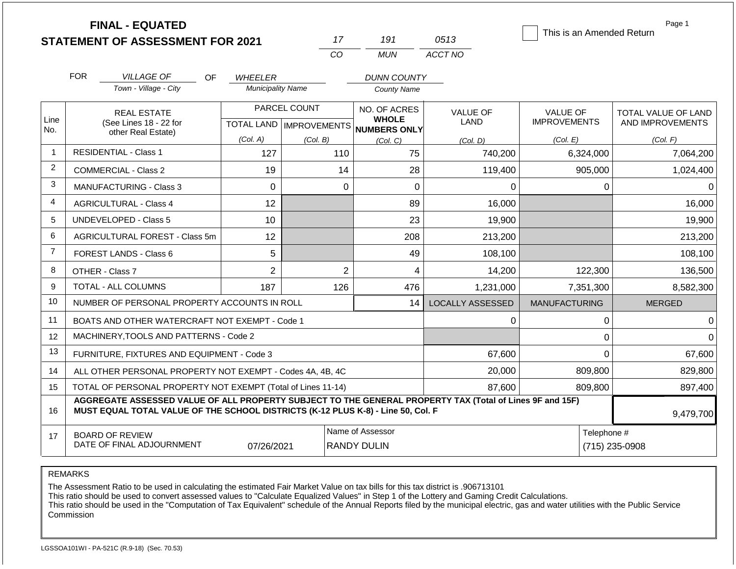|                | <b>FINAL - EQUATED</b>                                                                                                                                                                       |                          |              |                                     |                         | This is an Amended Return | Page 1              |  |
|----------------|----------------------------------------------------------------------------------------------------------------------------------------------------------------------------------------------|--------------------------|--------------|-------------------------------------|-------------------------|---------------------------|---------------------|--|
|                | <b>STATEMENT OF ASSESSMENT FOR 2021</b>                                                                                                                                                      |                          | 17           | 191                                 | 0513                    |                           |                     |  |
|                |                                                                                                                                                                                              |                          | CO           | <b>MUN</b>                          | ACCT NO                 |                           |                     |  |
|                | <b>FOR</b><br><b>VILLAGE OF</b><br>OF.                                                                                                                                                       | <b>WHEELER</b>           |              | <b>DUNN COUNTY</b>                  |                         |                           |                     |  |
|                | Town - Village - City                                                                                                                                                                        | <b>Municipality Name</b> |              | <b>County Name</b>                  |                         |                           |                     |  |
| Line           | <b>REAL ESTATE</b>                                                                                                                                                                           |                          | PARCEL COUNT | NO. OF ACRES<br><b>WHOLE</b>        | VALUE OF                | <b>VALUE OF</b>           | TOTAL VALUE OF LAND |  |
| No.            | (See Lines 18 - 22 for<br>other Real Estate)                                                                                                                                                 |                          |              | TOTAL LAND MPROVEMENTS NUMBERS ONLY | LAND                    | <b>IMPROVEMENTS</b>       | AND IMPROVEMENTS    |  |
|                |                                                                                                                                                                                              | (Col. A)                 | (Col. B)     | (Col, C)                            | (Col, D)                | (Col. E)                  | (Col. F)            |  |
| $\mathbf{1}$   | <b>RESIDENTIAL - Class 1</b>                                                                                                                                                                 | 127                      | 110          | 75                                  | 740,200                 | 6,324,000                 | 7,064,200           |  |
| $\overline{2}$ | <b>COMMERCIAL - Class 2</b>                                                                                                                                                                  | 19                       | 14           | 28                                  | 119,400                 | 905,000                   | 1,024,400           |  |
| 3              | <b>MANUFACTURING - Class 3</b>                                                                                                                                                               | $\Omega$                 |              | $\Omega$<br>$\Omega$                | $\Omega$                | $\Omega$                  | $\Omega$            |  |
| 4              | <b>AGRICULTURAL - Class 4</b>                                                                                                                                                                | 12                       |              | 89                                  | 16,000                  |                           | 16,000              |  |
| 5              | <b>UNDEVELOPED - Class 5</b>                                                                                                                                                                 | 10                       |              | 23                                  | 19,900                  |                           | 19,900              |  |
| 6              | AGRICULTURAL FOREST - Class 5m                                                                                                                                                               | 12                       |              | 208                                 | 213,200                 |                           | 213,200             |  |
| $\overline{7}$ | <b>FOREST LANDS - Class 6</b>                                                                                                                                                                | 5                        |              | 49                                  | 108,100                 |                           | 108,100             |  |
| 8              | OTHER - Class 7                                                                                                                                                                              | $\overline{2}$           |              | $\overline{2}$<br>4                 | 14,200                  | 122,300                   | 136,500             |  |
| 9              | <b>TOTAL - ALL COLUMNS</b>                                                                                                                                                                   | 187                      | 126          | 476                                 | 1,231,000               | 7,351,300                 | 8,582,300           |  |
| 10             | NUMBER OF PERSONAL PROPERTY ACCOUNTS IN ROLL                                                                                                                                                 |                          |              | 14                                  | <b>LOCALLY ASSESSED</b> | <b>MANUFACTURING</b>      | <b>MERGED</b>       |  |
| 11             | BOATS AND OTHER WATERCRAFT NOT EXEMPT - Code 1                                                                                                                                               |                          |              |                                     | 0                       | 0                         | $\Omega$            |  |
| 12             | MACHINERY, TOOLS AND PATTERNS - Code 2                                                                                                                                                       |                          |              |                                     |                         | $\mathbf 0$               | $\Omega$            |  |
| 13             | FURNITURE, FIXTURES AND EQUIPMENT - Code 3                                                                                                                                                   |                          |              |                                     | 67,600                  | $\mathbf 0$               | 67,600              |  |
| 14             | ALL OTHER PERSONAL PROPERTY NOT EXEMPT - Codes 4A, 4B, 4C                                                                                                                                    |                          |              |                                     | 20,000                  | 809,800                   | 829,800             |  |
| 15             | TOTAL OF PERSONAL PROPERTY NOT EXEMPT (Total of Lines 11-14)                                                                                                                                 |                          | 87,600       | 809,800                             | 897,400                 |                           |                     |  |
| 16             | AGGREGATE ASSESSED VALUE OF ALL PROPERTY SUBJECT TO THE GENERAL PROPERTY TAX (Total of Lines 9F and 15F)<br>MUST EQUAL TOTAL VALUE OF THE SCHOOL DISTRICTS (K-12 PLUS K-8) - Line 50, Col. F |                          |              |                                     |                         |                           | 9,479,700           |  |
| 17             | Name of Assessor<br>Telephone #<br><b>BOARD OF REVIEW</b><br>DATE OF FINAL ADJOURNMENT<br><b>RANDY DULIN</b><br>(715) 235-0908<br>07/26/2021                                                 |                          |              |                                     |                         |                           |                     |  |

REMARKS

The Assessment Ratio to be used in calculating the estimated Fair Market Value on tax bills for this tax district is .906713101

This ratio should be used to convert assessed values to "Calculate Equalized Values" in Step 1 of the Lottery and Gaming Credit Calculations.

 This ratio should be used in the "Computation of Tax Equivalent" schedule of the Annual Reports filed by the municipal electric, gas and water utilities with the Public Service Commission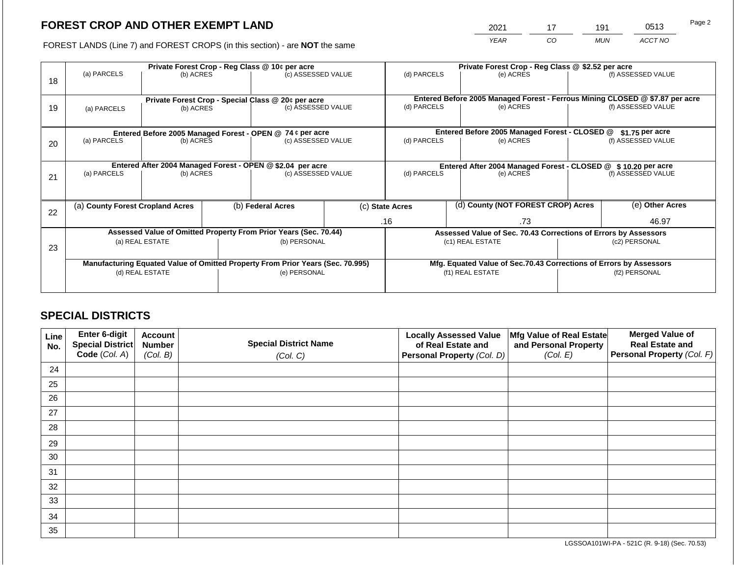# **FOREST CROP AND OTHER EXEMPT LAND**

2021 17 191 0513 Page 2

FOREST LANDS (Line 7) and FOREST CROPS (in this section) - are **NOT** the same *YEAR CO MUN ACCT NO*

|    | (a) PARCELS                      | Private Forest Crop - Reg Class @ 10¢ per acre<br>(b) ACRES |                    | (c) ASSESSED VALUE                                                             | Private Forest Crop - Reg Class @ \$2.52 per acre<br>(d) PARCELS<br>(f) ASSESSED VALUE<br>(e) ACRES |                                                               |                                                                              |                                                                    |                    |                 |  |
|----|----------------------------------|-------------------------------------------------------------|--------------------|--------------------------------------------------------------------------------|-----------------------------------------------------------------------------------------------------|---------------------------------------------------------------|------------------------------------------------------------------------------|--------------------------------------------------------------------|--------------------|-----------------|--|
| 18 |                                  |                                                             |                    |                                                                                |                                                                                                     |                                                               |                                                                              |                                                                    |                    |                 |  |
|    |                                  |                                                             |                    | Private Forest Crop - Special Class @ 20¢ per acre                             |                                                                                                     |                                                               | Entered Before 2005 Managed Forest - Ferrous Mining CLOSED @ \$7.87 per acre |                                                                    |                    |                 |  |
| 19 | (a) PARCELS                      | (b) ACRES                                                   | (c) ASSESSED VALUE |                                                                                |                                                                                                     | (d) PARCELS<br>(e) ACRES                                      |                                                                              |                                                                    | (f) ASSESSED VALUE |                 |  |
|    |                                  |                                                             |                    | Entered Before 2005 Managed Forest - OPEN @ 74 ¢ per acre                      |                                                                                                     |                                                               |                                                                              | Entered Before 2005 Managed Forest - CLOSED @                      |                    | \$1.75 per acre |  |
| 20 | (a) PARCELS                      | (b) ACRES                                                   |                    | (c) ASSESSED VALUE                                                             |                                                                                                     | (d) PARCELS                                                   | (e) ACRES                                                                    |                                                                    | (f) ASSESSED VALUE |                 |  |
|    |                                  |                                                             |                    | Entered After 2004 Managed Forest - OPEN @ \$2.04 per acre                     |                                                                                                     | Entered After 2004 Managed Forest - CLOSED @ \$10.20 per acre |                                                                              |                                                                    |                    |                 |  |
| 21 | (a) PARCELS                      | (b) ACRES                                                   |                    | (c) ASSESSED VALUE                                                             |                                                                                                     | (d) PARCELS<br>(e) ACRES                                      |                                                                              | (f) ASSESSED VALUE                                                 |                    |                 |  |
|    |                                  |                                                             |                    |                                                                                |                                                                                                     |                                                               |                                                                              |                                                                    |                    |                 |  |
| 22 | (a) County Forest Cropland Acres |                                                             |                    | (b) Federal Acres                                                              |                                                                                                     | (c) State Acres                                               |                                                                              | (d) County (NOT FOREST CROP) Acres                                 |                    | (e) Other Acres |  |
|    |                                  |                                                             |                    |                                                                                |                                                                                                     | .16                                                           |                                                                              | .73                                                                |                    | 46.97           |  |
|    |                                  |                                                             |                    | Assessed Value of Omitted Property From Prior Years (Sec. 70.44)               |                                                                                                     |                                                               |                                                                              | Assessed Value of Sec. 70.43 Corrections of Errors by Assessors    |                    |                 |  |
| 23 |                                  | (a) REAL ESTATE                                             |                    |                                                                                | (b) PERSONAL                                                                                        |                                                               |                                                                              | (c1) REAL ESTATE                                                   |                    | (c2) PERSONAL   |  |
|    |                                  |                                                             |                    |                                                                                |                                                                                                     |                                                               |                                                                              |                                                                    |                    |                 |  |
|    |                                  |                                                             |                    | Manufacturing Equated Value of Omitted Property From Prior Years (Sec. 70.995) |                                                                                                     |                                                               |                                                                              | Mfg. Equated Value of Sec.70.43 Corrections of Errors by Assessors |                    |                 |  |
|    |                                  | (d) REAL ESTATE                                             |                    | (e) PERSONAL                                                                   |                                                                                                     |                                                               |                                                                              | (f1) REAL ESTATE                                                   |                    | (f2) PERSONAL   |  |
|    |                                  |                                                             |                    |                                                                                |                                                                                                     |                                                               |                                                                              |                                                                    |                    |                 |  |

# **SPECIAL DISTRICTS**

| Line<br>No. | <b>Enter 6-digit</b><br>Special District | <b>Account</b><br><b>Number</b> | <b>Special District Name</b> | <b>Locally Assessed Value</b><br>of Real Estate and | Mfg Value of Real Estate<br>and Personal Property | <b>Merged Value of</b><br><b>Real Estate and</b> |
|-------------|------------------------------------------|---------------------------------|------------------------------|-----------------------------------------------------|---------------------------------------------------|--------------------------------------------------|
|             | Code (Col. A)                            | (Col. B)                        | (Col. C)                     | Personal Property (Col. D)                          | (Col. E)                                          | <b>Personal Property (Col. F)</b>                |
| 24          |                                          |                                 |                              |                                                     |                                                   |                                                  |
| 25          |                                          |                                 |                              |                                                     |                                                   |                                                  |
| 26          |                                          |                                 |                              |                                                     |                                                   |                                                  |
| 27          |                                          |                                 |                              |                                                     |                                                   |                                                  |
| 28          |                                          |                                 |                              |                                                     |                                                   |                                                  |
| 29          |                                          |                                 |                              |                                                     |                                                   |                                                  |
| 30          |                                          |                                 |                              |                                                     |                                                   |                                                  |
| 31          |                                          |                                 |                              |                                                     |                                                   |                                                  |
| 32          |                                          |                                 |                              |                                                     |                                                   |                                                  |
| 33          |                                          |                                 |                              |                                                     |                                                   |                                                  |
| 34          |                                          |                                 |                              |                                                     |                                                   |                                                  |
| 35          |                                          |                                 |                              |                                                     |                                                   |                                                  |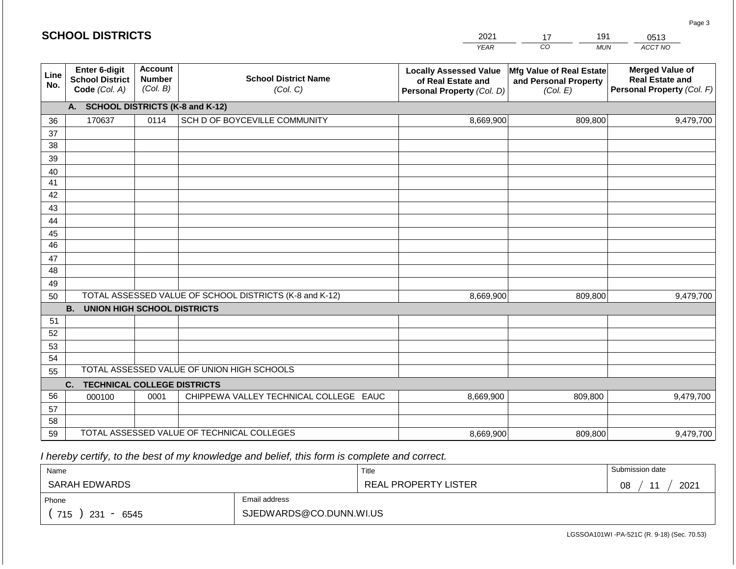#### *YEAR*  2021  $\overline{co}$ 17 *MUN*  191 *ACCT NO*  0513 **Line No. Enter 6-digit School District Code** *(Col. A)* **Account Number** *(Col. B)* **School District Name** *(Col. C)* **Locally Assessed Value of Real Estate and Personal Property** *(Col. D)* **Mfg Value of Real Estate and Personal Property** *(Col. E)* **Merged Value of Real Estate and Personal Property** *(Col. F)* **A. SCHOOL DISTRICTS (K-8 and K-12)** 36 37 38 39 40 41 42 43 44 45 46 47 48 49 50 TOTAL ASSESSED VALUE OF SCHOOL DISTRICTS (K-8 and K-12) **B. UNION HIGH SCHOOL DISTRICTS** 51 52 53 54 55 **C. TECHNICAL COLLEGE DISTRICTS** 56 57 58 59 TOTAL ASSESSED VALUE OF TECHNICAL COLLEGES TOTAL ASSESSED VALUE OF UNION HIGH SCHOOLS 170637 0114 SCH D OF BOYCEVILLE COMMUNITY 8,669,900 8,669,900 000100 | 0001 | CHIPPEWA VALLEY TECHNICAL COLLEGE EAUC 8,669,900 809,800 9,479,700 809,800 9,479,700 809,800 9,479,700 8,669,900 809,800 809,800 9,479,700

 *I hereby certify, to the best of my knowledge and belief, this form is complete and correct.*

| Name               |                         | Title                | Submission date |
|--------------------|-------------------------|----------------------|-----------------|
| SARAH EDWARDS      |                         | REAL PROPERTY LISTER | 2021<br>08      |
| Phone              | Email address           |                      |                 |
| 715<br>231<br>6545 | SJEDWARDS@CO.DUNN.WI.US |                      |                 |

Page 3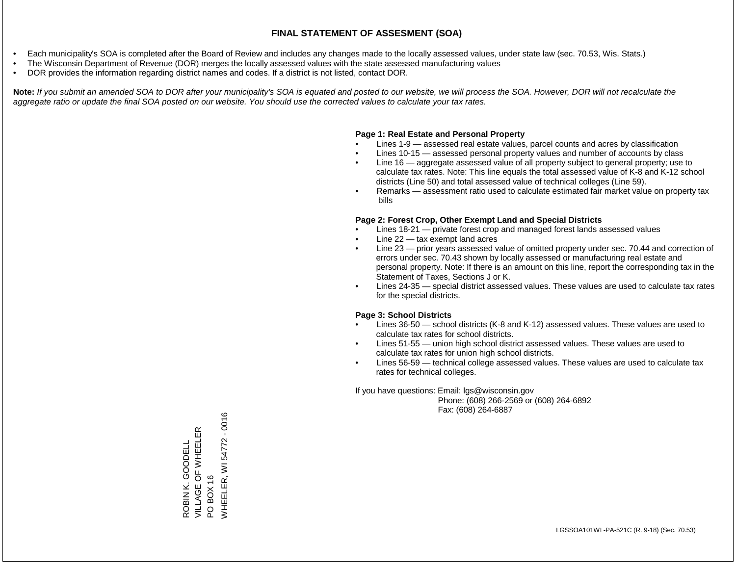### **FINAL STATEMENT OF ASSESMENT (SOA)**

- Each municipality's SOA is completed after the Board of Review and includes any changes made to the locally assessed values, under state law (sec. 70.53, Wis. Stats.)
- The Wisconsin Department of Revenue (DOR) merges the locally assessed values with the state assessed manufacturing values
- DOR provides the information regarding district names and codes. If a district is not listed, contact DOR.

Note: If you submit an amended SOA to DOR after your municipality's SOA is equated and posted to our website, we will process the SOA. However, DOR will not recalculate the *aggregate ratio or update the final SOA posted on our website. You should use the corrected values to calculate your tax rates.*

### **Page 1: Real Estate and Personal Property**

- Lines 1-9 assessed real estate values, parcel counts and acres by classification
- Lines 10-15 assessed personal property values and number of accounts by class
- Line 16 aggregate assessed value of all property subject to general property; use to calculate tax rates. Note: This line equals the total assessed value of K-8 and K-12 school districts (Line 50) and total assessed value of technical colleges (Line 59).
- Remarks assessment ratio used to calculate estimated fair market value on property tax bills

### **Page 2: Forest Crop, Other Exempt Land and Special Districts**

- Lines 18-21 private forest crop and managed forest lands assessed values
- Line  $22 -$  tax exempt land acres
- Line 23 prior years assessed value of omitted property under sec. 70.44 and correction of errors under sec. 70.43 shown by locally assessed or manufacturing real estate and personal property. Note: If there is an amount on this line, report the corresponding tax in the Statement of Taxes, Sections J or K.
- Lines 24-35 special district assessed values. These values are used to calculate tax rates for the special districts.

### **Page 3: School Districts**

- Lines 36-50 school districts (K-8 and K-12) assessed values. These values are used to calculate tax rates for school districts.
- Lines 51-55 union high school district assessed values. These values are used to calculate tax rates for union high school districts.
- Lines 56-59 technical college assessed values. These values are used to calculate tax rates for technical colleges.

If you have questions: Email: lgs@wisconsin.gov

 Phone: (608) 266-2569 or (608) 264-6892 Fax: (608) 264-6887

54772 - 0016 WHEELER, WI 54772 - 0016VILLAGE OF WHEELER ROBIN K. GOODELL<br>VILLAGE OF WHEELER ROBIN K. GOODELL WHEELER, WI PO BOX 16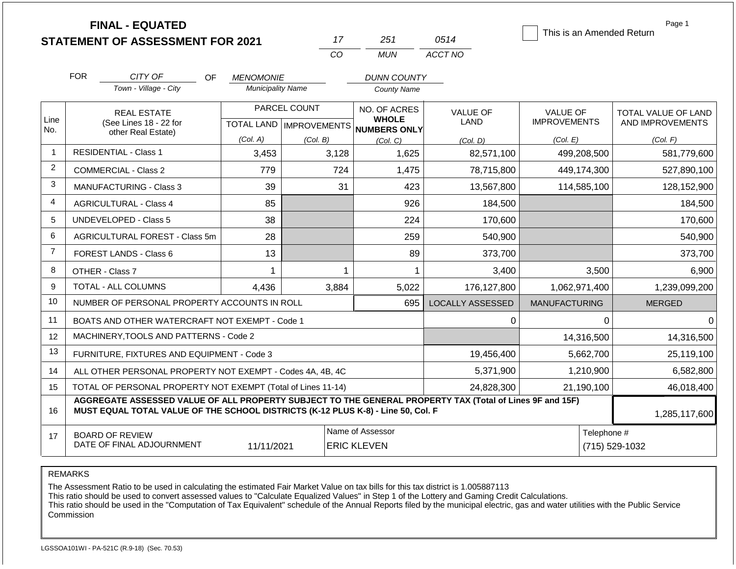|                |                                                              | <b>FINAL - EQUATED</b><br><b>STATEMENT OF ASSESSMENT FOR 2021</b>                                                                                                                            |                           |              | 17    | 251                                    | 0514                          | This is an Amended Return |            | Page 1              |
|----------------|--------------------------------------------------------------|----------------------------------------------------------------------------------------------------------------------------------------------------------------------------------------------|---------------------------|--------------|-------|----------------------------------------|-------------------------------|---------------------------|------------|---------------------|
|                |                                                              |                                                                                                                                                                                              |                           |              | CO    | <b>MUN</b>                             | ACCT NO                       |                           |            |                     |
|                | <b>FOR</b>                                                   | CITY OF<br>OF.                                                                                                                                                                               | <b>MENOMONIE</b>          |              |       | <b>DUNN COUNTY</b>                     |                               |                           |            |                     |
|                |                                                              | Town - Village - City                                                                                                                                                                        | <b>Municipality Name</b>  |              |       | <b>County Name</b>                     |                               |                           |            |                     |
|                |                                                              | <b>REAL ESTATE</b>                                                                                                                                                                           |                           | PARCEL COUNT |       | NO. OF ACRES                           | <b>VALUE OF</b>               | <b>VALUE OF</b>           |            | TOTAL VALUE OF LAND |
| Line<br>No.    |                                                              | (See Lines 18 - 22 for<br>other Real Estate)                                                                                                                                                 | TOTAL LAND   IMPROVEMENTS |              |       | <b>WHOLE</b><br><b>NUMBERS ONLY</b>    | LAND                          | <b>IMPROVEMENTS</b>       |            | AND IMPROVEMENTS    |
|                |                                                              |                                                                                                                                                                                              | (Col. A)                  | (Col. B)     |       | (Col, C)                               | (Col, D)                      | (Col. E)                  |            | (Col. F)            |
| 1              |                                                              | <b>RESIDENTIAL - Class 1</b>                                                                                                                                                                 | 3,453                     |              | 3,128 | 1,625                                  | 82,571,100                    | 499,208,500               |            | 581,779,600         |
| $\overline{2}$ |                                                              | <b>COMMERCIAL - Class 2</b>                                                                                                                                                                  | 779                       |              | 724   | 1,475                                  | 78,715,800                    | 449,174,300               |            | 527,890,100         |
| 3              |                                                              | MANUFACTURING - Class 3                                                                                                                                                                      | 39                        |              | 31    | 423                                    | 13,567,800                    | 114,585,100               |            | 128,152,900         |
| 4              |                                                              | <b>AGRICULTURAL - Class 4</b>                                                                                                                                                                | 85                        |              |       | 926                                    | 184,500                       |                           |            | 184,500             |
| 5              |                                                              | UNDEVELOPED - Class 5                                                                                                                                                                        | 38                        |              |       | 224                                    | 170,600                       |                           |            | 170,600             |
| 6              |                                                              | <b>AGRICULTURAL FOREST - Class 5m</b>                                                                                                                                                        | 28                        |              |       | 259                                    | 540,900                       |                           |            | 540,900             |
| $\overline{7}$ |                                                              | <b>FOREST LANDS - Class 6</b>                                                                                                                                                                | 13                        |              |       | 89                                     | 373,700                       |                           |            | 373,700             |
| 8              |                                                              | OTHER - Class 7                                                                                                                                                                              | $\mathbf{1}$              |              | 1     | 1                                      | 3,400                         |                           | 3,500      | 6,900               |
| 9              |                                                              | <b>TOTAL - ALL COLUMNS</b>                                                                                                                                                                   | 4,436                     |              | 3,884 | 5,022                                  | 176,127,800                   | 1,062,971,400             |            | 1,239,099,200       |
| 10             |                                                              | NUMBER OF PERSONAL PROPERTY ACCOUNTS IN ROLL                                                                                                                                                 |                           |              |       | 695                                    | <b>LOCALLY ASSESSED</b>       | <b>MANUFACTURING</b>      |            | <b>MERGED</b>       |
| 11             |                                                              | BOATS AND OTHER WATERCRAFT NOT EXEMPT - Code 1                                                                                                                                               |                           |              |       |                                        | 0                             |                           | 0          | $\Omega$            |
| 12             |                                                              | MACHINERY, TOOLS AND PATTERNS - Code 2                                                                                                                                                       |                           |              |       |                                        |                               |                           | 14,316,500 | 14,316,500          |
| 13             |                                                              | FURNITURE, FIXTURES AND EQUIPMENT - Code 3                                                                                                                                                   |                           |              |       |                                        | 19,456,400                    |                           | 5,662,700  | 25,119,100          |
| 14             | ALL OTHER PERSONAL PROPERTY NOT EXEMPT - Codes 4A, 4B, 4C    |                                                                                                                                                                                              |                           |              |       |                                        | 5,371,900                     |                           | 1,210,900  | 6,582,800           |
| 15             | TOTAL OF PERSONAL PROPERTY NOT EXEMPT (Total of Lines 11-14) |                                                                                                                                                                                              |                           |              |       |                                        | 24,828,300                    |                           | 21,190,100 | 46,018,400          |
| 16             |                                                              | AGGREGATE ASSESSED VALUE OF ALL PROPERTY SUBJECT TO THE GENERAL PROPERTY TAX (Total of Lines 9F and 15F)<br>MUST EQUAL TOTAL VALUE OF THE SCHOOL DISTRICTS (K-12 PLUS K-8) - Line 50, Col. F |                           |              |       |                                        |                               |                           |            | 1,285,117,600       |
| 17             |                                                              | <b>BOARD OF REVIEW</b><br>DATE OF FINAL ADJOURNMENT                                                                                                                                          | 11/11/2021                |              |       | Name of Assessor<br><b>ERIC KLEVEN</b> | Telephone #<br>(715) 529-1032 |                           |            |                     |

REMARKS

The Assessment Ratio to be used in calculating the estimated Fair Market Value on tax bills for this tax district is 1.005887113

This ratio should be used to convert assessed values to "Calculate Equalized Values" in Step 1 of the Lottery and Gaming Credit Calculations.

 This ratio should be used in the "Computation of Tax Equivalent" schedule of the Annual Reports filed by the municipal electric, gas and water utilities with the Public Service Commission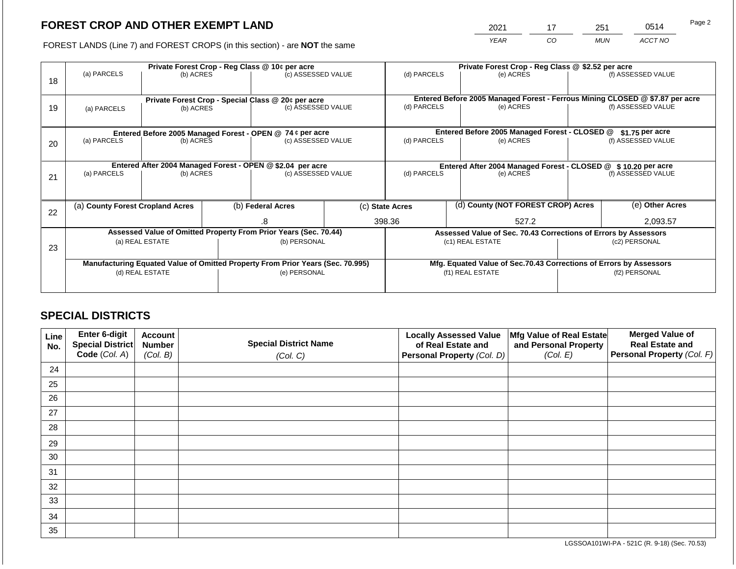# **FOREST CROP AND OTHER EXEMPT LAND**

2021 17 251 0514

FOREST LANDS (Line 7) and FOREST CROPS (in this section) - are **NOT** the same *YEAR CO MUN ACCT NO*

|    | Private Forest Crop - Reg Class @ 10¢ per acre                                                                                                       |                                                            |                                                                 |                                                                              |                          | Private Forest Crop - Reg Class @ \$2.52 per acre                |                                                                              |               |                 |                    |  |
|----|------------------------------------------------------------------------------------------------------------------------------------------------------|------------------------------------------------------------|-----------------------------------------------------------------|------------------------------------------------------------------------------|--------------------------|------------------------------------------------------------------|------------------------------------------------------------------------------|---------------|-----------------|--------------------|--|
| 18 | (a) PARCELS                                                                                                                                          | (b) ACRES                                                  |                                                                 | (c) ASSESSED VALUE                                                           |                          | (d) PARCELS                                                      |                                                                              | (e) ACRES     |                 | (f) ASSESSED VALUE |  |
|    |                                                                                                                                                      | Private Forest Crop - Special Class @ 20¢ per acre         |                                                                 |                                                                              |                          |                                                                  | Entered Before 2005 Managed Forest - Ferrous Mining CLOSED @ \$7.87 per acre |               |                 |                    |  |
| 19 | (a) PARCELS                                                                                                                                          | (b) ACRES                                                  |                                                                 | (c) ASSESSED VALUE                                                           |                          | (d) PARCELS                                                      |                                                                              | (e) ACRES     |                 | (f) ASSESSED VALUE |  |
|    | Entered Before 2005 Managed Forest - OPEN @ 74 ¢ per acre                                                                                            |                                                            |                                                                 |                                                                              |                          | Entered Before 2005 Managed Forest - CLOSED @<br>\$1.75 per acre |                                                                              |               |                 |                    |  |
|    | (a) PARCELS                                                                                                                                          |                                                            | (c) ASSESSED VALUE                                              |                                                                              | (d) PARCELS<br>(e) ACRES |                                                                  | (f) ASSESSED VALUE                                                           |               |                 |                    |  |
| 20 |                                                                                                                                                      | (b) ACRES                                                  |                                                                 |                                                                              |                          |                                                                  |                                                                              |               |                 |                    |  |
|    |                                                                                                                                                      | Entered After 2004 Managed Forest - OPEN @ \$2.04 per acre |                                                                 |                                                                              |                          |                                                                  |                                                                              |               |                 |                    |  |
|    | (a) PARCELS                                                                                                                                          |                                                            |                                                                 | Entered After 2004 Managed Forest - CLOSED @ \$10.20 per acre<br>(d) PARCELS |                          |                                                                  | (f) ASSESSED VALUE                                                           |               |                 |                    |  |
| 21 |                                                                                                                                                      | (b) ACRES                                                  |                                                                 | (c) ASSESSED VALUE                                                           |                          | (e) ACRES                                                        |                                                                              |               |                 |                    |  |
|    |                                                                                                                                                      |                                                            |                                                                 |                                                                              |                          |                                                                  |                                                                              |               |                 |                    |  |
|    | (a) County Forest Cropland Acres                                                                                                                     |                                                            |                                                                 | (b) Federal Acres                                                            |                          | (d) County (NOT FOREST CROP) Acres<br>(c) State Acres            |                                                                              |               | (e) Other Acres |                    |  |
| 22 |                                                                                                                                                      |                                                            |                                                                 |                                                                              |                          |                                                                  |                                                                              |               |                 |                    |  |
|    |                                                                                                                                                      |                                                            |                                                                 |                                                                              |                          | 398.36<br>527.2                                                  |                                                                              | 2,093.57      |                 |                    |  |
|    | Assessed Value of Omitted Property From Prior Years (Sec. 70.44)                                                                                     |                                                            | Assessed Value of Sec. 70.43 Corrections of Errors by Assessors |                                                                              |                          |                                                                  |                                                                              |               |                 |                    |  |
| 23 | (a) REAL ESTATE                                                                                                                                      |                                                            |                                                                 | (b) PERSONAL                                                                 |                          | (c1) REAL ESTATE                                                 |                                                                              | (c2) PERSONAL |                 |                    |  |
|    |                                                                                                                                                      |                                                            |                                                                 |                                                                              |                          |                                                                  |                                                                              |               |                 |                    |  |
|    | Manufacturing Equated Value of Omitted Property From Prior Years (Sec. 70.995)<br>Mfg. Equated Value of Sec.70.43 Corrections of Errors by Assessors |                                                            |                                                                 |                                                                              |                          |                                                                  |                                                                              |               |                 |                    |  |
|    |                                                                                                                                                      | (d) REAL ESTATE                                            |                                                                 | (e) PERSONAL                                                                 |                          | (f1) REAL ESTATE                                                 |                                                                              | (f2) PERSONAL |                 |                    |  |
|    |                                                                                                                                                      |                                                            |                                                                 |                                                                              |                          |                                                                  |                                                                              |               |                 |                    |  |
|    |                                                                                                                                                      |                                                            |                                                                 |                                                                              |                          |                                                                  |                                                                              |               |                 |                    |  |

# **SPECIAL DISTRICTS**

| Line<br>No. | <b>Enter 6-digit</b><br>Special District | <b>Account</b><br><b>Number</b> | <b>Special District Name</b> | <b>Locally Assessed Value</b><br>of Real Estate and | Mfg Value of Real Estate<br>and Personal Property | <b>Merged Value of</b><br><b>Real Estate and</b> |
|-------------|------------------------------------------|---------------------------------|------------------------------|-----------------------------------------------------|---------------------------------------------------|--------------------------------------------------|
|             | Code (Col. A)                            | (Col. B)                        | (Col. C)                     | Personal Property (Col. D)                          | (Col. E)                                          | <b>Personal Property (Col. F)</b>                |
| 24          |                                          |                                 |                              |                                                     |                                                   |                                                  |
| 25          |                                          |                                 |                              |                                                     |                                                   |                                                  |
| 26          |                                          |                                 |                              |                                                     |                                                   |                                                  |
| 27          |                                          |                                 |                              |                                                     |                                                   |                                                  |
| 28          |                                          |                                 |                              |                                                     |                                                   |                                                  |
| 29          |                                          |                                 |                              |                                                     |                                                   |                                                  |
| 30          |                                          |                                 |                              |                                                     |                                                   |                                                  |
| 31          |                                          |                                 |                              |                                                     |                                                   |                                                  |
| 32          |                                          |                                 |                              |                                                     |                                                   |                                                  |
| 33          |                                          |                                 |                              |                                                     |                                                   |                                                  |
| 34          |                                          |                                 |                              |                                                     |                                                   |                                                  |
| 35          |                                          |                                 |                              |                                                     |                                                   |                                                  |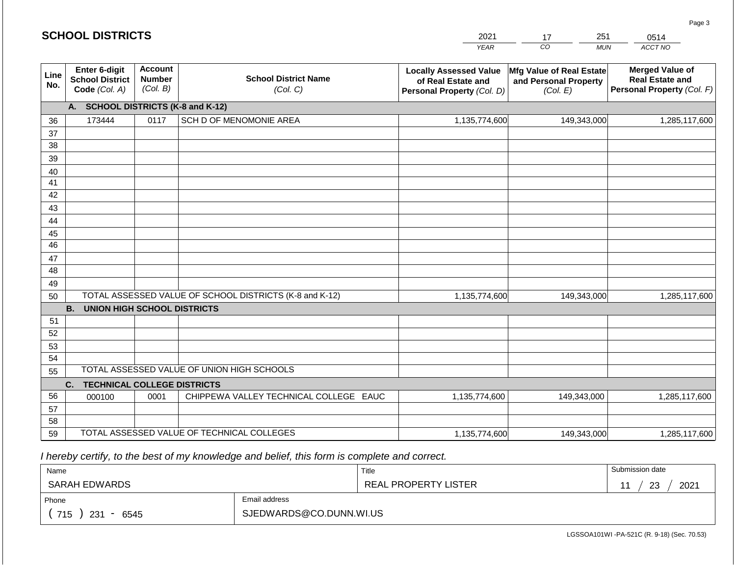#### *YEAR*  2021 *CO*  17 *MUN*  251 **SCHOOL DISTRICTS Line No. Enter 6-digit School District Code** *(Col. A)* **Account Number** *(Col. B)* **School District Name** *(Col. C)* **Locally Assessed Value of Real Estate and Personal Property** *(Col. D)* **Mfg Value of Real Estate and Personal Property** *(Col. E)* **Merged Value of Real Estate and Personal Property** *(Col. F)* **A. SCHOOL DISTRICTS (K-8 and K-12)** 36 37 38 39 40 41 42 43 44 45 46 47  $\overline{48}$ 49 173444 0117 SCH D OF MENOMONIE AREA 1,135,774,600 149,343,000 1,285,117,600

| 40 |                                                         |      |                                        |               |             |               |  |  |
|----|---------------------------------------------------------|------|----------------------------------------|---------------|-------------|---------------|--|--|
| 49 |                                                         |      |                                        |               |             |               |  |  |
| 50 | TOTAL ASSESSED VALUE OF SCHOOL DISTRICTS (K-8 and K-12) |      |                                        | 1,135,774,600 | 149,343,000 | 1,285,117,600 |  |  |
|    | UNION HIGH SCHOOL DISTRICTS<br>В.                       |      |                                        |               |             |               |  |  |
| 51 |                                                         |      |                                        |               |             |               |  |  |
| 52 |                                                         |      |                                        |               |             |               |  |  |
| 53 |                                                         |      |                                        |               |             |               |  |  |
| 54 |                                                         |      |                                        |               |             |               |  |  |
| 55 | TOTAL ASSESSED VALUE OF UNION HIGH SCHOOLS              |      |                                        |               |             |               |  |  |
|    | <b>TECHNICAL COLLEGE DISTRICTS</b><br>C.                |      |                                        |               |             |               |  |  |
| 56 | 000100                                                  | 0001 | CHIPPEWA VALLEY TECHNICAL COLLEGE EAUC | 1,135,774,600 | 149,343,000 | 1,285,117,600 |  |  |
| 57 |                                                         |      |                                        |               |             |               |  |  |
| 58 |                                                         |      |                                        |               |             |               |  |  |
| 59 | TOTAL ASSESSED VALUE OF TECHNICAL COLLEGES              |      |                                        | 1,135,774,600 | 149,343,000 | 1,285,117,600 |  |  |

 *I hereby certify, to the best of my knowledge and belief, this form is complete and correct.*

| Name                                |                         | Title                | Submission date |  |  |
|-------------------------------------|-------------------------|----------------------|-----------------|--|--|
| SARAH EDWARDS                       |                         | REAL PROPERTY LISTER | 2021<br>23      |  |  |
| Email address<br>Phone              |                         |                      |                 |  |  |
| 715<br>23 <sup>′</sup><br>6545<br>- | SJEDWARDS@CO.DUNN.WI.US |                      |                 |  |  |

*ACCT NO*  0514